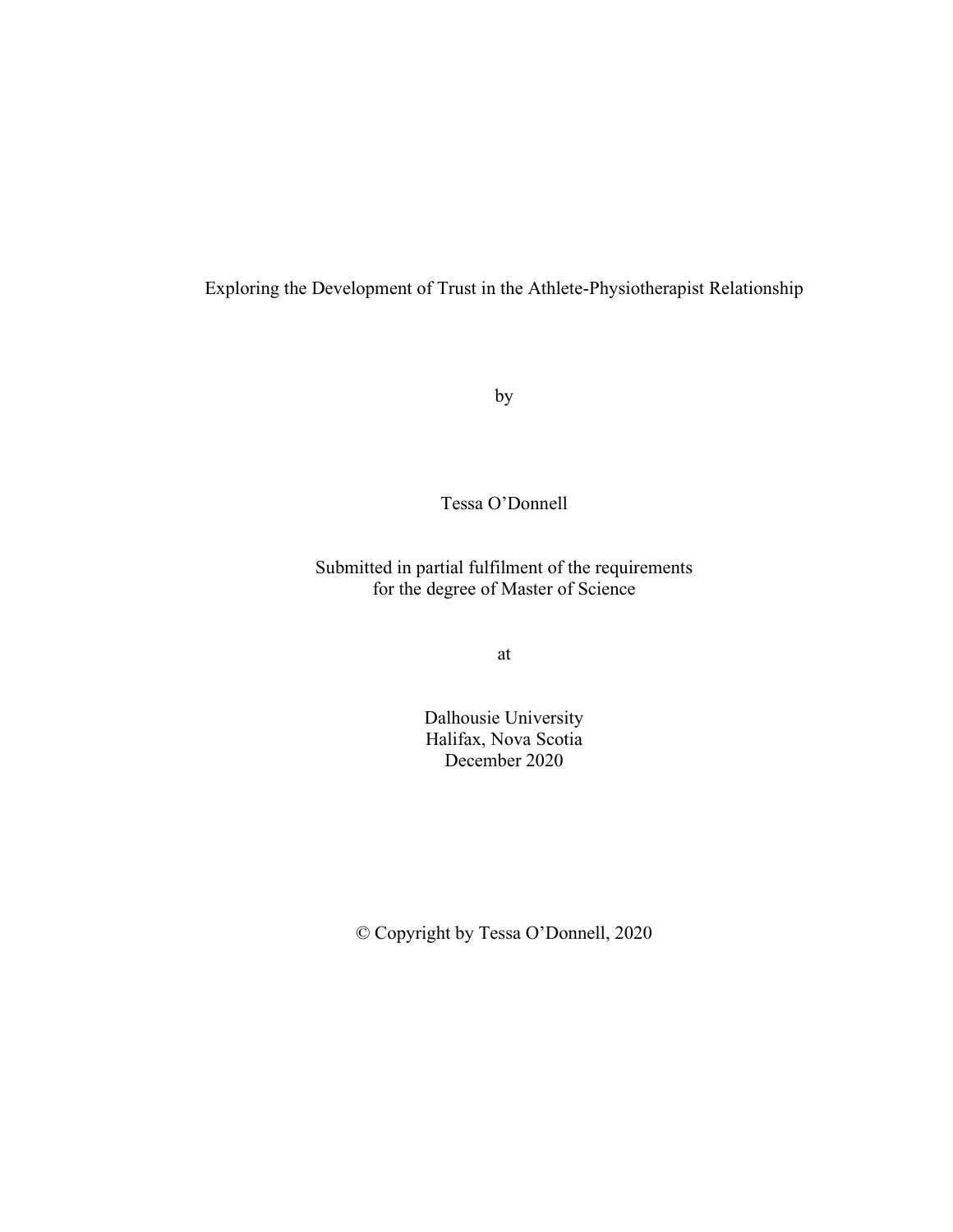Exploring the Development of Trust in the Athlete-Physiotherapist Relationship

by

Tessa O'Donnell

Submitted in partial fulfilment of the requirements for the degree of Master of Science

at

Dalhousie University Halifax, Nova Scotia December 2020

© Copyright by Tessa O'Donnell, 2020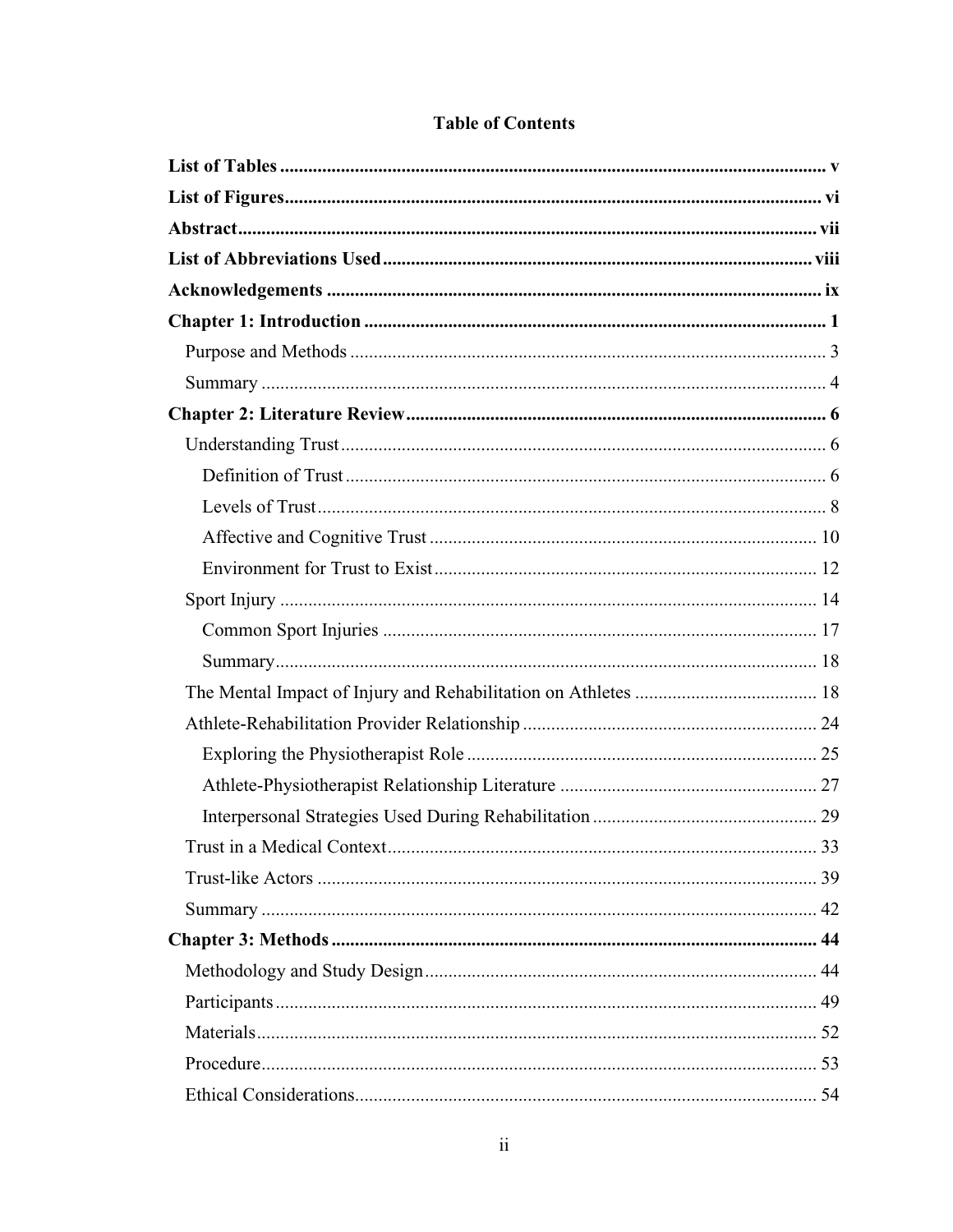# **Table of Contents**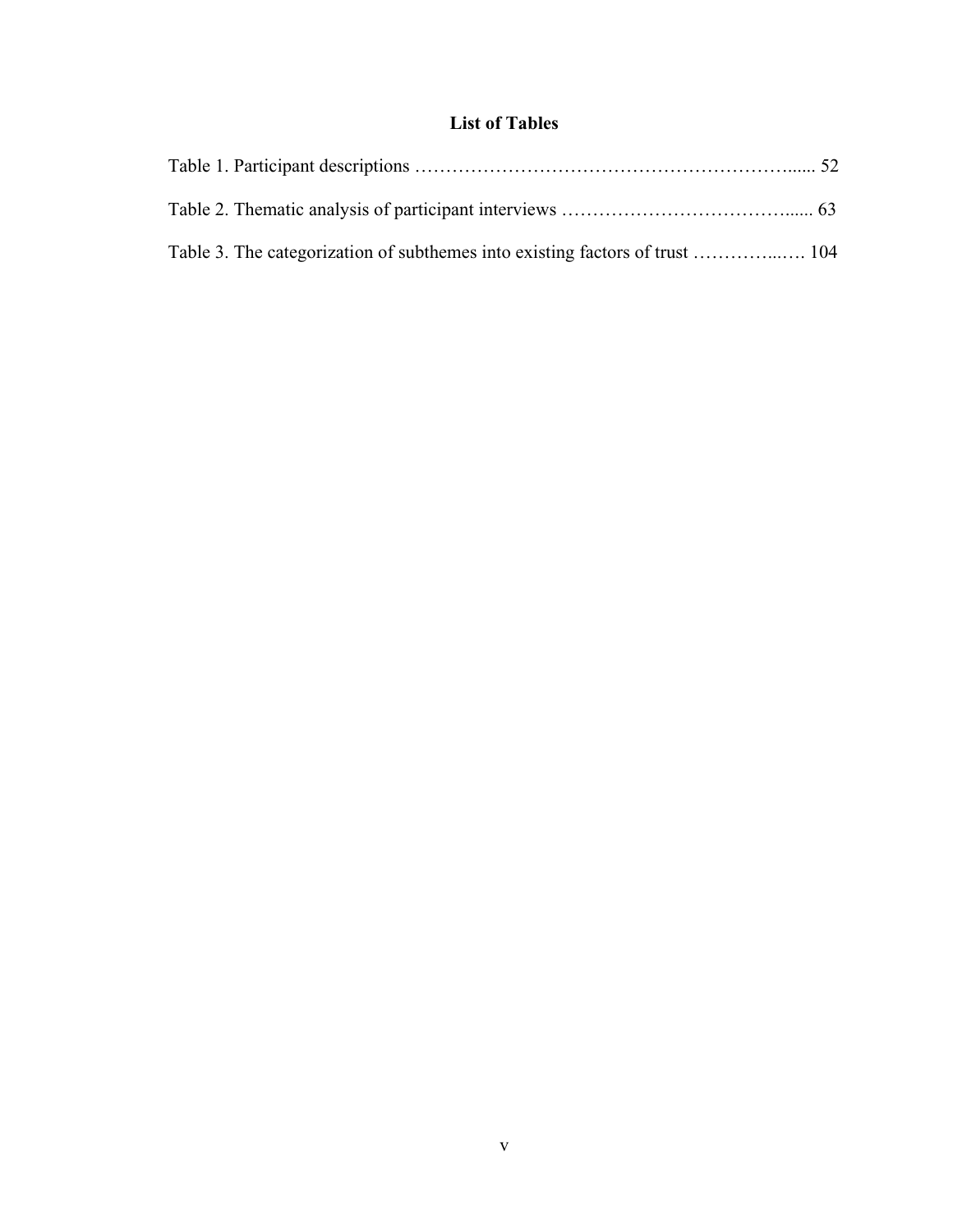# **List of Tables**

<span id="page-4-0"></span>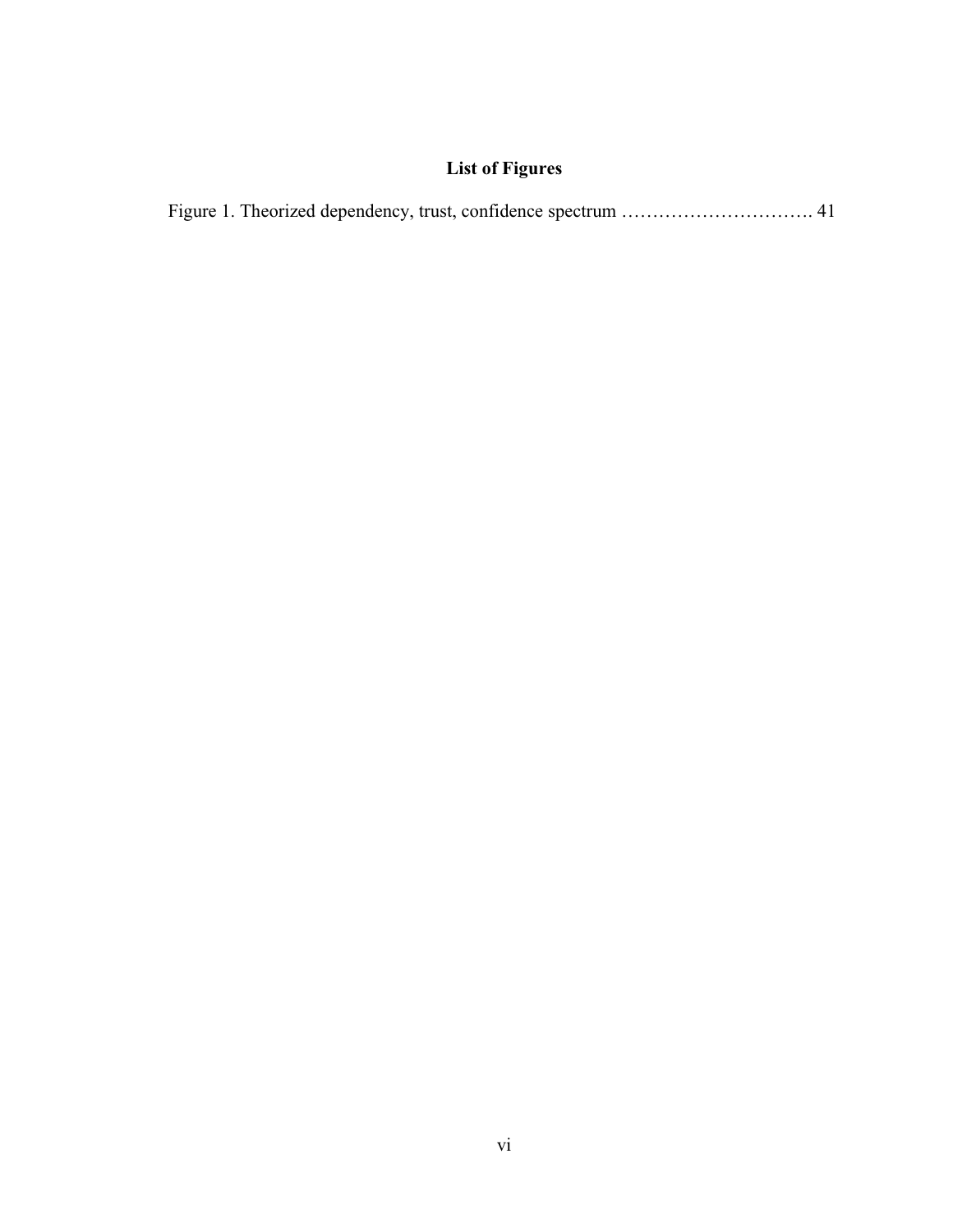# **List of Figures**

<span id="page-5-0"></span>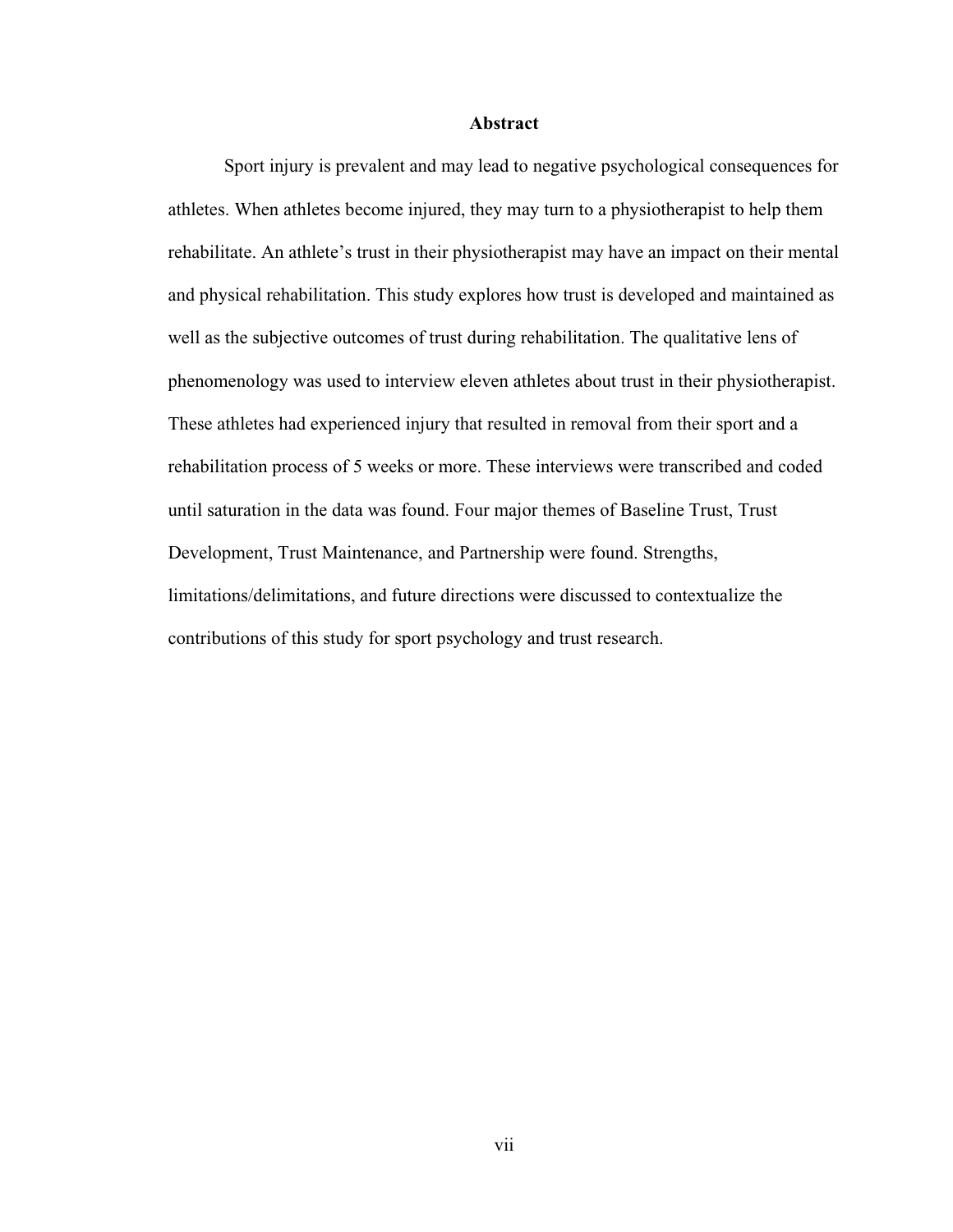## **Abstract**

<span id="page-6-0"></span>Sport injury is prevalent and may lead to negative psychological consequences for athletes. When athletes become injured, they may turn to a physiotherapist to help them rehabilitate. An athlete's trust in their physiotherapist may have an impact on their mental and physical rehabilitation. This study explores how trust is developed and maintained as well as the subjective outcomes of trust during rehabilitation. The qualitative lens of phenomenology was used to interview eleven athletes about trust in their physiotherapist. These athletes had experienced injury that resulted in removal from their sport and a rehabilitation process of 5 weeks or more. These interviews were transcribed and coded until saturation in the data was found. Four major themes of Baseline Trust, Trust Development, Trust Maintenance, and Partnership were found. Strengths, limitations/delimitations, and future directions were discussed to contextualize the contributions of this study for sport psychology and trust research.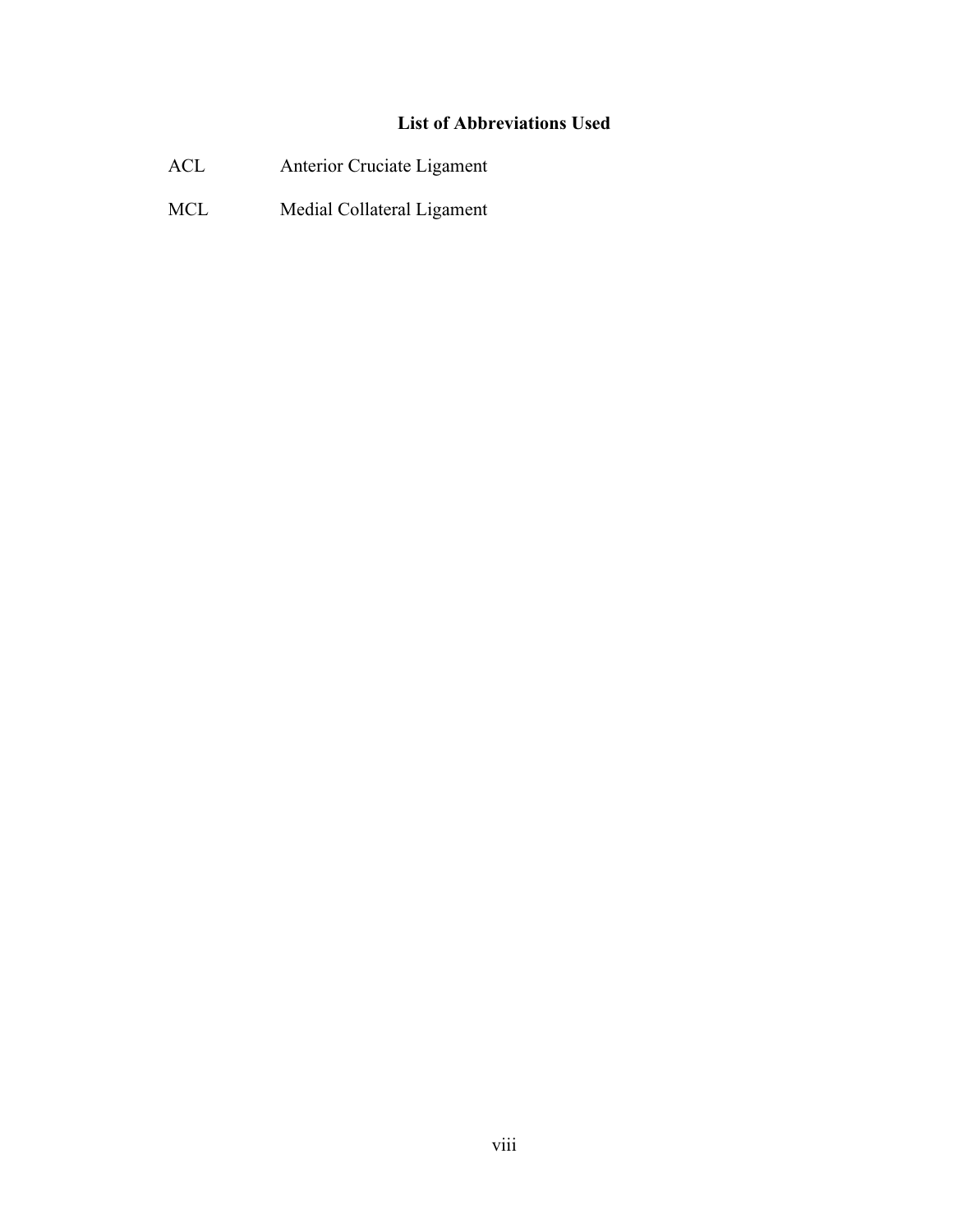# **List of Abbreviations Used**

- <span id="page-7-0"></span>ACL Anterior Cruciate Ligament
- MCL Medial Collateral Ligament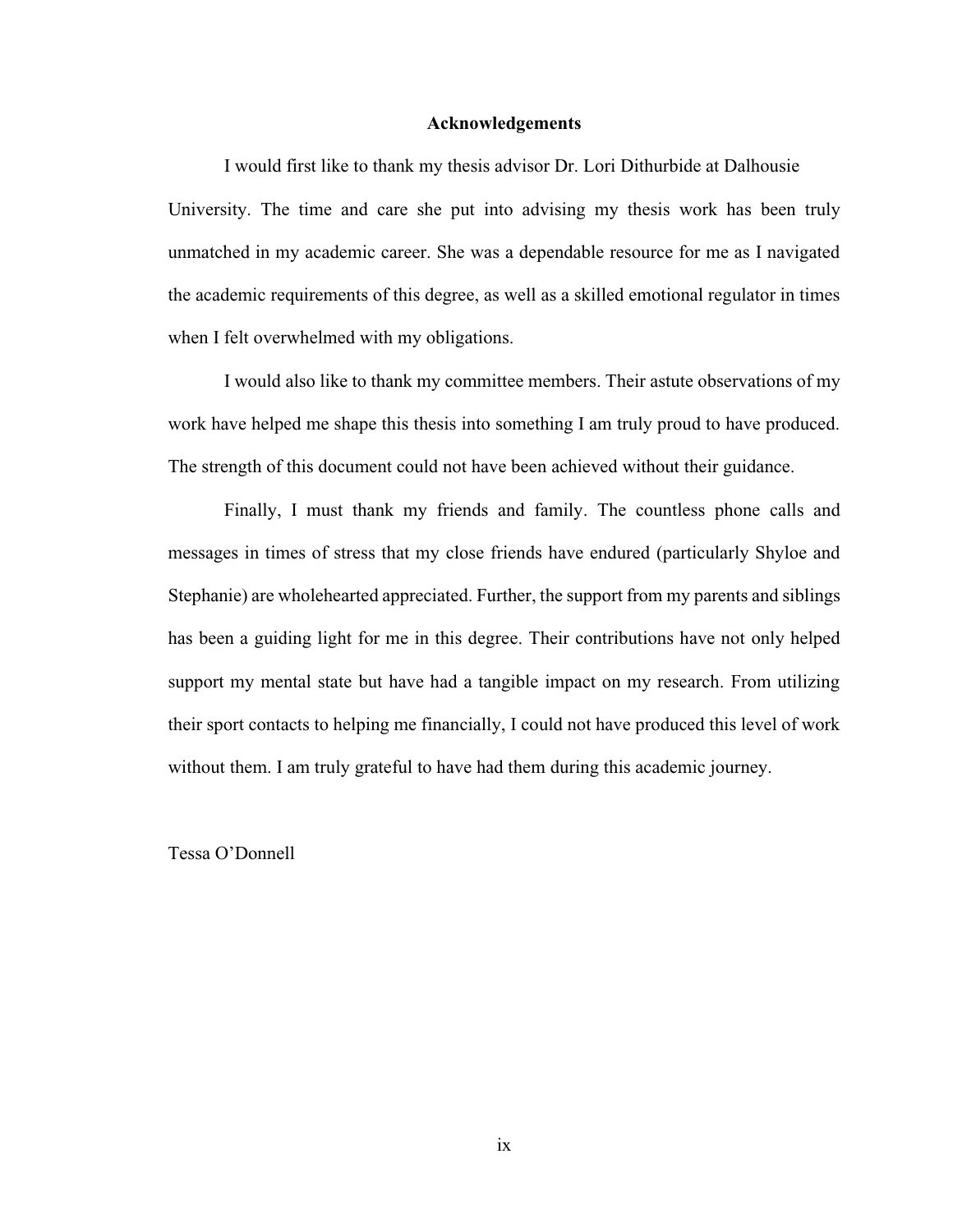#### **Acknowledgements**

<span id="page-8-0"></span>I would first like to thank my thesis advisor Dr. Lori Dithurbide at Dalhousie University. The time and care she put into advising my thesis work has been truly unmatched in my academic career. She was a dependable resource for me as I navigated the academic requirements of this degree, as well as a skilled emotional regulator in times when I felt overwhelmed with my obligations.

I would also like to thank my committee members. Their astute observations of my work have helped me shape this thesis into something I am truly proud to have produced. The strength of this document could not have been achieved without their guidance.

Finally, I must thank my friends and family. The countless phone calls and messages in times of stress that my close friends have endured (particularly Shyloe and Stephanie) are wholehearted appreciated. Further, the support from my parents and siblings has been a guiding light for me in this degree. Their contributions have not only helped support my mental state but have had a tangible impact on my research. From utilizing their sport contacts to helping me financially, I could not have produced this level of work without them. I am truly grateful to have had them during this academic journey.

Tessa O'Donnell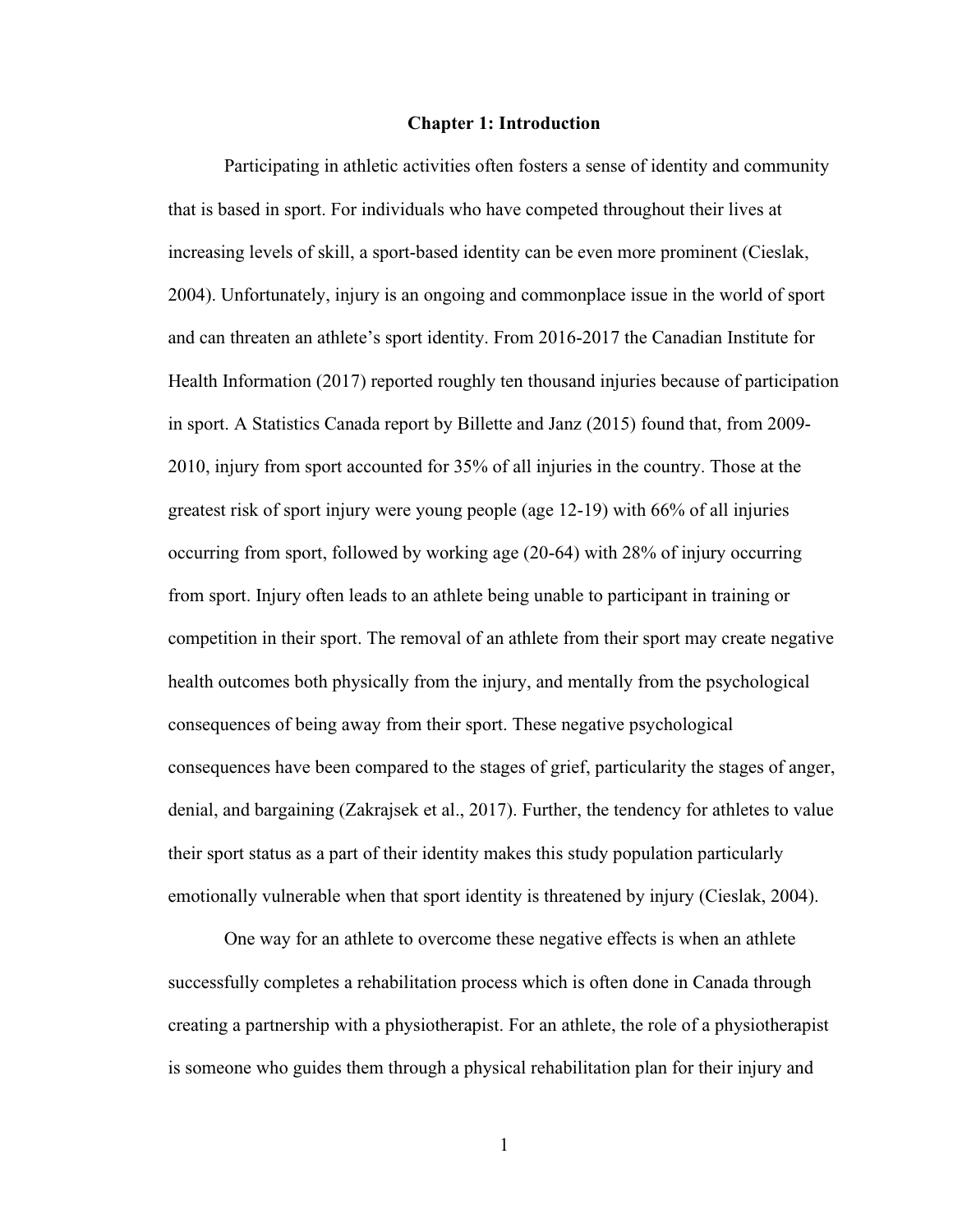#### **Chapter 1: Introduction**

<span id="page-9-0"></span>Participating in athletic activities often fosters a sense of identity and community that is based in sport. For individuals who have competed throughout their lives at increasing levels of skill, a sport-based identity can be even more prominent (Cieslak, 2004). Unfortunately, injury is an ongoing and commonplace issue in the world of sport and can threaten an athlete's sport identity. From 2016-2017 the Canadian Institute for Health Information (2017) reported roughly ten thousand injuries because of participation in sport. A Statistics Canada report by Billette and Janz (2015) found that, from 2009- 2010, injury from sport accounted for 35% of all injuries in the country. Those at the greatest risk of sport injury were young people (age 12-19) with 66% of all injuries occurring from sport, followed by working age (20-64) with 28% of injury occurring from sport. Injury often leads to an athlete being unable to participant in training or competition in their sport. The removal of an athlete from their sport may create negative health outcomes both physically from the injury, and mentally from the psychological consequences of being away from their sport. These negative psychological consequences have been compared to the stages of grief, particularity the stages of anger, denial, and bargaining (Zakrajsek et al., 2017). Further, the tendency for athletes to value their sport status as a part of their identity makes this study population particularly emotionally vulnerable when that sport identity is threatened by injury (Cieslak, 2004).

One way for an athlete to overcome these negative effects is when an athlete successfully completes a rehabilitation process which is often done in Canada through creating a partnership with a physiotherapist. For an athlete, the role of a physiotherapist is someone who guides them through a physical rehabilitation plan for their injury and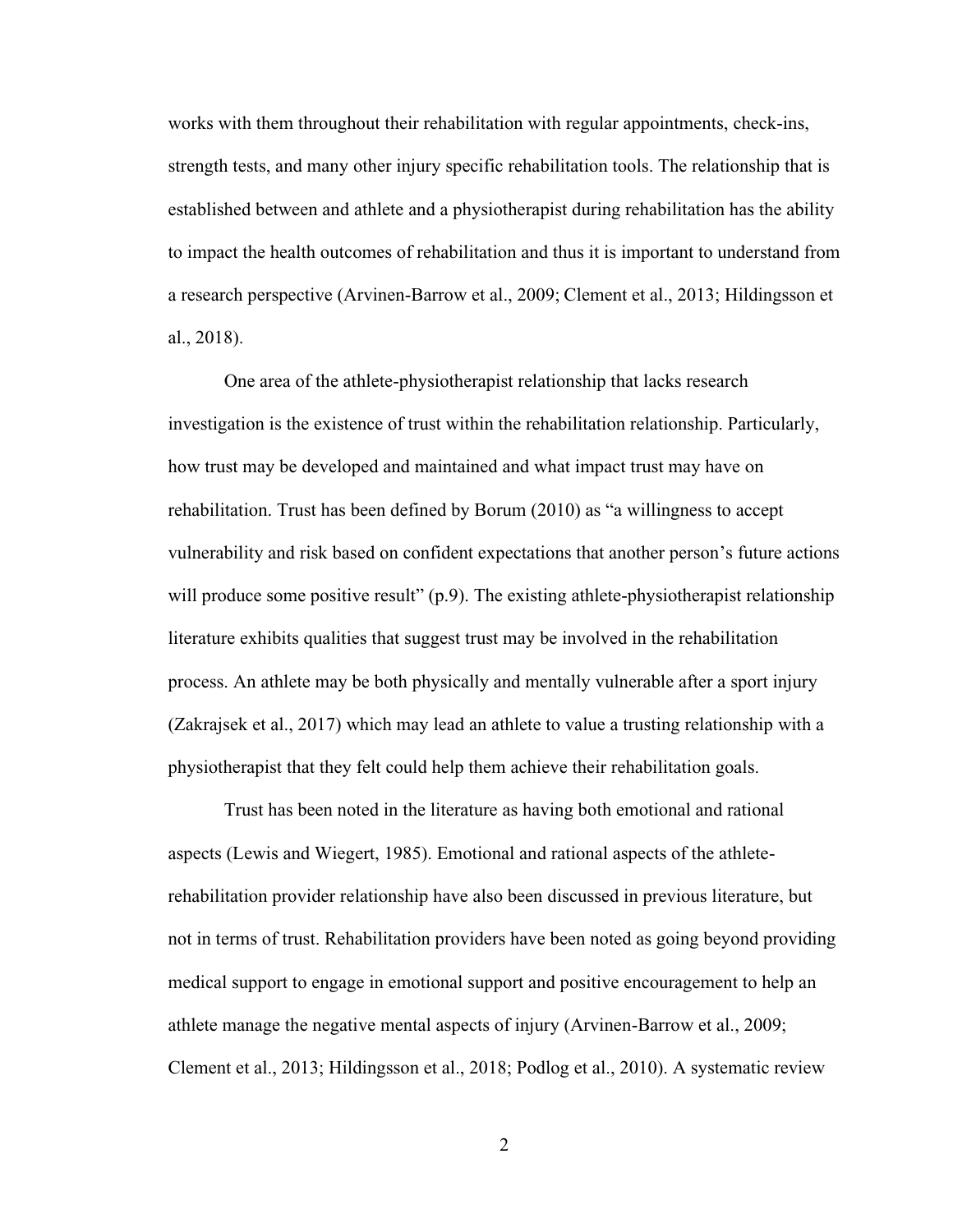works with them throughout their rehabilitation with regular appointments, check-ins, strength tests, and many other injury specific rehabilitation tools. The relationship that is established between and athlete and a physiotherapist during rehabilitation has the ability to impact the health outcomes of rehabilitation and thus it is important to understand from a research perspective (Arvinen-Barrow et al., 2009; Clement et al., 2013; Hildingsson et al., 2018).

One area of the athlete-physiotherapist relationship that lacks research investigation is the existence of trust within the rehabilitation relationship. Particularly, how trust may be developed and maintained and what impact trust may have on rehabilitation. Trust has been defined by Borum (2010) as "a willingness to accept vulnerability and risk based on confident expectations that another person's future actions will produce some positive result" (p.9). The existing athlete-physiotherapist relationship literature exhibits qualities that suggest trust may be involved in the rehabilitation process. An athlete may be both physically and mentally vulnerable after a sport injury (Zakrajsek et al., 2017) which may lead an athlete to value a trusting relationship with a physiotherapist that they felt could help them achieve their rehabilitation goals.

Trust has been noted in the literature as having both emotional and rational aspects (Lewis and Wiegert, 1985). Emotional and rational aspects of the athleterehabilitation provider relationship have also been discussed in previous literature, but not in terms of trust. Rehabilitation providers have been noted as going beyond providing medical support to engage in emotional support and positive encouragement to help an athlete manage the negative mental aspects of injury (Arvinen-Barrow et al., 2009; Clement et al., 2013; Hildingsson et al., 2018; Podlog et al., 2010). A systematic review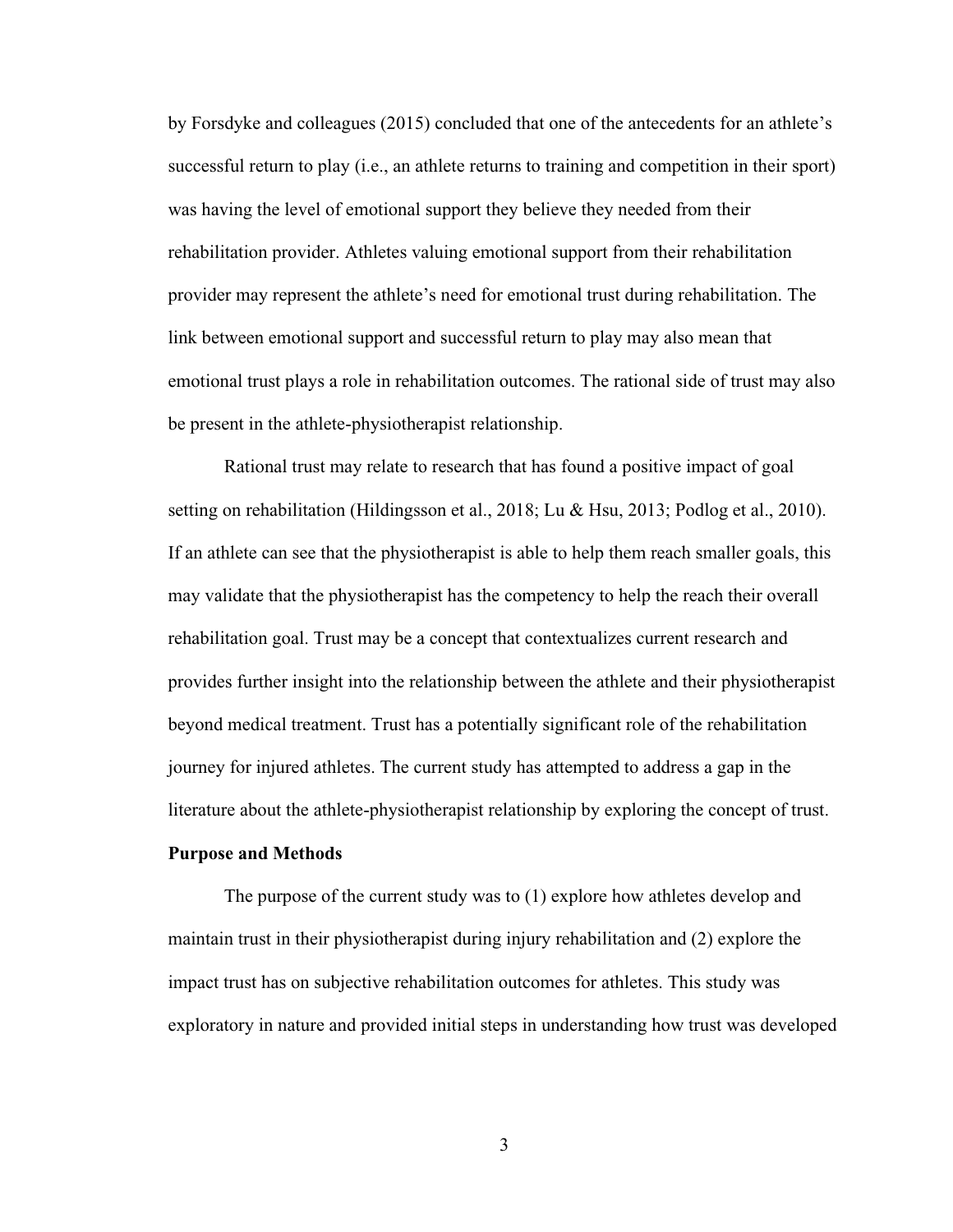by Forsdyke and colleagues (2015) concluded that one of the antecedents for an athlete's successful return to play (i.e., an athlete returns to training and competition in their sport) was having the level of emotional support they believe they needed from their rehabilitation provider. Athletes valuing emotional support from their rehabilitation provider may represent the athlete's need for emotional trust during rehabilitation. The link between emotional support and successful return to play may also mean that emotional trust plays a role in rehabilitation outcomes. The rational side of trust may also be present in the athlete-physiotherapist relationship.

Rational trust may relate to research that has found a positive impact of goal setting on rehabilitation (Hildingsson et al., 2018; Lu & Hsu, 2013; Podlog et al., 2010). If an athlete can see that the physiotherapist is able to help them reach smaller goals, this may validate that the physiotherapist has the competency to help the reach their overall rehabilitation goal. Trust may be a concept that contextualizes current research and provides further insight into the relationship between the athlete and their physiotherapist beyond medical treatment. Trust has a potentially significant role of the rehabilitation journey for injured athletes. The current study has attempted to address a gap in the literature about the athlete-physiotherapist relationship by exploring the concept of trust.

### <span id="page-11-0"></span>**Purpose and Methods**

The purpose of the current study was to (1) explore how athletes develop and maintain trust in their physiotherapist during injury rehabilitation and (2) explore the impact trust has on subjective rehabilitation outcomes for athletes. This study was exploratory in nature and provided initial steps in understanding how trust was developed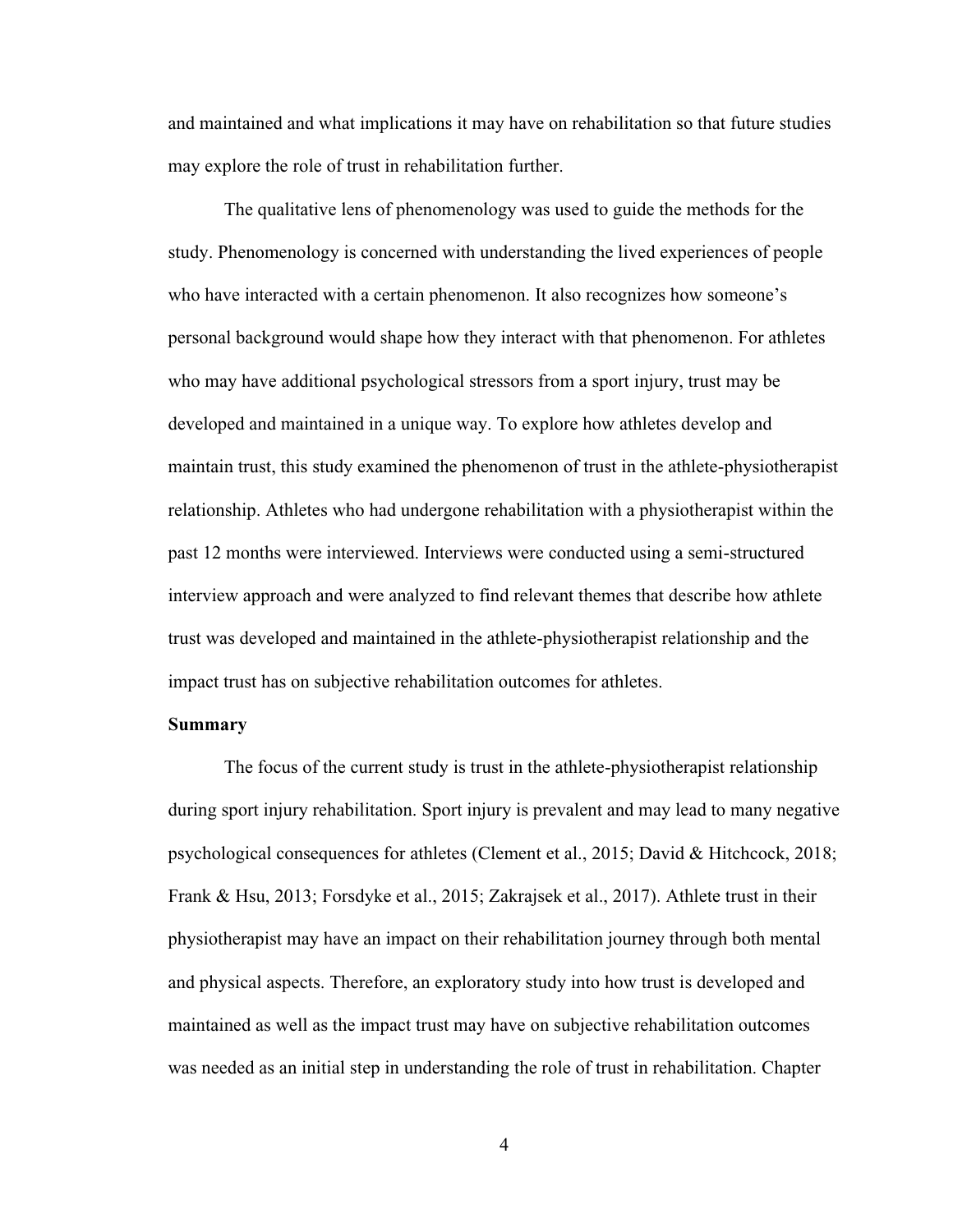and maintained and what implications it may have on rehabilitation so that future studies may explore the role of trust in rehabilitation further.

The qualitative lens of phenomenology was used to guide the methods for the study. Phenomenology is concerned with understanding the lived experiences of people who have interacted with a certain phenomenon. It also recognizes how someone's personal background would shape how they interact with that phenomenon. For athletes who may have additional psychological stressors from a sport injury, trust may be developed and maintained in a unique way. To explore how athletes develop and maintain trust, this study examined the phenomenon of trust in the athlete-physiotherapist relationship. Athletes who had undergone rehabilitation with a physiotherapist within the past 12 months were interviewed. Interviews were conducted using a semi-structured interview approach and were analyzed to find relevant themes that describe how athlete trust was developed and maintained in the athlete-physiotherapist relationship and the impact trust has on subjective rehabilitation outcomes for athletes.

#### <span id="page-12-0"></span>**Summary**

The focus of the current study is trust in the athlete-physiotherapist relationship during sport injury rehabilitation. Sport injury is prevalent and may lead to many negative psychological consequences for athletes (Clement et al., 2015; David & Hitchcock, 2018; Frank & Hsu, 2013; Forsdyke et al., 2015; Zakrajsek et al., 2017). Athlete trust in their physiotherapist may have an impact on their rehabilitation journey through both mental and physical aspects. Therefore, an exploratory study into how trust is developed and maintained as well as the impact trust may have on subjective rehabilitation outcomes was needed as an initial step in understanding the role of trust in rehabilitation. Chapter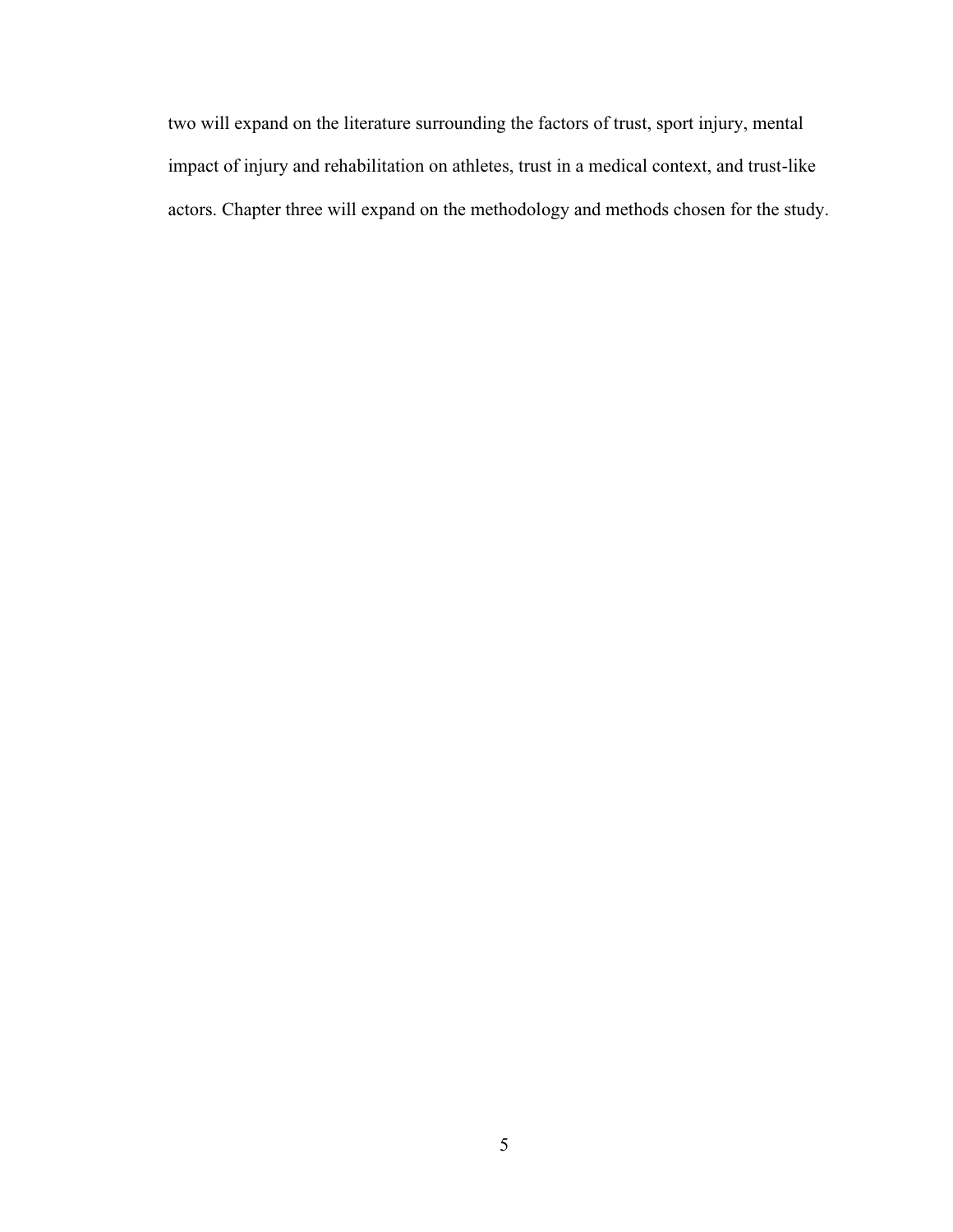two will expand on the literature surrounding the factors of trust, sport injury, mental impact of injury and rehabilitation on athletes, trust in a medical context, and trust-like actors. Chapter three will expand on the methodology and methods chosen for the study.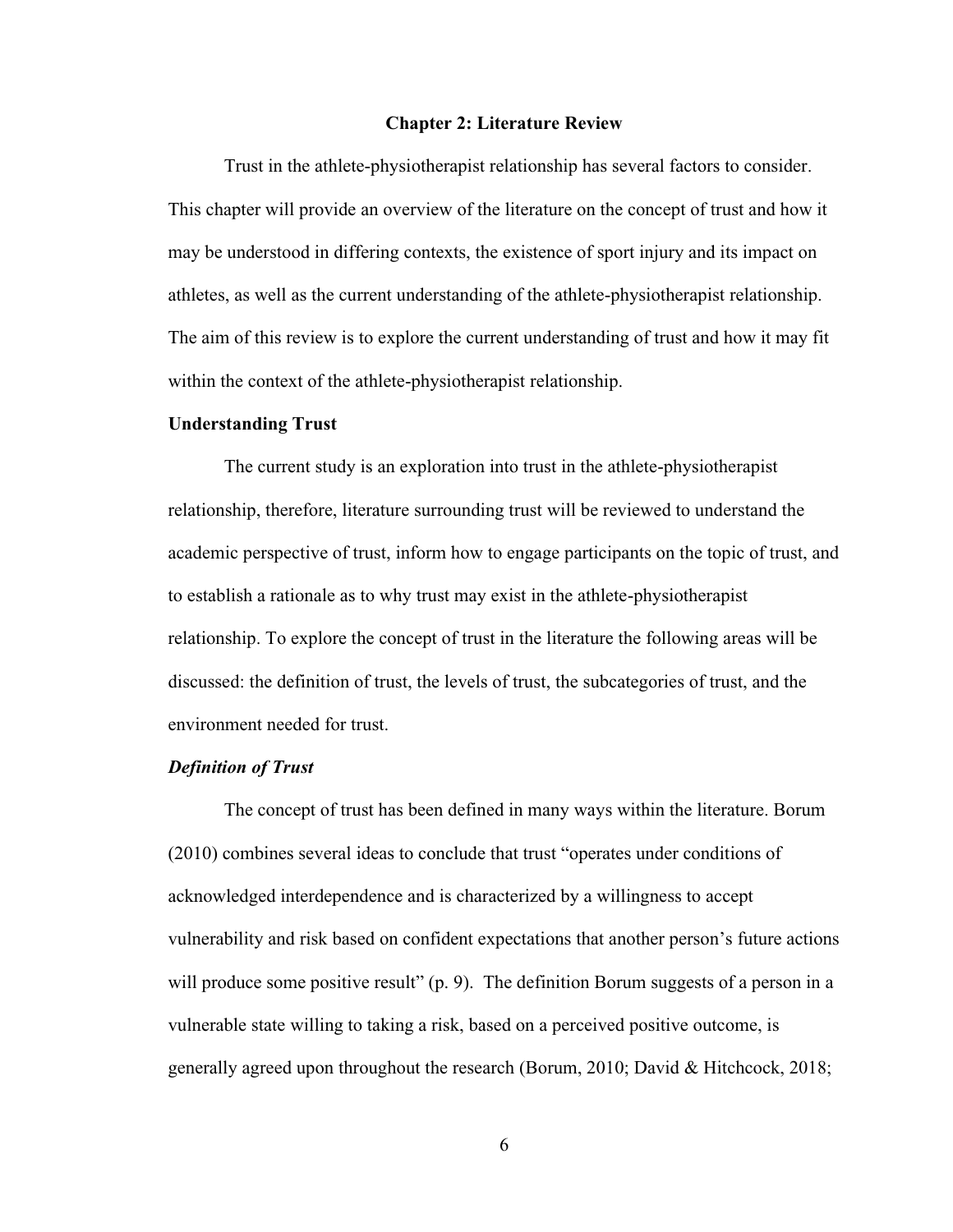#### **Chapter 2: Literature Review**

<span id="page-14-0"></span>Trust in the athlete-physiotherapist relationship has several factors to consider. This chapter will provide an overview of the literature on the concept of trust and how it may be understood in differing contexts, the existence of sport injury and its impact on athletes, as well as the current understanding of the athlete-physiotherapist relationship. The aim of this review is to explore the current understanding of trust and how it may fit within the context of the athlete-physiotherapist relationship.

#### <span id="page-14-1"></span>**Understanding Trust**

The current study is an exploration into trust in the athlete-physiotherapist relationship, therefore, literature surrounding trust will be reviewed to understand the academic perspective of trust, inform how to engage participants on the topic of trust, and to establish a rationale as to why trust may exist in the athlete-physiotherapist relationship. To explore the concept of trust in the literature the following areas will be discussed: the definition of trust, the levels of trust, the subcategories of trust, and the environment needed for trust.

## <span id="page-14-2"></span>*Definition of Trust*

The concept of trust has been defined in many ways within the literature. Borum (2010) combines several ideas to conclude that trust "operates under conditions of acknowledged interdependence and is characterized by a willingness to accept vulnerability and risk based on confident expectations that another person's future actions will produce some positive result" (p. 9). The definition Borum suggests of a person in a vulnerable state willing to taking a risk, based on a perceived positive outcome, is generally agreed upon throughout the research (Borum, 2010; David & Hitchcock, 2018;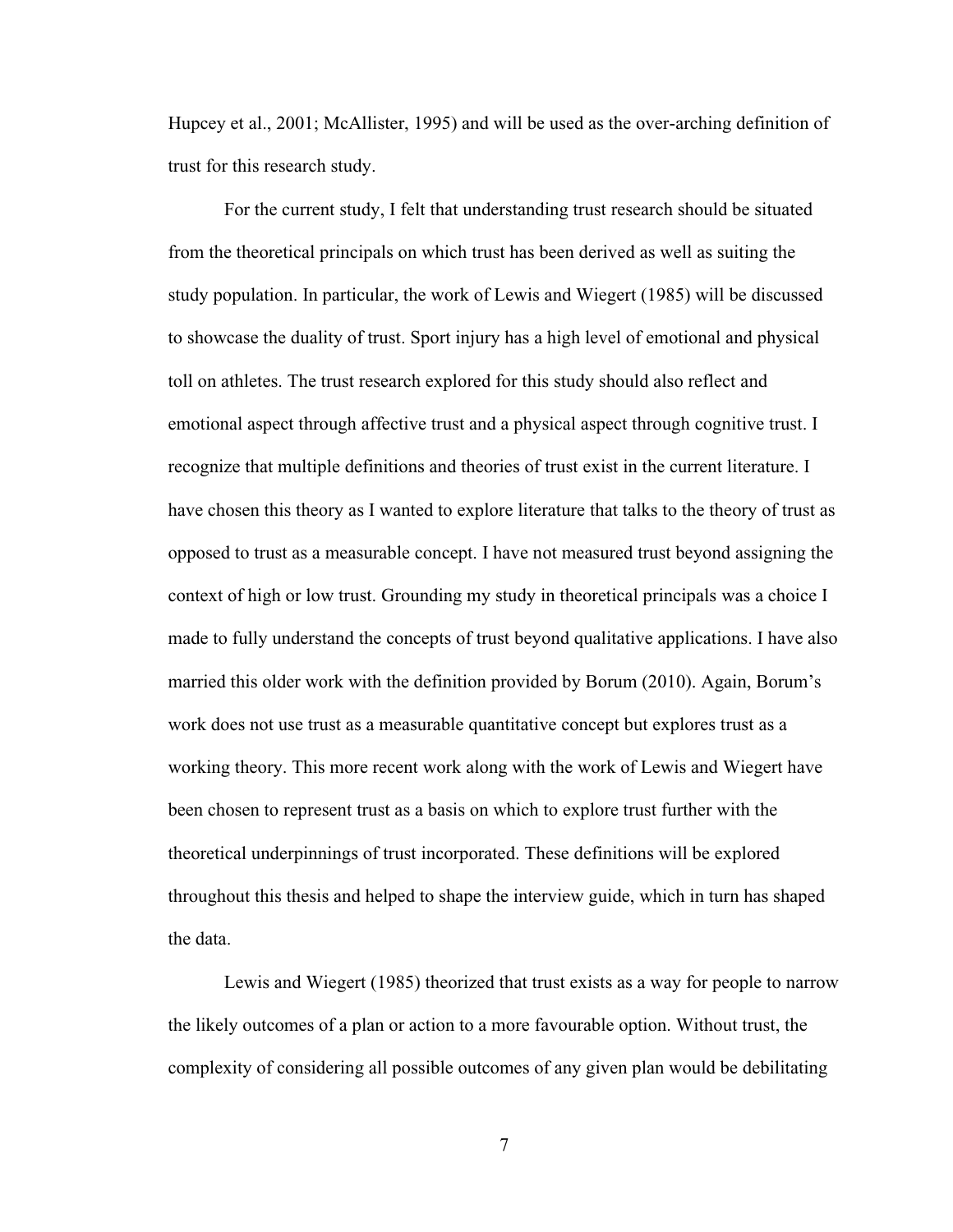Hupcey et al., 2001; McAllister, 1995) and will be used as the over-arching definition of trust for this research study.

For the current study, I felt that understanding trust research should be situated from the theoretical principals on which trust has been derived as well as suiting the study population. In particular, the work of Lewis and Wiegert (1985) will be discussed to showcase the duality of trust. Sport injury has a high level of emotional and physical toll on athletes. The trust research explored for this study should also reflect and emotional aspect through affective trust and a physical aspect through cognitive trust. I recognize that multiple definitions and theories of trust exist in the current literature. I have chosen this theory as I wanted to explore literature that talks to the theory of trust as opposed to trust as a measurable concept. I have not measured trust beyond assigning the context of high or low trust. Grounding my study in theoretical principals was a choice I made to fully understand the concepts of trust beyond qualitative applications. I have also married this older work with the definition provided by Borum (2010). Again, Borum's work does not use trust as a measurable quantitative concept but explores trust as a working theory. This more recent work along with the work of Lewis and Wiegert have been chosen to represent trust as a basis on which to explore trust further with the theoretical underpinnings of trust incorporated. These definitions will be explored throughout this thesis and helped to shape the interview guide, which in turn has shaped the data.

Lewis and Wiegert (1985) theorized that trust exists as a way for people to narrow the likely outcomes of a plan or action to a more favourable option. Without trust, the complexity of considering all possible outcomes of any given plan would be debilitating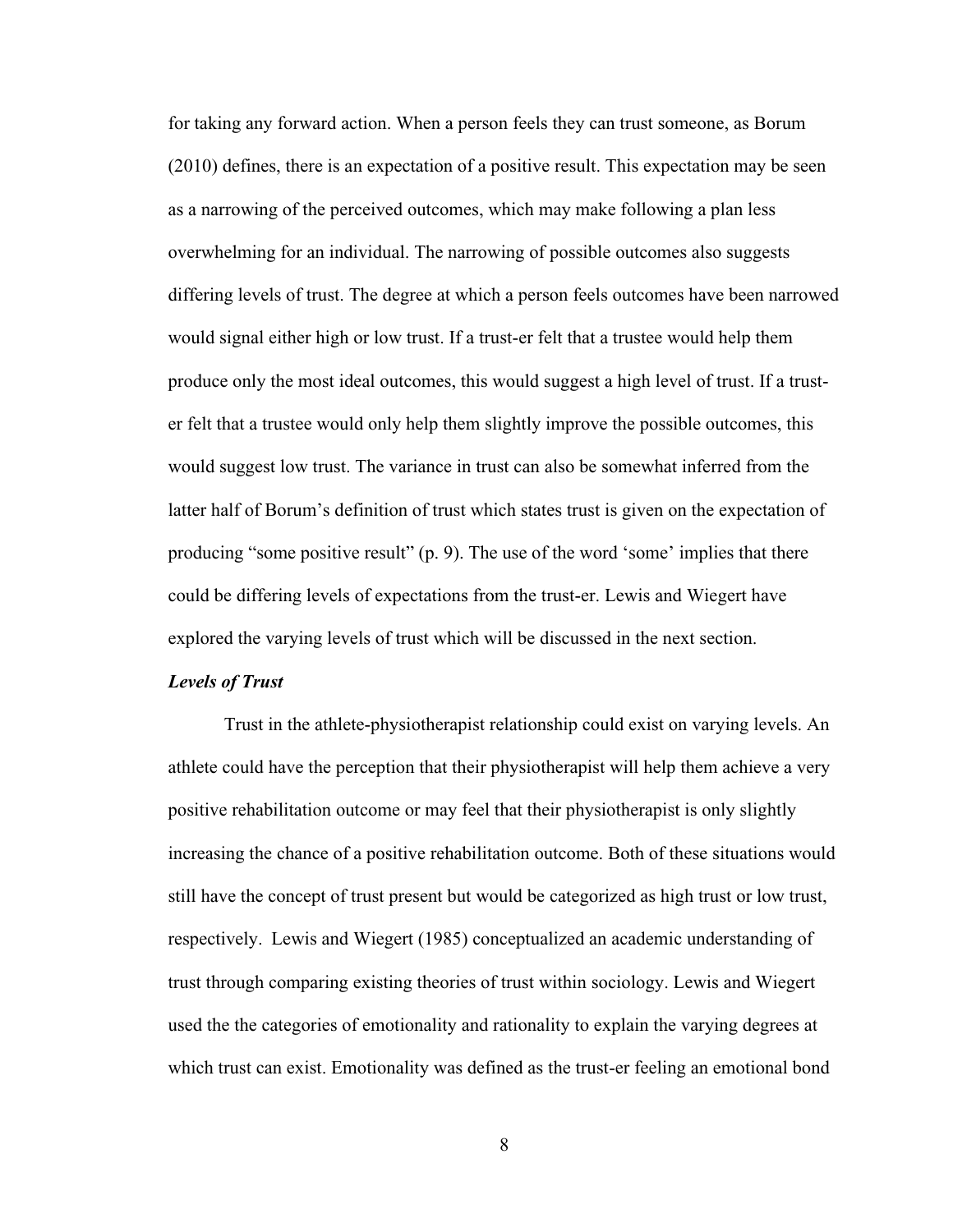for taking any forward action. When a person feels they can trust someone, as Borum (2010) defines, there is an expectation of a positive result. This expectation may be seen as a narrowing of the perceived outcomes, which may make following a plan less overwhelming for an individual. The narrowing of possible outcomes also suggests differing levels of trust. The degree at which a person feels outcomes have been narrowed would signal either high or low trust. If a trust-er felt that a trustee would help them produce only the most ideal outcomes, this would suggest a high level of trust. If a truster felt that a trustee would only help them slightly improve the possible outcomes, this would suggest low trust. The variance in trust can also be somewhat inferred from the latter half of Borum's definition of trust which states trust is given on the expectation of producing "some positive result" (p. 9). The use of the word 'some' implies that there could be differing levels of expectations from the trust-er. Lewis and Wiegert have explored the varying levels of trust which will be discussed in the next section.

### <span id="page-16-0"></span>*Levels of Trust*

Trust in the athlete-physiotherapist relationship could exist on varying levels. An athlete could have the perception that their physiotherapist will help them achieve a very positive rehabilitation outcome or may feel that their physiotherapist is only slightly increasing the chance of a positive rehabilitation outcome. Both of these situations would still have the concept of trust present but would be categorized as high trust or low trust, respectively. Lewis and Wiegert (1985) conceptualized an academic understanding of trust through comparing existing theories of trust within sociology. Lewis and Wiegert used the the categories of emotionality and rationality to explain the varying degrees at which trust can exist. Emotionality was defined as the trust-er feeling an emotional bond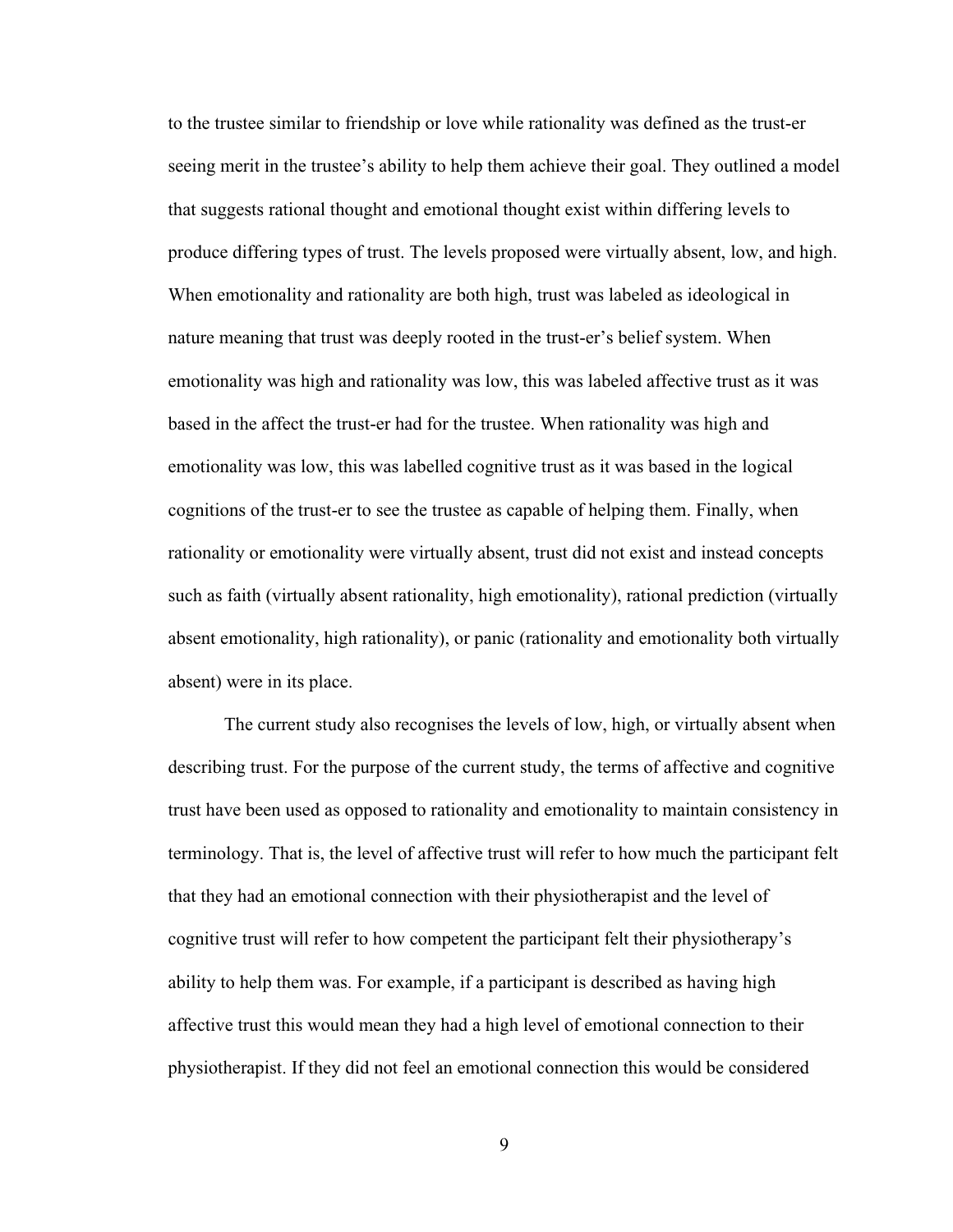to the trustee similar to friendship or love while rationality was defined as the trust-er seeing merit in the trustee's ability to help them achieve their goal. They outlined a model that suggests rational thought and emotional thought exist within differing levels to produce differing types of trust. The levels proposed were virtually absent, low, and high. When emotionality and rationality are both high, trust was labeled as ideological in nature meaning that trust was deeply rooted in the trust-er's belief system. When emotionality was high and rationality was low, this was labeled affective trust as it was based in the affect the trust-er had for the trustee. When rationality was high and emotionality was low, this was labelled cognitive trust as it was based in the logical cognitions of the trust-er to see the trustee as capable of helping them. Finally, when rationality or emotionality were virtually absent, trust did not exist and instead concepts such as faith (virtually absent rationality, high emotionality), rational prediction (virtually absent emotionality, high rationality), or panic (rationality and emotionality both virtually absent) were in its place.

The current study also recognises the levels of low, high, or virtually absent when describing trust. For the purpose of the current study, the terms of affective and cognitive trust have been used as opposed to rationality and emotionality to maintain consistency in terminology. That is, the level of affective trust will refer to how much the participant felt that they had an emotional connection with their physiotherapist and the level of cognitive trust will refer to how competent the participant felt their physiotherapy's ability to help them was. For example, if a participant is described as having high affective trust this would mean they had a high level of emotional connection to their physiotherapist. If they did not feel an emotional connection this would be considered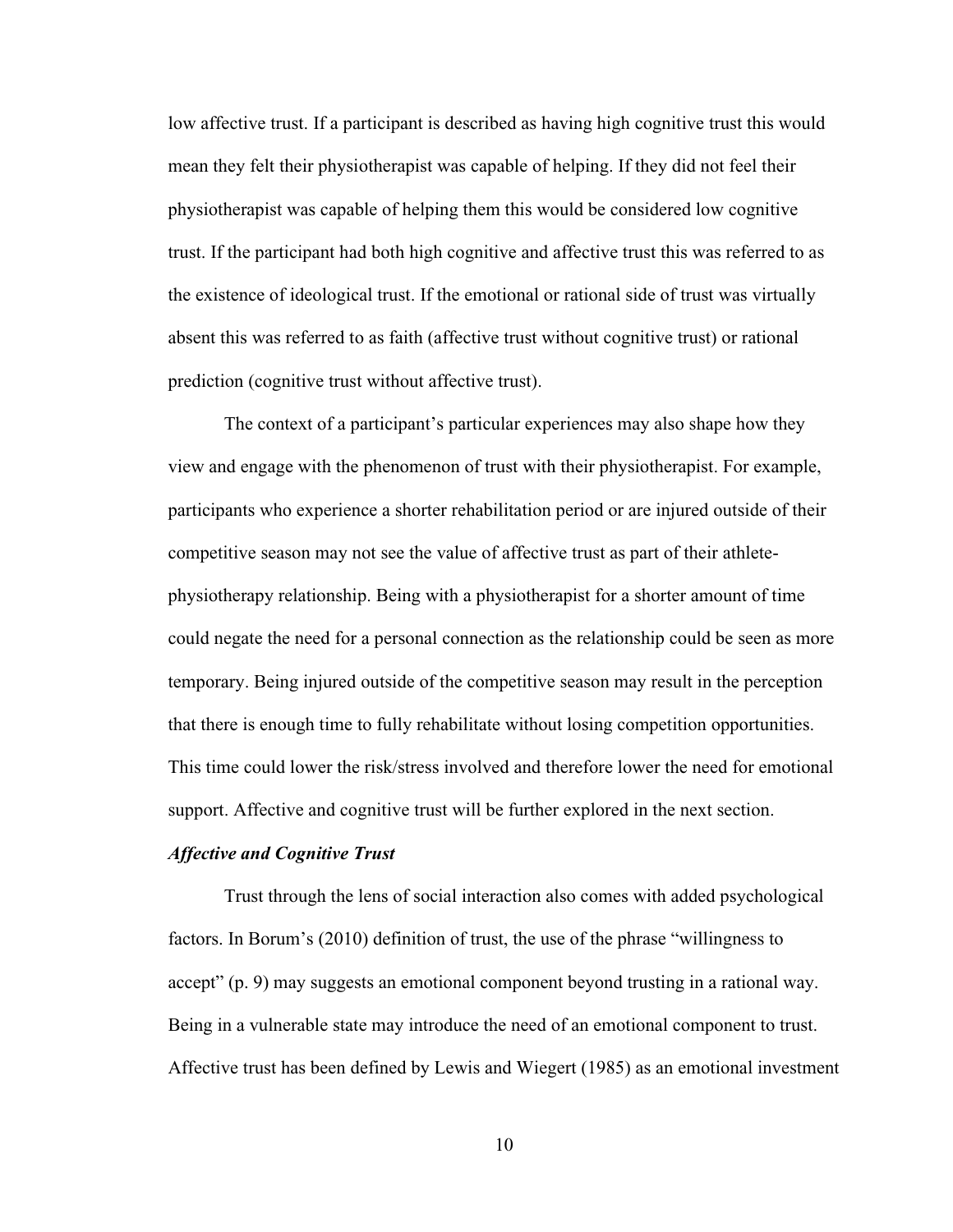low affective trust. If a participant is described as having high cognitive trust this would mean they felt their physiotherapist was capable of helping. If they did not feel their physiotherapist was capable of helping them this would be considered low cognitive trust. If the participant had both high cognitive and affective trust this was referred to as the existence of ideological trust. If the emotional or rational side of trust was virtually absent this was referred to as faith (affective trust without cognitive trust) or rational prediction (cognitive trust without affective trust).

The context of a participant's particular experiences may also shape how they view and engage with the phenomenon of trust with their physiotherapist. For example, participants who experience a shorter rehabilitation period or are injured outside of their competitive season may not see the value of affective trust as part of their athletephysiotherapy relationship. Being with a physiotherapist for a shorter amount of time could negate the need for a personal connection as the relationship could be seen as more temporary. Being injured outside of the competitive season may result in the perception that there is enough time to fully rehabilitate without losing competition opportunities. This time could lower the risk/stress involved and therefore lower the need for emotional support. Affective and cognitive trust will be further explored in the next section.

## <span id="page-18-0"></span>*Affective and Cognitive Trust*

Trust through the lens of social interaction also comes with added psychological factors. In Borum's (2010) definition of trust, the use of the phrase "willingness to accept" (p. 9) may suggests an emotional component beyond trusting in a rational way. Being in a vulnerable state may introduce the need of an emotional component to trust. Affective trust has been defined by Lewis and Wiegert (1985) as an emotional investment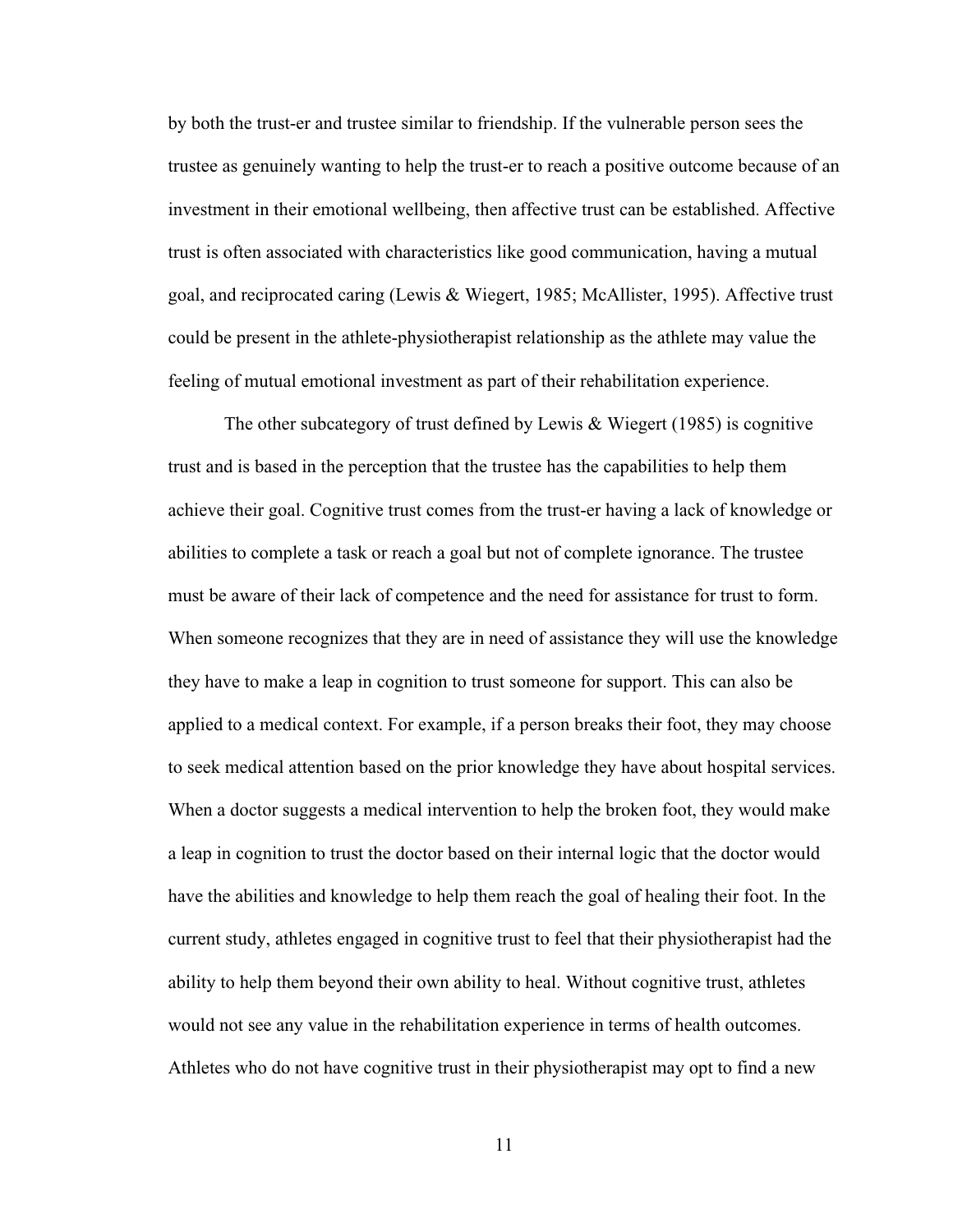by both the trust-er and trustee similar to friendship. If the vulnerable person sees the trustee as genuinely wanting to help the trust-er to reach a positive outcome because of an investment in their emotional wellbeing, then affective trust can be established. Affective trust is often associated with characteristics like good communication, having a mutual goal, and reciprocated caring (Lewis & Wiegert, 1985; McAllister, 1995). Affective trust could be present in the athlete-physiotherapist relationship as the athlete may value the feeling of mutual emotional investment as part of their rehabilitation experience.

The other subcategory of trust defined by Lewis & Wiegert (1985) is cognitive trust and is based in the perception that the trustee has the capabilities to help them achieve their goal. Cognitive trust comes from the trust-er having a lack of knowledge or abilities to complete a task or reach a goal but not of complete ignorance. The trustee must be aware of their lack of competence and the need for assistance for trust to form. When someone recognizes that they are in need of assistance they will use the knowledge they have to make a leap in cognition to trust someone for support. This can also be applied to a medical context. For example, if a person breaks their foot, they may choose to seek medical attention based on the prior knowledge they have about hospital services. When a doctor suggests a medical intervention to help the broken foot, they would make a leap in cognition to trust the doctor based on their internal logic that the doctor would have the abilities and knowledge to help them reach the goal of healing their foot. In the current study, athletes engaged in cognitive trust to feel that their physiotherapist had the ability to help them beyond their own ability to heal. Without cognitive trust, athletes would not see any value in the rehabilitation experience in terms of health outcomes. Athletes who do not have cognitive trust in their physiotherapist may opt to find a new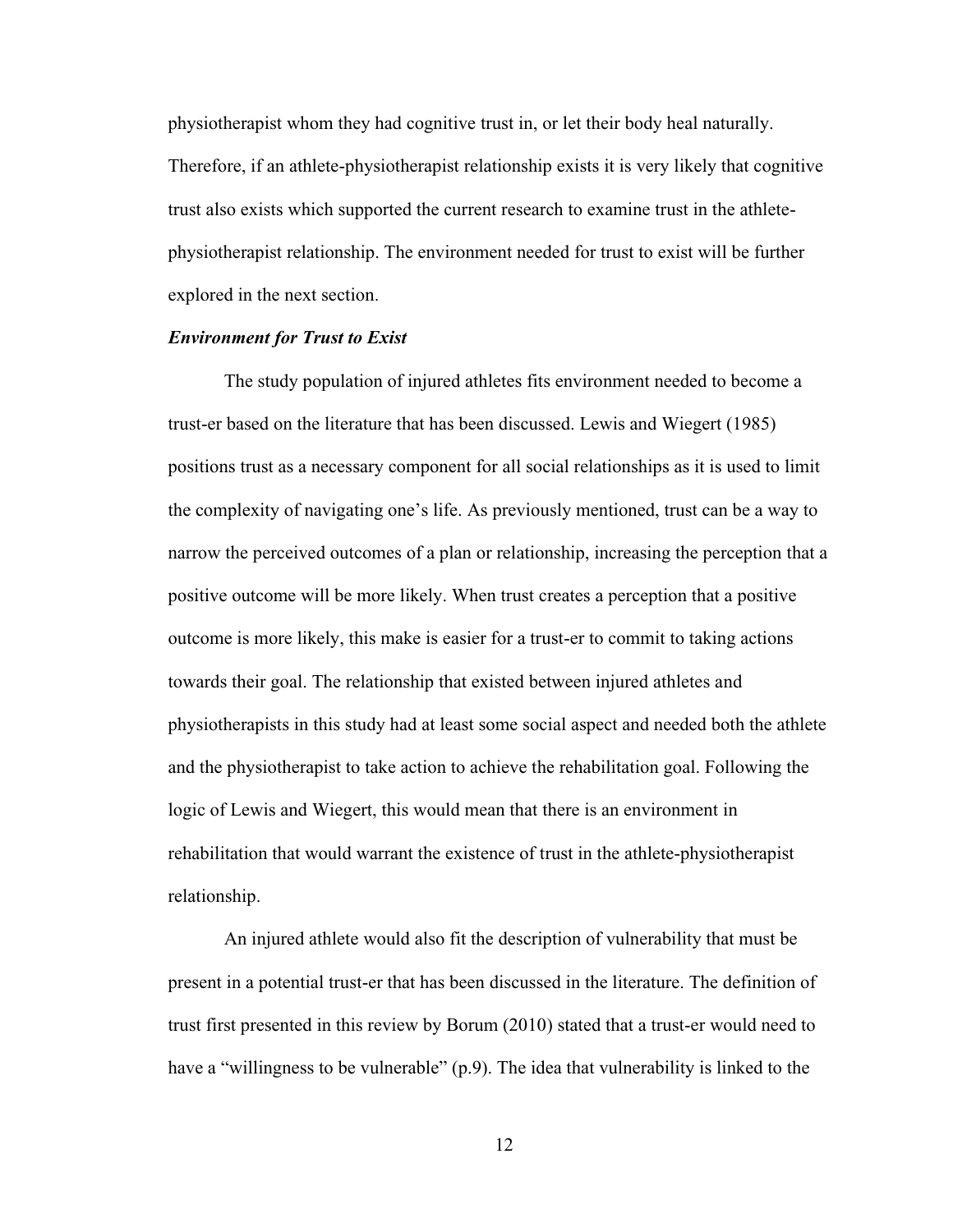physiotherapist whom they had cognitive trust in, or let their body heal naturally. Therefore, if an athlete-physiotherapist relationship exists it is very likely that cognitive trust also exists which supported the current research to examine trust in the athletephysiotherapist relationship. The environment needed for trust to exist will be further explored in the next section.

## <span id="page-20-0"></span>*Environment for Trust to Exist*

The study population of injured athletes fits environment needed to become a trust-er based on the literature that has been discussed. Lewis and Wiegert (1985) positions trust as a necessary component for all social relationships as it is used to limit the complexity of navigating one's life. As previously mentioned, trust can be a way to narrow the perceived outcomes of a plan or relationship, increasing the perception that a positive outcome will be more likely. When trust creates a perception that a positive outcome is more likely, this make is easier for a trust-er to commit to taking actions towards their goal. The relationship that existed between injured athletes and physiotherapists in this study had at least some social aspect and needed both the athlete and the physiotherapist to take action to achieve the rehabilitation goal. Following the logic of Lewis and Wiegert, this would mean that there is an environment in rehabilitation that would warrant the existence of trust in the athlete-physiotherapist relationship.

An injured athlete would also fit the description of vulnerability that must be present in a potential trust-er that has been discussed in the literature. The definition of trust first presented in this review by Borum (2010) stated that a trust-er would need to have a "willingness to be vulnerable" (p.9). The idea that vulnerability is linked to the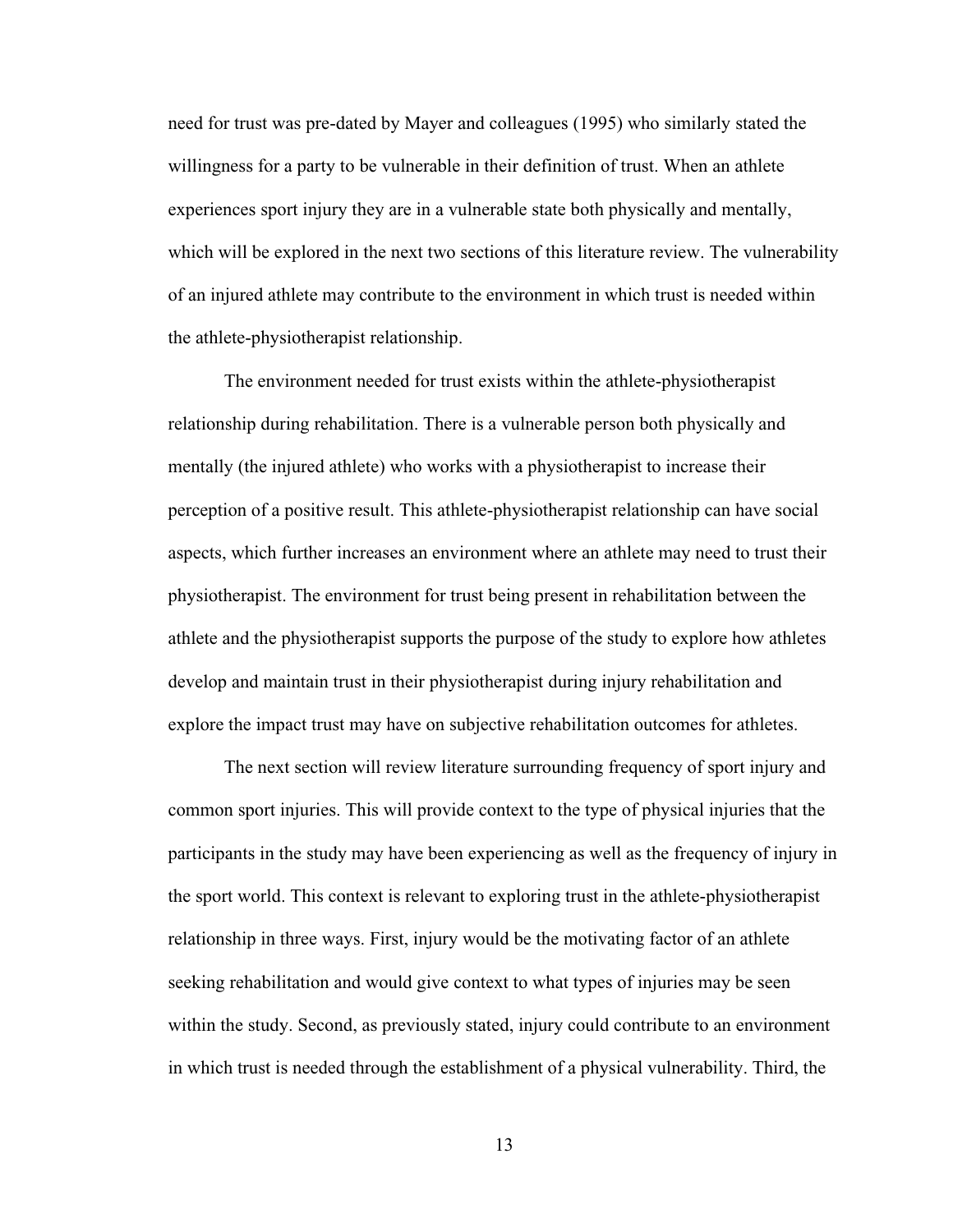need for trust was pre-dated by Mayer and colleagues (1995) who similarly stated the willingness for a party to be vulnerable in their definition of trust. When an athlete experiences sport injury they are in a vulnerable state both physically and mentally, which will be explored in the next two sections of this literature review. The vulnerability of an injured athlete may contribute to the environment in which trust is needed within the athlete-physiotherapist relationship.

The environment needed for trust exists within the athlete-physiotherapist relationship during rehabilitation. There is a vulnerable person both physically and mentally (the injured athlete) who works with a physiotherapist to increase their perception of a positive result. This athlete-physiotherapist relationship can have social aspects, which further increases an environment where an athlete may need to trust their physiotherapist. The environment for trust being present in rehabilitation between the athlete and the physiotherapist supports the purpose of the study to explore how athletes develop and maintain trust in their physiotherapist during injury rehabilitation and explore the impact trust may have on subjective rehabilitation outcomes for athletes.

The next section will review literature surrounding frequency of sport injury and common sport injuries. This will provide context to the type of physical injuries that the participants in the study may have been experiencing as well as the frequency of injury in the sport world. This context is relevant to exploring trust in the athlete-physiotherapist relationship in three ways. First, injury would be the motivating factor of an athlete seeking rehabilitation and would give context to what types of injuries may be seen within the study. Second, as previously stated, injury could contribute to an environment in which trust is needed through the establishment of a physical vulnerability. Third, the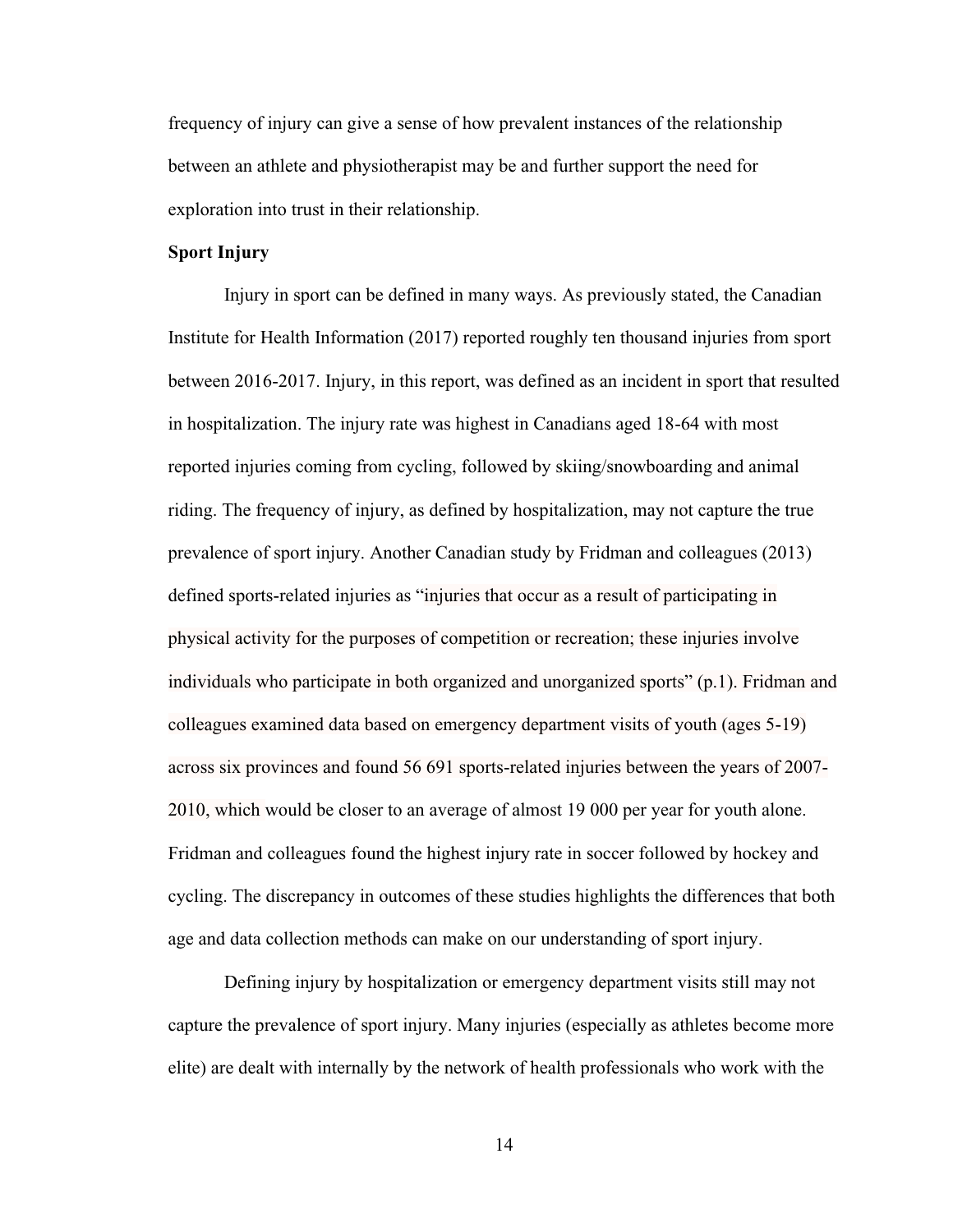frequency of injury can give a sense of how prevalent instances of the relationship between an athlete and physiotherapist may be and further support the need for exploration into trust in their relationship.

# <span id="page-22-0"></span>**Sport Injury**

Injury in sport can be defined in many ways. As previously stated, the Canadian Institute for Health Information (2017) reported roughly ten thousand injuries from sport between 2016-2017. Injury, in this report, was defined as an incident in sport that resulted in hospitalization. The injury rate was highest in Canadians aged 18-64 with most reported injuries coming from cycling, followed by skiing/snowboarding and animal riding. The frequency of injury, as defined by hospitalization, may not capture the true prevalence of sport injury. Another Canadian study by Fridman and colleagues (2013) defined sports-related injuries as "injuries that occur as a result of participating in physical activity for the purposes of competition or recreation; these injuries involve individuals who participate in both organized and unorganized sports" (p.1). Fridman and colleagues examined data based on emergency department visits of youth (ages 5-19) across six provinces and found 56 691 sports-related injuries between the years of 2007- 2010, which would be closer to an average of almost 19 000 per year for youth alone. Fridman and colleagues found the highest injury rate in soccer followed by hockey and cycling. The discrepancy in outcomes of these studies highlights the differences that both age and data collection methods can make on our understanding of sport injury.

Defining injury by hospitalization or emergency department visits still may not capture the prevalence of sport injury. Many injuries (especially as athletes become more elite) are dealt with internally by the network of health professionals who work with the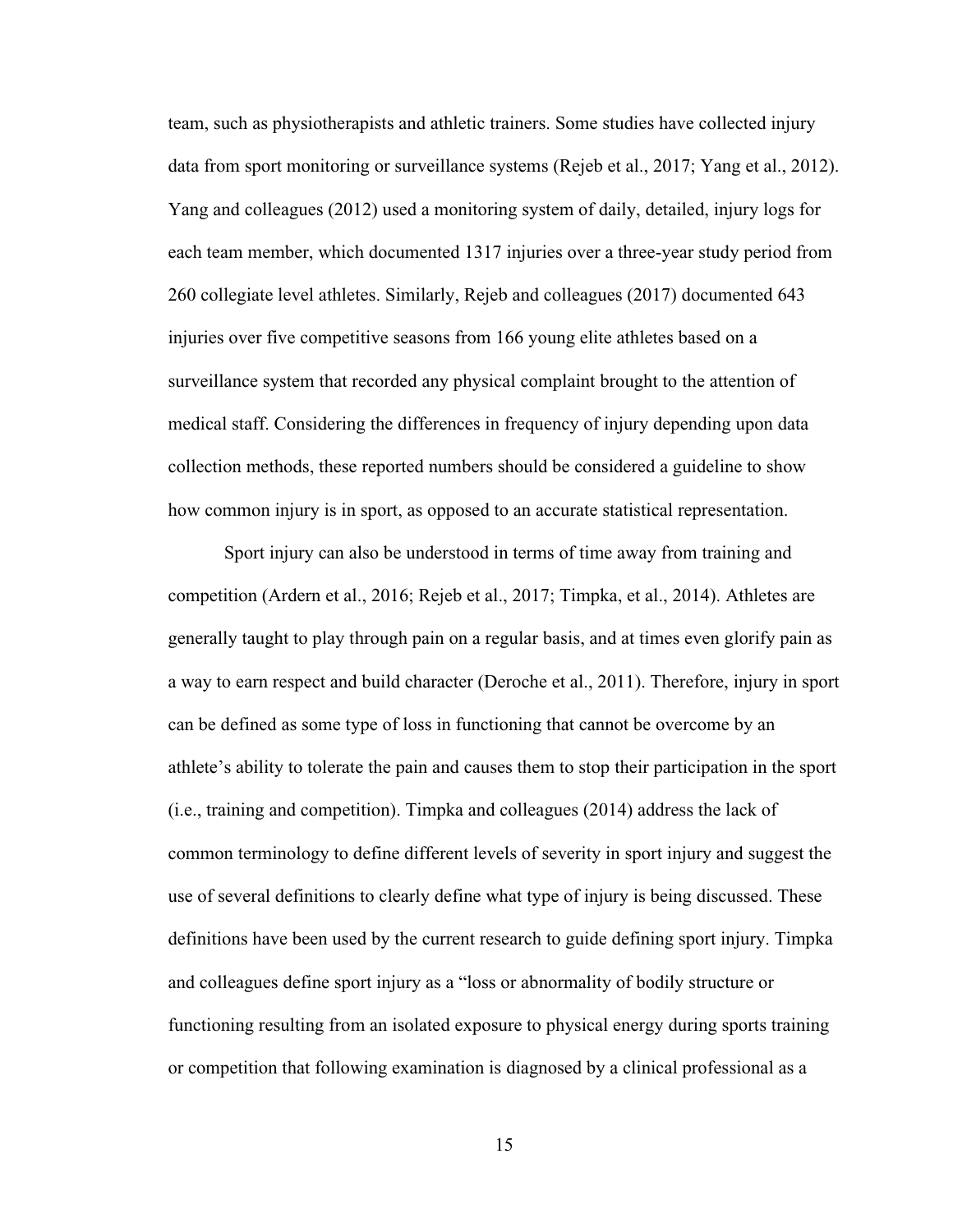team, such as physiotherapists and athletic trainers. Some studies have collected injury data from sport monitoring or surveillance systems (Rejeb et al., 2017; Yang et al., 2012). Yang and colleagues (2012) used a monitoring system of daily, detailed, injury logs for each team member, which documented 1317 injuries over a three-year study period from 260 collegiate level athletes. Similarly, Rejeb and colleagues (2017) documented 643 injuries over five competitive seasons from 166 young elite athletes based on a surveillance system that recorded any physical complaint brought to the attention of medical staff. Considering the differences in frequency of injury depending upon data collection methods, these reported numbers should be considered a guideline to show how common injury is in sport, as opposed to an accurate statistical representation.

Sport injury can also be understood in terms of time away from training and competition (Ardern et al., 2016; Rejeb et al., 2017; Timpka, et al., 2014). Athletes are generally taught to play through pain on a regular basis, and at times even glorify pain as a way to earn respect and build character (Deroche et al., 2011). Therefore, injury in sport can be defined as some type of loss in functioning that cannot be overcome by an athlete's ability to tolerate the pain and causes them to stop their participation in the sport (i.e., training and competition). Timpka and colleagues (2014) address the lack of common terminology to define different levels of severity in sport injury and suggest the use of several definitions to clearly define what type of injury is being discussed. These definitions have been used by the current research to guide defining sport injury. Timpka and colleagues define sport injury as a "loss or abnormality of bodily structure or functioning resulting from an isolated exposure to physical energy during sports training or competition that following examination is diagnosed by a clinical professional as a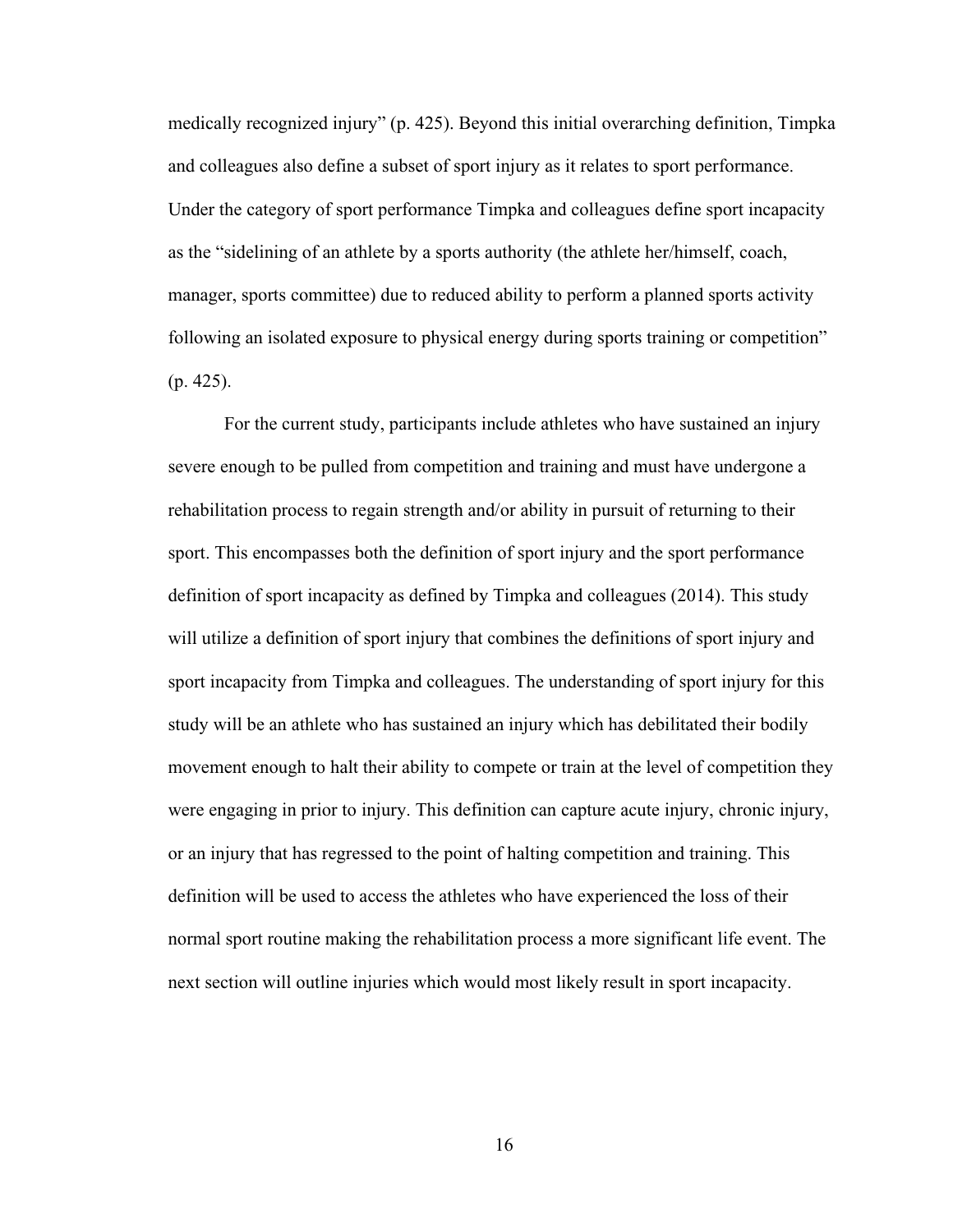medically recognized injury" (p. 425). Beyond this initial overarching definition, Timpka and colleagues also define a subset of sport injury as it relates to sport performance. Under the category of sport performance Timpka and colleagues define sport incapacity as the "sidelining of an athlete by a sports authority (the athlete her/himself, coach, manager, sports committee) due to reduced ability to perform a planned sports activity following an isolated exposure to physical energy during sports training or competition" (p. 425).

For the current study, participants include athletes who have sustained an injury severe enough to be pulled from competition and training and must have undergone a rehabilitation process to regain strength and/or ability in pursuit of returning to their sport. This encompasses both the definition of sport injury and the sport performance definition of sport incapacity as defined by Timpka and colleagues (2014). This study will utilize a definition of sport injury that combines the definitions of sport injury and sport incapacity from Timpka and colleagues. The understanding of sport injury for this study will be an athlete who has sustained an injury which has debilitated their bodily movement enough to halt their ability to compete or train at the level of competition they were engaging in prior to injury. This definition can capture acute injury, chronic injury, or an injury that has regressed to the point of halting competition and training. This definition will be used to access the athletes who have experienced the loss of their normal sport routine making the rehabilitation process a more significant life event. The next section will outline injuries which would most likely result in sport incapacity.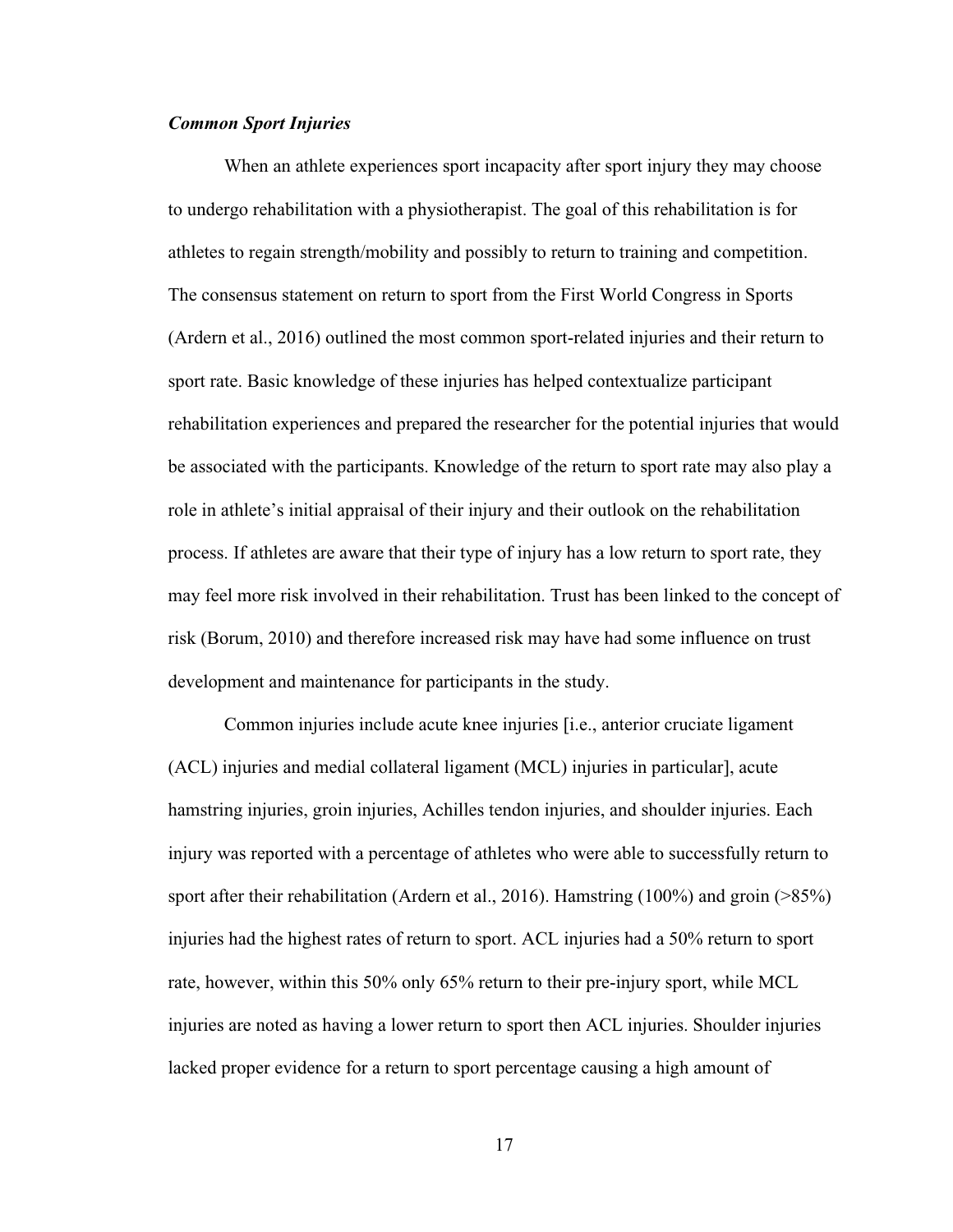## <span id="page-25-0"></span>*Common Sport Injuries*

When an athlete experiences sport incapacity after sport injury they may choose to undergo rehabilitation with a physiotherapist. The goal of this rehabilitation is for athletes to regain strength/mobility and possibly to return to training and competition. The consensus statement on return to sport from the First World Congress in Sports (Ardern et al., 2016) outlined the most common sport-related injuries and their return to sport rate. Basic knowledge of these injuries has helped contextualize participant rehabilitation experiences and prepared the researcher for the potential injuries that would be associated with the participants. Knowledge of the return to sport rate may also play a role in athlete's initial appraisal of their injury and their outlook on the rehabilitation process. If athletes are aware that their type of injury has a low return to sport rate, they may feel more risk involved in their rehabilitation. Trust has been linked to the concept of risk (Borum, 2010) and therefore increased risk may have had some influence on trust development and maintenance for participants in the study.

Common injuries include acute knee injuries [i.e., anterior cruciate ligament (ACL) injuries and medial collateral ligament (MCL) injuries in particular], acute hamstring injuries, groin injuries, Achilles tendon injuries, and shoulder injuries. Each injury was reported with a percentage of athletes who were able to successfully return to sport after their rehabilitation (Ardern et al., 2016). Hamstring (100%) and groin (>85%) injuries had the highest rates of return to sport. ACL injuries had a 50% return to sport rate, however, within this 50% only 65% return to their pre-injury sport, while MCL injuries are noted as having a lower return to sport then ACL injuries. Shoulder injuries lacked proper evidence for a return to sport percentage causing a high amount of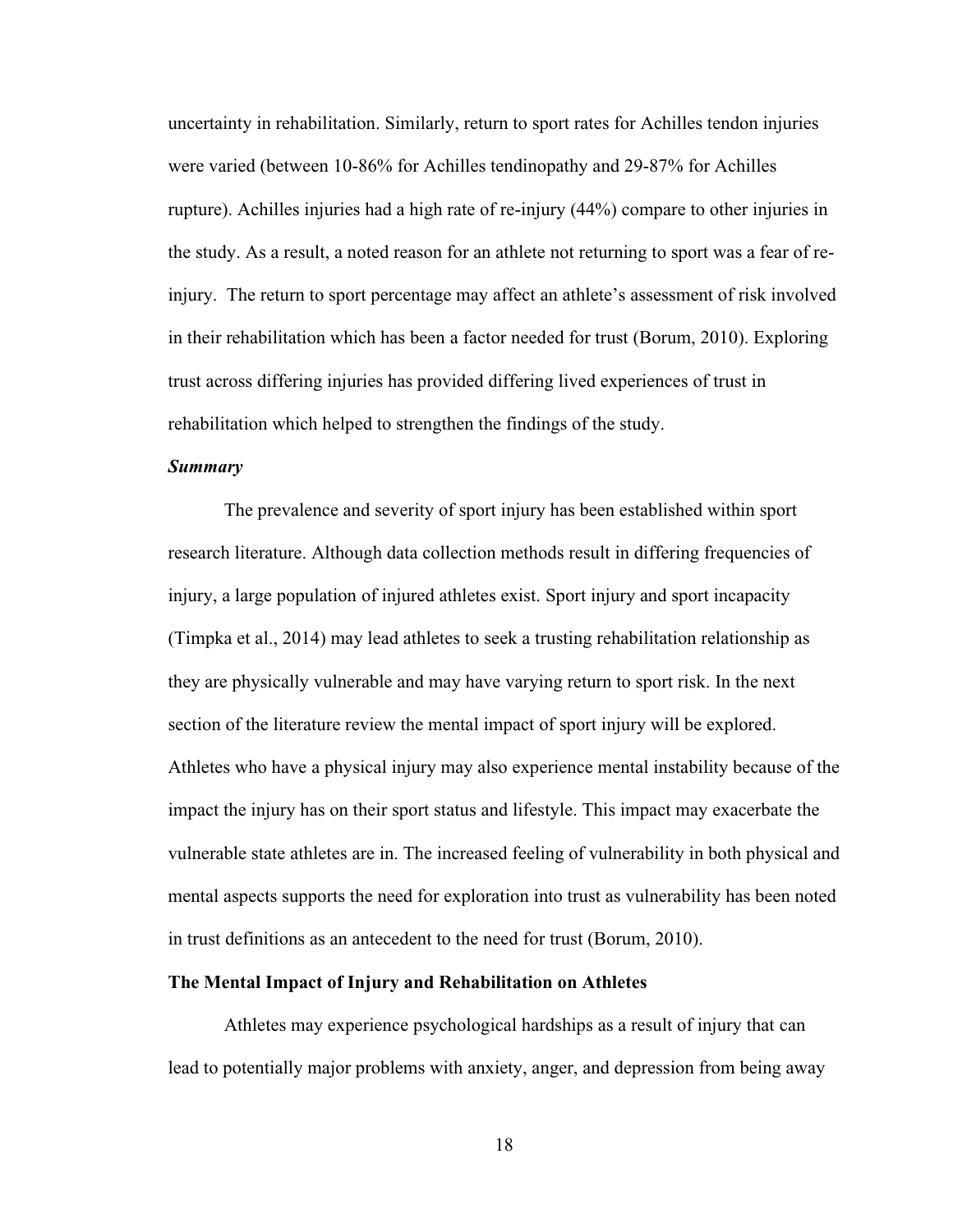uncertainty in rehabilitation. Similarly, return to sport rates for Achilles tendon injuries were varied (between 10-86% for Achilles tendinopathy and 29-87% for Achilles rupture). Achilles injuries had a high rate of re-injury (44%) compare to other injuries in the study. As a result, a noted reason for an athlete not returning to sport was a fear of reinjury. The return to sport percentage may affect an athlete's assessment of risk involved in their rehabilitation which has been a factor needed for trust (Borum, 2010). Exploring trust across differing injuries has provided differing lived experiences of trust in rehabilitation which helped to strengthen the findings of the study.

## <span id="page-26-0"></span>*Summary*

The prevalence and severity of sport injury has been established within sport research literature. Although data collection methods result in differing frequencies of injury, a large population of injured athletes exist. Sport injury and sport incapacity (Timpka et al., 2014) may lead athletes to seek a trusting rehabilitation relationship as they are physically vulnerable and may have varying return to sport risk. In the next section of the literature review the mental impact of sport injury will be explored. Athletes who have a physical injury may also experience mental instability because of the impact the injury has on their sport status and lifestyle. This impact may exacerbate the vulnerable state athletes are in. The increased feeling of vulnerability in both physical and mental aspects supports the need for exploration into trust as vulnerability has been noted in trust definitions as an antecedent to the need for trust (Borum, 2010).

#### <span id="page-26-1"></span>**The Mental Impact of Injury and Rehabilitation on Athletes**

Athletes may experience psychological hardships as a result of injury that can lead to potentially major problems with anxiety, anger, and depression from being away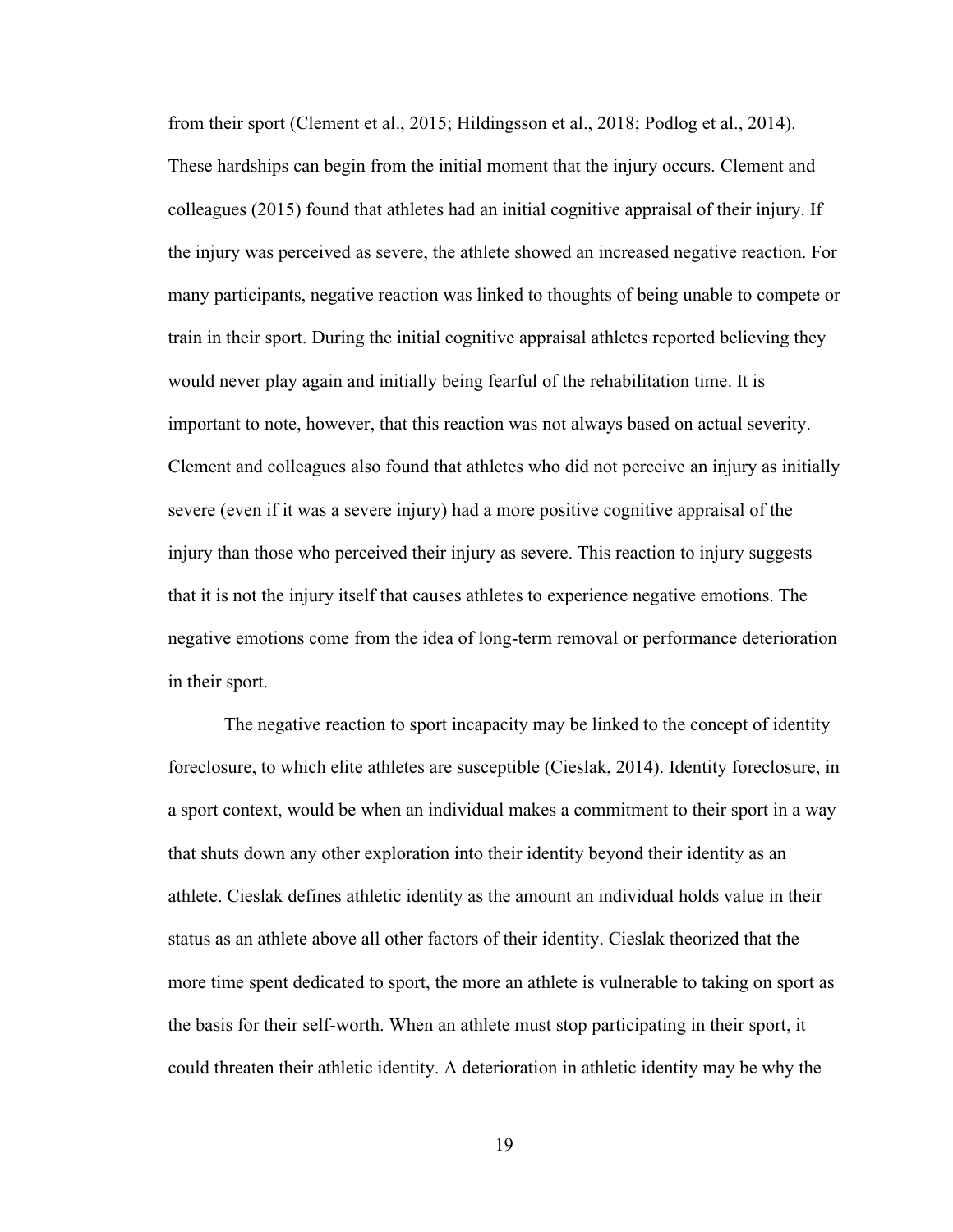from their sport (Clement et al., 2015; Hildingsson et al., 2018; Podlog et al., 2014). These hardships can begin from the initial moment that the injury occurs. Clement and colleagues (2015) found that athletes had an initial cognitive appraisal of their injury. If the injury was perceived as severe, the athlete showed an increased negative reaction. For many participants, negative reaction was linked to thoughts of being unable to compete or train in their sport. During the initial cognitive appraisal athletes reported believing they would never play again and initially being fearful of the rehabilitation time. It is important to note, however, that this reaction was not always based on actual severity. Clement and colleagues also found that athletes who did not perceive an injury as initially severe (even if it was a severe injury) had a more positive cognitive appraisal of the injury than those who perceived their injury as severe. This reaction to injury suggests that it is not the injury itself that causes athletes to experience negative emotions. The negative emotions come from the idea of long-term removal or performance deterioration in their sport.

The negative reaction to sport incapacity may be linked to the concept of identity foreclosure, to which elite athletes are susceptible (Cieslak, 2014). Identity foreclosure, in a sport context, would be when an individual makes a commitment to their sport in a way that shuts down any other exploration into their identity beyond their identity as an athlete. Cieslak defines athletic identity as the amount an individual holds value in their status as an athlete above all other factors of their identity. Cieslak theorized that the more time spent dedicated to sport, the more an athlete is vulnerable to taking on sport as the basis for their self-worth. When an athlete must stop participating in their sport, it could threaten their athletic identity. A deterioration in athletic identity may be why the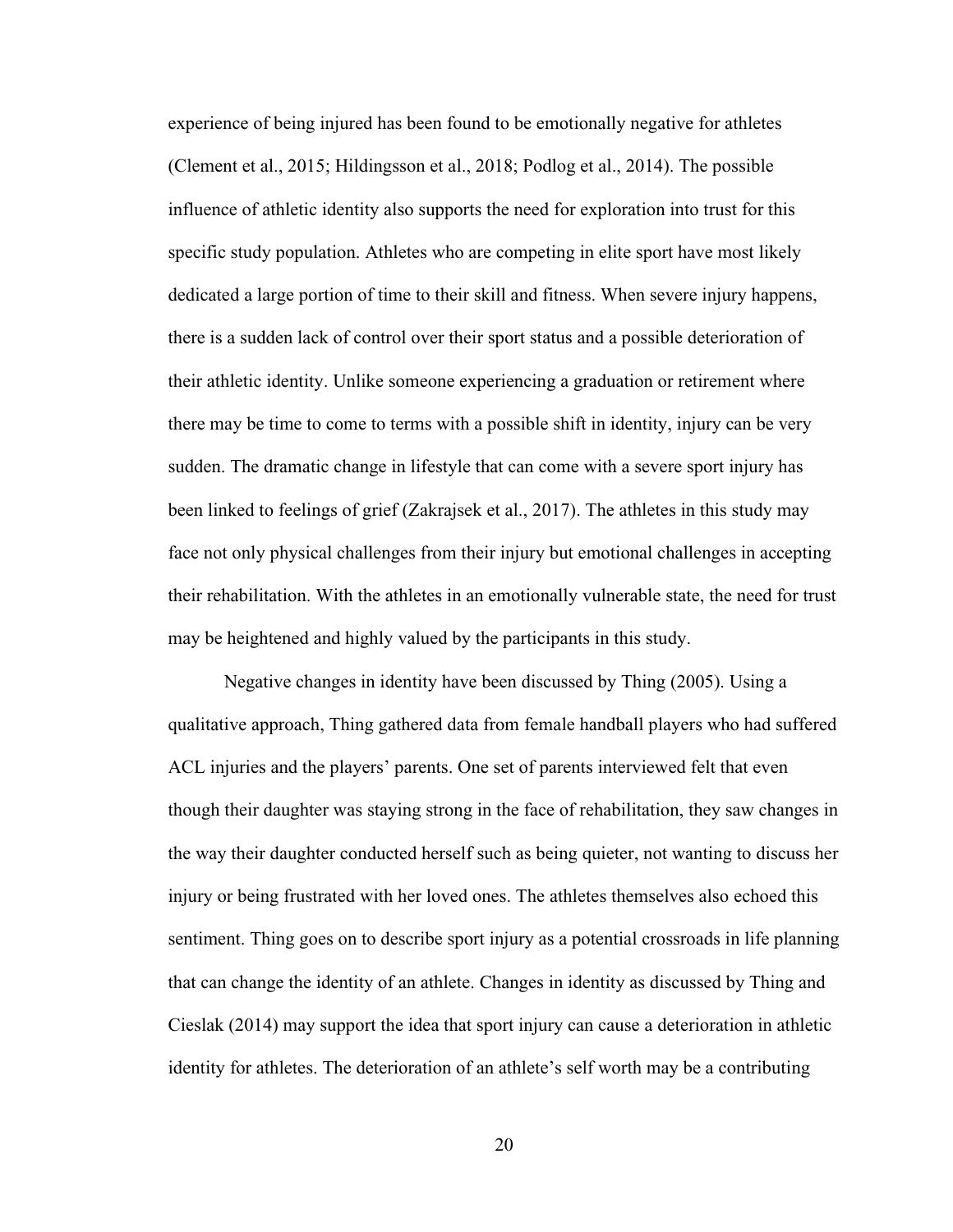experience of being injured has been found to be emotionally negative for athletes (Clement et al., 2015; Hildingsson et al., 2018; Podlog et al., 2014). The possible influence of athletic identity also supports the need for exploration into trust for this specific study population. Athletes who are competing in elite sport have most likely dedicated a large portion of time to their skill and fitness. When severe injury happens, there is a sudden lack of control over their sport status and a possible deterioration of their athletic identity. Unlike someone experiencing a graduation or retirement where there may be time to come to terms with a possible shift in identity, injury can be very sudden. The dramatic change in lifestyle that can come with a severe sport injury has been linked to feelings of grief (Zakrajsek et al., 2017). The athletes in this study may face not only physical challenges from their injury but emotional challenges in accepting their rehabilitation. With the athletes in an emotionally vulnerable state, the need for trust may be heightened and highly valued by the participants in this study.

Negative changes in identity have been discussed by Thing (2005). Using a qualitative approach, Thing gathered data from female handball players who had suffered ACL injuries and the players' parents. One set of parents interviewed felt that even though their daughter was staying strong in the face of rehabilitation, they saw changes in the way their daughter conducted herself such as being quieter, not wanting to discuss her injury or being frustrated with her loved ones. The athletes themselves also echoed this sentiment. Thing goes on to describe sport injury as a potential crossroads in life planning that can change the identity of an athlete. Changes in identity as discussed by Thing and Cieslak (2014) may support the idea that sport injury can cause a deterioration in athletic identity for athletes. The deterioration of an athlete's self worth may be a contributing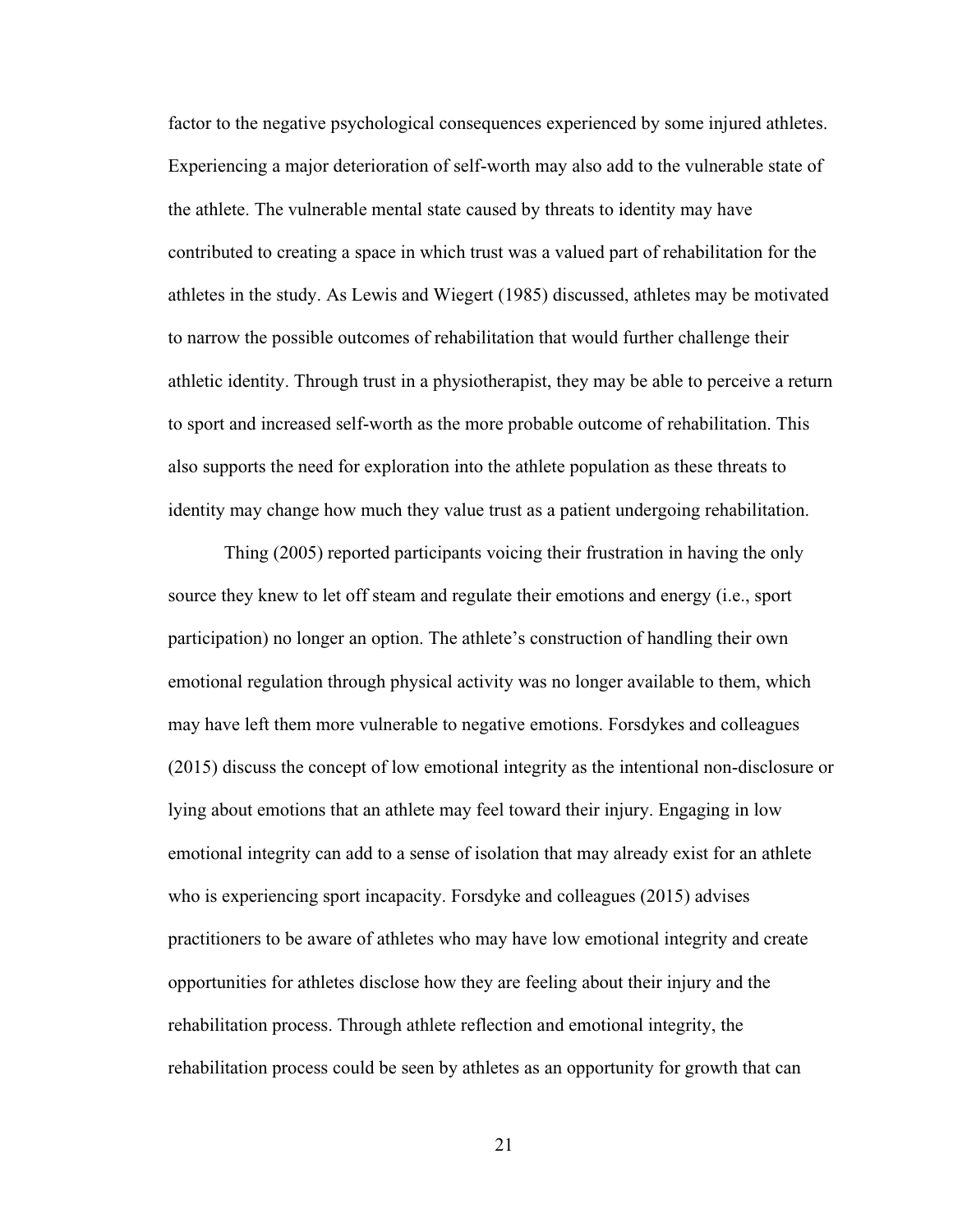factor to the negative psychological consequences experienced by some injured athletes. Experiencing a major deterioration of self-worth may also add to the vulnerable state of the athlete. The vulnerable mental state caused by threats to identity may have contributed to creating a space in which trust was a valued part of rehabilitation for the athletes in the study. As Lewis and Wiegert (1985) discussed, athletes may be motivated to narrow the possible outcomes of rehabilitation that would further challenge their athletic identity. Through trust in a physiotherapist, they may be able to perceive a return to sport and increased self-worth as the more probable outcome of rehabilitation. This also supports the need for exploration into the athlete population as these threats to identity may change how much they value trust as a patient undergoing rehabilitation.

Thing (2005) reported participants voicing their frustration in having the only source they knew to let off steam and regulate their emotions and energy (i.e., sport participation) no longer an option. The athlete's construction of handling their own emotional regulation through physical activity was no longer available to them, which may have left them more vulnerable to negative emotions. Forsdykes and colleagues (2015) discuss the concept of low emotional integrity as the intentional non-disclosure or lying about emotions that an athlete may feel toward their injury. Engaging in low emotional integrity can add to a sense of isolation that may already exist for an athlete who is experiencing sport incapacity. Forsdyke and colleagues (2015) advises practitioners to be aware of athletes who may have low emotional integrity and create opportunities for athletes disclose how they are feeling about their injury and the rehabilitation process. Through athlete reflection and emotional integrity, the rehabilitation process could be seen by athletes as an opportunity for growth that can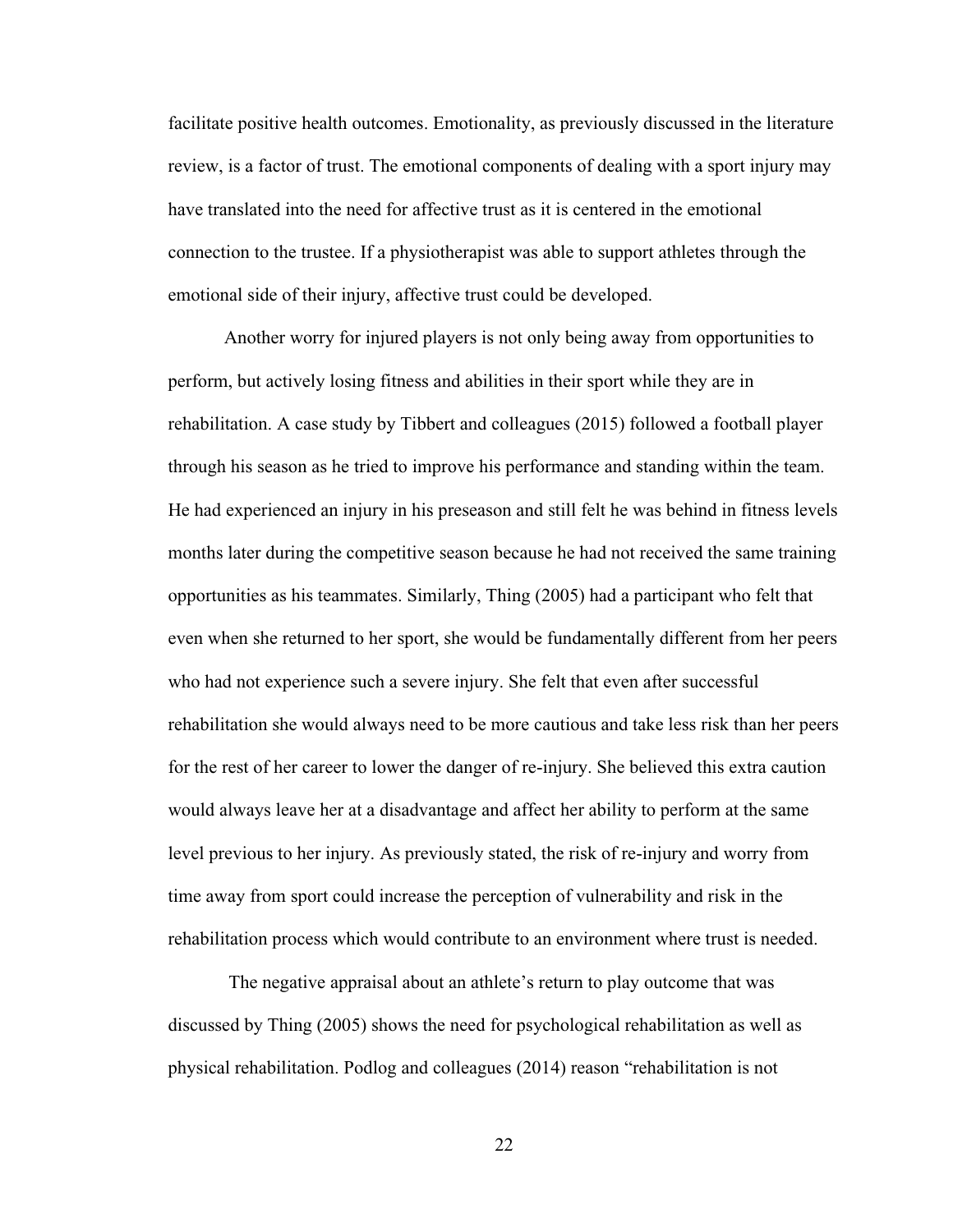facilitate positive health outcomes. Emotionality, as previously discussed in the literature review, is a factor of trust. The emotional components of dealing with a sport injury may have translated into the need for affective trust as it is centered in the emotional connection to the trustee. If a physiotherapist was able to support athletes through the emotional side of their injury, affective trust could be developed.

Another worry for injured players is not only being away from opportunities to perform, but actively losing fitness and abilities in their sport while they are in rehabilitation. A case study by Tibbert and colleagues (2015) followed a football player through his season as he tried to improve his performance and standing within the team. He had experienced an injury in his preseason and still felt he was behind in fitness levels months later during the competitive season because he had not received the same training opportunities as his teammates. Similarly, Thing (2005) had a participant who felt that even when she returned to her sport, she would be fundamentally different from her peers who had not experience such a severe injury. She felt that even after successful rehabilitation she would always need to be more cautious and take less risk than her peers for the rest of her career to lower the danger of re-injury. She believed this extra caution would always leave her at a disadvantage and affect her ability to perform at the same level previous to her injury. As previously stated, the risk of re-injury and worry from time away from sport could increase the perception of vulnerability and risk in the rehabilitation process which would contribute to an environment where trust is needed.

The negative appraisal about an athlete's return to play outcome that was discussed by Thing (2005) shows the need for psychological rehabilitation as well as physical rehabilitation. Podlog and colleagues (2014) reason "rehabilitation is not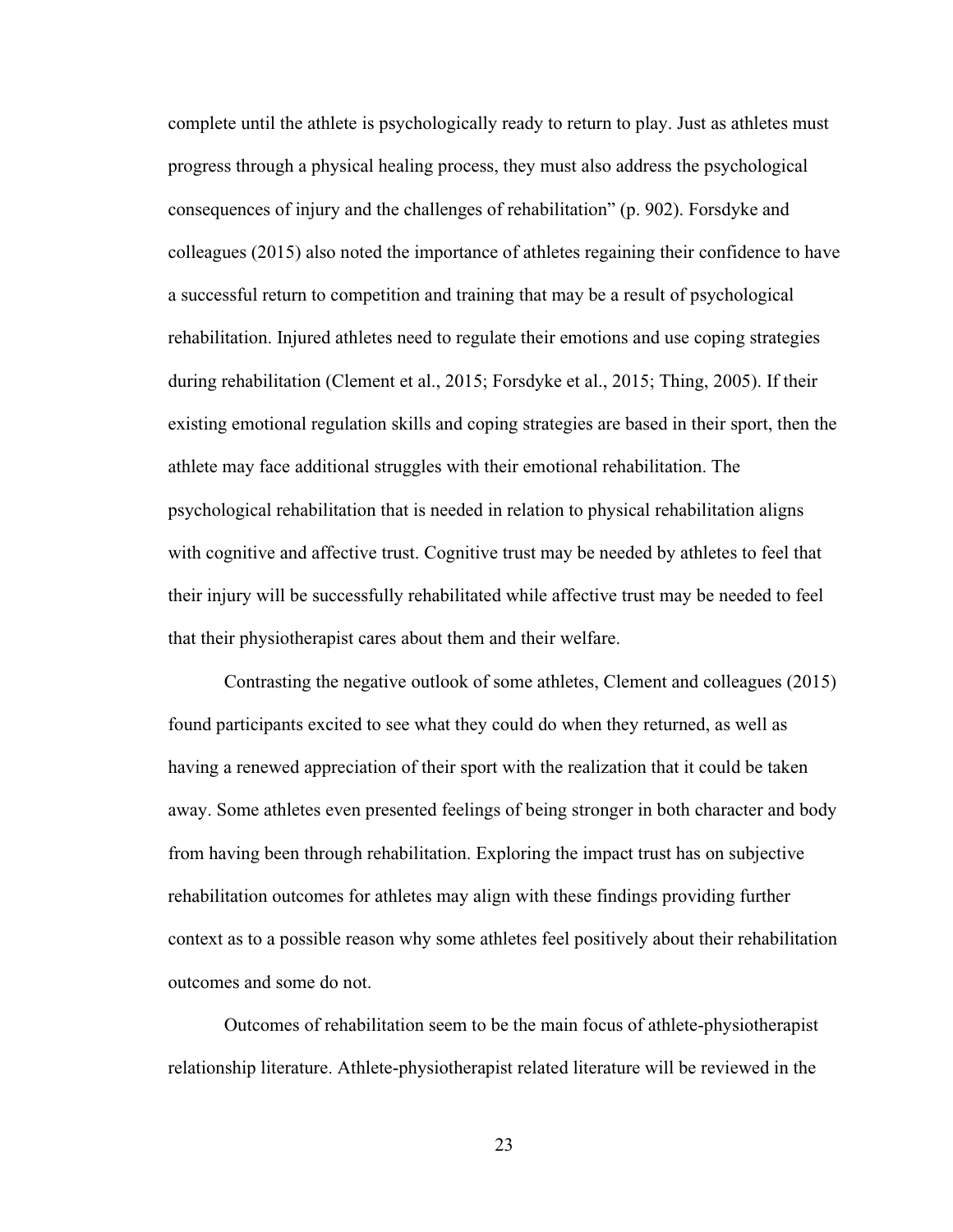complete until the athlete is psychologically ready to return to play. Just as athletes must progress through a physical healing process, they must also address the psychological consequences of injury and the challenges of rehabilitation" (p. 902). Forsdyke and colleagues (2015) also noted the importance of athletes regaining their confidence to have a successful return to competition and training that may be a result of psychological rehabilitation. Injured athletes need to regulate their emotions and use coping strategies during rehabilitation (Clement et al., 2015; Forsdyke et al., 2015; Thing, 2005). If their existing emotional regulation skills and coping strategies are based in their sport, then the athlete may face additional struggles with their emotional rehabilitation. The psychological rehabilitation that is needed in relation to physical rehabilitation aligns with cognitive and affective trust. Cognitive trust may be needed by athletes to feel that their injury will be successfully rehabilitated while affective trust may be needed to feel that their physiotherapist cares about them and their welfare.

Contrasting the negative outlook of some athletes, Clement and colleagues (2015) found participants excited to see what they could do when they returned, as well as having a renewed appreciation of their sport with the realization that it could be taken away. Some athletes even presented feelings of being stronger in both character and body from having been through rehabilitation. Exploring the impact trust has on subjective rehabilitation outcomes for athletes may align with these findings providing further context as to a possible reason why some athletes feel positively about their rehabilitation outcomes and some do not.

Outcomes of rehabilitation seem to be the main focus of athlete-physiotherapist relationship literature. Athlete-physiotherapist related literature will be reviewed in the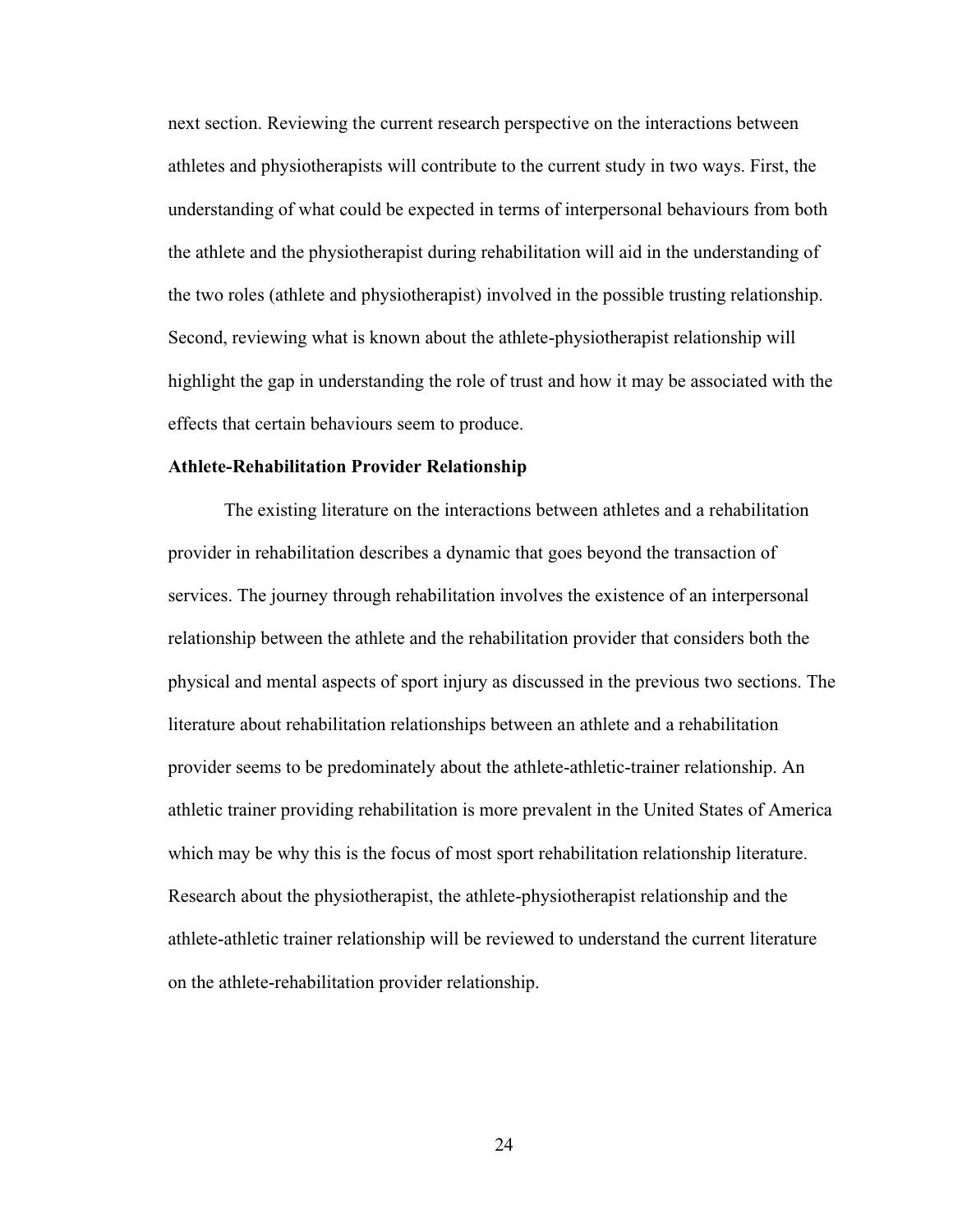next section. Reviewing the current research perspective on the interactions between athletes and physiotherapists will contribute to the current study in two ways. First, the understanding of what could be expected in terms of interpersonal behaviours from both the athlete and the physiotherapist during rehabilitation will aid in the understanding of the two roles (athlete and physiotherapist) involved in the possible trusting relationship. Second, reviewing what is known about the athlete-physiotherapist relationship will highlight the gap in understanding the role of trust and how it may be associated with the effects that certain behaviours seem to produce.

### <span id="page-32-0"></span>**Athlete-Rehabilitation Provider Relationship**

The existing literature on the interactions between athletes and a rehabilitation provider in rehabilitation describes a dynamic that goes beyond the transaction of services. The journey through rehabilitation involves the existence of an interpersonal relationship between the athlete and the rehabilitation provider that considers both the physical and mental aspects of sport injury as discussed in the previous two sections. The literature about rehabilitation relationships between an athlete and a rehabilitation provider seems to be predominately about the athlete-athletic-trainer relationship. An athletic trainer providing rehabilitation is more prevalent in the United States of America which may be why this is the focus of most sport rehabilitation relationship literature. Research about the physiotherapist, the athlete-physiotherapist relationship and the athlete-athletic trainer relationship will be reviewed to understand the current literature on the athlete-rehabilitation provider relationship.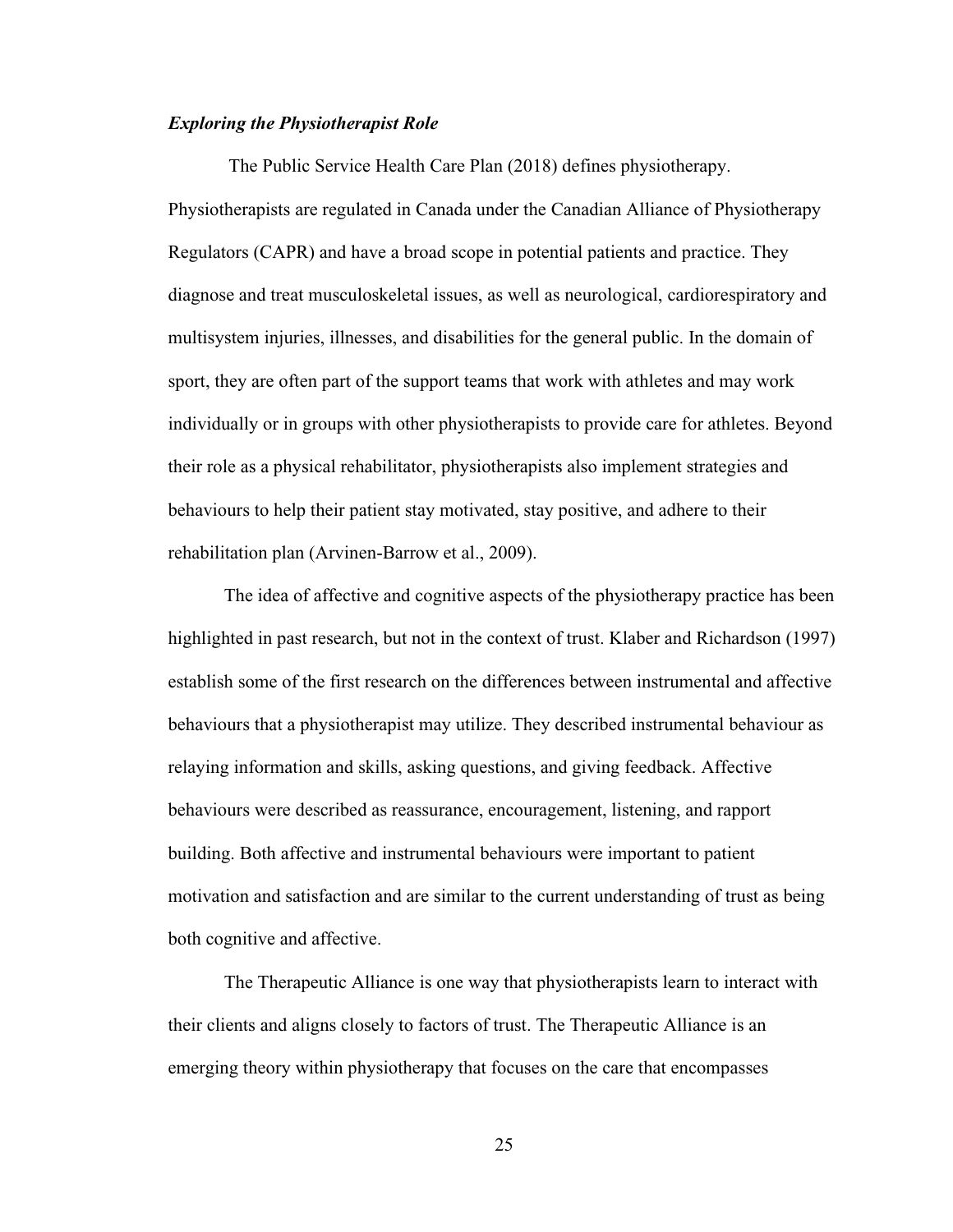## <span id="page-33-0"></span>*Exploring the Physiotherapist Role*

The Public Service Health Care Plan (2018) defines physiotherapy. Physiotherapists are regulated in Canada under the Canadian Alliance of Physiotherapy Regulators (CAPR) and have a broad scope in potential patients and practice. They diagnose and treat musculoskeletal issues, as well as neurological, cardiorespiratory and multisystem injuries, illnesses, and disabilities for the general public. In the domain of sport, they are often part of the support teams that work with athletes and may work individually or in groups with other physiotherapists to provide care for athletes. Beyond their role as a physical rehabilitator, physiotherapists also implement strategies and behaviours to help their patient stay motivated, stay positive, and adhere to their rehabilitation plan (Arvinen-Barrow et al., 2009).

The idea of affective and cognitive aspects of the physiotherapy practice has been highlighted in past research, but not in the context of trust. Klaber and Richardson (1997) establish some of the first research on the differences between instrumental and affective behaviours that a physiotherapist may utilize. They described instrumental behaviour as relaying information and skills, asking questions, and giving feedback. Affective behaviours were described as reassurance, encouragement, listening, and rapport building. Both affective and instrumental behaviours were important to patient motivation and satisfaction and are similar to the current understanding of trust as being both cognitive and affective.

The Therapeutic Alliance is one way that physiotherapists learn to interact with their clients and aligns closely to factors of trust. The Therapeutic Alliance is an emerging theory within physiotherapy that focuses on the care that encompasses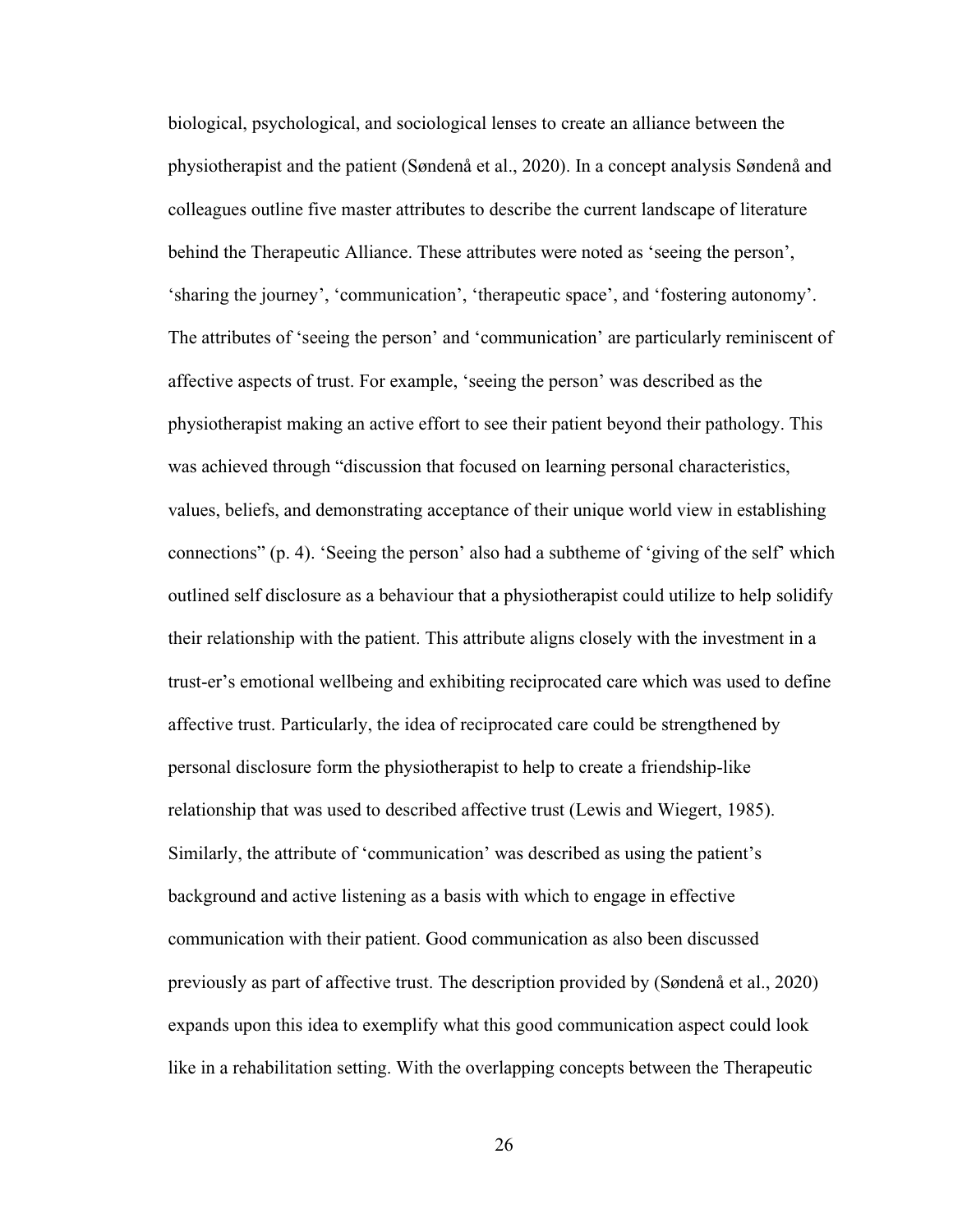biological, psychological, and sociological lenses to create an alliance between the physiotherapist and the patient (Søndenå et al., 2020). In a concept analysis Søndenå and colleagues outline five master attributes to describe the current landscape of literature behind the Therapeutic Alliance. These attributes were noted as 'seeing the person', 'sharing the journey', 'communication', 'therapeutic space', and 'fostering autonomy'. The attributes of 'seeing the person' and 'communication' are particularly reminiscent of affective aspects of trust. For example, 'seeing the person' was described as the physiotherapist making an active effort to see their patient beyond their pathology. This was achieved through "discussion that focused on learning personal characteristics, values, beliefs, and demonstrating acceptance of their unique world view in establishing connections" (p. 4). 'Seeing the person' also had a subtheme of 'giving of the self' which outlined self disclosure as a behaviour that a physiotherapist could utilize to help solidify their relationship with the patient. This attribute aligns closely with the investment in a trust-er's emotional wellbeing and exhibiting reciprocated care which was used to define affective trust. Particularly, the idea of reciprocated care could be strengthened by personal disclosure form the physiotherapist to help to create a friendship-like relationship that was used to described affective trust (Lewis and Wiegert, 1985). Similarly, the attribute of 'communication' was described as using the patient's background and active listening as a basis with which to engage in effective communication with their patient. Good communication as also been discussed previously as part of affective trust. The description provided by (Søndenå et al., 2020) expands upon this idea to exemplify what this good communication aspect could look like in a rehabilitation setting. With the overlapping concepts between the Therapeutic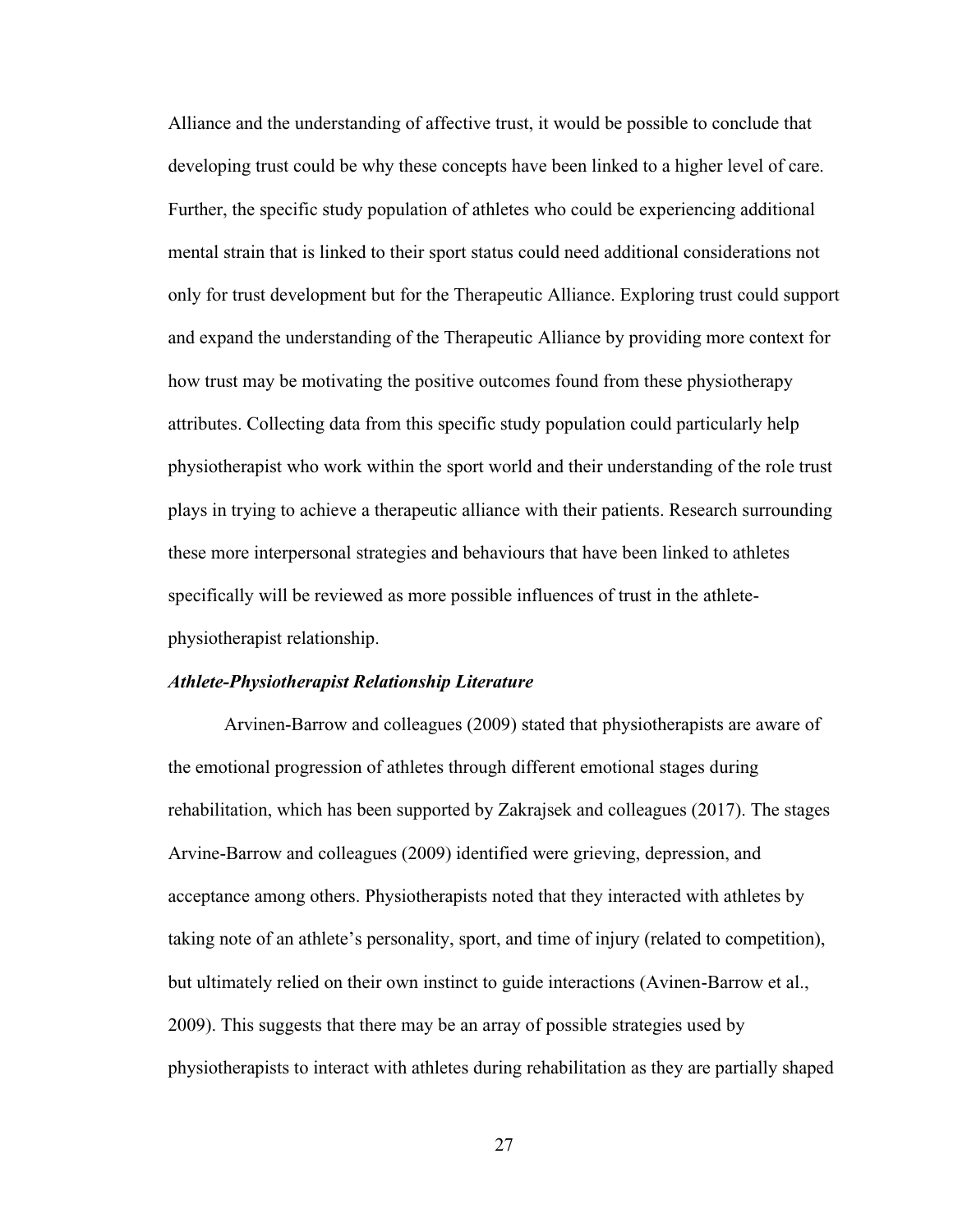Alliance and the understanding of affective trust, it would be possible to conclude that developing trust could be why these concepts have been linked to a higher level of care. Further, the specific study population of athletes who could be experiencing additional mental strain that is linked to their sport status could need additional considerations not only for trust development but for the Therapeutic Alliance. Exploring trust could support and expand the understanding of the Therapeutic Alliance by providing more context for how trust may be motivating the positive outcomes found from these physiotherapy attributes. Collecting data from this specific study population could particularly help physiotherapist who work within the sport world and their understanding of the role trust plays in trying to achieve a therapeutic alliance with their patients. Research surrounding these more interpersonal strategies and behaviours that have been linked to athletes specifically will be reviewed as more possible influences of trust in the athletephysiotherapist relationship.

### <span id="page-35-0"></span>*Athlete-Physiotherapist Relationship Literature*

Arvinen-Barrow and colleagues (2009) stated that physiotherapists are aware of the emotional progression of athletes through different emotional stages during rehabilitation, which has been supported by Zakrajsek and colleagues (2017). The stages Arvine-Barrow and colleagues (2009) identified were grieving, depression, and acceptance among others. Physiotherapists noted that they interacted with athletes by taking note of an athlete's personality, sport, and time of injury (related to competition), but ultimately relied on their own instinct to guide interactions (Avinen-Barrow et al., 2009). This suggests that there may be an array of possible strategies used by physiotherapists to interact with athletes during rehabilitation as they are partially shaped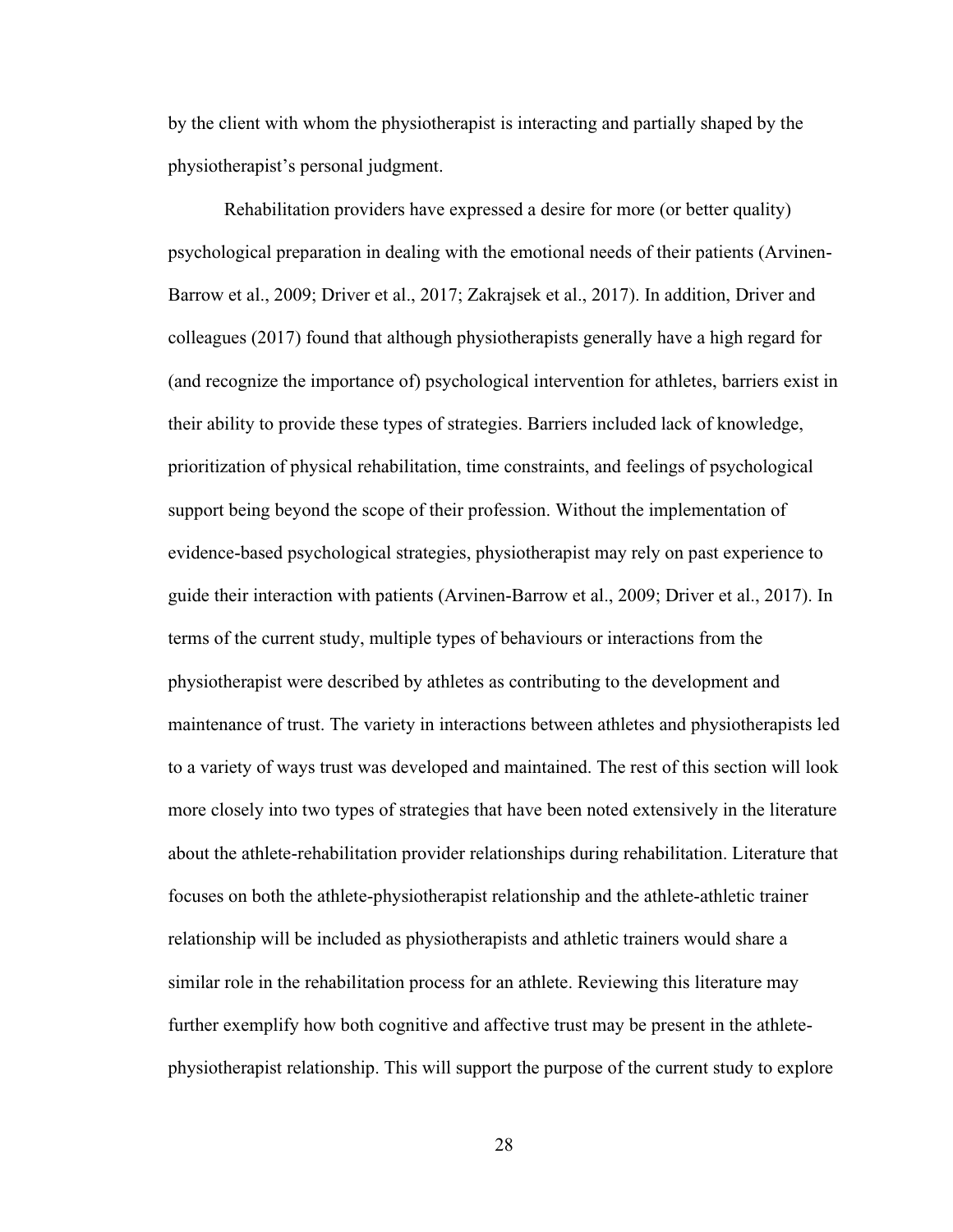by the client with whom the physiotherapist is interacting and partially shaped by the physiotherapist's personal judgment.

Rehabilitation providers have expressed a desire for more (or better quality) psychological preparation in dealing with the emotional needs of their patients (Arvinen-Barrow et al., 2009; Driver et al., 2017; Zakrajsek et al., 2017). In addition, Driver and colleagues (2017) found that although physiotherapists generally have a high regard for (and recognize the importance of) psychological intervention for athletes, barriers exist in their ability to provide these types of strategies. Barriers included lack of knowledge, prioritization of physical rehabilitation, time constraints, and feelings of psychological support being beyond the scope of their profession. Without the implementation of evidence-based psychological strategies, physiotherapist may rely on past experience to guide their interaction with patients (Arvinen-Barrow et al., 2009; Driver et al., 2017). In terms of the current study, multiple types of behaviours or interactions from the physiotherapist were described by athletes as contributing to the development and maintenance of trust. The variety in interactions between athletes and physiotherapists led to a variety of ways trust was developed and maintained. The rest of this section will look more closely into two types of strategies that have been noted extensively in the literature about the athlete-rehabilitation provider relationships during rehabilitation. Literature that focuses on both the athlete-physiotherapist relationship and the athlete-athletic trainer relationship will be included as physiotherapists and athletic trainers would share a similar role in the rehabilitation process for an athlete. Reviewing this literature may further exemplify how both cognitive and affective trust may be present in the athletephysiotherapist relationship. This will support the purpose of the current study to explore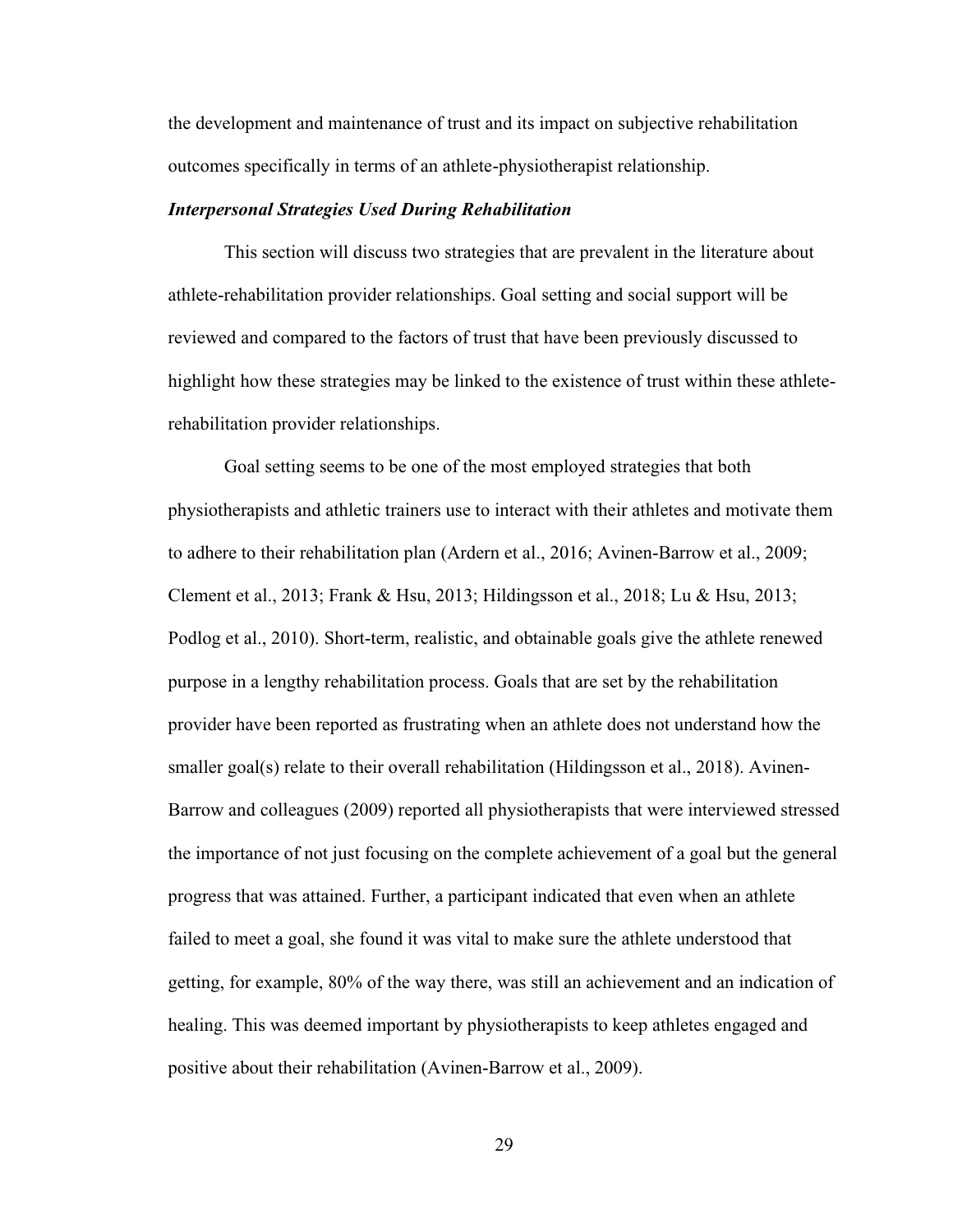the development and maintenance of trust and its impact on subjective rehabilitation outcomes specifically in terms of an athlete-physiotherapist relationship.

## *Interpersonal Strategies Used During Rehabilitation*

This section will discuss two strategies that are prevalent in the literature about athlete-rehabilitation provider relationships. Goal setting and social support will be reviewed and compared to the factors of trust that have been previously discussed to highlight how these strategies may be linked to the existence of trust within these athleterehabilitation provider relationships.

Goal setting seems to be one of the most employed strategies that both physiotherapists and athletic trainers use to interact with their athletes and motivate them to adhere to their rehabilitation plan (Ardern et al., 2016; Avinen-Barrow et al., 2009; Clement et al., 2013; Frank & Hsu, 2013; Hildingsson et al., 2018; Lu & Hsu, 2013; Podlog et al., 2010). Short-term, realistic, and obtainable goals give the athlete renewed purpose in a lengthy rehabilitation process. Goals that are set by the rehabilitation provider have been reported as frustrating when an athlete does not understand how the smaller goal(s) relate to their overall rehabilitation (Hildingsson et al., 2018). Avinen-Barrow and colleagues (2009) reported all physiotherapists that were interviewed stressed the importance of not just focusing on the complete achievement of a goal but the general progress that was attained. Further, a participant indicated that even when an athlete failed to meet a goal, she found it was vital to make sure the athlete understood that getting, for example, 80% of the way there, was still an achievement and an indication of healing. This was deemed important by physiotherapists to keep athletes engaged and positive about their rehabilitation (Avinen-Barrow et al., 2009).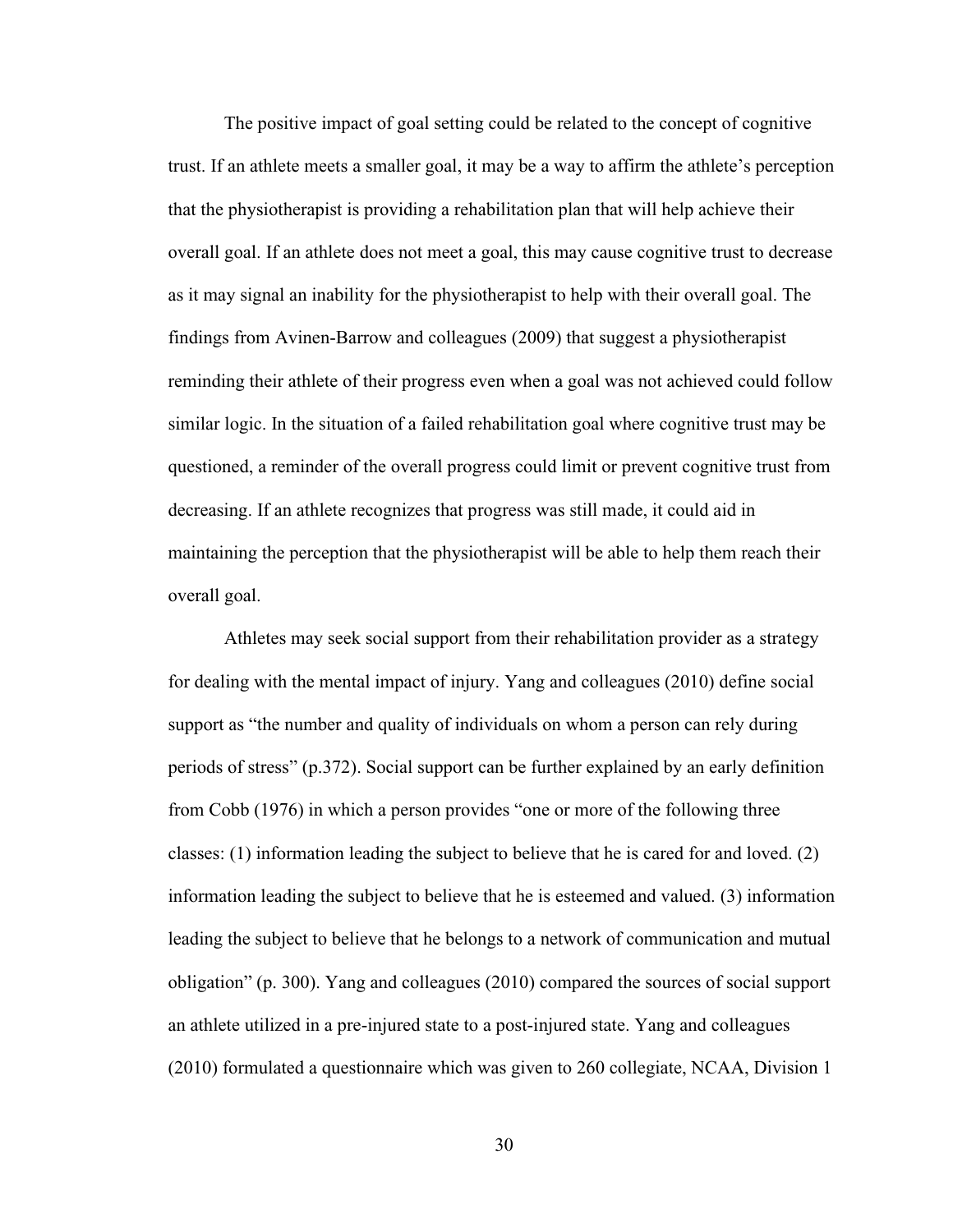The positive impact of goal setting could be related to the concept of cognitive trust. If an athlete meets a smaller goal, it may be a way to affirm the athlete's perception that the physiotherapist is providing a rehabilitation plan that will help achieve their overall goal. If an athlete does not meet a goal, this may cause cognitive trust to decrease as it may signal an inability for the physiotherapist to help with their overall goal. The findings from Avinen-Barrow and colleagues (2009) that suggest a physiotherapist reminding their athlete of their progress even when a goal was not achieved could follow similar logic. In the situation of a failed rehabilitation goal where cognitive trust may be questioned, a reminder of the overall progress could limit or prevent cognitive trust from decreasing. If an athlete recognizes that progress was still made, it could aid in maintaining the perception that the physiotherapist will be able to help them reach their overall goal.

Athletes may seek social support from their rehabilitation provider as a strategy for dealing with the mental impact of injury. Yang and colleagues (2010) define social support as "the number and quality of individuals on whom a person can rely during periods of stress" (p.372). Social support can be further explained by an early definition from Cobb (1976) in which a person provides "one or more of the following three classes: (1) information leading the subject to believe that he is cared for and loved. (2) information leading the subject to believe that he is esteemed and valued. (3) information leading the subject to believe that he belongs to a network of communication and mutual obligation" (p. 300). Yang and colleagues (2010) compared the sources of social support an athlete utilized in a pre-injured state to a post-injured state. Yang and colleagues (2010) formulated a questionnaire which was given to 260 collegiate, NCAA, Division 1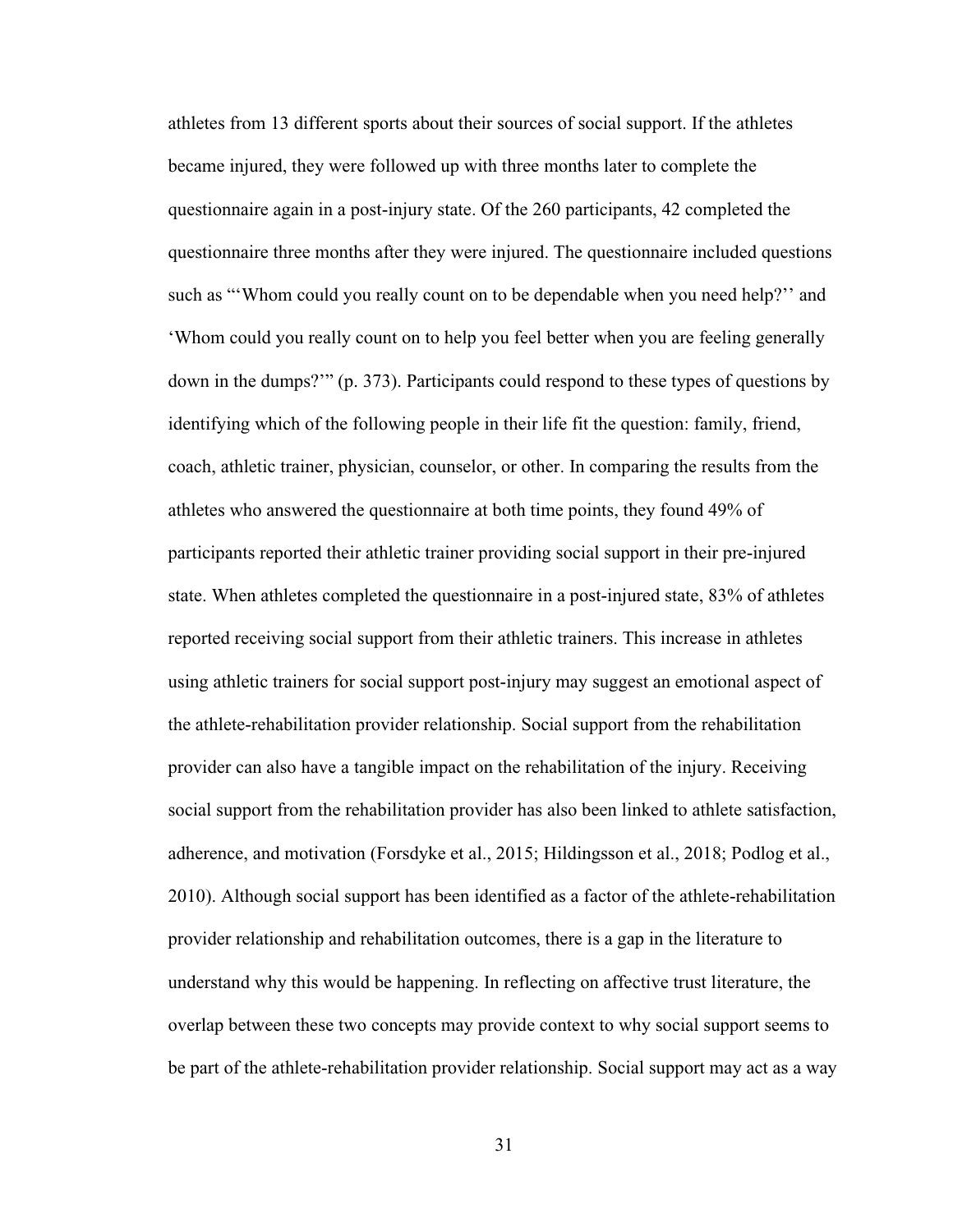athletes from 13 different sports about their sources of social support. If the athletes became injured, they were followed up with three months later to complete the questionnaire again in a post-injury state. Of the 260 participants, 42 completed the questionnaire three months after they were injured. The questionnaire included questions such as "'Whom could you really count on to be dependable when you need help?'' and 'Whom could you really count on to help you feel better when you are feeling generally down in the dumps?'" (p. 373). Participants could respond to these types of questions by identifying which of the following people in their life fit the question: family, friend, coach, athletic trainer, physician, counselor, or other. In comparing the results from the athletes who answered the questionnaire at both time points, they found 49% of participants reported their athletic trainer providing social support in their pre-injured state. When athletes completed the questionnaire in a post-injured state, 83% of athletes reported receiving social support from their athletic trainers. This increase in athletes using athletic trainers for social support post-injury may suggest an emotional aspect of the athlete-rehabilitation provider relationship. Social support from the rehabilitation provider can also have a tangible impact on the rehabilitation of the injury. Receiving social support from the rehabilitation provider has also been linked to athlete satisfaction, adherence, and motivation (Forsdyke et al., 2015; Hildingsson et al., 2018; Podlog et al., 2010). Although social support has been identified as a factor of the athlete-rehabilitation provider relationship and rehabilitation outcomes, there is a gap in the literature to understand why this would be happening. In reflecting on affective trust literature, the overlap between these two concepts may provide context to why social support seems to be part of the athlete-rehabilitation provider relationship. Social support may act as a way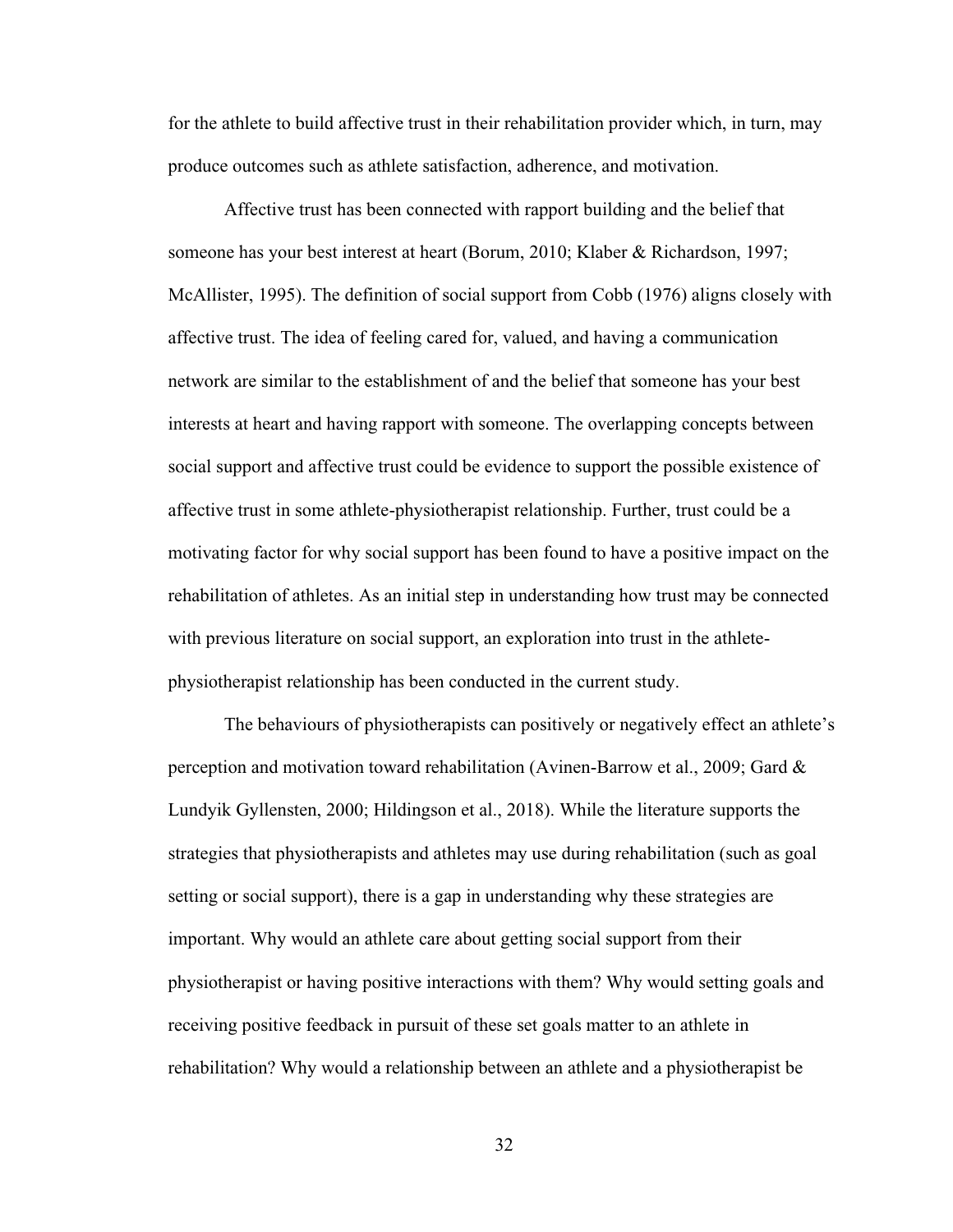for the athlete to build affective trust in their rehabilitation provider which, in turn, may produce outcomes such as athlete satisfaction, adherence, and motivation.

Affective trust has been connected with rapport building and the belief that someone has your best interest at heart (Borum, 2010; Klaber & Richardson, 1997; McAllister, 1995). The definition of social support from Cobb (1976) aligns closely with affective trust. The idea of feeling cared for, valued, and having a communication network are similar to the establishment of and the belief that someone has your best interests at heart and having rapport with someone. The overlapping concepts between social support and affective trust could be evidence to support the possible existence of affective trust in some athlete-physiotherapist relationship. Further, trust could be a motivating factor for why social support has been found to have a positive impact on the rehabilitation of athletes. As an initial step in understanding how trust may be connected with previous literature on social support, an exploration into trust in the athletephysiotherapist relationship has been conducted in the current study.

The behaviours of physiotherapists can positively or negatively effect an athlete's perception and motivation toward rehabilitation (Avinen-Barrow et al., 2009; Gard & Lundyik Gyllensten, 2000; Hildingson et al., 2018). While the literature supports the strategies that physiotherapists and athletes may use during rehabilitation (such as goal setting or social support), there is a gap in understanding why these strategies are important. Why would an athlete care about getting social support from their physiotherapist or having positive interactions with them? Why would setting goals and receiving positive feedback in pursuit of these set goals matter to an athlete in rehabilitation? Why would a relationship between an athlete and a physiotherapist be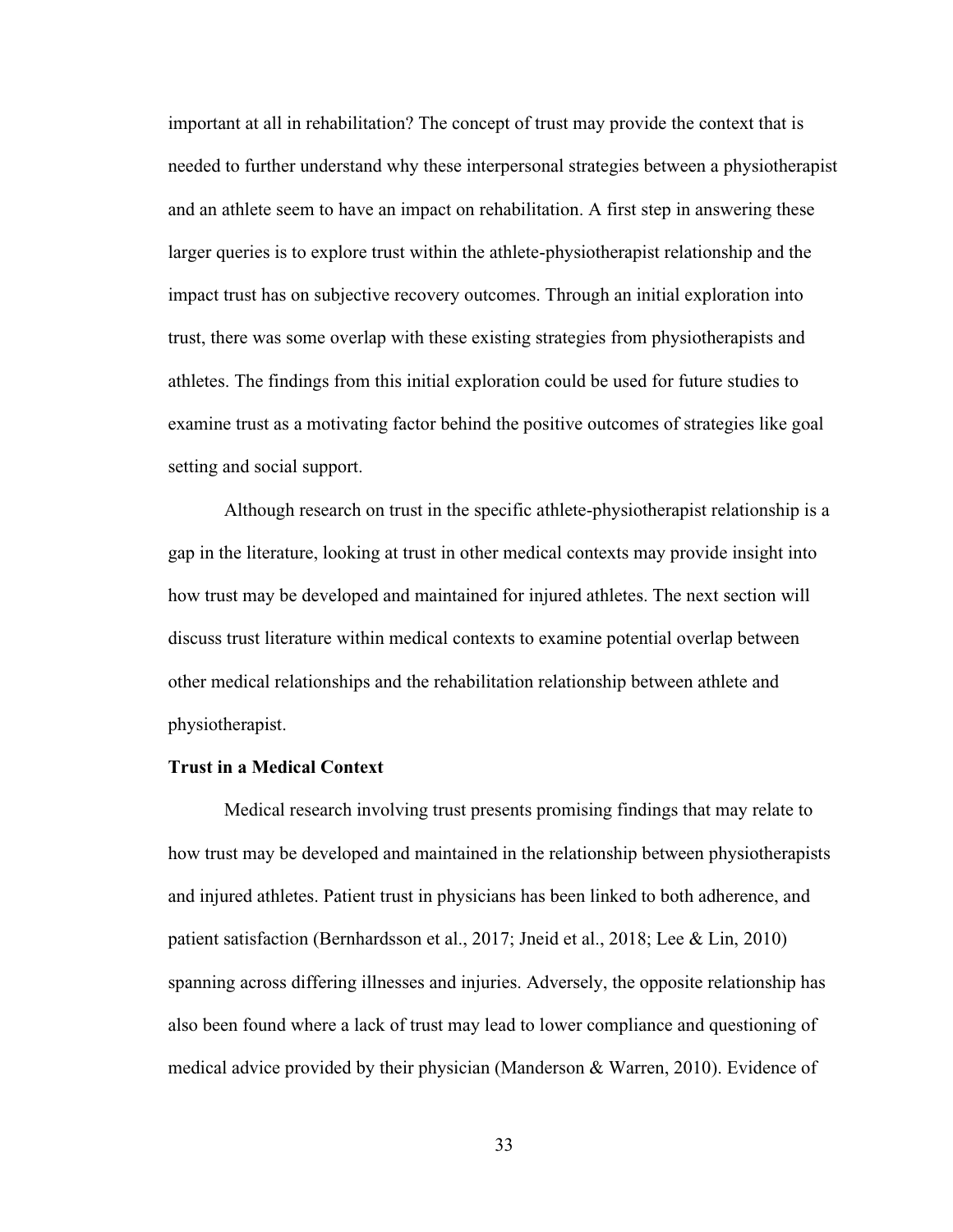important at all in rehabilitation? The concept of trust may provide the context that is needed to further understand why these interpersonal strategies between a physiotherapist and an athlete seem to have an impact on rehabilitation. A first step in answering these larger queries is to explore trust within the athlete-physiotherapist relationship and the impact trust has on subjective recovery outcomes. Through an initial exploration into trust, there was some overlap with these existing strategies from physiotherapists and athletes. The findings from this initial exploration could be used for future studies to examine trust as a motivating factor behind the positive outcomes of strategies like goal setting and social support.

Although research on trust in the specific athlete-physiotherapist relationship is a gap in the literature, looking at trust in other medical contexts may provide insight into how trust may be developed and maintained for injured athletes. The next section will discuss trust literature within medical contexts to examine potential overlap between other medical relationships and the rehabilitation relationship between athlete and physiotherapist.

# **Trust in a Medical Context**

Medical research involving trust presents promising findings that may relate to how trust may be developed and maintained in the relationship between physiotherapists and injured athletes. Patient trust in physicians has been linked to both adherence, and patient satisfaction (Bernhardsson et al., 2017; Jneid et al., 2018; Lee & Lin, 2010) spanning across differing illnesses and injuries. Adversely, the opposite relationship has also been found where a lack of trust may lead to lower compliance and questioning of medical advice provided by their physician (Manderson & Warren, 2010). Evidence of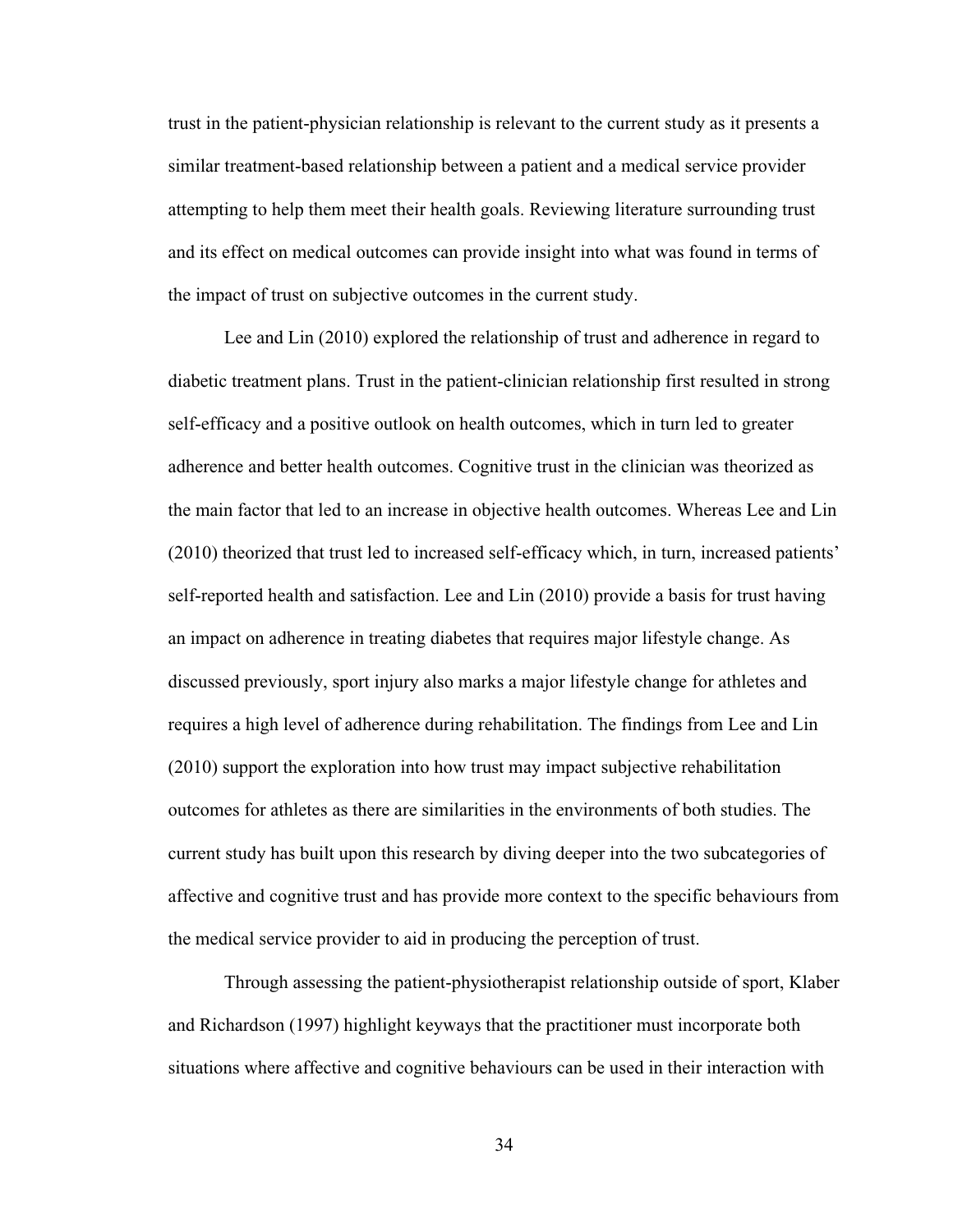trust in the patient-physician relationship is relevant to the current study as it presents a similar treatment-based relationship between a patient and a medical service provider attempting to help them meet their health goals. Reviewing literature surrounding trust and its effect on medical outcomes can provide insight into what was found in terms of the impact of trust on subjective outcomes in the current study.

Lee and Lin (2010) explored the relationship of trust and adherence in regard to diabetic treatment plans. Trust in the patient-clinician relationship first resulted in strong self-efficacy and a positive outlook on health outcomes, which in turn led to greater adherence and better health outcomes. Cognitive trust in the clinician was theorized as the main factor that led to an increase in objective health outcomes. Whereas Lee and Lin (2010) theorized that trust led to increased self-efficacy which, in turn, increased patients' self-reported health and satisfaction. Lee and Lin (2010) provide a basis for trust having an impact on adherence in treating diabetes that requires major lifestyle change. As discussed previously, sport injury also marks a major lifestyle change for athletes and requires a high level of adherence during rehabilitation. The findings from Lee and Lin (2010) support the exploration into how trust may impact subjective rehabilitation outcomes for athletes as there are similarities in the environments of both studies. The current study has built upon this research by diving deeper into the two subcategories of affective and cognitive trust and has provide more context to the specific behaviours from the medical service provider to aid in producing the perception of trust.

Through assessing the patient-physiotherapist relationship outside of sport, Klaber and Richardson (1997) highlight keyways that the practitioner must incorporate both situations where affective and cognitive behaviours can be used in their interaction with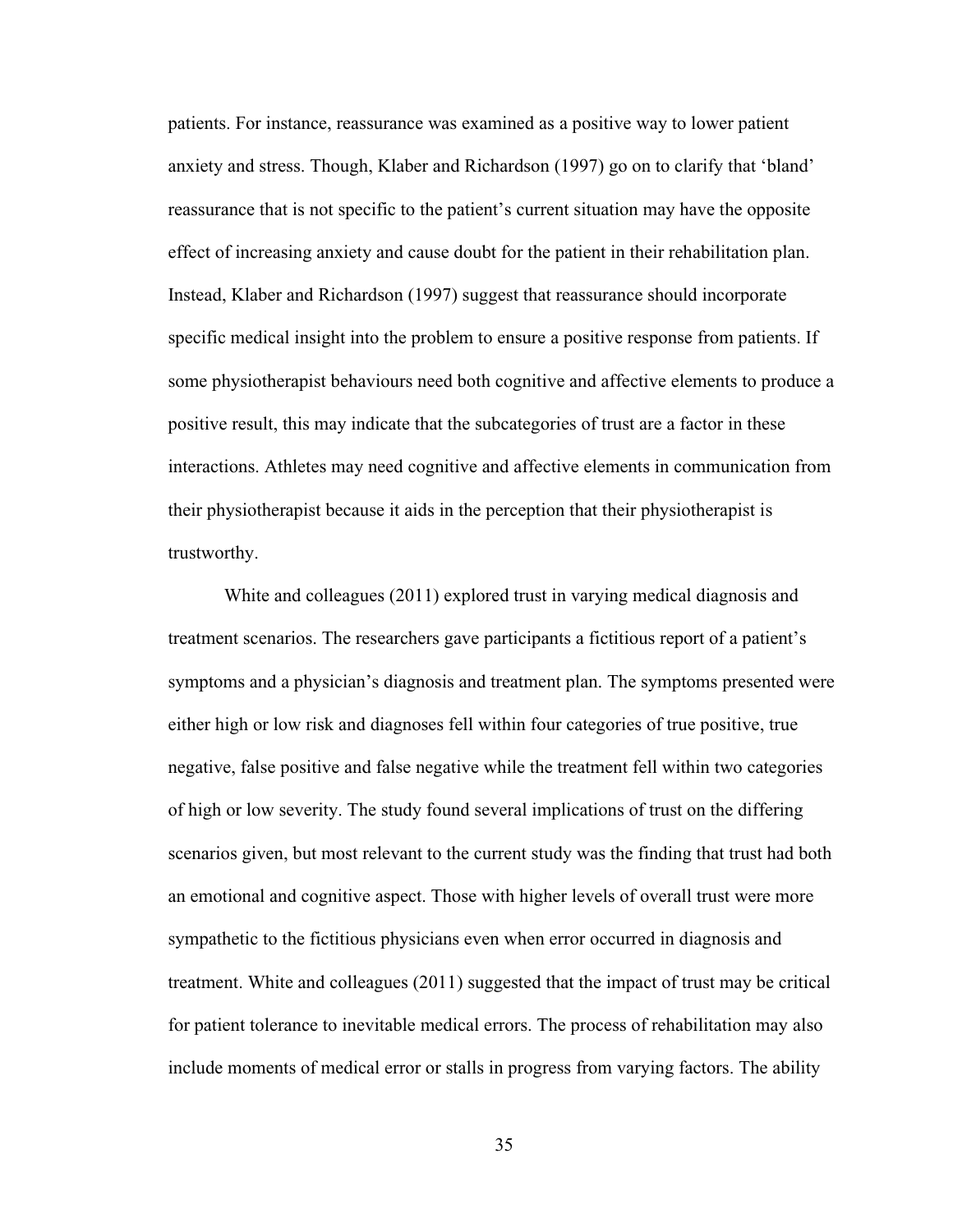patients. For instance, reassurance was examined as a positive way to lower patient anxiety and stress. Though, Klaber and Richardson (1997) go on to clarify that 'bland' reassurance that is not specific to the patient's current situation may have the opposite effect of increasing anxiety and cause doubt for the patient in their rehabilitation plan. Instead, Klaber and Richardson (1997) suggest that reassurance should incorporate specific medical insight into the problem to ensure a positive response from patients. If some physiotherapist behaviours need both cognitive and affective elements to produce a positive result, this may indicate that the subcategories of trust are a factor in these interactions. Athletes may need cognitive and affective elements in communication from their physiotherapist because it aids in the perception that their physiotherapist is trustworthy.

White and colleagues (2011) explored trust in varying medical diagnosis and treatment scenarios. The researchers gave participants a fictitious report of a patient's symptoms and a physician's diagnosis and treatment plan. The symptoms presented were either high or low risk and diagnoses fell within four categories of true positive, true negative, false positive and false negative while the treatment fell within two categories of high or low severity. The study found several implications of trust on the differing scenarios given, but most relevant to the current study was the finding that trust had both an emotional and cognitive aspect. Those with higher levels of overall trust were more sympathetic to the fictitious physicians even when error occurred in diagnosis and treatment. White and colleagues (2011) suggested that the impact of trust may be critical for patient tolerance to inevitable medical errors. The process of rehabilitation may also include moments of medical error or stalls in progress from varying factors. The ability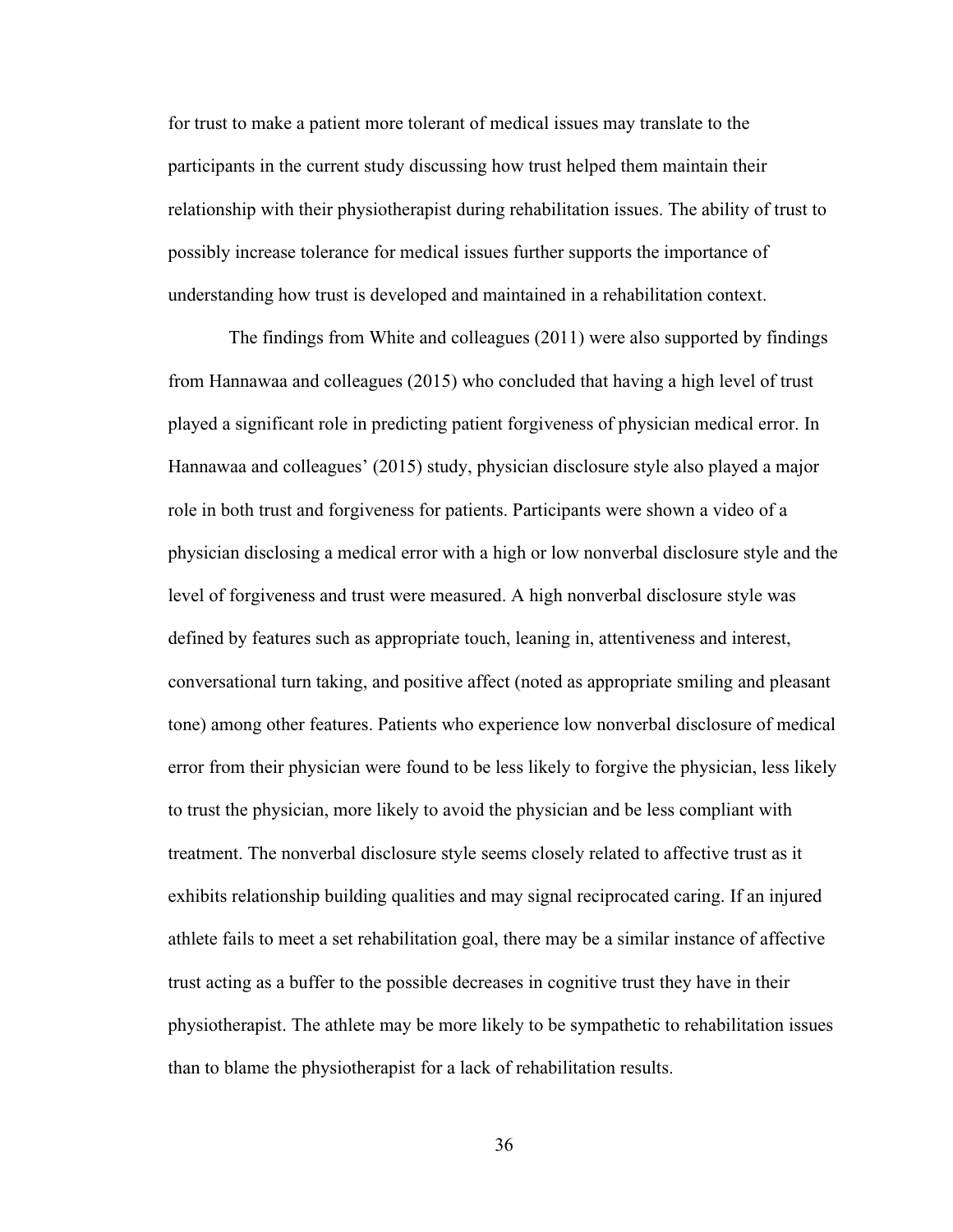for trust to make a patient more tolerant of medical issues may translate to the participants in the current study discussing how trust helped them maintain their relationship with their physiotherapist during rehabilitation issues. The ability of trust to possibly increase tolerance for medical issues further supports the importance of understanding how trust is developed and maintained in a rehabilitation context.

The findings from White and colleagues (2011) were also supported by findings from Hannawaa and colleagues (2015) who concluded that having a high level of trust played a significant role in predicting patient forgiveness of physician medical error. In Hannawaa and colleagues' (2015) study, physician disclosure style also played a major role in both trust and forgiveness for patients. Participants were shown a video of a physician disclosing a medical error with a high or low nonverbal disclosure style and the level of forgiveness and trust were measured. A high nonverbal disclosure style was defined by features such as appropriate touch, leaning in, attentiveness and interest, conversational turn taking, and positive affect (noted as appropriate smiling and pleasant tone) among other features. Patients who experience low nonverbal disclosure of medical error from their physician were found to be less likely to forgive the physician, less likely to trust the physician, more likely to avoid the physician and be less compliant with treatment. The nonverbal disclosure style seems closely related to affective trust as it exhibits relationship building qualities and may signal reciprocated caring. If an injured athlete fails to meet a set rehabilitation goal, there may be a similar instance of affective trust acting as a buffer to the possible decreases in cognitive trust they have in their physiotherapist. The athlete may be more likely to be sympathetic to rehabilitation issues than to blame the physiotherapist for a lack of rehabilitation results.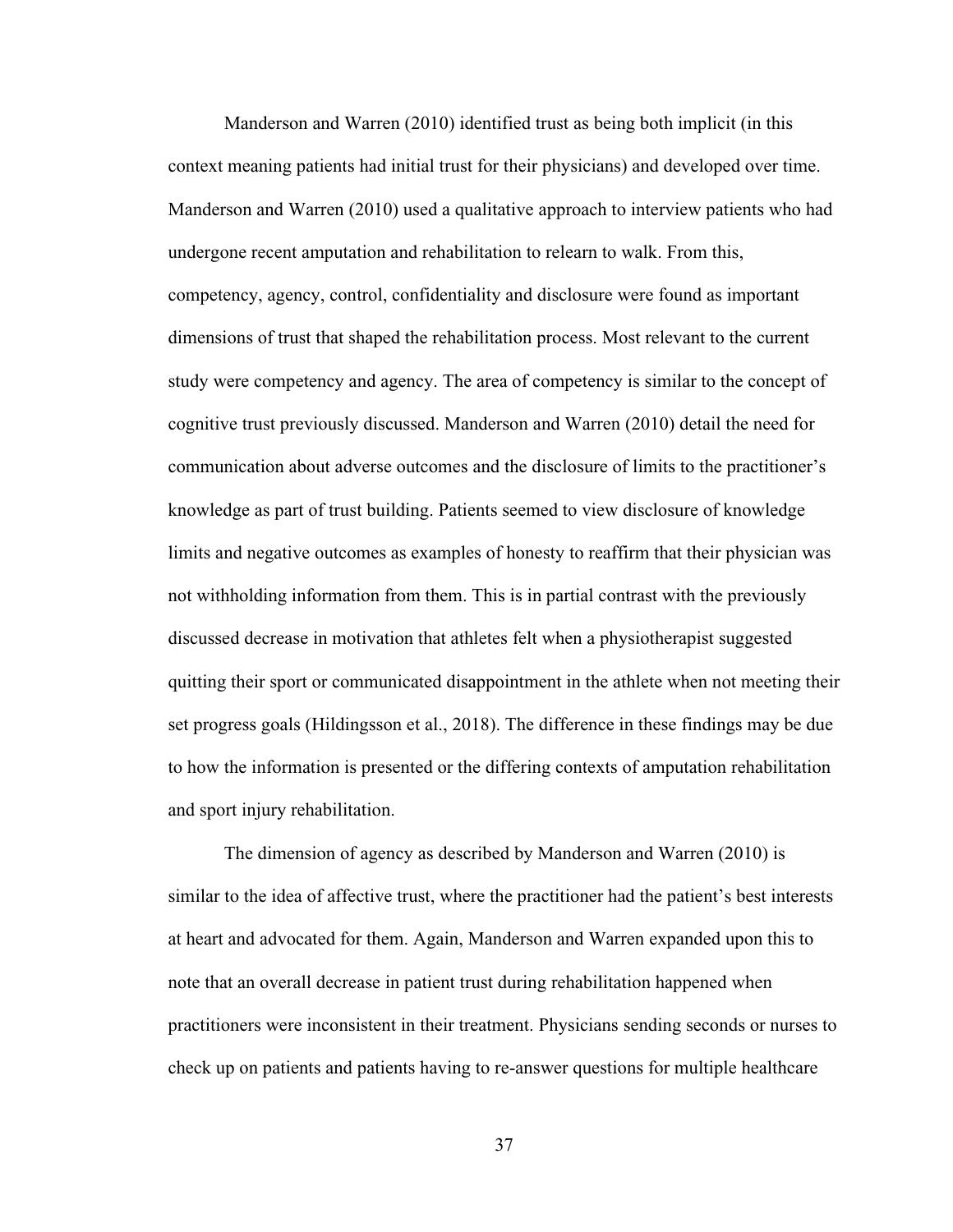Manderson and Warren (2010) identified trust as being both implicit (in this context meaning patients had initial trust for their physicians) and developed over time. Manderson and Warren (2010) used a qualitative approach to interview patients who had undergone recent amputation and rehabilitation to relearn to walk. From this, competency, agency, control, confidentiality and disclosure were found as important dimensions of trust that shaped the rehabilitation process. Most relevant to the current study were competency and agency. The area of competency is similar to the concept of cognitive trust previously discussed. Manderson and Warren (2010) detail the need for communication about adverse outcomes and the disclosure of limits to the practitioner's knowledge as part of trust building. Patients seemed to view disclosure of knowledge limits and negative outcomes as examples of honesty to reaffirm that their physician was not withholding information from them. This is in partial contrast with the previously discussed decrease in motivation that athletes felt when a physiotherapist suggested quitting their sport or communicated disappointment in the athlete when not meeting their set progress goals (Hildingsson et al., 2018). The difference in these findings may be due to how the information is presented or the differing contexts of amputation rehabilitation and sport injury rehabilitation.

The dimension of agency as described by Manderson and Warren (2010) is similar to the idea of affective trust, where the practitioner had the patient's best interests at heart and advocated for them. Again, Manderson and Warren expanded upon this to note that an overall decrease in patient trust during rehabilitation happened when practitioners were inconsistent in their treatment. Physicians sending seconds or nurses to check up on patients and patients having to re-answer questions for multiple healthcare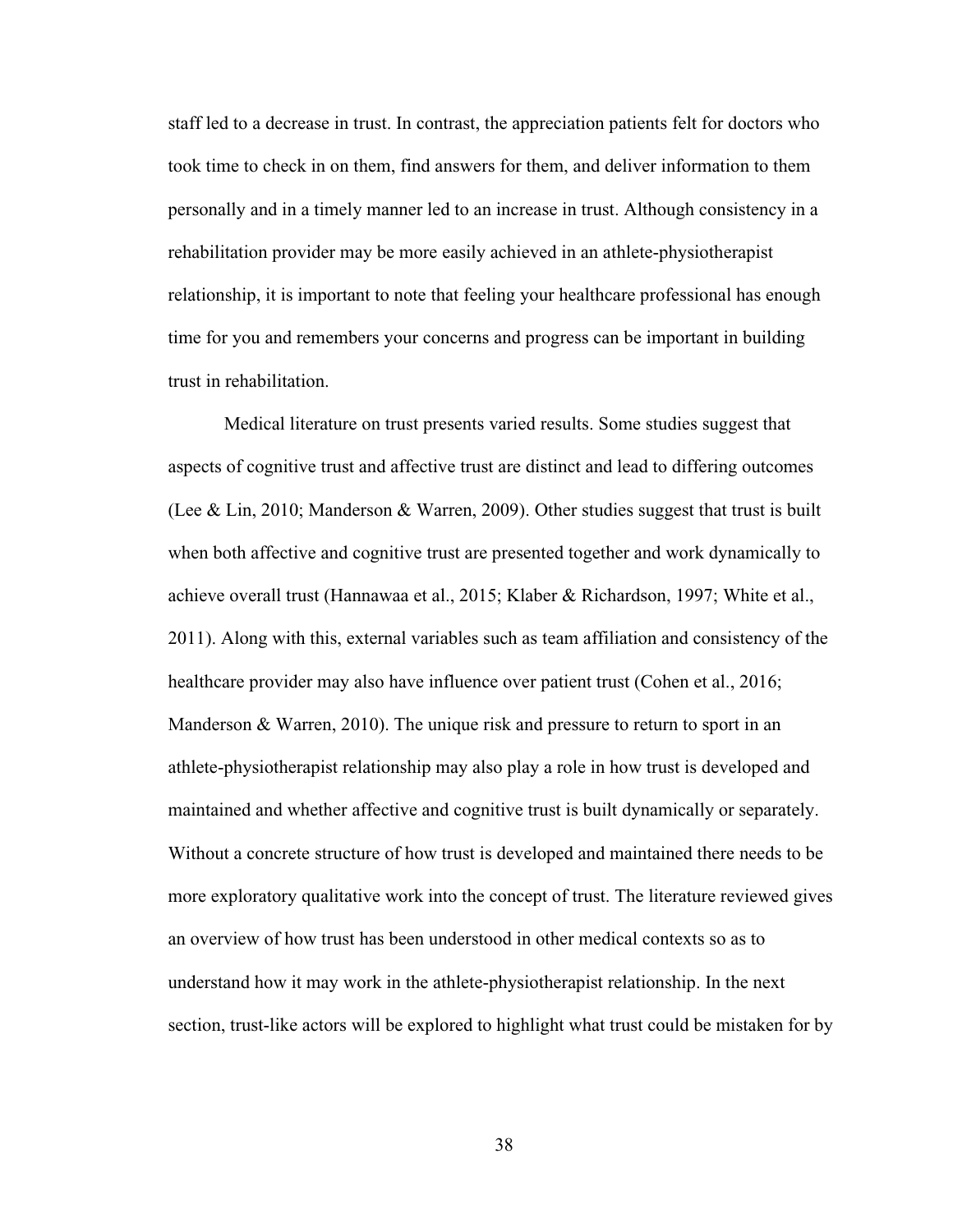staff led to a decrease in trust. In contrast, the appreciation patients felt for doctors who took time to check in on them, find answers for them, and deliver information to them personally and in a timely manner led to an increase in trust. Although consistency in a rehabilitation provider may be more easily achieved in an athlete-physiotherapist relationship, it is important to note that feeling your healthcare professional has enough time for you and remembers your concerns and progress can be important in building trust in rehabilitation.

Medical literature on trust presents varied results. Some studies suggest that aspects of cognitive trust and affective trust are distinct and lead to differing outcomes (Lee & Lin, 2010; Manderson & Warren, 2009). Other studies suggest that trust is built when both affective and cognitive trust are presented together and work dynamically to achieve overall trust (Hannawaa et al., 2015; Klaber & Richardson, 1997; White et al., 2011). Along with this, external variables such as team affiliation and consistency of the healthcare provider may also have influence over patient trust (Cohen et al., 2016; Manderson & Warren, 2010). The unique risk and pressure to return to sport in an athlete-physiotherapist relationship may also play a role in how trust is developed and maintained and whether affective and cognitive trust is built dynamically or separately. Without a concrete structure of how trust is developed and maintained there needs to be more exploratory qualitative work into the concept of trust. The literature reviewed gives an overview of how trust has been understood in other medical contexts so as to understand how it may work in the athlete-physiotherapist relationship. In the next section, trust-like actors will be explored to highlight what trust could be mistaken for by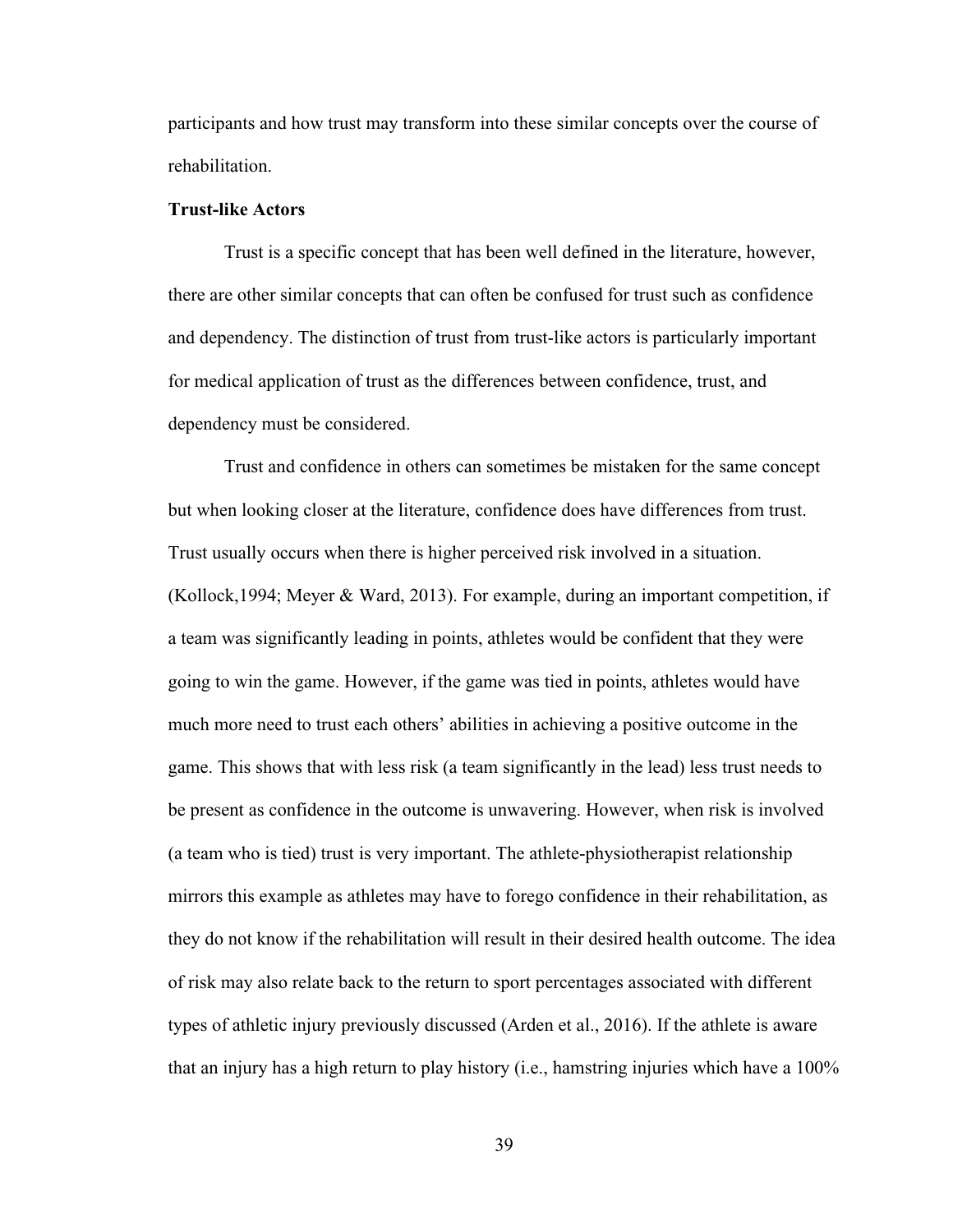participants and how trust may transform into these similar concepts over the course of rehabilitation.

## **Trust-like Actors**

Trust is a specific concept that has been well defined in the literature, however, there are other similar concepts that can often be confused for trust such as confidence and dependency. The distinction of trust from trust-like actors is particularly important for medical application of trust as the differences between confidence, trust, and dependency must be considered.

Trust and confidence in others can sometimes be mistaken for the same concept but when looking closer at the literature, confidence does have differences from trust. Trust usually occurs when there is higher perceived risk involved in a situation. (Kollock,1994; Meyer & Ward, 2013). For example, during an important competition, if a team was significantly leading in points, athletes would be confident that they were going to win the game. However, if the game was tied in points, athletes would have much more need to trust each others' abilities in achieving a positive outcome in the game. This shows that with less risk (a team significantly in the lead) less trust needs to be present as confidence in the outcome is unwavering. However, when risk is involved (a team who is tied) trust is very important. The athlete-physiotherapist relationship mirrors this example as athletes may have to forego confidence in their rehabilitation, as they do not know if the rehabilitation will result in their desired health outcome. The idea of risk may also relate back to the return to sport percentages associated with different types of athletic injury previously discussed (Arden et al., 2016). If the athlete is aware that an injury has a high return to play history (i.e., hamstring injuries which have a 100%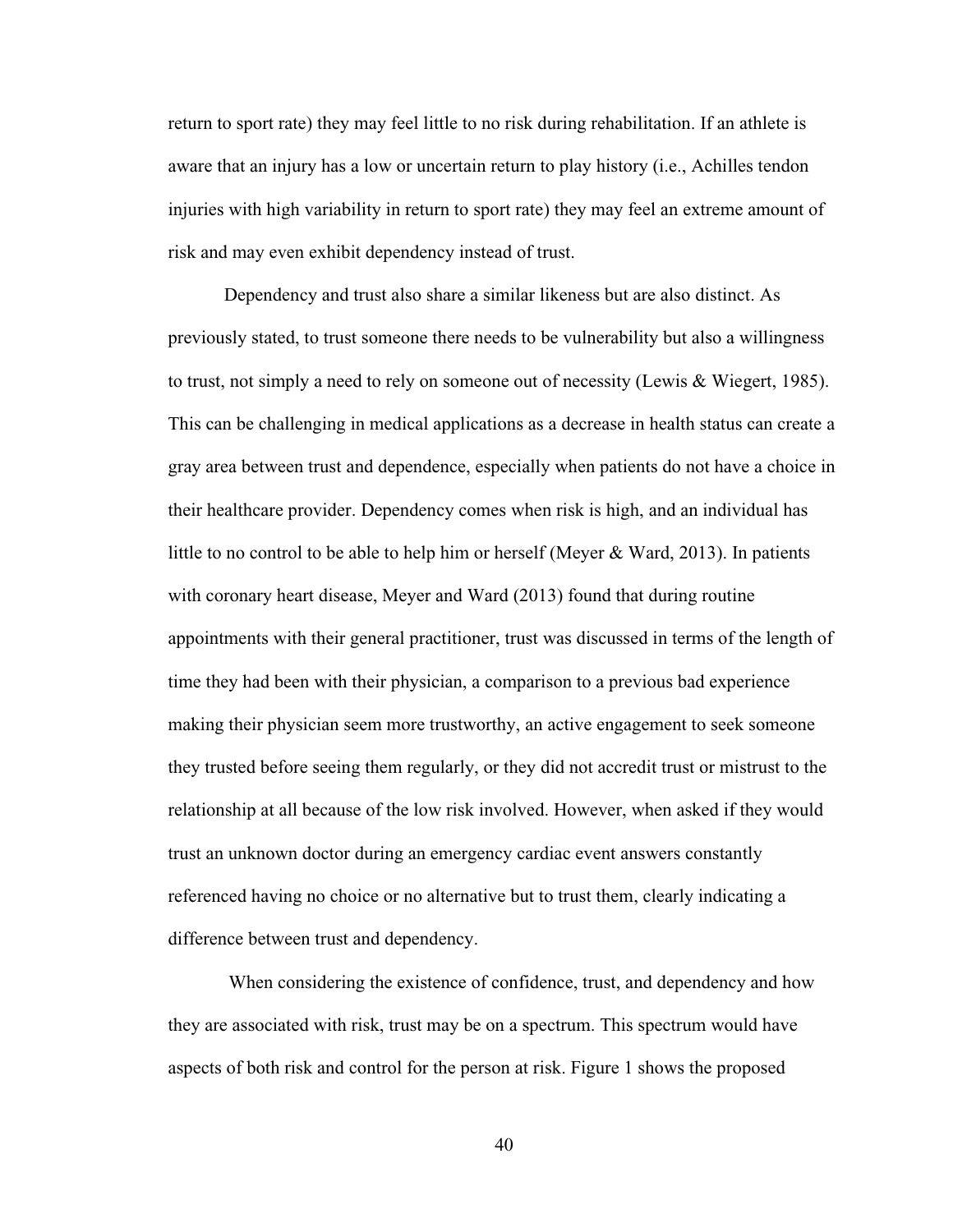return to sport rate) they may feel little to no risk during rehabilitation. If an athlete is aware that an injury has a low or uncertain return to play history (i.e., Achilles tendon injuries with high variability in return to sport rate) they may feel an extreme amount of risk and may even exhibit dependency instead of trust.

Dependency and trust also share a similar likeness but are also distinct. As previously stated, to trust someone there needs to be vulnerability but also a willingness to trust, not simply a need to rely on someone out of necessity (Lewis & Wiegert, 1985). This can be challenging in medical applications as a decrease in health status can create a gray area between trust and dependence, especially when patients do not have a choice in their healthcare provider. Dependency comes when risk is high, and an individual has little to no control to be able to help him or herself (Meyer & Ward, 2013). In patients with coronary heart disease, Meyer and Ward (2013) found that during routine appointments with their general practitioner, trust was discussed in terms of the length of time they had been with their physician, a comparison to a previous bad experience making their physician seem more trustworthy, an active engagement to seek someone they trusted before seeing them regularly, or they did not accredit trust or mistrust to the relationship at all because of the low risk involved. However, when asked if they would trust an unknown doctor during an emergency cardiac event answers constantly referenced having no choice or no alternative but to trust them, clearly indicating a difference between trust and dependency.

When considering the existence of confidence, trust, and dependency and how they are associated with risk, trust may be on a spectrum. This spectrum would have aspects of both risk and control for the person at risk. Figure 1 shows the proposed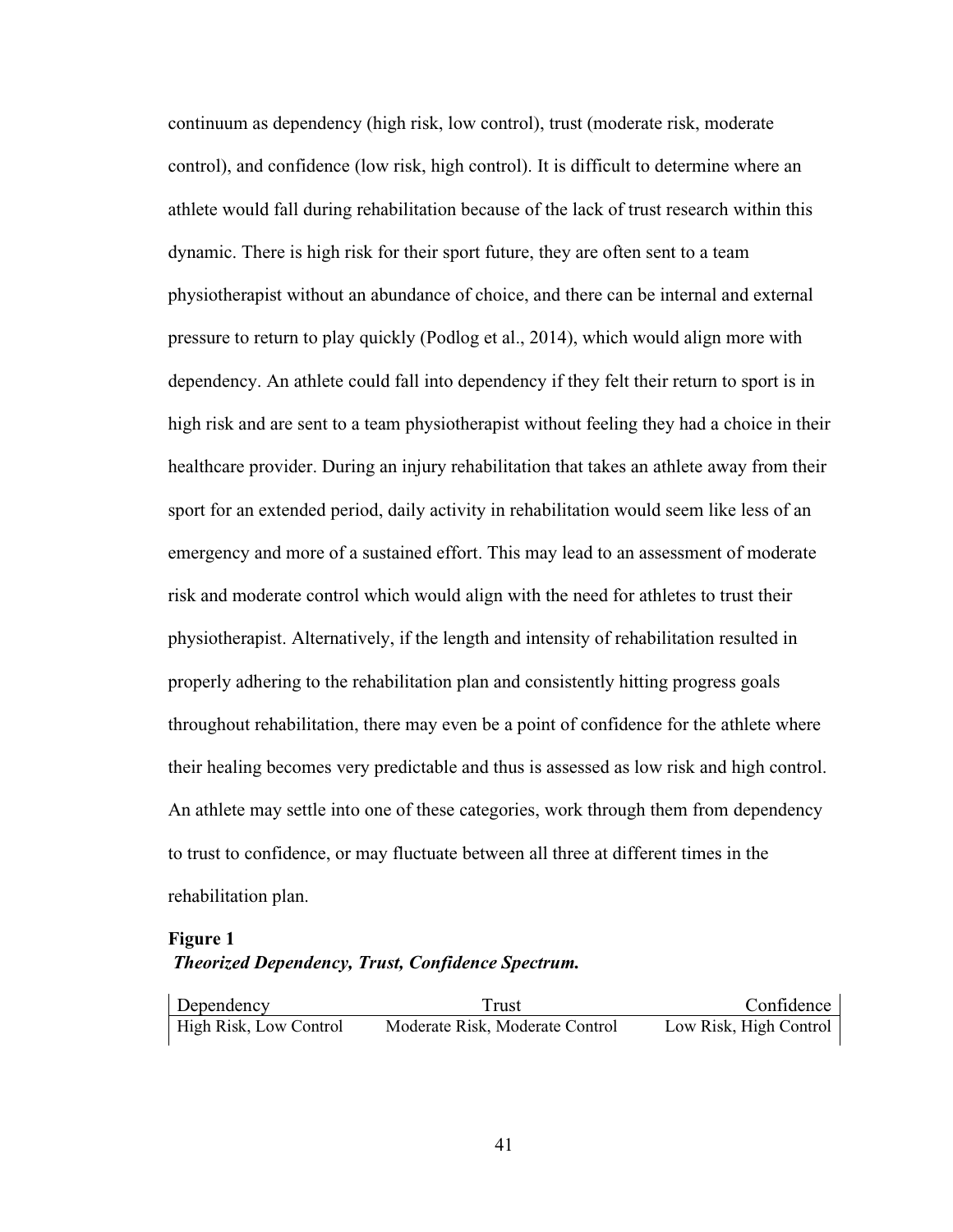continuum as dependency (high risk, low control), trust (moderate risk, moderate control), and confidence (low risk, high control). It is difficult to determine where an athlete would fall during rehabilitation because of the lack of trust research within this dynamic. There is high risk for their sport future, they are often sent to a team physiotherapist without an abundance of choice, and there can be internal and external pressure to return to play quickly (Podlog et al., 2014), which would align more with dependency. An athlete could fall into dependency if they felt their return to sport is in high risk and are sent to a team physiotherapist without feeling they had a choice in their healthcare provider. During an injury rehabilitation that takes an athlete away from their sport for an extended period, daily activity in rehabilitation would seem like less of an emergency and more of a sustained effort. This may lead to an assessment of moderate risk and moderate control which would align with the need for athletes to trust their physiotherapist. Alternatively, if the length and intensity of rehabilitation resulted in properly adhering to the rehabilitation plan and consistently hitting progress goals throughout rehabilitation, there may even be a point of confidence for the athlete where their healing becomes very predictable and thus is assessed as low risk and high control. An athlete may settle into one of these categories, work through them from dependency to trust to confidence, or may fluctuate between all three at different times in the rehabilitation plan.

## **Figure 1**

# *Theorized Dependency, Trust, Confidence Spectrum.*

| Dependency                    | Frust                           | Confidence             |
|-------------------------------|---------------------------------|------------------------|
| <b>High Risk, Low Control</b> | Moderate Risk, Moderate Control | Low Risk, High Control |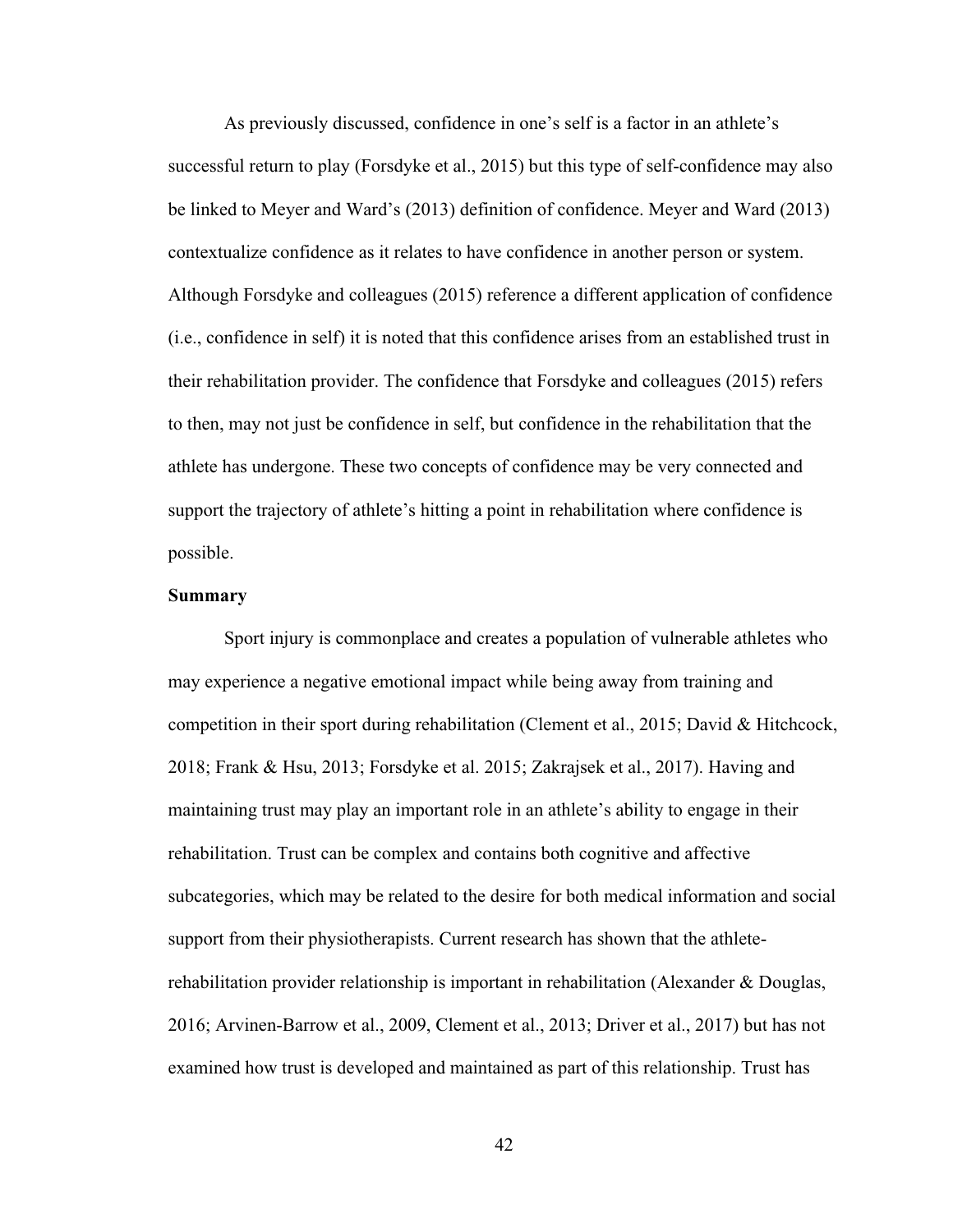As previously discussed, confidence in one's self is a factor in an athlete's successful return to play (Forsdyke et al., 2015) but this type of self-confidence may also be linked to Meyer and Ward's (2013) definition of confidence. Meyer and Ward (2013) contextualize confidence as it relates to have confidence in another person or system. Although Forsdyke and colleagues (2015) reference a different application of confidence (i.e., confidence in self) it is noted that this confidence arises from an established trust in their rehabilitation provider. The confidence that Forsdyke and colleagues (2015) refers to then, may not just be confidence in self, but confidence in the rehabilitation that the athlete has undergone. These two concepts of confidence may be very connected and support the trajectory of athlete's hitting a point in rehabilitation where confidence is possible.

### **Summary**

Sport injury is commonplace and creates a population of vulnerable athletes who may experience a negative emotional impact while being away from training and competition in their sport during rehabilitation (Clement et al., 2015; David & Hitchcock, 2018; Frank & Hsu, 2013; Forsdyke et al. 2015; Zakrajsek et al., 2017). Having and maintaining trust may play an important role in an athlete's ability to engage in their rehabilitation. Trust can be complex and contains both cognitive and affective subcategories, which may be related to the desire for both medical information and social support from their physiotherapists. Current research has shown that the athleterehabilitation provider relationship is important in rehabilitation (Alexander & Douglas, 2016; Arvinen-Barrow et al., 2009, Clement et al., 2013; Driver et al., 2017) but has not examined how trust is developed and maintained as part of this relationship. Trust has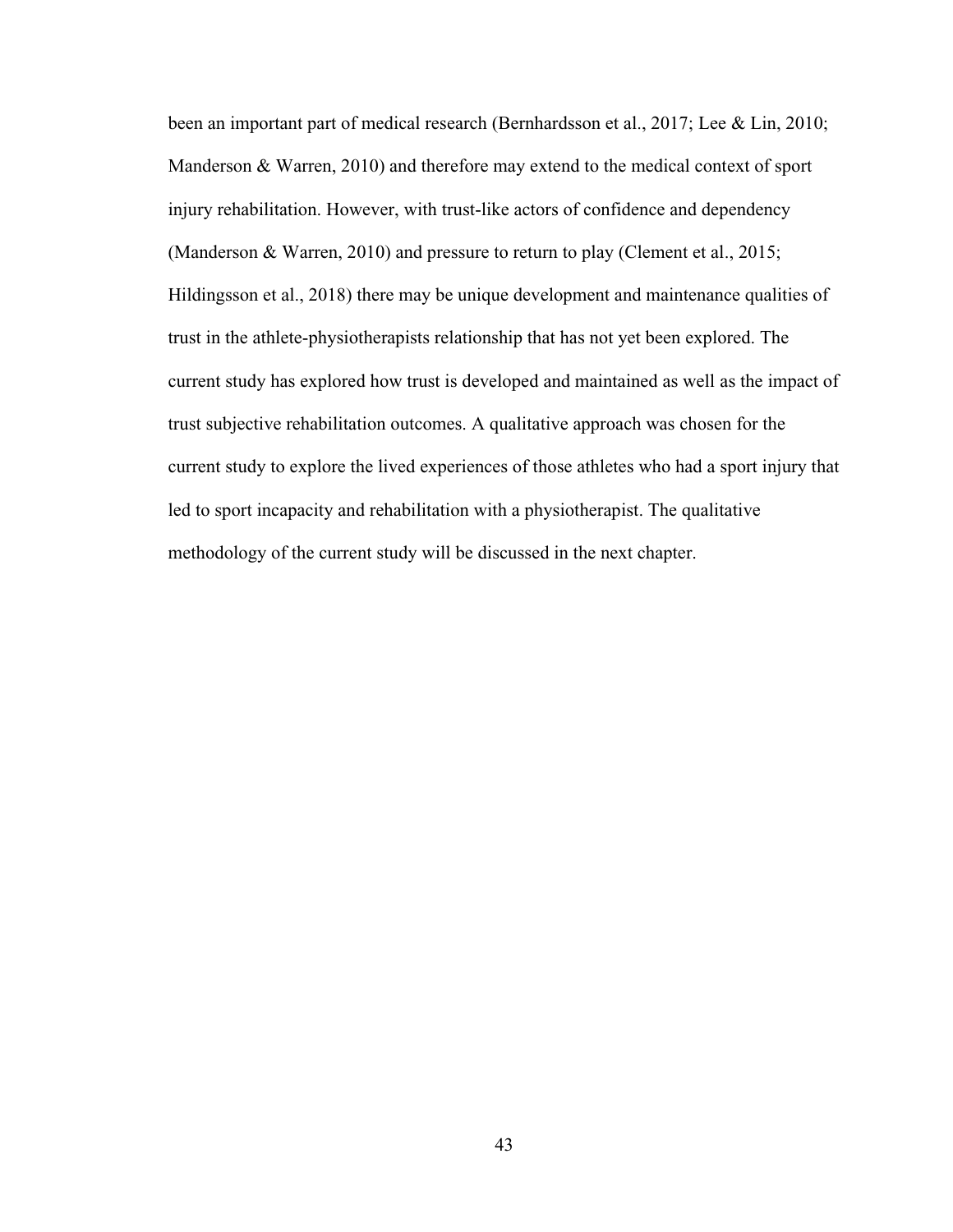been an important part of medical research (Bernhardsson et al., 2017; Lee & Lin, 2010; Manderson & Warren, 2010) and therefore may extend to the medical context of sport injury rehabilitation. However, with trust-like actors of confidence and dependency (Manderson & Warren, 2010) and pressure to return to play (Clement et al., 2015; Hildingsson et al., 2018) there may be unique development and maintenance qualities of trust in the athlete-physiotherapists relationship that has not yet been explored. The current study has explored how trust is developed and maintained as well as the impact of trust subjective rehabilitation outcomes. A qualitative approach was chosen for the current study to explore the lived experiences of those athletes who had a sport injury that led to sport incapacity and rehabilitation with a physiotherapist. The qualitative methodology of the current study will be discussed in the next chapter.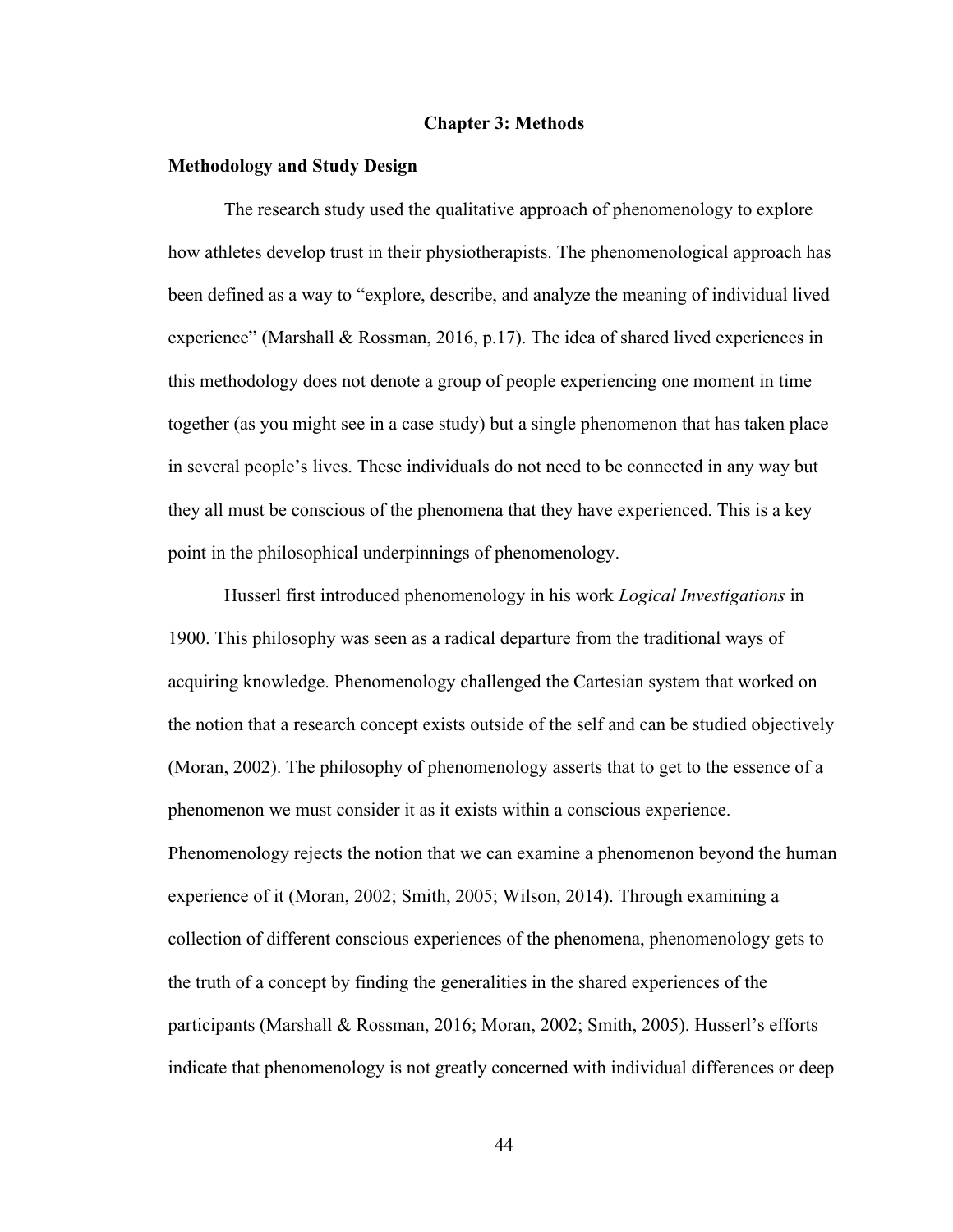### **Chapter 3: Methods**

## **Methodology and Study Design**

The research study used the qualitative approach of phenomenology to explore how athletes develop trust in their physiotherapists. The phenomenological approach has been defined as a way to "explore, describe, and analyze the meaning of individual lived experience" (Marshall & Rossman, 2016, p.17). The idea of shared lived experiences in this methodology does not denote a group of people experiencing one moment in time together (as you might see in a case study) but a single phenomenon that has taken place in several people's lives. These individuals do not need to be connected in any way but they all must be conscious of the phenomena that they have experienced. This is a key point in the philosophical underpinnings of phenomenology.

Husserl first introduced phenomenology in his work *Logical Investigations* in 1900. This philosophy was seen as a radical departure from the traditional ways of acquiring knowledge. Phenomenology challenged the Cartesian system that worked on the notion that a research concept exists outside of the self and can be studied objectively (Moran, 2002). The philosophy of phenomenology asserts that to get to the essence of a phenomenon we must consider it as it exists within a conscious experience. Phenomenology rejects the notion that we can examine a phenomenon beyond the human experience of it (Moran, 2002; Smith, 2005; Wilson, 2014). Through examining a collection of different conscious experiences of the phenomena, phenomenology gets to the truth of a concept by finding the generalities in the shared experiences of the participants (Marshall & Rossman, 2016; Moran, 2002; Smith, 2005). Husserl's efforts indicate that phenomenology is not greatly concerned with individual differences or deep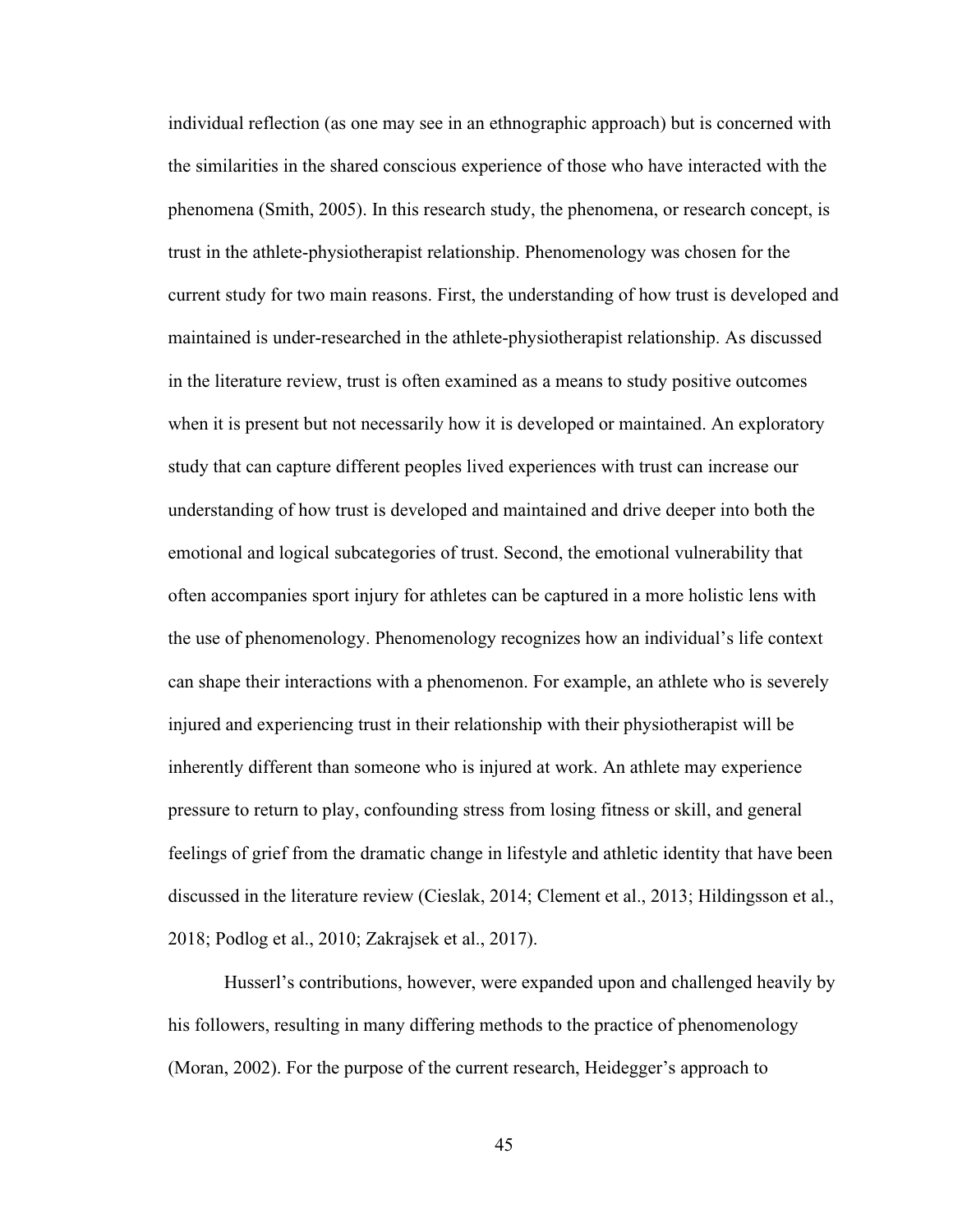individual reflection (as one may see in an ethnographic approach) but is concerned with the similarities in the shared conscious experience of those who have interacted with the phenomena (Smith, 2005). In this research study, the phenomena, or research concept, is trust in the athlete-physiotherapist relationship. Phenomenology was chosen for the current study for two main reasons. First, the understanding of how trust is developed and maintained is under-researched in the athlete-physiotherapist relationship. As discussed in the literature review, trust is often examined as a means to study positive outcomes when it is present but not necessarily how it is developed or maintained. An exploratory study that can capture different peoples lived experiences with trust can increase our understanding of how trust is developed and maintained and drive deeper into both the emotional and logical subcategories of trust. Second, the emotional vulnerability that often accompanies sport injury for athletes can be captured in a more holistic lens with the use of phenomenology. Phenomenology recognizes how an individual's life context can shape their interactions with a phenomenon. For example, an athlete who is severely injured and experiencing trust in their relationship with their physiotherapist will be inherently different than someone who is injured at work. An athlete may experience pressure to return to play, confounding stress from losing fitness or skill, and general feelings of grief from the dramatic change in lifestyle and athletic identity that have been discussed in the literature review (Cieslak, 2014; Clement et al., 2013; Hildingsson et al., 2018; Podlog et al., 2010; Zakrajsek et al., 2017).

Husserl's contributions, however, were expanded upon and challenged heavily by his followers, resulting in many differing methods to the practice of phenomenology (Moran, 2002). For the purpose of the current research, Heidegger's approach to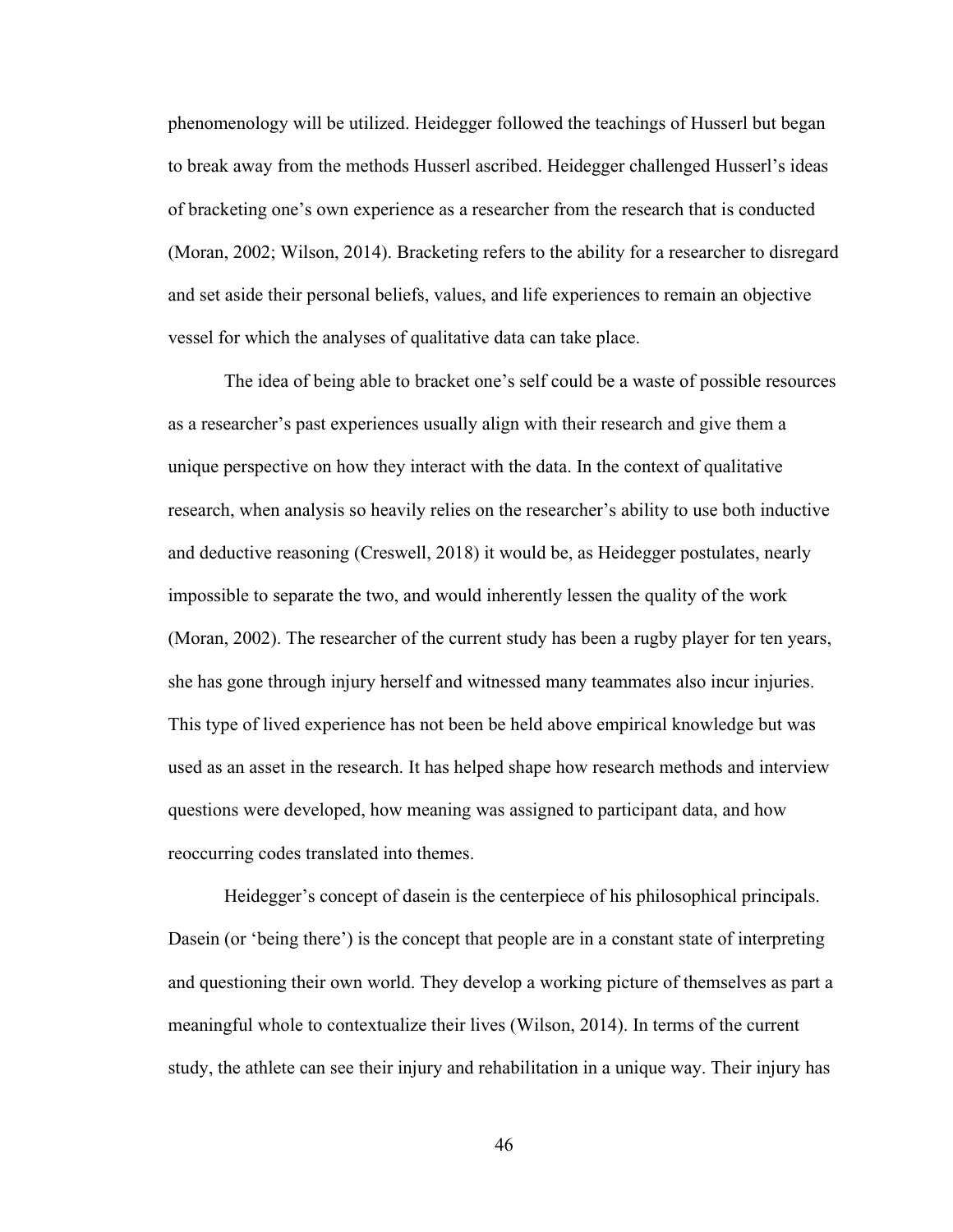phenomenology will be utilized. Heidegger followed the teachings of Husserl but began to break away from the methods Husserl ascribed. Heidegger challenged Husserl's ideas of bracketing one's own experience as a researcher from the research that is conducted (Moran, 2002; Wilson, 2014). Bracketing refers to the ability for a researcher to disregard and set aside their personal beliefs, values, and life experiences to remain an objective vessel for which the analyses of qualitative data can take place.

The idea of being able to bracket one's self could be a waste of possible resources as a researcher's past experiences usually align with their research and give them a unique perspective on how they interact with the data. In the context of qualitative research, when analysis so heavily relies on the researcher's ability to use both inductive and deductive reasoning (Creswell, 2018) it would be, as Heidegger postulates, nearly impossible to separate the two, and would inherently lessen the quality of the work (Moran, 2002). The researcher of the current study has been a rugby player for ten years, she has gone through injury herself and witnessed many teammates also incur injuries. This type of lived experience has not been be held above empirical knowledge but was used as an asset in the research. It has helped shape how research methods and interview questions were developed, how meaning was assigned to participant data, and how reoccurring codes translated into themes.

Heidegger's concept of dasein is the centerpiece of his philosophical principals. Dasein (or 'being there') is the concept that people are in a constant state of interpreting and questioning their own world. They develop a working picture of themselves as part a meaningful whole to contextualize their lives (Wilson, 2014). In terms of the current study, the athlete can see their injury and rehabilitation in a unique way. Their injury has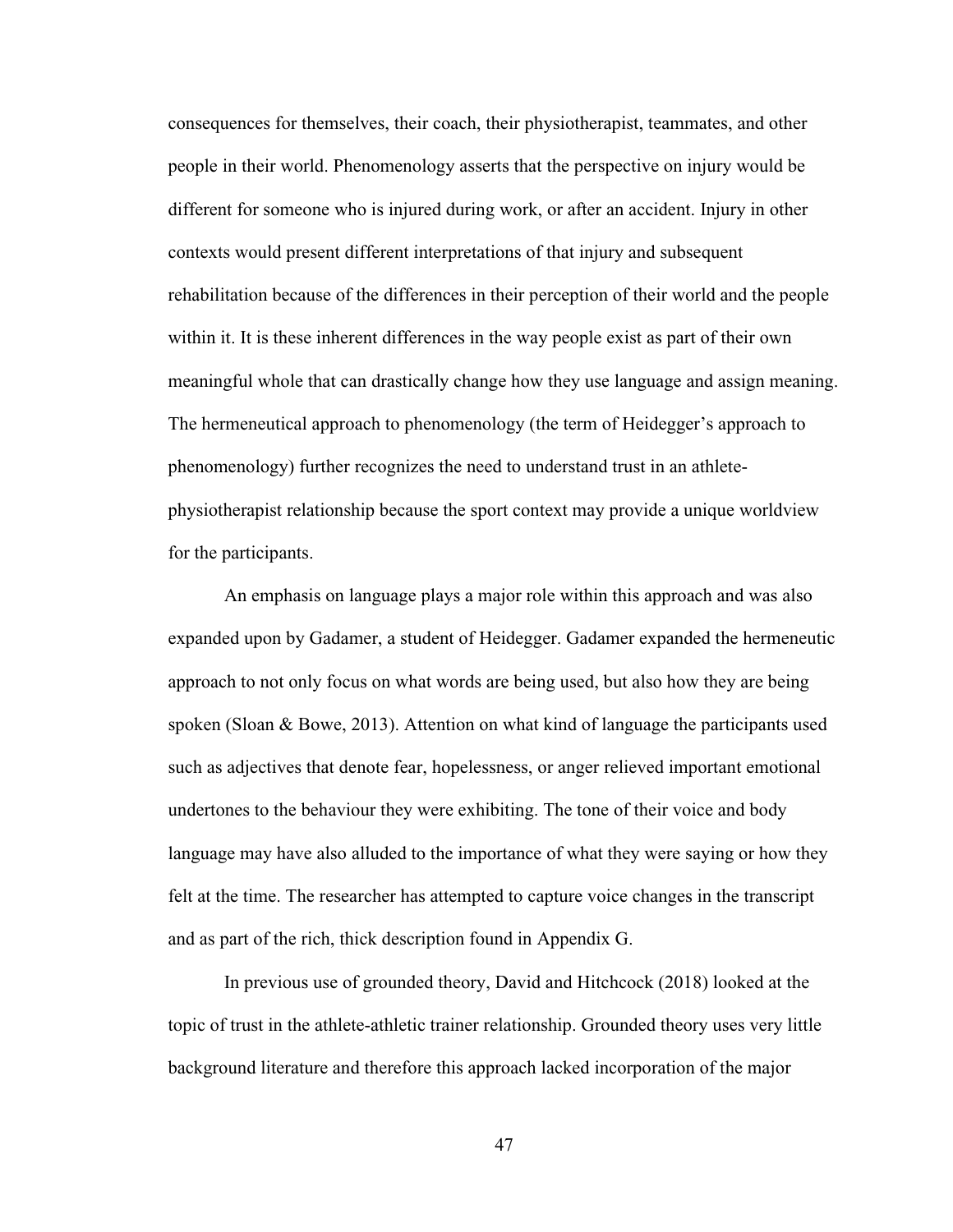consequences for themselves, their coach, their physiotherapist, teammates, and other people in their world. Phenomenology asserts that the perspective on injury would be different for someone who is injured during work, or after an accident. Injury in other contexts would present different interpretations of that injury and subsequent rehabilitation because of the differences in their perception of their world and the people within it. It is these inherent differences in the way people exist as part of their own meaningful whole that can drastically change how they use language and assign meaning. The hermeneutical approach to phenomenology (the term of Heidegger's approach to phenomenology) further recognizes the need to understand trust in an athletephysiotherapist relationship because the sport context may provide a unique worldview for the participants.

An emphasis on language plays a major role within this approach and was also expanded upon by Gadamer, a student of Heidegger. Gadamer expanded the hermeneutic approach to not only focus on what words are being used, but also how they are being spoken (Sloan & Bowe, 2013). Attention on what kind of language the participants used such as adjectives that denote fear, hopelessness, or anger relieved important emotional undertones to the behaviour they were exhibiting. The tone of their voice and body language may have also alluded to the importance of what they were saying or how they felt at the time. The researcher has attempted to capture voice changes in the transcript and as part of the rich, thick description found in Appendix G.

In previous use of grounded theory, David and Hitchcock (2018) looked at the topic of trust in the athlete-athletic trainer relationship. Grounded theory uses very little background literature and therefore this approach lacked incorporation of the major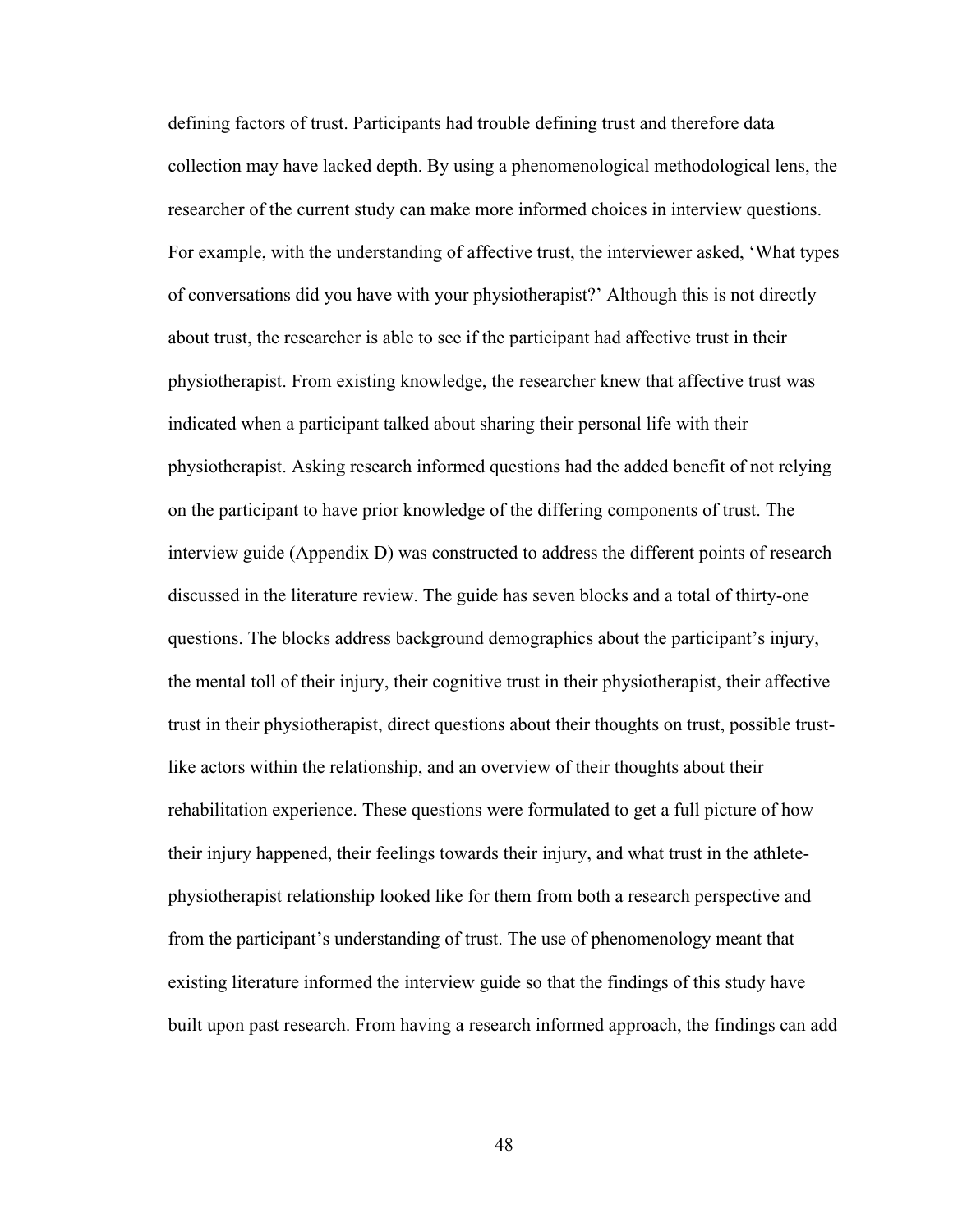defining factors of trust. Participants had trouble defining trust and therefore data collection may have lacked depth. By using a phenomenological methodological lens, the researcher of the current study can make more informed choices in interview questions. For example, with the understanding of affective trust, the interviewer asked, 'What types of conversations did you have with your physiotherapist?' Although this is not directly about trust, the researcher is able to see if the participant had affective trust in their physiotherapist. From existing knowledge, the researcher knew that affective trust was indicated when a participant talked about sharing their personal life with their physiotherapist. Asking research informed questions had the added benefit of not relying on the participant to have prior knowledge of the differing components of trust. The interview guide (Appendix D) was constructed to address the different points of research discussed in the literature review. The guide has seven blocks and a total of thirty-one questions. The blocks address background demographics about the participant's injury, the mental toll of their injury, their cognitive trust in their physiotherapist, their affective trust in their physiotherapist, direct questions about their thoughts on trust, possible trustlike actors within the relationship, and an overview of their thoughts about their rehabilitation experience. These questions were formulated to get a full picture of how their injury happened, their feelings towards their injury, and what trust in the athletephysiotherapist relationship looked like for them from both a research perspective and from the participant's understanding of trust. The use of phenomenology meant that existing literature informed the interview guide so that the findings of this study have built upon past research. From having a research informed approach, the findings can add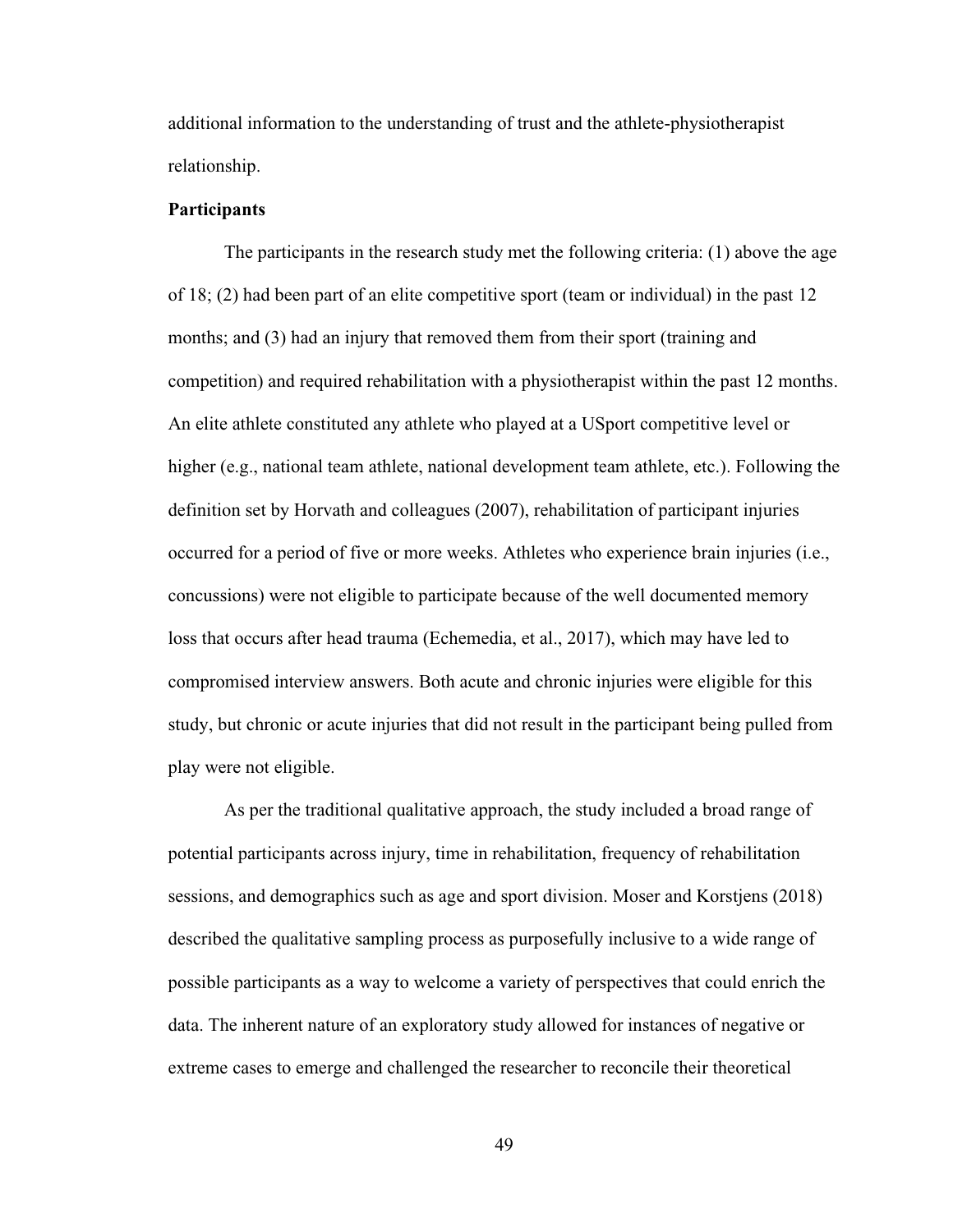additional information to the understanding of trust and the athlete-physiotherapist relationship.

### **Participants**

The participants in the research study met the following criteria: (1) above the age of 18; (2) had been part of an elite competitive sport (team or individual) in the past 12 months; and (3) had an injury that removed them from their sport (training and competition) and required rehabilitation with a physiotherapist within the past 12 months. An elite athlete constituted any athlete who played at a USport competitive level or higher (e.g., national team athlete, national development team athlete, etc.). Following the definition set by Horvath and colleagues (2007), rehabilitation of participant injuries occurred for a period of five or more weeks. Athletes who experience brain injuries (i.e., concussions) were not eligible to participate because of the well documented memory loss that occurs after head trauma (Echemedia, et al., 2017), which may have led to compromised interview answers. Both acute and chronic injuries were eligible for this study, but chronic or acute injuries that did not result in the participant being pulled from play were not eligible.

As per the traditional qualitative approach, the study included a broad range of potential participants across injury, time in rehabilitation, frequency of rehabilitation sessions, and demographics such as age and sport division. Moser and Korstjens (2018) described the qualitative sampling process as purposefully inclusive to a wide range of possible participants as a way to welcome a variety of perspectives that could enrich the data. The inherent nature of an exploratory study allowed for instances of negative or extreme cases to emerge and challenged the researcher to reconcile their theoretical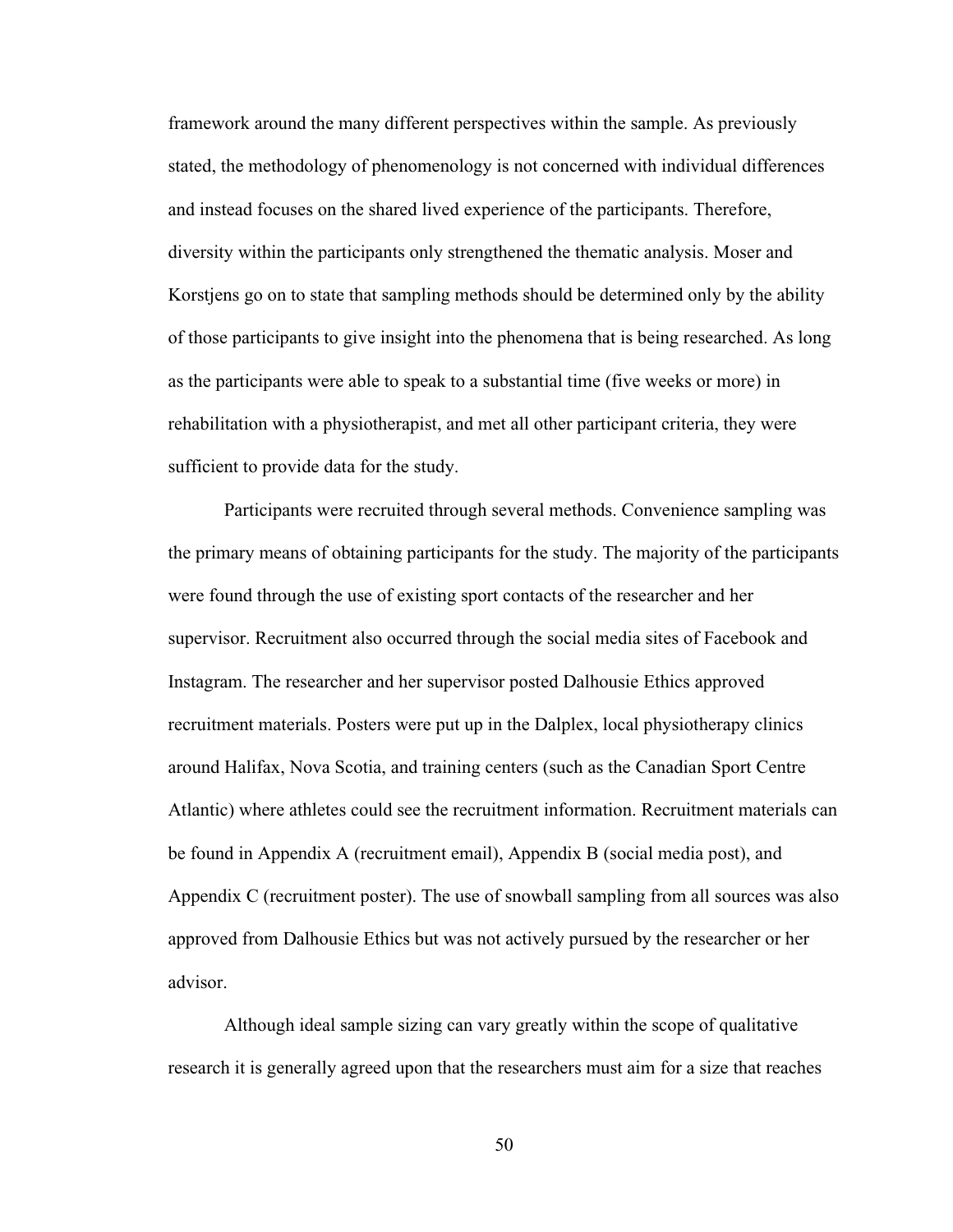framework around the many different perspectives within the sample. As previously stated, the methodology of phenomenology is not concerned with individual differences and instead focuses on the shared lived experience of the participants. Therefore, diversity within the participants only strengthened the thematic analysis. Moser and Korstjens go on to state that sampling methods should be determined only by the ability of those participants to give insight into the phenomena that is being researched. As long as the participants were able to speak to a substantial time (five weeks or more) in rehabilitation with a physiotherapist, and met all other participant criteria, they were sufficient to provide data for the study.

Participants were recruited through several methods. Convenience sampling was the primary means of obtaining participants for the study. The majority of the participants were found through the use of existing sport contacts of the researcher and her supervisor. Recruitment also occurred through the social media sites of Facebook and Instagram. The researcher and her supervisor posted Dalhousie Ethics approved recruitment materials. Posters were put up in the Dalplex, local physiotherapy clinics around Halifax, Nova Scotia, and training centers (such as the Canadian Sport Centre Atlantic) where athletes could see the recruitment information. Recruitment materials can be found in Appendix A (recruitment email), Appendix B (social media post), and Appendix C (recruitment poster). The use of snowball sampling from all sources was also approved from Dalhousie Ethics but was not actively pursued by the researcher or her advisor.

Although ideal sample sizing can vary greatly within the scope of qualitative research it is generally agreed upon that the researchers must aim for a size that reaches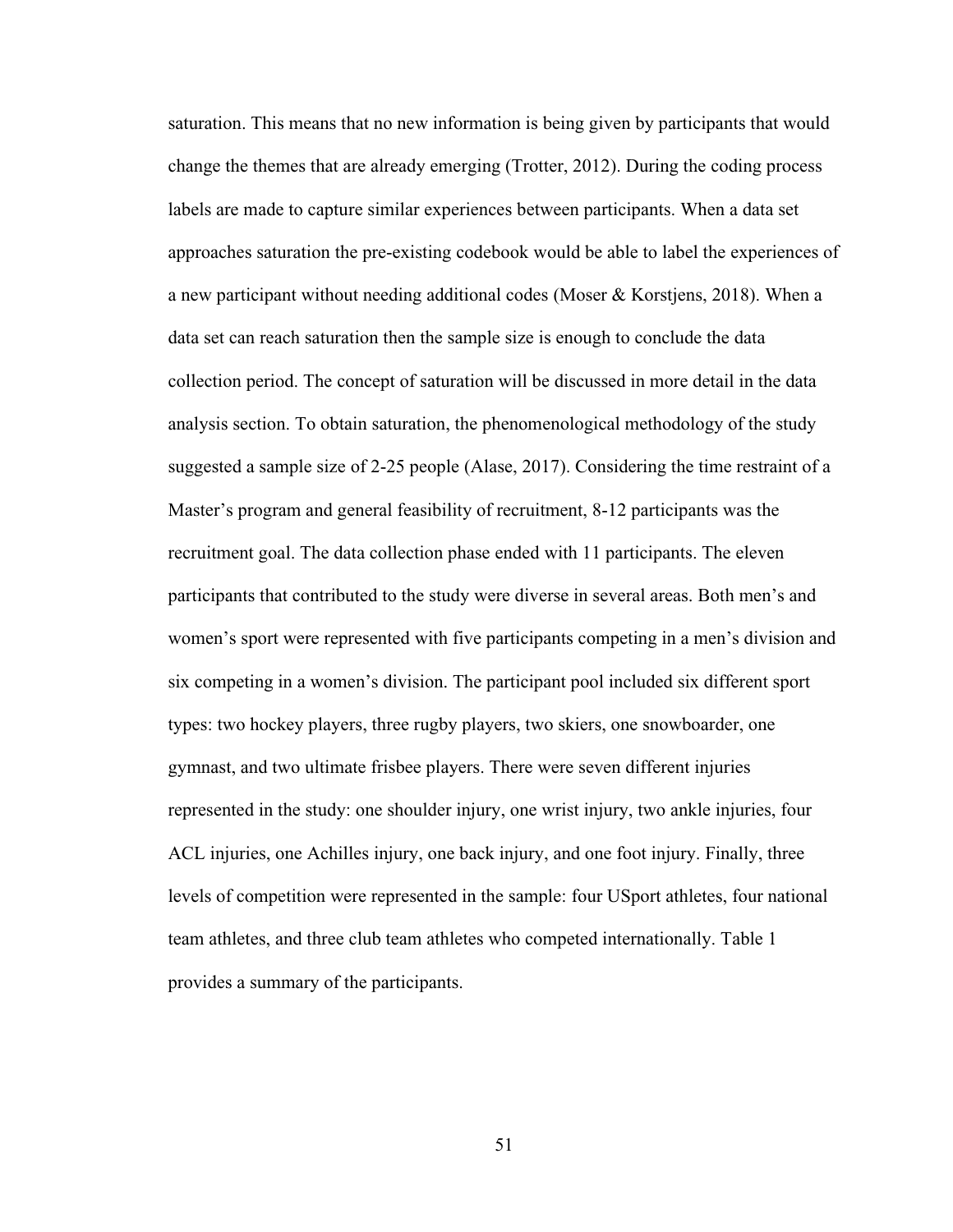saturation. This means that no new information is being given by participants that would change the themes that are already emerging (Trotter, 2012). During the coding process labels are made to capture similar experiences between participants. When a data set approaches saturation the pre-existing codebook would be able to label the experiences of a new participant without needing additional codes (Moser & Korstjens, 2018). When a data set can reach saturation then the sample size is enough to conclude the data collection period. The concept of saturation will be discussed in more detail in the data analysis section. To obtain saturation, the phenomenological methodology of the study suggested a sample size of 2-25 people (Alase, 2017). Considering the time restraint of a Master's program and general feasibility of recruitment, 8-12 participants was the recruitment goal. The data collection phase ended with 11 participants. The eleven participants that contributed to the study were diverse in several areas. Both men's and women's sport were represented with five participants competing in a men's division and six competing in a women's division. The participant pool included six different sport types: two hockey players, three rugby players, two skiers, one snowboarder, one gymnast, and two ultimate frisbee players. There were seven different injuries represented in the study: one shoulder injury, one wrist injury, two ankle injuries, four ACL injuries, one Achilles injury, one back injury, and one foot injury. Finally, three levels of competition were represented in the sample: four USport athletes, four national team athletes, and three club team athletes who competed internationally. Table 1 provides a summary of the participants.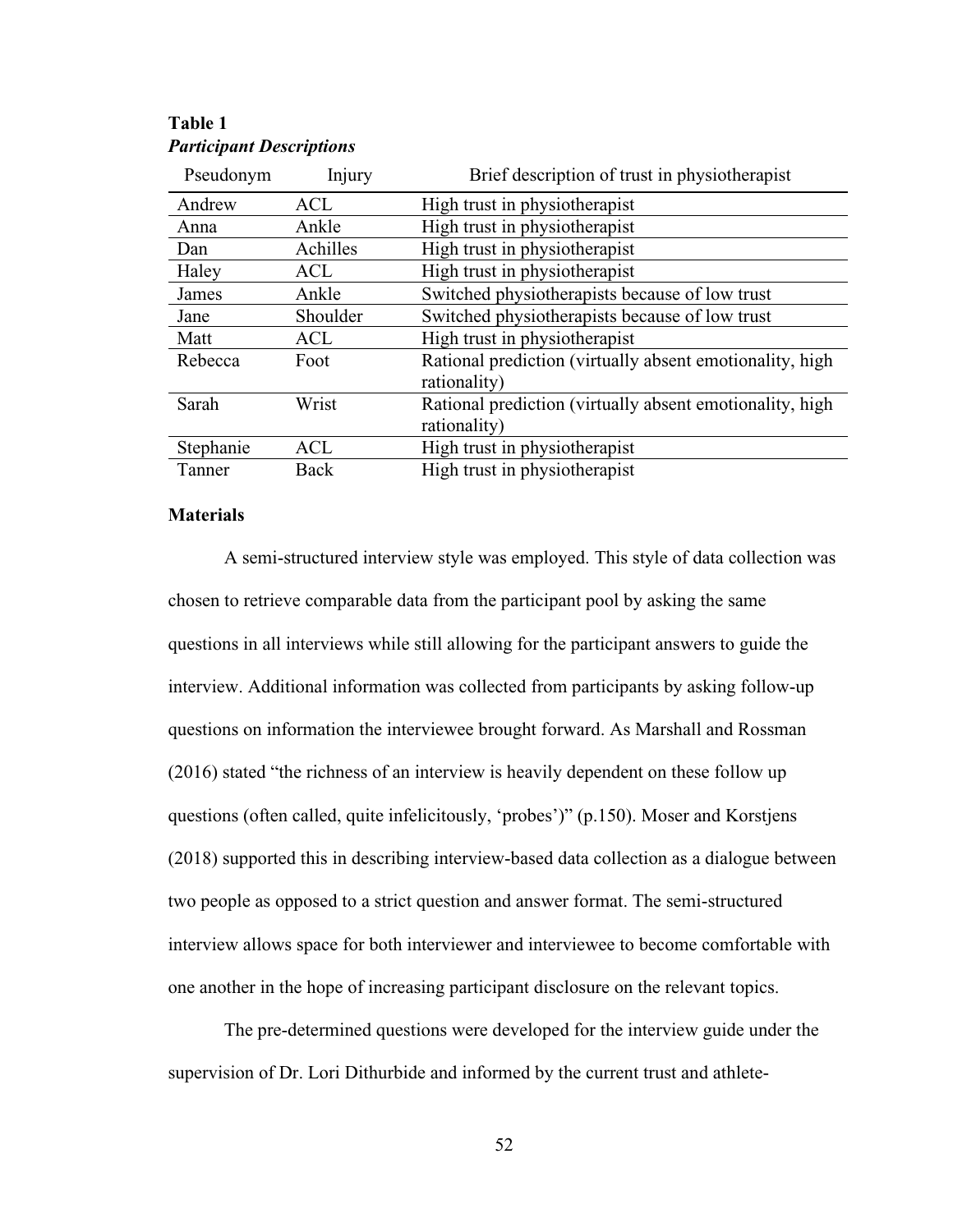| Pseudonym | Injury     | Brief description of trust in physiotherapist            |
|-----------|------------|----------------------------------------------------------|
| Andrew    | <b>ACL</b> | High trust in physiotherapist                            |
| Anna      | Ankle      | High trust in physiotherapist                            |
| Dan       | Achilles   | High trust in physiotherapist                            |
| Haley     | <b>ACL</b> | High trust in physiotherapist                            |
| James     | Ankle      | Switched physiotherapists because of low trust           |
| Jane      | Shoulder   | Switched physiotherapists because of low trust           |
| Matt      | <b>ACL</b> | High trust in physiotherapist                            |
| Rebecca   | Foot       | Rational prediction (virtually absent emotionality, high |
|           |            | rationality)                                             |
| Sarah     | Wrist      | Rational prediction (virtually absent emotionality, high |
|           |            | rationality)                                             |
| Stephanie | <b>ACL</b> | High trust in physiotherapist                            |
| Tanner    | Back       | High trust in physiotherapist                            |

# **Table 1** *Participant Descriptions*

# **Materials**

A semi-structured interview style was employed. This style of data collection was chosen to retrieve comparable data from the participant pool by asking the same questions in all interviews while still allowing for the participant answers to guide the interview. Additional information was collected from participants by asking follow-up questions on information the interviewee brought forward. As Marshall and Rossman (2016) stated "the richness of an interview is heavily dependent on these follow up questions (often called, quite infelicitously, 'probes')" (p.150). Moser and Korstjens (2018) supported this in describing interview-based data collection as a dialogue between two people as opposed to a strict question and answer format. The semi-structured interview allows space for both interviewer and interviewee to become comfortable with one another in the hope of increasing participant disclosure on the relevant topics.

The pre-determined questions were developed for the interview guide under the supervision of Dr. Lori Dithurbide and informed by the current trust and athlete-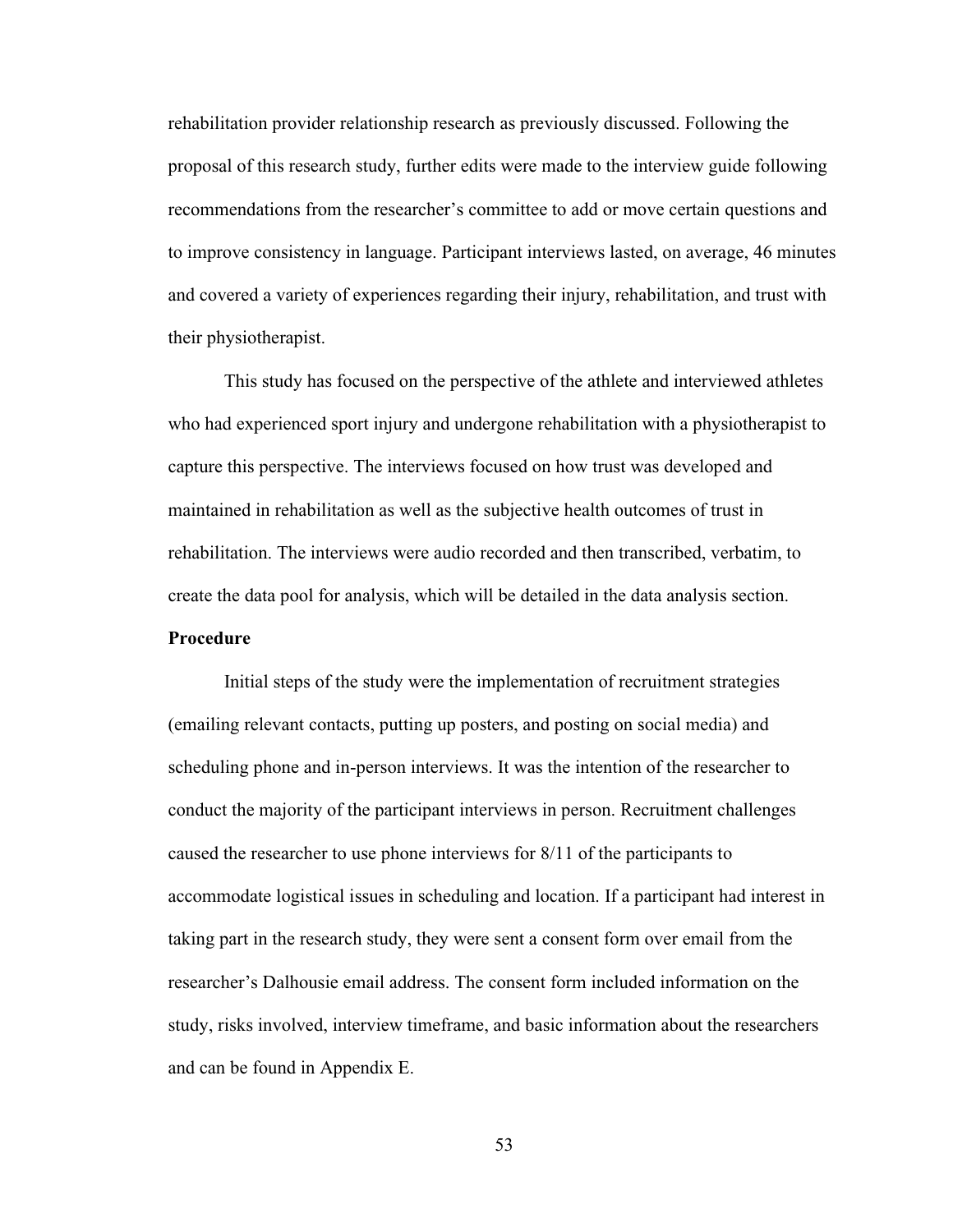rehabilitation provider relationship research as previously discussed. Following the proposal of this research study, further edits were made to the interview guide following recommendations from the researcher's committee to add or move certain questions and to improve consistency in language. Participant interviews lasted, on average, 46 minutes and covered a variety of experiences regarding their injury, rehabilitation, and trust with their physiotherapist.

This study has focused on the perspective of the athlete and interviewed athletes who had experienced sport injury and undergone rehabilitation with a physiotherapist to capture this perspective. The interviews focused on how trust was developed and maintained in rehabilitation as well as the subjective health outcomes of trust in rehabilitation. The interviews were audio recorded and then transcribed, verbatim, to create the data pool for analysis, which will be detailed in the data analysis section.

**Procedure**

Initial steps of the study were the implementation of recruitment strategies (emailing relevant contacts, putting up posters, and posting on social media) and scheduling phone and in-person interviews. It was the intention of the researcher to conduct the majority of the participant interviews in person. Recruitment challenges caused the researcher to use phone interviews for 8/11 of the participants to accommodate logistical issues in scheduling and location. If a participant had interest in taking part in the research study, they were sent a consent form over email from the researcher's Dalhousie email address. The consent form included information on the study, risks involved, interview timeframe, and basic information about the researchers and can be found in Appendix E.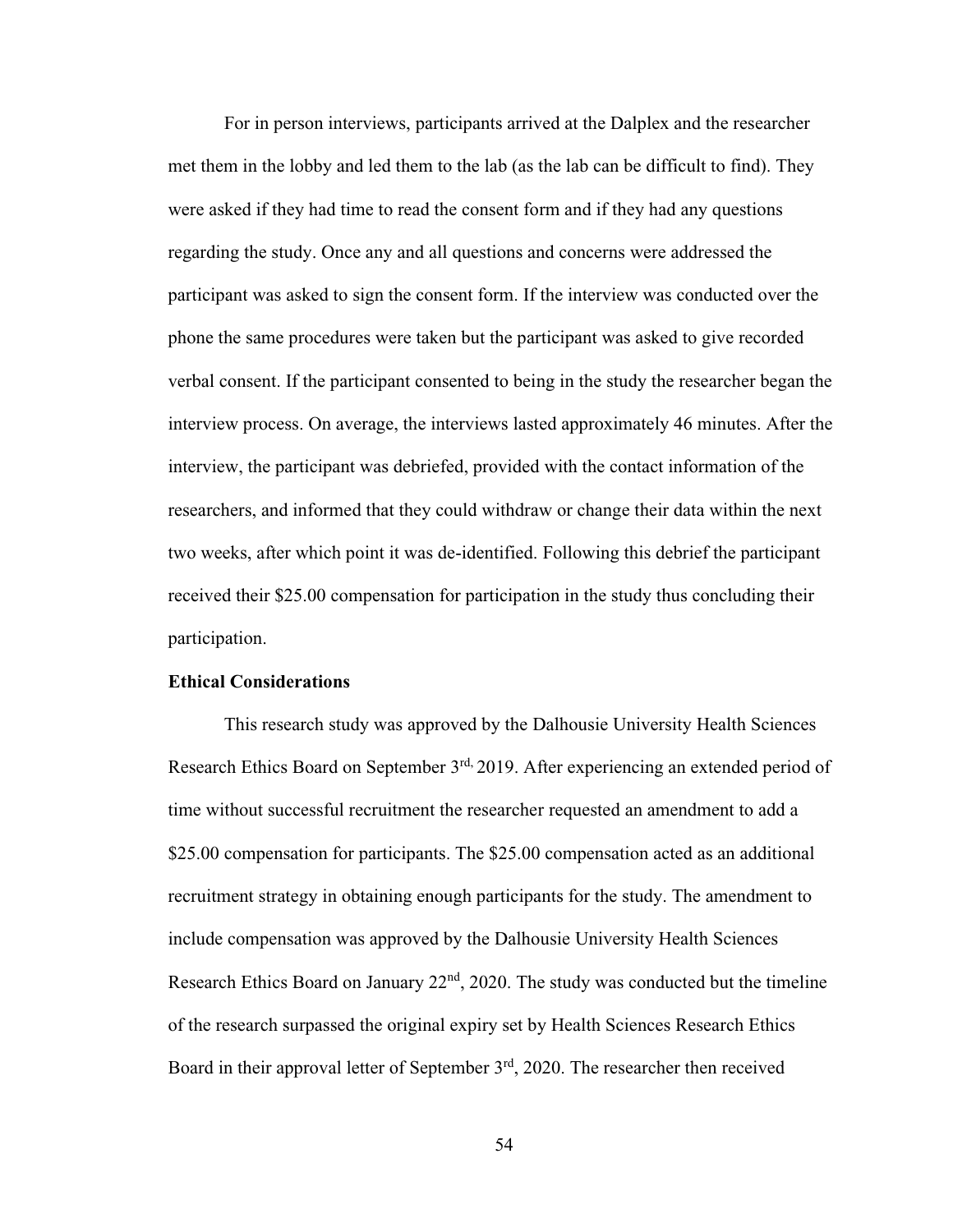For in person interviews, participants arrived at the Dalplex and the researcher met them in the lobby and led them to the lab (as the lab can be difficult to find). They were asked if they had time to read the consent form and if they had any questions regarding the study. Once any and all questions and concerns were addressed the participant was asked to sign the consent form. If the interview was conducted over the phone the same procedures were taken but the participant was asked to give recorded verbal consent. If the participant consented to being in the study the researcher began the interview process. On average, the interviews lasted approximately 46 minutes. After the interview, the participant was debriefed, provided with the contact information of the researchers, and informed that they could withdraw or change their data within the next two weeks, after which point it was de-identified. Following this debrief the participant received their \$25.00 compensation for participation in the study thus concluding their participation.

### **Ethical Considerations**

This research study was approved by the Dalhousie University Health Sciences Research Ethics Board on September 3<sup>rd,</sup> 2019. After experiencing an extended period of time without successful recruitment the researcher requested an amendment to add a \$25.00 compensation for participants. The \$25.00 compensation acted as an additional recruitment strategy in obtaining enough participants for the study. The amendment to include compensation was approved by the Dalhousie University Health Sciences Research Ethics Board on January  $22<sup>nd</sup>$ , 2020. The study was conducted but the timeline of the research surpassed the original expiry set by Health Sciences Research Ethics Board in their approval letter of September 3rd, 2020. The researcher then received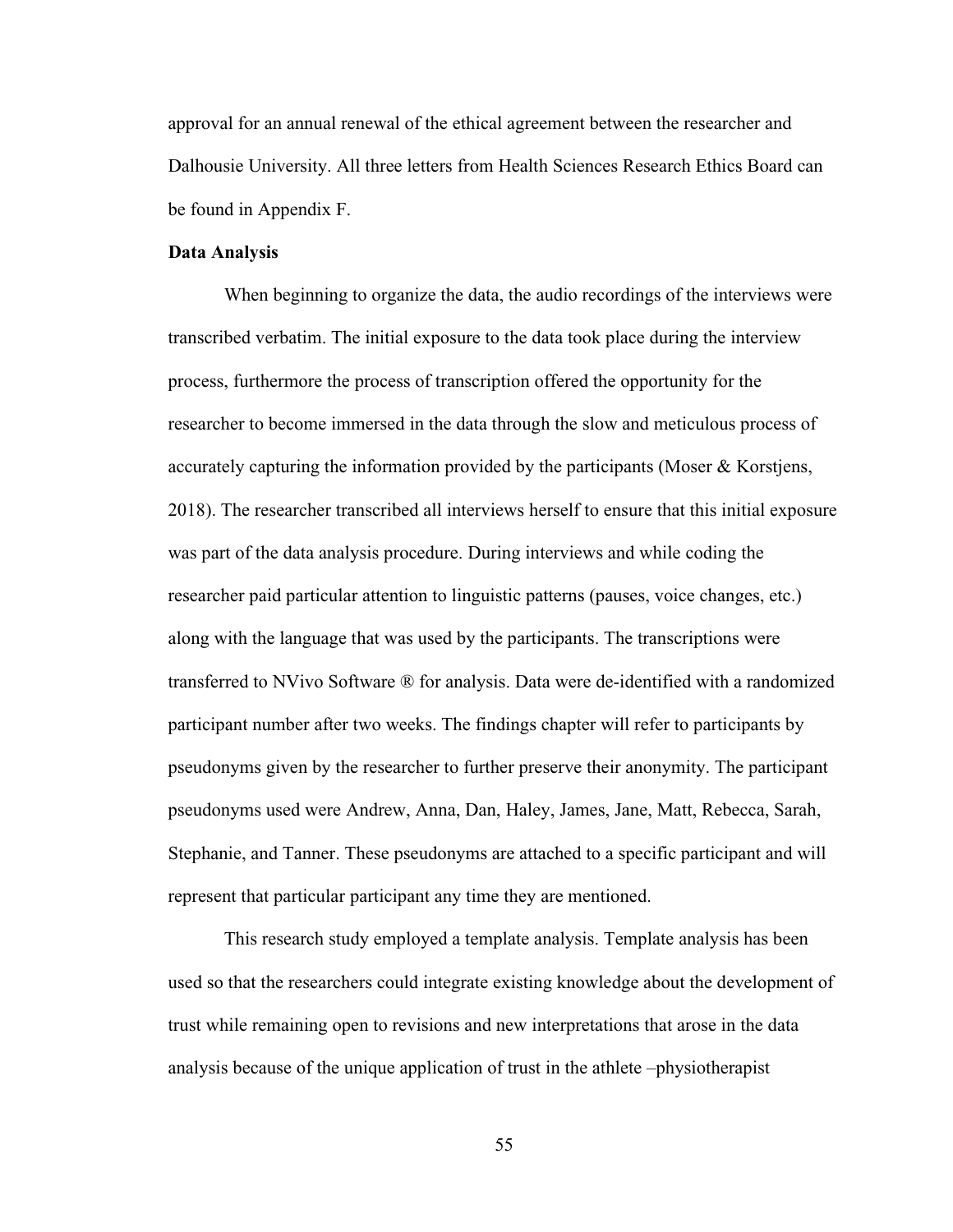approval for an annual renewal of the ethical agreement between the researcher and Dalhousie University. All three letters from Health Sciences Research Ethics Board can be found in Appendix F.

### **Data Analysis**

When beginning to organize the data, the audio recordings of the interviews were transcribed verbatim. The initial exposure to the data took place during the interview process, furthermore the process of transcription offered the opportunity for the researcher to become immersed in the data through the slow and meticulous process of accurately capturing the information provided by the participants (Moser & Korstjens, 2018). The researcher transcribed all interviews herself to ensure that this initial exposure was part of the data analysis procedure. During interviews and while coding the researcher paid particular attention to linguistic patterns (pauses, voice changes, etc.) along with the language that was used by the participants. The transcriptions were transferred to NVivo Software ® for analysis. Data were de-identified with a randomized participant number after two weeks. The findings chapter will refer to participants by pseudonyms given by the researcher to further preserve their anonymity. The participant pseudonyms used were Andrew, Anna, Dan, Haley, James, Jane, Matt, Rebecca, Sarah, Stephanie, and Tanner. These pseudonyms are attached to a specific participant and will represent that particular participant any time they are mentioned.

This research study employed a template analysis. Template analysis has been used so that the researchers could integrate existing knowledge about the development of trust while remaining open to revisions and new interpretations that arose in the data analysis because of the unique application of trust in the athlete –physiotherapist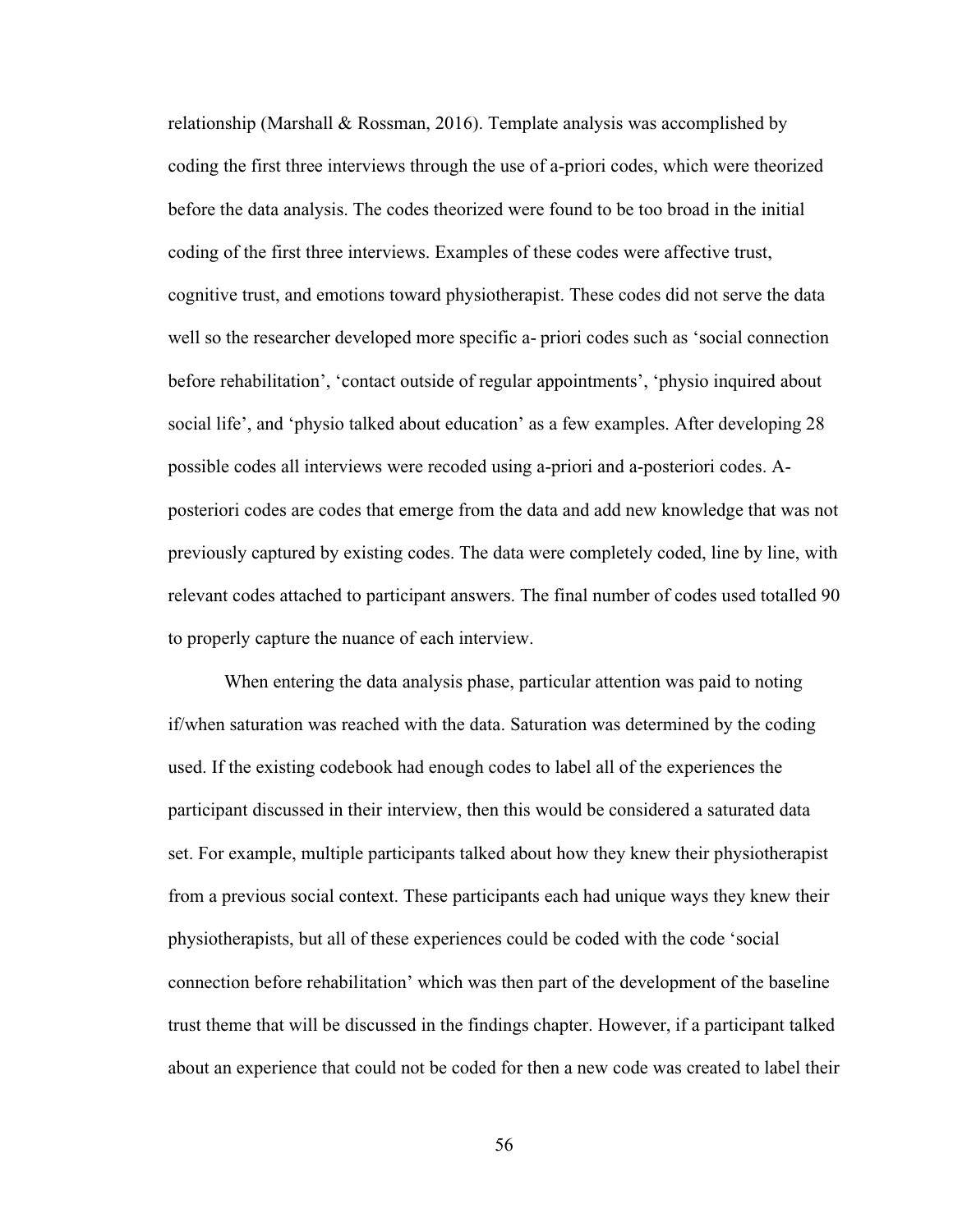relationship (Marshall & Rossman, 2016). Template analysis was accomplished by coding the first three interviews through the use of a-priori codes, which were theorized before the data analysis. The codes theorized were found to be too broad in the initial coding of the first three interviews. Examples of these codes were affective trust, cognitive trust, and emotions toward physiotherapist. These codes did not serve the data well so the researcher developed more specific a- priori codes such as 'social connection before rehabilitation', 'contact outside of regular appointments', 'physio inquired about social life', and 'physio talked about education' as a few examples. After developing 28 possible codes all interviews were recoded using a-priori and a-posteriori codes. Aposteriori codes are codes that emerge from the data and add new knowledge that was not previously captured by existing codes. The data were completely coded, line by line, with relevant codes attached to participant answers. The final number of codes used totalled 90 to properly capture the nuance of each interview.

When entering the data analysis phase, particular attention was paid to noting if/when saturation was reached with the data. Saturation was determined by the coding used. If the existing codebook had enough codes to label all of the experiences the participant discussed in their interview, then this would be considered a saturated data set. For example, multiple participants talked about how they knew their physiotherapist from a previous social context. These participants each had unique ways they knew their physiotherapists, but all of these experiences could be coded with the code 'social connection before rehabilitation' which was then part of the development of the baseline trust theme that will be discussed in the findings chapter. However, if a participant talked about an experience that could not be coded for then a new code was created to label their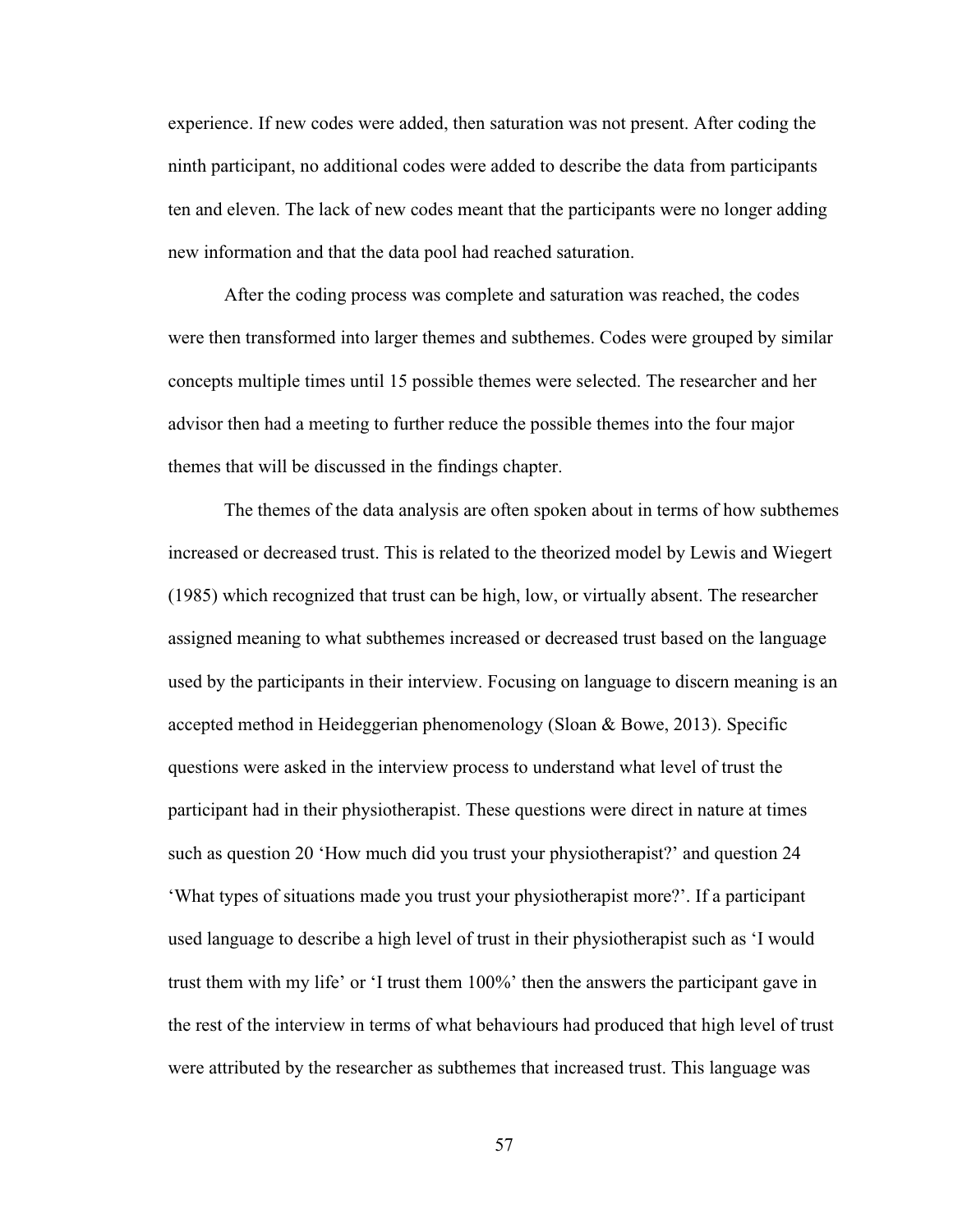experience. If new codes were added, then saturation was not present. After coding the ninth participant, no additional codes were added to describe the data from participants ten and eleven. The lack of new codes meant that the participants were no longer adding new information and that the data pool had reached saturation.

After the coding process was complete and saturation was reached, the codes were then transformed into larger themes and subthemes. Codes were grouped by similar concepts multiple times until 15 possible themes were selected. The researcher and her advisor then had a meeting to further reduce the possible themes into the four major themes that will be discussed in the findings chapter.

The themes of the data analysis are often spoken about in terms of how subthemes increased or decreased trust. This is related to the theorized model by Lewis and Wiegert (1985) which recognized that trust can be high, low, or virtually absent. The researcher assigned meaning to what subthemes increased or decreased trust based on the language used by the participants in their interview. Focusing on language to discern meaning is an accepted method in Heideggerian phenomenology (Sloan & Bowe, 2013). Specific questions were asked in the interview process to understand what level of trust the participant had in their physiotherapist. These questions were direct in nature at times such as question 20 'How much did you trust your physiotherapist?' and question 24 'What types of situations made you trust your physiotherapist more?'. If a participant used language to describe a high level of trust in their physiotherapist such as 'I would trust them with my life' or 'I trust them 100%' then the answers the participant gave in the rest of the interview in terms of what behaviours had produced that high level of trust were attributed by the researcher as subthemes that increased trust. This language was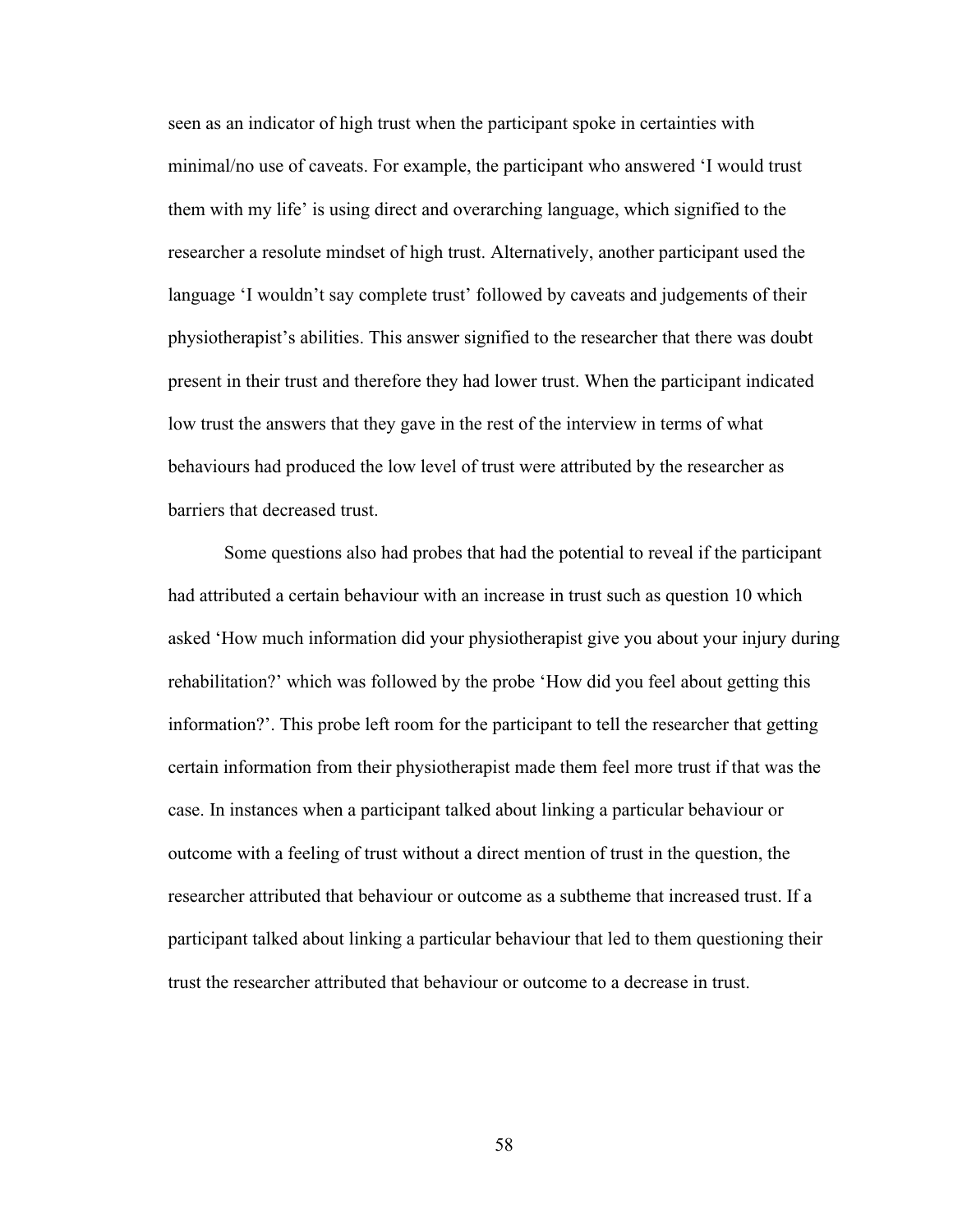seen as an indicator of high trust when the participant spoke in certainties with minimal/no use of caveats. For example, the participant who answered 'I would trust them with my life' is using direct and overarching language, which signified to the researcher a resolute mindset of high trust. Alternatively, another participant used the language 'I wouldn't say complete trust' followed by caveats and judgements of their physiotherapist's abilities. This answer signified to the researcher that there was doubt present in their trust and therefore they had lower trust. When the participant indicated low trust the answers that they gave in the rest of the interview in terms of what behaviours had produced the low level of trust were attributed by the researcher as barriers that decreased trust.

Some questions also had probes that had the potential to reveal if the participant had attributed a certain behaviour with an increase in trust such as question 10 which asked 'How much information did your physiotherapist give you about your injury during rehabilitation?' which was followed by the probe 'How did you feel about getting this information?'. This probe left room for the participant to tell the researcher that getting certain information from their physiotherapist made them feel more trust if that was the case. In instances when a participant talked about linking a particular behaviour or outcome with a feeling of trust without a direct mention of trust in the question, the researcher attributed that behaviour or outcome as a subtheme that increased trust. If a participant talked about linking a particular behaviour that led to them questioning their trust the researcher attributed that behaviour or outcome to a decrease in trust.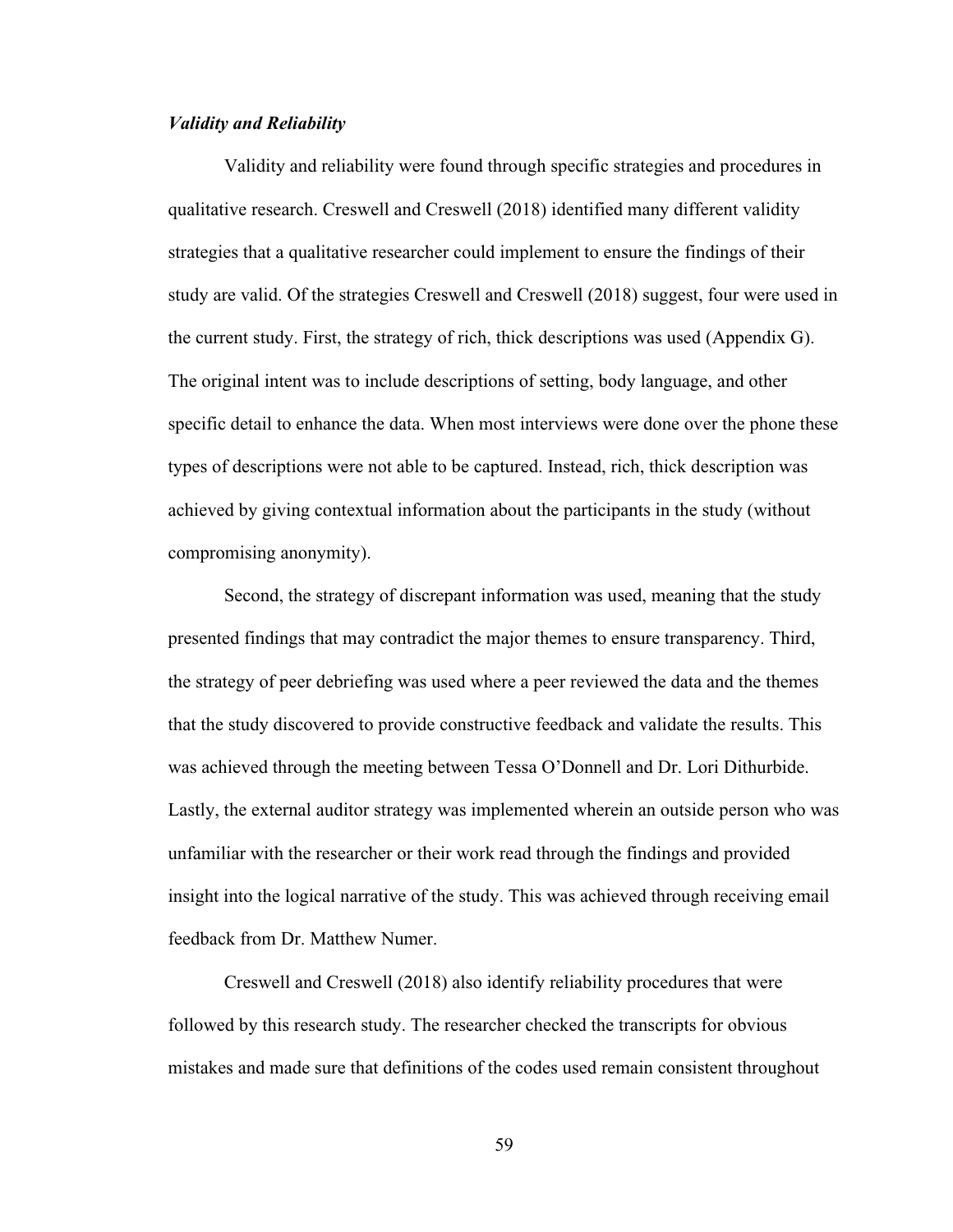### *Validity and Reliability*

Validity and reliability were found through specific strategies and procedures in qualitative research. Creswell and Creswell (2018) identified many different validity strategies that a qualitative researcher could implement to ensure the findings of their study are valid. Of the strategies Creswell and Creswell (2018) suggest, four were used in the current study. First, the strategy of rich, thick descriptions was used (Appendix G). The original intent was to include descriptions of setting, body language, and other specific detail to enhance the data. When most interviews were done over the phone these types of descriptions were not able to be captured. Instead, rich, thick description was achieved by giving contextual information about the participants in the study (without compromising anonymity).

Second, the strategy of discrepant information was used, meaning that the study presented findings that may contradict the major themes to ensure transparency. Third, the strategy of peer debriefing was used where a peer reviewed the data and the themes that the study discovered to provide constructive feedback and validate the results. This was achieved through the meeting between Tessa O'Donnell and Dr. Lori Dithurbide. Lastly, the external auditor strategy was implemented wherein an outside person who was unfamiliar with the researcher or their work read through the findings and provided insight into the logical narrative of the study. This was achieved through receiving email feedback from Dr. Matthew Numer.

Creswell and Creswell (2018) also identify reliability procedures that were followed by this research study. The researcher checked the transcripts for obvious mistakes and made sure that definitions of the codes used remain consistent throughout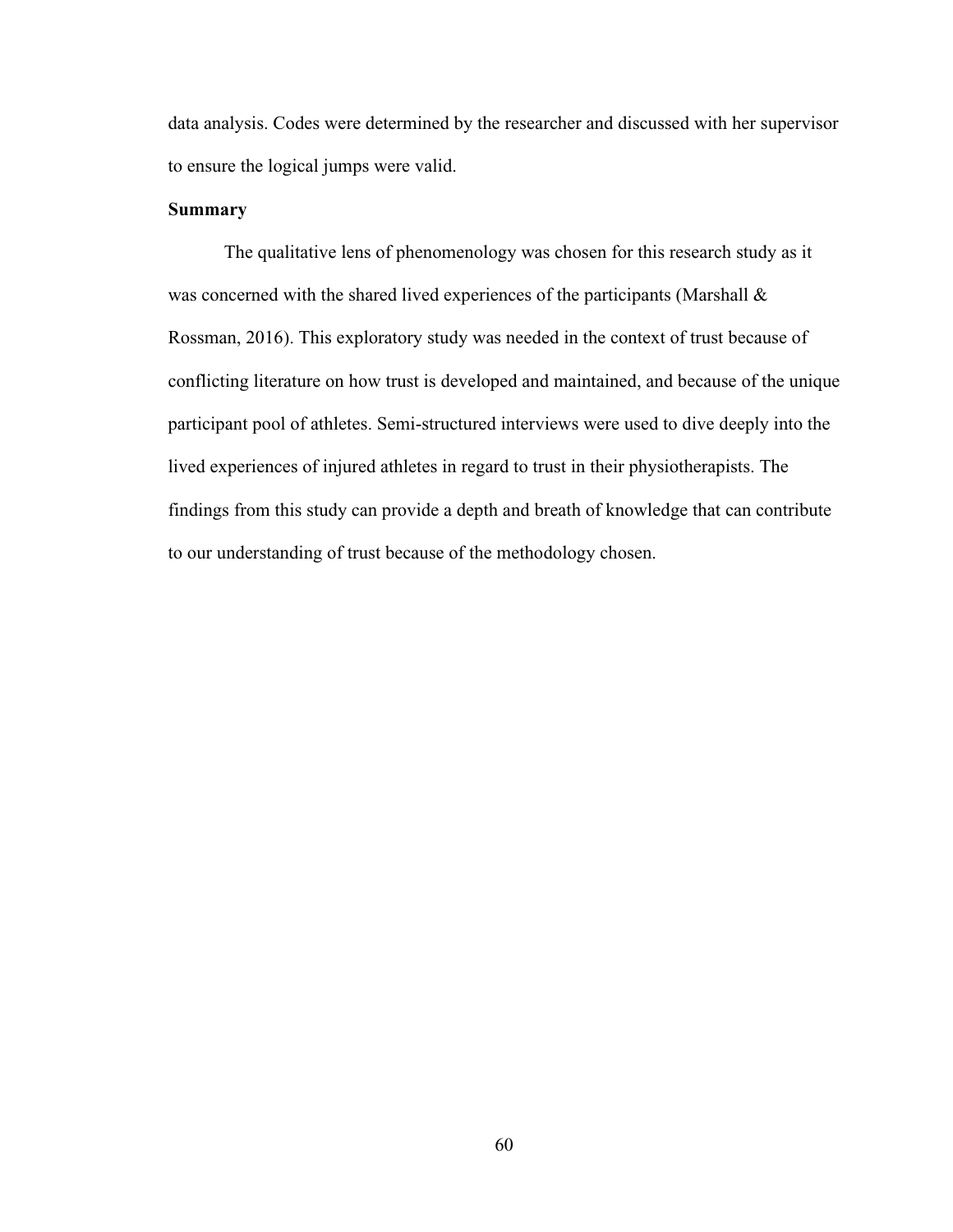data analysis. Codes were determined by the researcher and discussed with her supervisor to ensure the logical jumps were valid.

## **Summary**

The qualitative lens of phenomenology was chosen for this research study as it was concerned with the shared lived experiences of the participants (Marshall  $\&$ Rossman, 2016). This exploratory study was needed in the context of trust because of conflicting literature on how trust is developed and maintained, and because of the unique participant pool of athletes. Semi-structured interviews were used to dive deeply into the lived experiences of injured athletes in regard to trust in their physiotherapists. The findings from this study can provide a depth and breath of knowledge that can contribute to our understanding of trust because of the methodology chosen.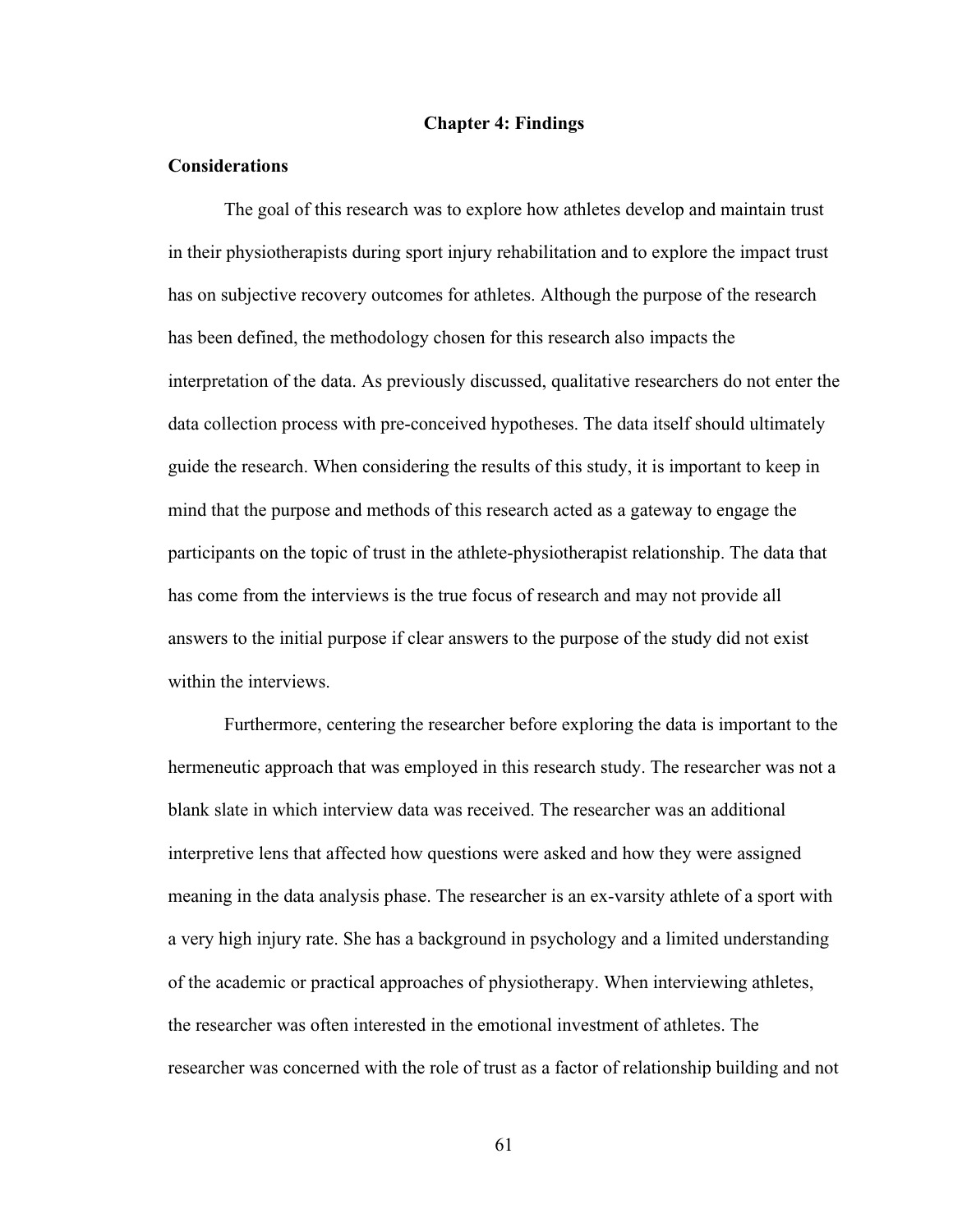## **Chapter 4: Findings**

## **Considerations**

The goal of this research was to explore how athletes develop and maintain trust in their physiotherapists during sport injury rehabilitation and to explore the impact trust has on subjective recovery outcomes for athletes. Although the purpose of the research has been defined, the methodology chosen for this research also impacts the interpretation of the data. As previously discussed, qualitative researchers do not enter the data collection process with pre-conceived hypotheses. The data itself should ultimately guide the research. When considering the results of this study, it is important to keep in mind that the purpose and methods of this research acted as a gateway to engage the participants on the topic of trust in the athlete-physiotherapist relationship. The data that has come from the interviews is the true focus of research and may not provide all answers to the initial purpose if clear answers to the purpose of the study did not exist within the interviews.

Furthermore, centering the researcher before exploring the data is important to the hermeneutic approach that was employed in this research study. The researcher was not a blank slate in which interview data was received. The researcher was an additional interpretive lens that affected how questions were asked and how they were assigned meaning in the data analysis phase. The researcher is an ex-varsity athlete of a sport with a very high injury rate. She has a background in psychology and a limited understanding of the academic or practical approaches of physiotherapy. When interviewing athletes, the researcher was often interested in the emotional investment of athletes. The researcher was concerned with the role of trust as a factor of relationship building and not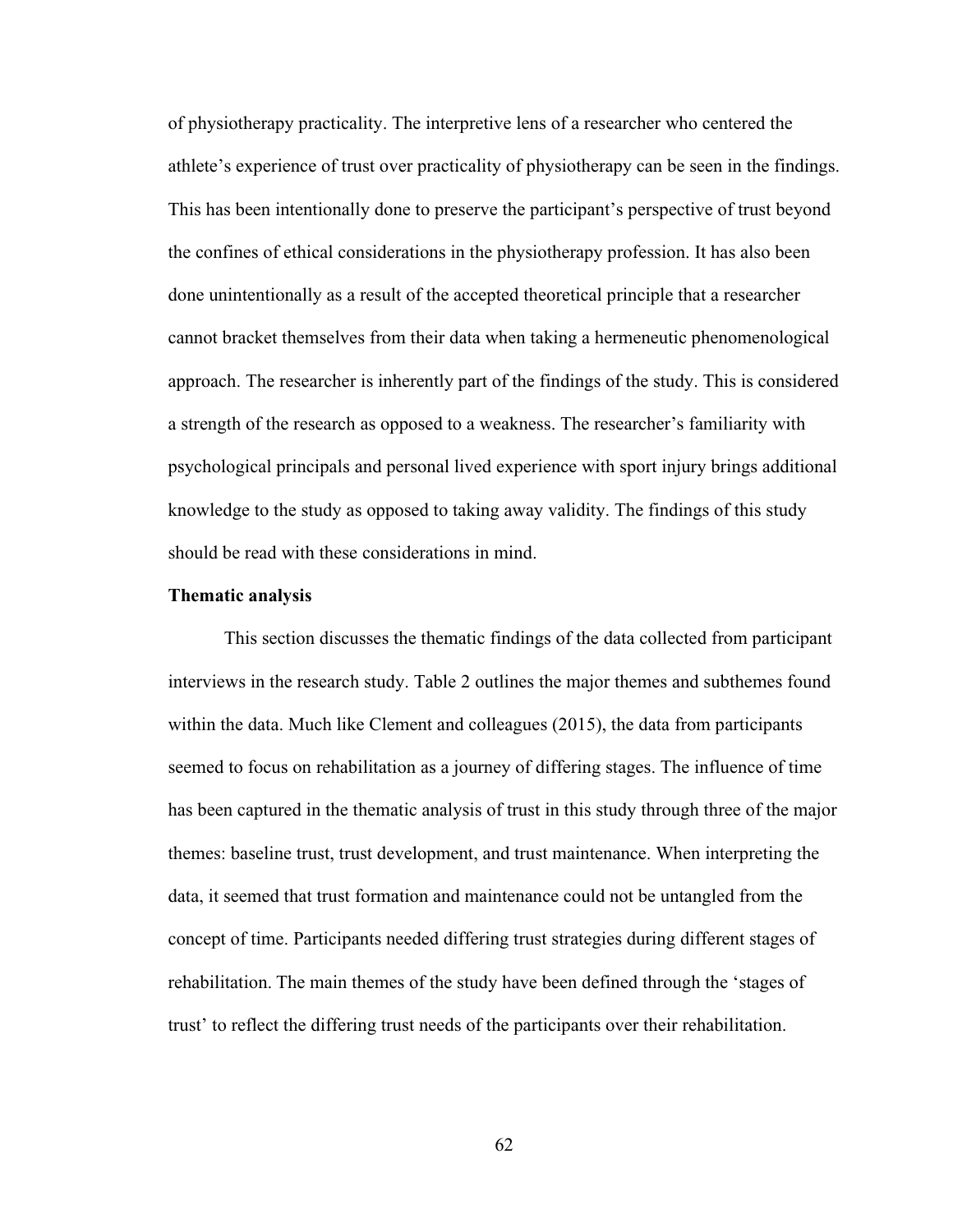of physiotherapy practicality. The interpretive lens of a researcher who centered the athlete's experience of trust over practicality of physiotherapy can be seen in the findings. This has been intentionally done to preserve the participant's perspective of trust beyond the confines of ethical considerations in the physiotherapy profession. It has also been done unintentionally as a result of the accepted theoretical principle that a researcher cannot bracket themselves from their data when taking a hermeneutic phenomenological approach. The researcher is inherently part of the findings of the study. This is considered a strength of the research as opposed to a weakness. The researcher's familiarity with psychological principals and personal lived experience with sport injury brings additional knowledge to the study as opposed to taking away validity. The findings of this study should be read with these considerations in mind.

#### **Thematic analysis**

This section discusses the thematic findings of the data collected from participant interviews in the research study. Table 2 outlines the major themes and subthemes found within the data. Much like Clement and colleagues (2015), the data from participants seemed to focus on rehabilitation as a journey of differing stages. The influence of time has been captured in the thematic analysis of trust in this study through three of the major themes: baseline trust, trust development, and trust maintenance. When interpreting the data, it seemed that trust formation and maintenance could not be untangled from the concept of time. Participants needed differing trust strategies during different stages of rehabilitation. The main themes of the study have been defined through the 'stages of trust' to reflect the differing trust needs of the participants over their rehabilitation.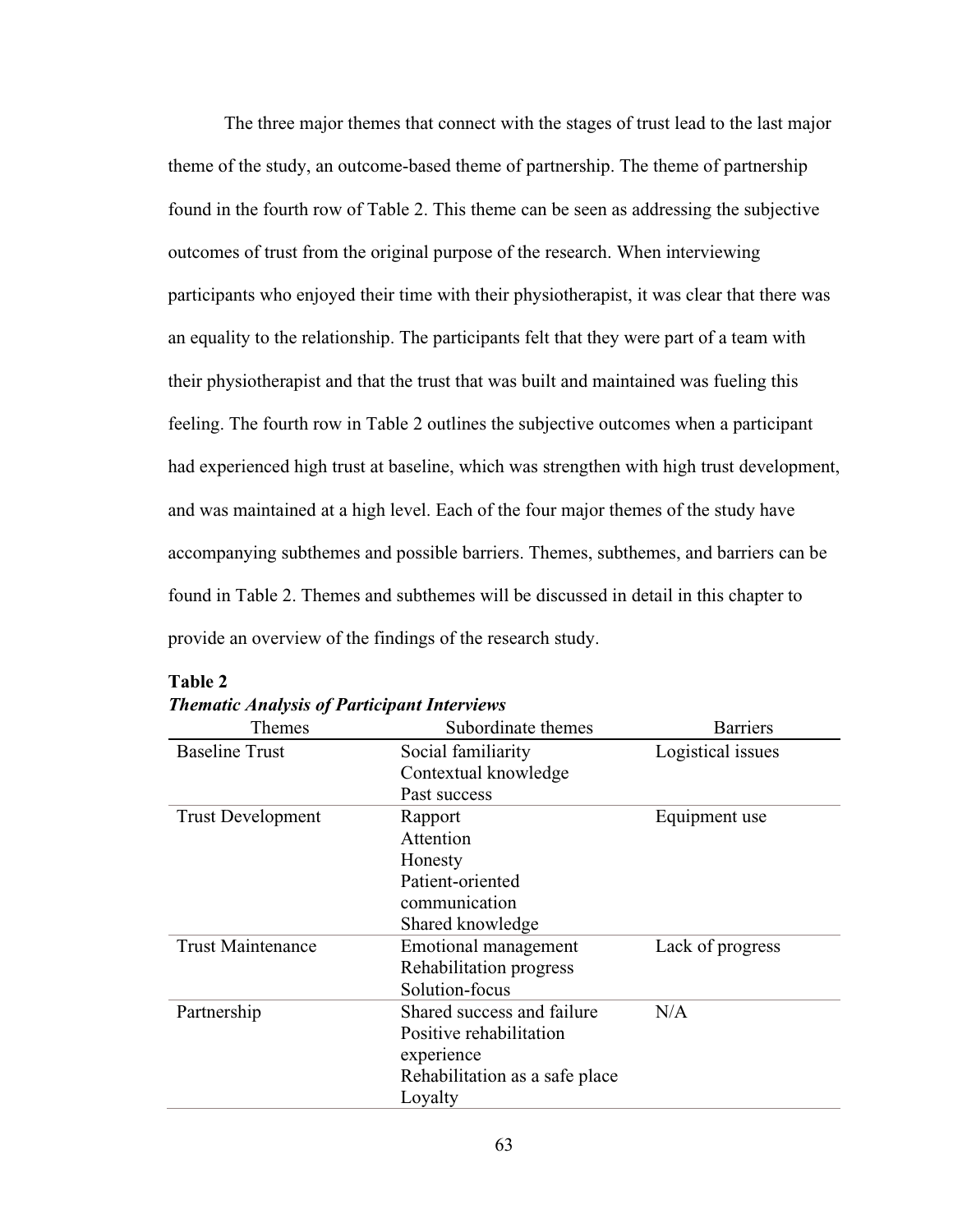The three major themes that connect with the stages of trust lead to the last major theme of the study, an outcome-based theme of partnership. The theme of partnership found in the fourth row of Table 2. This theme can be seen as addressing the subjective outcomes of trust from the original purpose of the research. When interviewing participants who enjoyed their time with their physiotherapist, it was clear that there was an equality to the relationship. The participants felt that they were part of a team with their physiotherapist and that the trust that was built and maintained was fueling this feeling. The fourth row in Table 2 outlines the subjective outcomes when a participant had experienced high trust at baseline, which was strengthen with high trust development, and was maintained at a high level. Each of the four major themes of the study have accompanying subthemes and possible barriers. Themes, subthemes, and barriers can be found in Table 2. Themes and subthemes will be discussed in detail in this chapter to provide an overview of the findings of the research study.

| Themes                   | Subordinate themes             | <b>Barriers</b>   |
|--------------------------|--------------------------------|-------------------|
| <b>Baseline Trust</b>    | Social familiarity             | Logistical issues |
|                          | Contextual knowledge           |                   |
|                          | Past success                   |                   |
| <b>Trust Development</b> | Rapport                        | Equipment use     |
|                          | Attention                      |                   |
|                          | Honesty                        |                   |
|                          | Patient-oriented               |                   |
|                          | communication                  |                   |
|                          | Shared knowledge               |                   |
| <b>Trust Maintenance</b> | Emotional management           | Lack of progress  |
|                          | Rehabilitation progress        |                   |
|                          | Solution-focus                 |                   |
| Partnership              | Shared success and failure     | N/A               |
|                          | Positive rehabilitation        |                   |
|                          | experience                     |                   |
|                          | Rehabilitation as a safe place |                   |
|                          | Loyalty                        |                   |

**Table 2** *Thematic Analysis of Participant Interviews*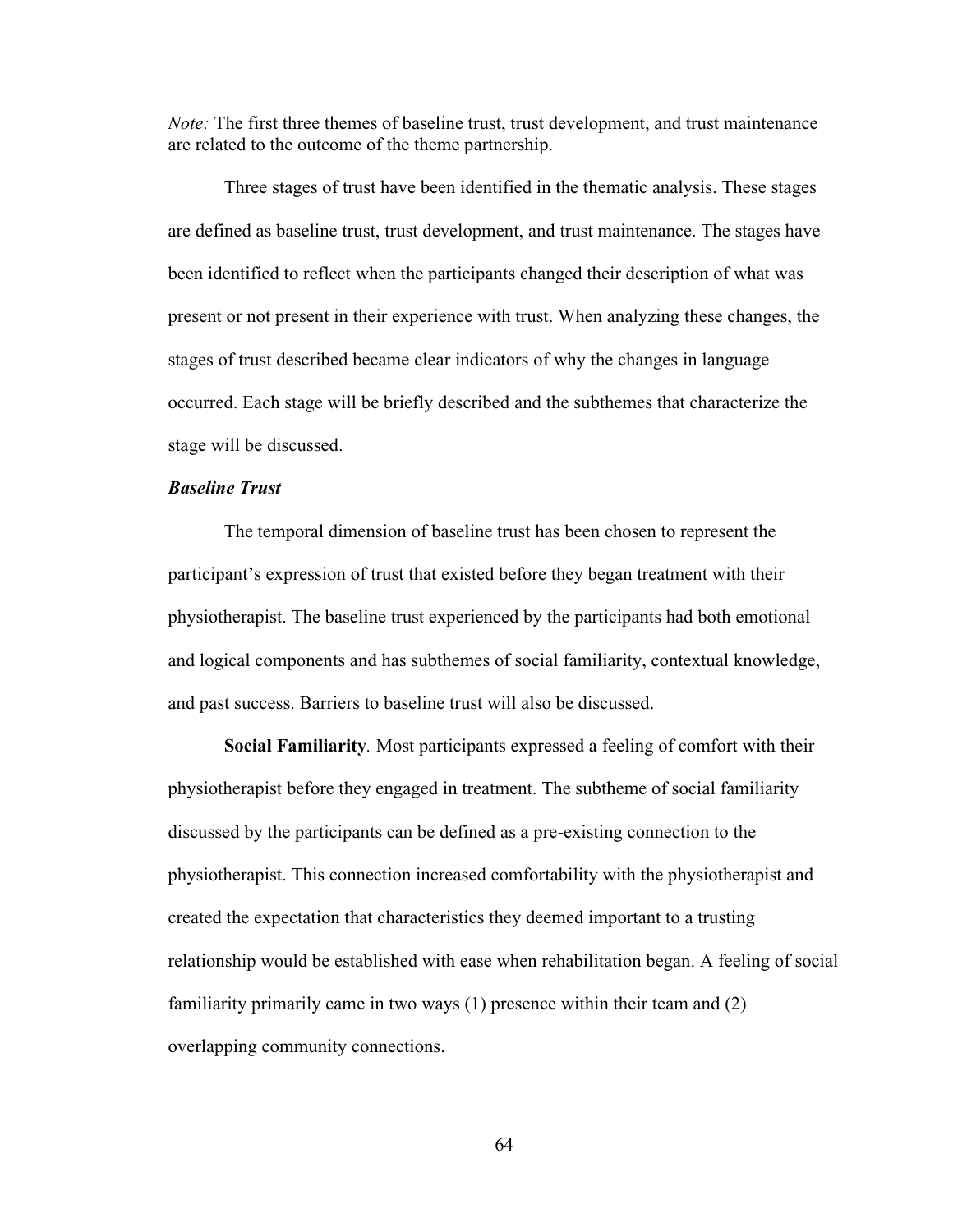*Note:* The first three themes of baseline trust, trust development, and trust maintenance are related to the outcome of the theme partnership.

Three stages of trust have been identified in the thematic analysis. These stages are defined as baseline trust, trust development, and trust maintenance. The stages have been identified to reflect when the participants changed their description of what was present or not present in their experience with trust. When analyzing these changes, the stages of trust described became clear indicators of why the changes in language occurred. Each stage will be briefly described and the subthemes that characterize the stage will be discussed.

# *Baseline Trust*

The temporal dimension of baseline trust has been chosen to represent the participant's expression of trust that existed before they began treatment with their physiotherapist. The baseline trust experienced by the participants had both emotional and logical components and has subthemes of social familiarity, contextual knowledge, and past success. Barriers to baseline trust will also be discussed.

**Social Familiarity***.* Most participants expressed a feeling of comfort with their physiotherapist before they engaged in treatment. The subtheme of social familiarity discussed by the participants can be defined as a pre-existing connection to the physiotherapist. This connection increased comfortability with the physiotherapist and created the expectation that characteristics they deemed important to a trusting relationship would be established with ease when rehabilitation began. A feeling of social familiarity primarily came in two ways (1) presence within their team and (2) overlapping community connections.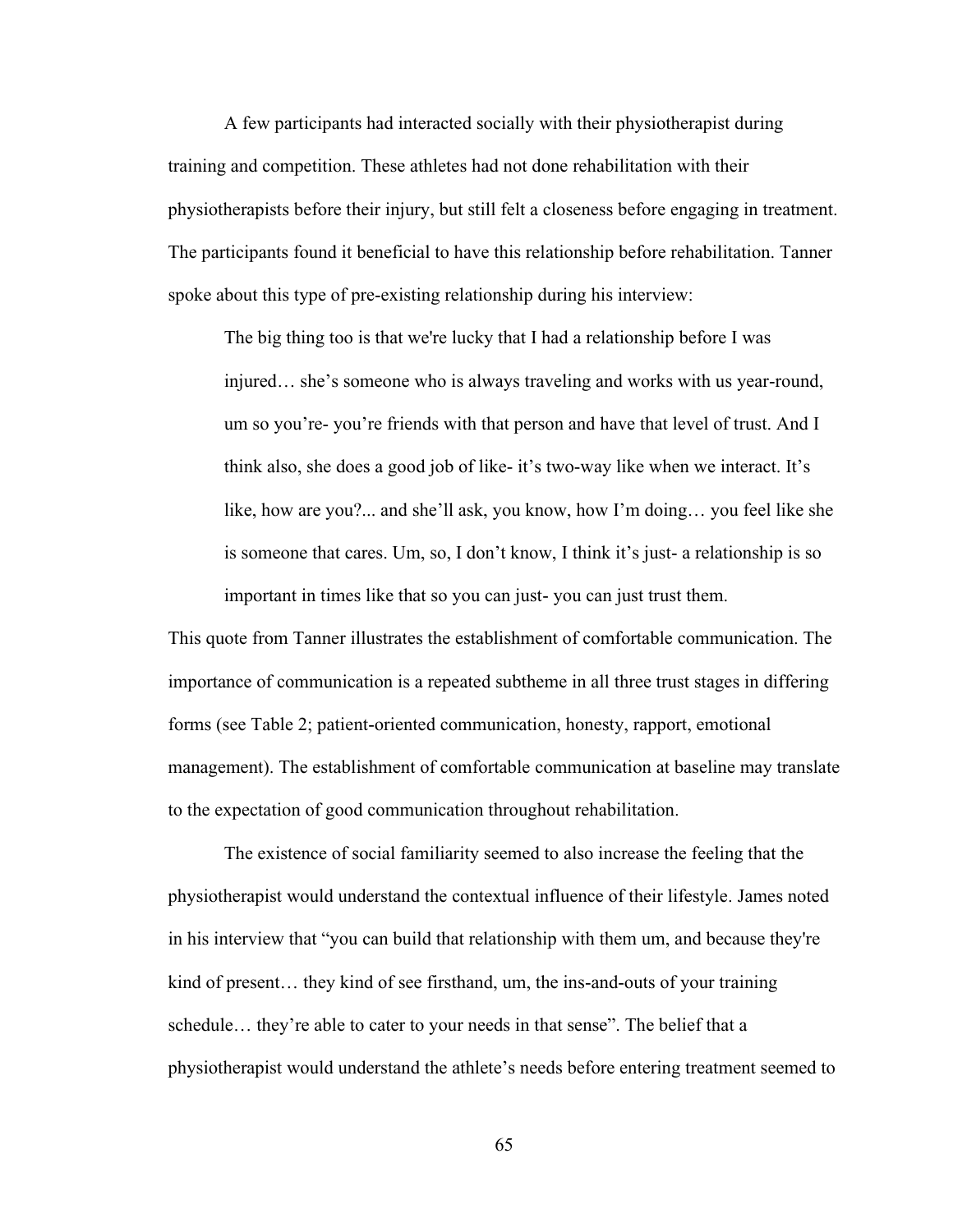A few participants had interacted socially with their physiotherapist during training and competition. These athletes had not done rehabilitation with their physiotherapists before their injury, but still felt a closeness before engaging in treatment. The participants found it beneficial to have this relationship before rehabilitation. Tanner spoke about this type of pre-existing relationship during his interview:

The big thing too is that we're lucky that I had a relationship before I was injured… she's someone who is always traveling and works with us year-round, um so you're- you're friends with that person and have that level of trust. And I think also, she does a good job of like- it's two-way like when we interact. It's like, how are you?... and she'll ask, you know, how I'm doing… you feel like she is someone that cares. Um, so, I don't know, I think it's just- a relationship is so important in times like that so you can just- you can just trust them.

This quote from Tanner illustrates the establishment of comfortable communication. The importance of communication is a repeated subtheme in all three trust stages in differing forms (see Table 2; patient-oriented communication, honesty, rapport, emotional management). The establishment of comfortable communication at baseline may translate to the expectation of good communication throughout rehabilitation.

The existence of social familiarity seemed to also increase the feeling that the physiotherapist would understand the contextual influence of their lifestyle. James noted in his interview that "you can build that relationship with them um, and because they're kind of present… they kind of see firsthand, um, the ins-and-outs of your training schedule… they're able to cater to your needs in that sense". The belief that a physiotherapist would understand the athlete's needs before entering treatment seemed to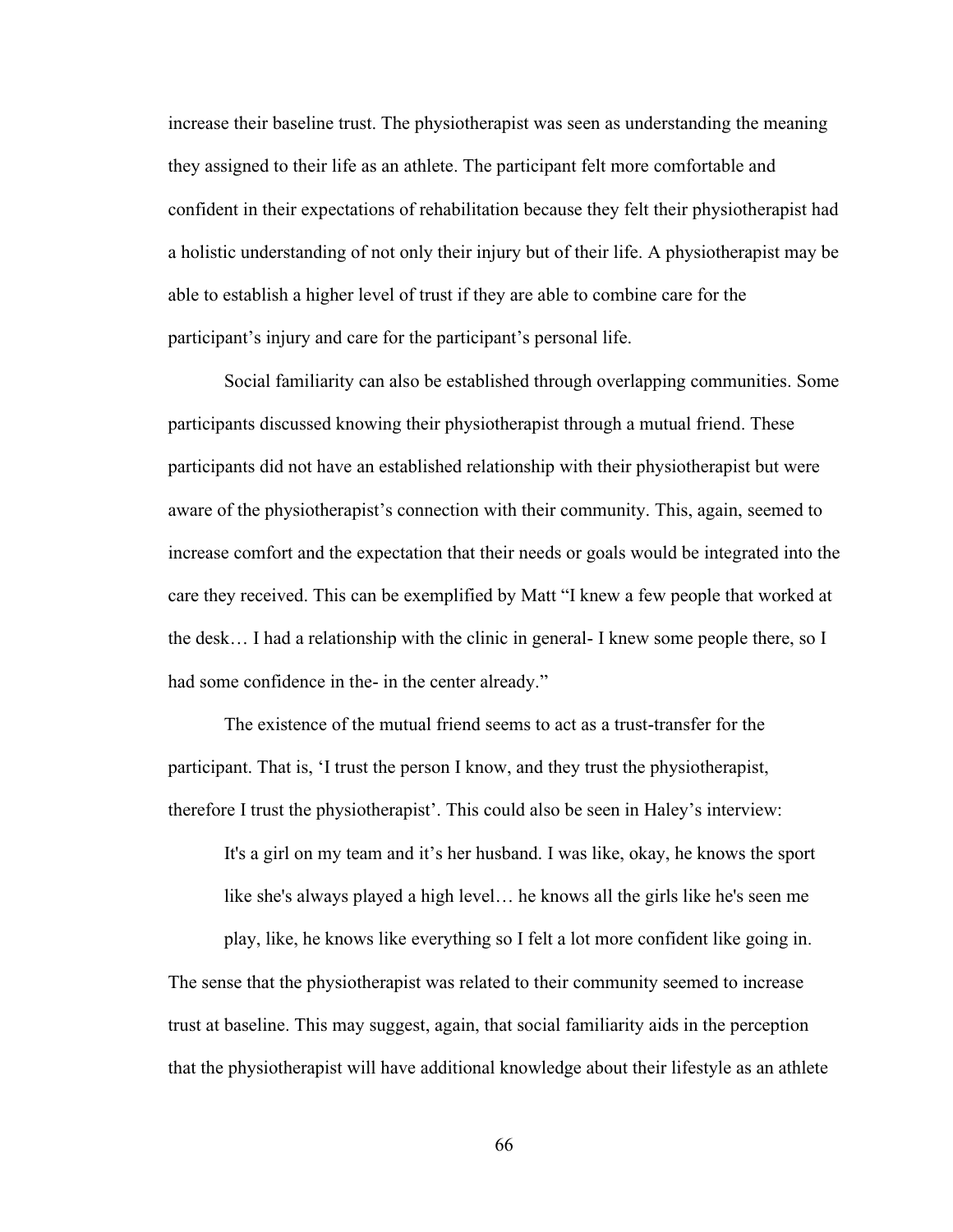increase their baseline trust. The physiotherapist was seen as understanding the meaning they assigned to their life as an athlete. The participant felt more comfortable and confident in their expectations of rehabilitation because they felt their physiotherapist had a holistic understanding of not only their injury but of their life. A physiotherapist may be able to establish a higher level of trust if they are able to combine care for the participant's injury and care for the participant's personal life.

Social familiarity can also be established through overlapping communities. Some participants discussed knowing their physiotherapist through a mutual friend. These participants did not have an established relationship with their physiotherapist but were aware of the physiotherapist's connection with their community. This, again, seemed to increase comfort and the expectation that their needs or goals would be integrated into the care they received. This can be exemplified by Matt "I knew a few people that worked at the desk… I had a relationship with the clinic in general- I knew some people there, so I had some confidence in the- in the center already."

The existence of the mutual friend seems to act as a trust-transfer for the participant. That is, 'I trust the person I know, and they trust the physiotherapist, therefore I trust the physiotherapist'. This could also be seen in Haley's interview:

It's a girl on my team and it's her husband. I was like, okay, he knows the sport like she's always played a high level… he knows all the girls like he's seen me

play, like, he knows like everything so I felt a lot more confident like going in. The sense that the physiotherapist was related to their community seemed to increase trust at baseline. This may suggest, again, that social familiarity aids in the perception that the physiotherapist will have additional knowledge about their lifestyle as an athlete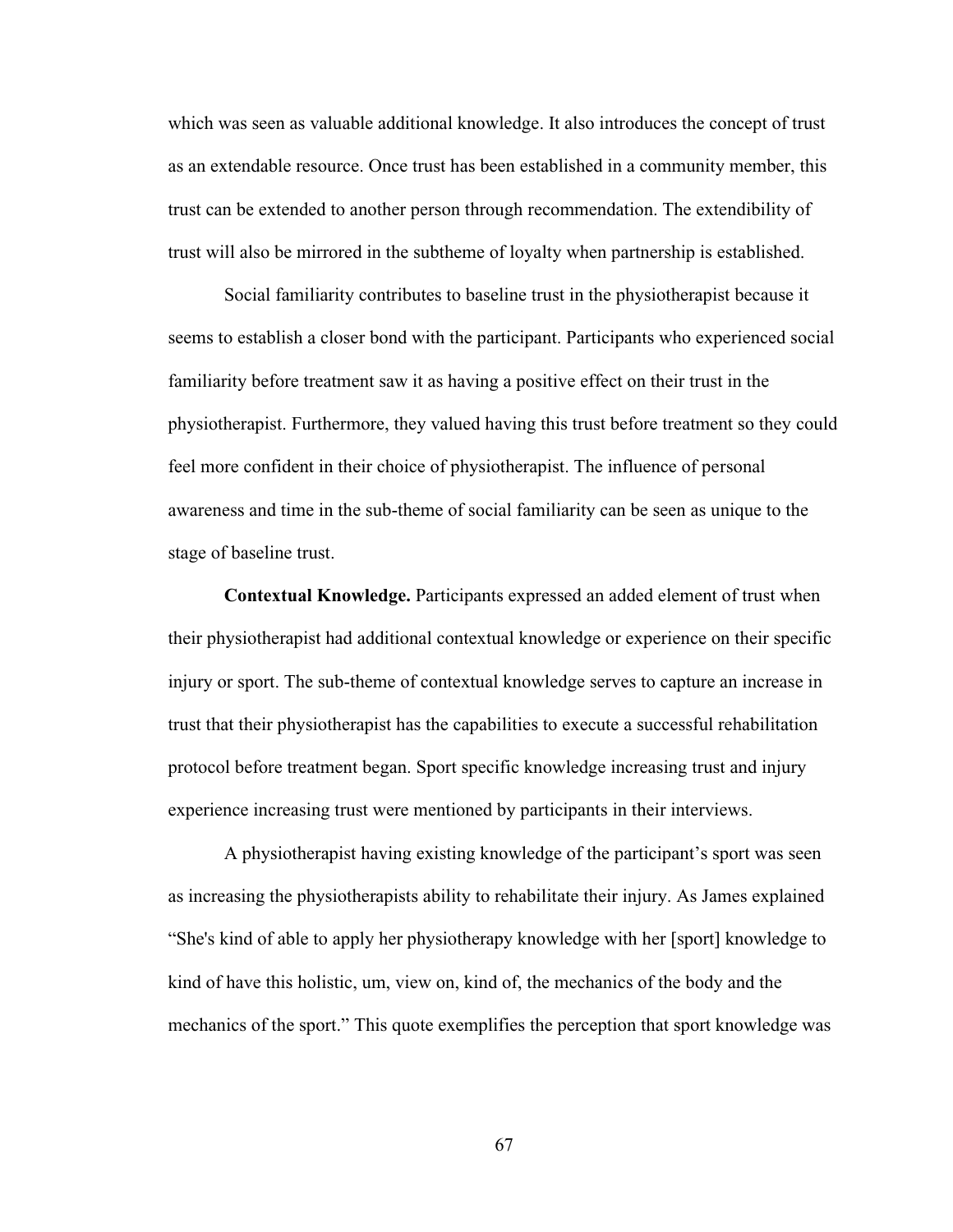which was seen as valuable additional knowledge. It also introduces the concept of trust as an extendable resource. Once trust has been established in a community member, this trust can be extended to another person through recommendation. The extendibility of trust will also be mirrored in the subtheme of loyalty when partnership is established.

Social familiarity contributes to baseline trust in the physiotherapist because it seems to establish a closer bond with the participant. Participants who experienced social familiarity before treatment saw it as having a positive effect on their trust in the physiotherapist. Furthermore, they valued having this trust before treatment so they could feel more confident in their choice of physiotherapist. The influence of personal awareness and time in the sub-theme of social familiarity can be seen as unique to the stage of baseline trust.

**Contextual Knowledge.** Participants expressed an added element of trust when their physiotherapist had additional contextual knowledge or experience on their specific injury or sport. The sub-theme of contextual knowledge serves to capture an increase in trust that their physiotherapist has the capabilities to execute a successful rehabilitation protocol before treatment began. Sport specific knowledge increasing trust and injury experience increasing trust were mentioned by participants in their interviews.

A physiotherapist having existing knowledge of the participant's sport was seen as increasing the physiotherapists ability to rehabilitate their injury. As James explained "She's kind of able to apply her physiotherapy knowledge with her [sport] knowledge to kind of have this holistic, um, view on, kind of, the mechanics of the body and the mechanics of the sport." This quote exemplifies the perception that sport knowledge was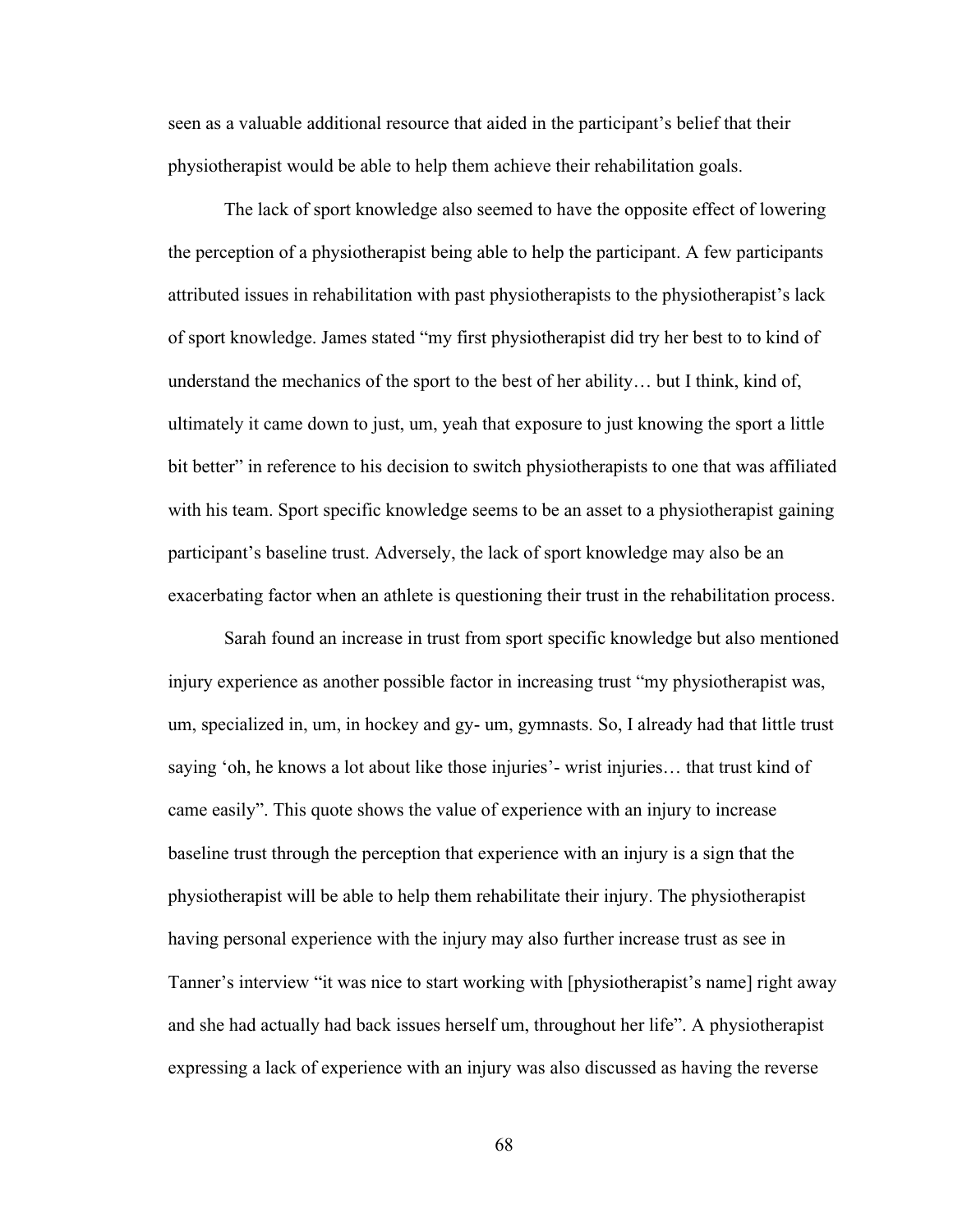seen as a valuable additional resource that aided in the participant's belief that their physiotherapist would be able to help them achieve their rehabilitation goals.

The lack of sport knowledge also seemed to have the opposite effect of lowering the perception of a physiotherapist being able to help the participant. A few participants attributed issues in rehabilitation with past physiotherapists to the physiotherapist's lack of sport knowledge. James stated "my first physiotherapist did try her best to to kind of understand the mechanics of the sport to the best of her ability… but I think, kind of, ultimately it came down to just, um, yeah that exposure to just knowing the sport a little bit better" in reference to his decision to switch physiotherapists to one that was affiliated with his team. Sport specific knowledge seems to be an asset to a physiotherapist gaining participant's baseline trust. Adversely, the lack of sport knowledge may also be an exacerbating factor when an athlete is questioning their trust in the rehabilitation process.

Sarah found an increase in trust from sport specific knowledge but also mentioned injury experience as another possible factor in increasing trust "my physiotherapist was, um, specialized in, um, in hockey and gy- um, gymnasts. So, I already had that little trust saying 'oh, he knows a lot about like those injuries'- wrist injuries… that trust kind of came easily". This quote shows the value of experience with an injury to increase baseline trust through the perception that experience with an injury is a sign that the physiotherapist will be able to help them rehabilitate their injury. The physiotherapist having personal experience with the injury may also further increase trust as see in Tanner's interview "it was nice to start working with [physiotherapist's name] right away and she had actually had back issues herself um, throughout her life". A physiotherapist expressing a lack of experience with an injury was also discussed as having the reverse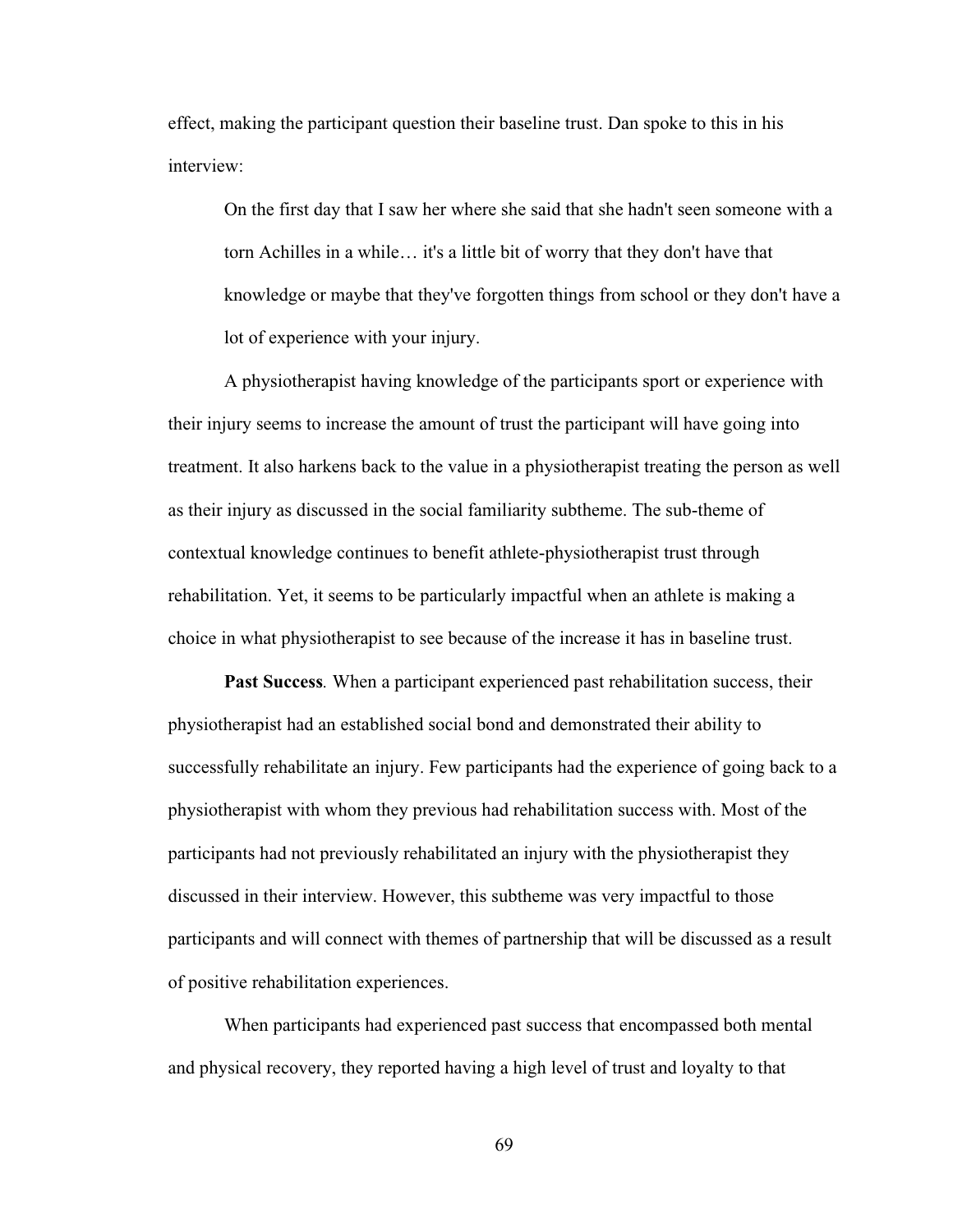effect, making the participant question their baseline trust. Dan spoke to this in his interview:

On the first day that I saw her where she said that she hadn't seen someone with a torn Achilles in a while… it's a little bit of worry that they don't have that knowledge or maybe that they've forgotten things from school or they don't have a lot of experience with your injury.

A physiotherapist having knowledge of the participants sport or experience with their injury seems to increase the amount of trust the participant will have going into treatment. It also harkens back to the value in a physiotherapist treating the person as well as their injury as discussed in the social familiarity subtheme. The sub-theme of contextual knowledge continues to benefit athlete-physiotherapist trust through rehabilitation. Yet, it seems to be particularly impactful when an athlete is making a choice in what physiotherapist to see because of the increase it has in baseline trust.

**Past Success***.* When a participant experienced past rehabilitation success, their physiotherapist had an established social bond and demonstrated their ability to successfully rehabilitate an injury. Few participants had the experience of going back to a physiotherapist with whom they previous had rehabilitation success with. Most of the participants had not previously rehabilitated an injury with the physiotherapist they discussed in their interview. However, this subtheme was very impactful to those participants and will connect with themes of partnership that will be discussed as a result of positive rehabilitation experiences.

When participants had experienced past success that encompassed both mental and physical recovery, they reported having a high level of trust and loyalty to that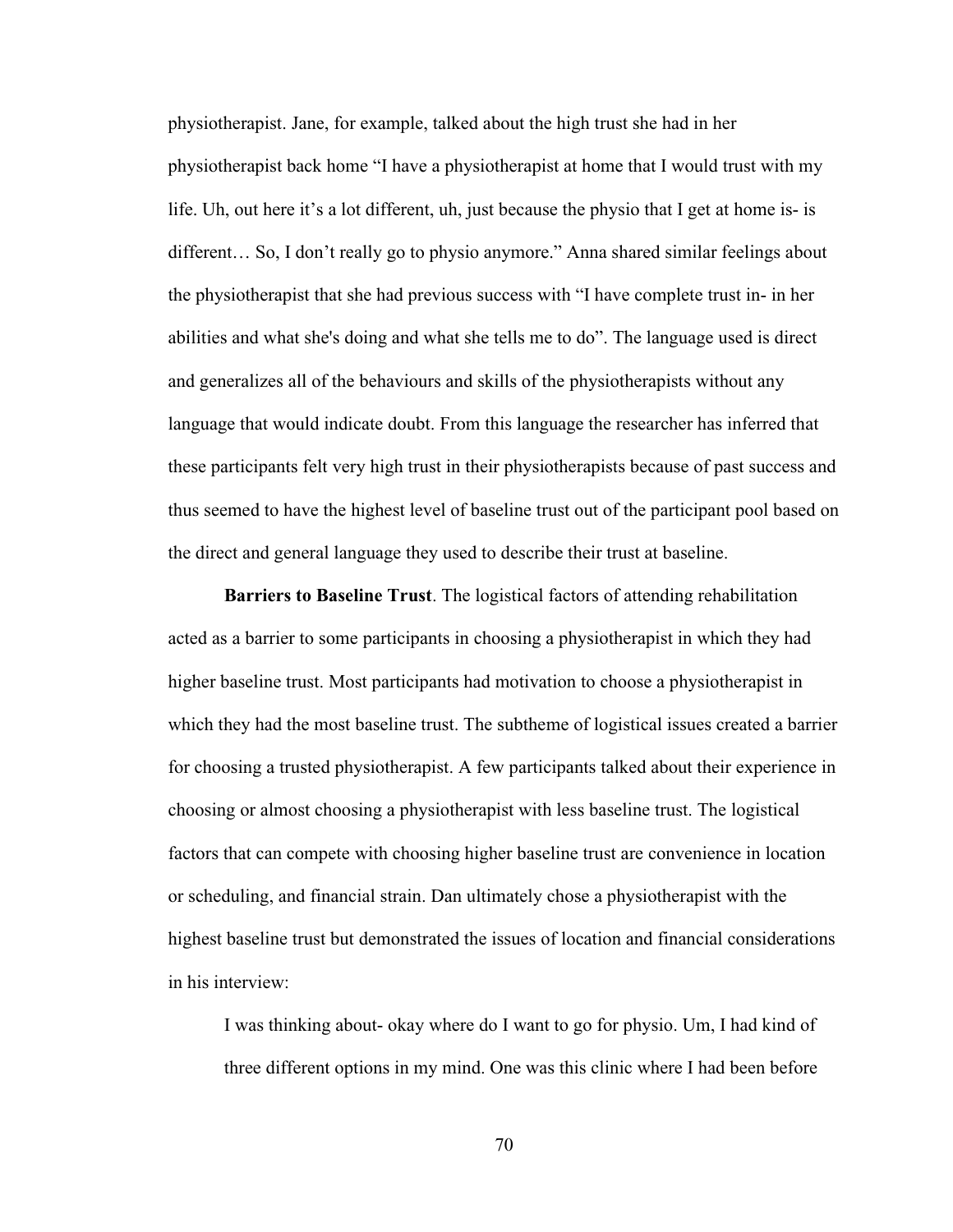physiotherapist. Jane, for example, talked about the high trust she had in her physiotherapist back home "I have a physiotherapist at home that I would trust with my life. Uh, out here it's a lot different, uh, just because the physio that I get at home is- is different… So, I don't really go to physio anymore." Anna shared similar feelings about the physiotherapist that she had previous success with "I have complete trust in- in her abilities and what she's doing and what she tells me to do". The language used is direct and generalizes all of the behaviours and skills of the physiotherapists without any language that would indicate doubt. From this language the researcher has inferred that these participants felt very high trust in their physiotherapists because of past success and thus seemed to have the highest level of baseline trust out of the participant pool based on the direct and general language they used to describe their trust at baseline.

**Barriers to Baseline Trust**. The logistical factors of attending rehabilitation acted as a barrier to some participants in choosing a physiotherapist in which they had higher baseline trust. Most participants had motivation to choose a physiotherapist in which they had the most baseline trust. The subtheme of logistical issues created a barrier for choosing a trusted physiotherapist. A few participants talked about their experience in choosing or almost choosing a physiotherapist with less baseline trust. The logistical factors that can compete with choosing higher baseline trust are convenience in location or scheduling, and financial strain. Dan ultimately chose a physiotherapist with the highest baseline trust but demonstrated the issues of location and financial considerations in his interview:

I was thinking about- okay where do I want to go for physio. Um, I had kind of three different options in my mind. One was this clinic where I had been before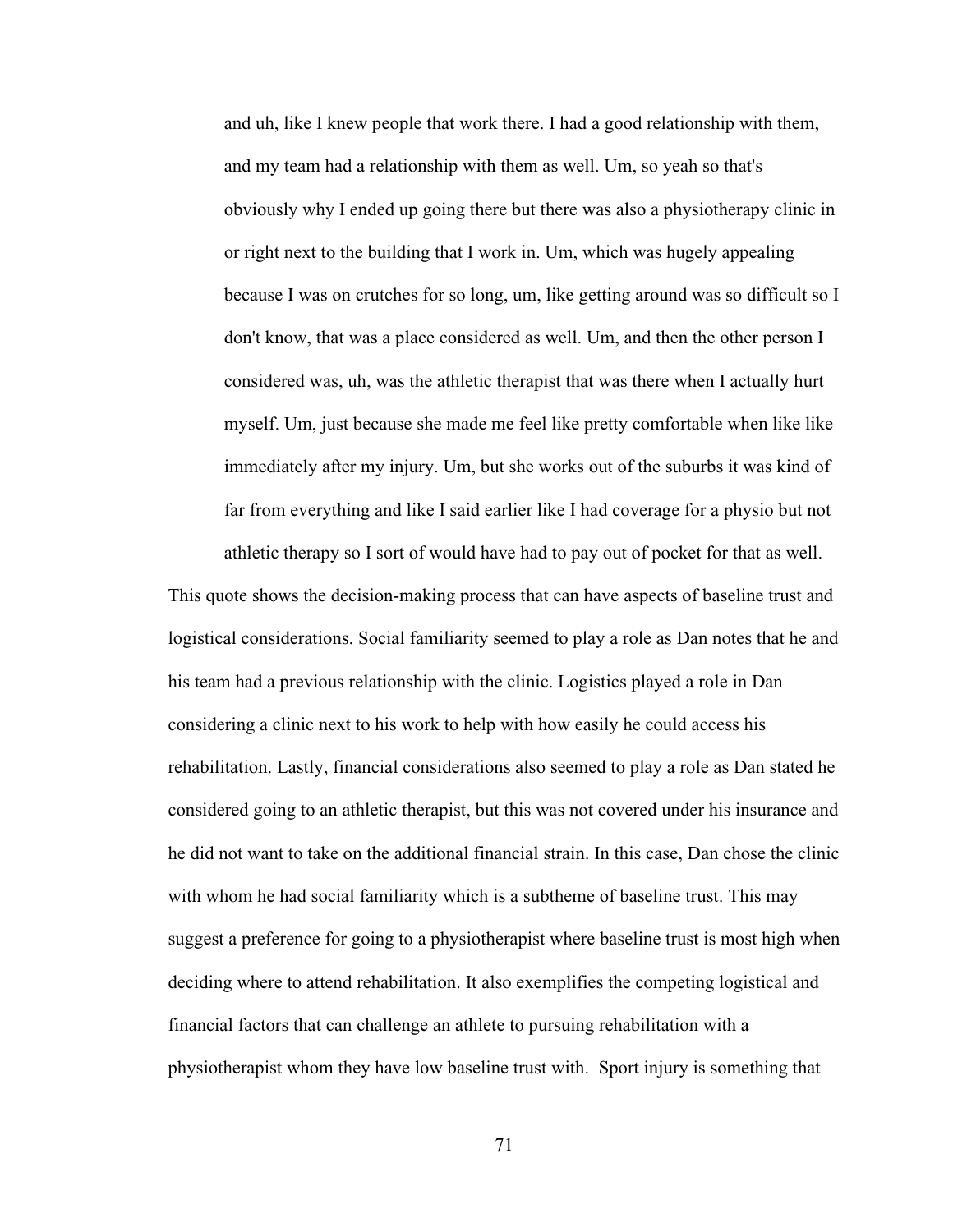and uh, like I knew people that work there. I had a good relationship with them, and my team had a relationship with them as well. Um, so yeah so that's obviously why I ended up going there but there was also a physiotherapy clinic in or right next to the building that I work in. Um, which was hugely appealing because I was on crutches for so long, um, like getting around was so difficult so I don't know, that was a place considered as well. Um, and then the other person I considered was, uh, was the athletic therapist that was there when I actually hurt myself. Um, just because she made me feel like pretty comfortable when like like immediately after my injury. Um, but she works out of the suburbs it was kind of far from everything and like I said earlier like I had coverage for a physio but not athletic therapy so I sort of would have had to pay out of pocket for that as well.

This quote shows the decision-making process that can have aspects of baseline trust and logistical considerations. Social familiarity seemed to play a role as Dan notes that he and his team had a previous relationship with the clinic. Logistics played a role in Dan considering a clinic next to his work to help with how easily he could access his rehabilitation. Lastly, financial considerations also seemed to play a role as Dan stated he considered going to an athletic therapist, but this was not covered under his insurance and he did not want to take on the additional financial strain. In this case, Dan chose the clinic with whom he had social familiarity which is a subtheme of baseline trust. This may suggest a preference for going to a physiotherapist where baseline trust is most high when deciding where to attend rehabilitation. It also exemplifies the competing logistical and financial factors that can challenge an athlete to pursuing rehabilitation with a physiotherapist whom they have low baseline trust with. Sport injury is something that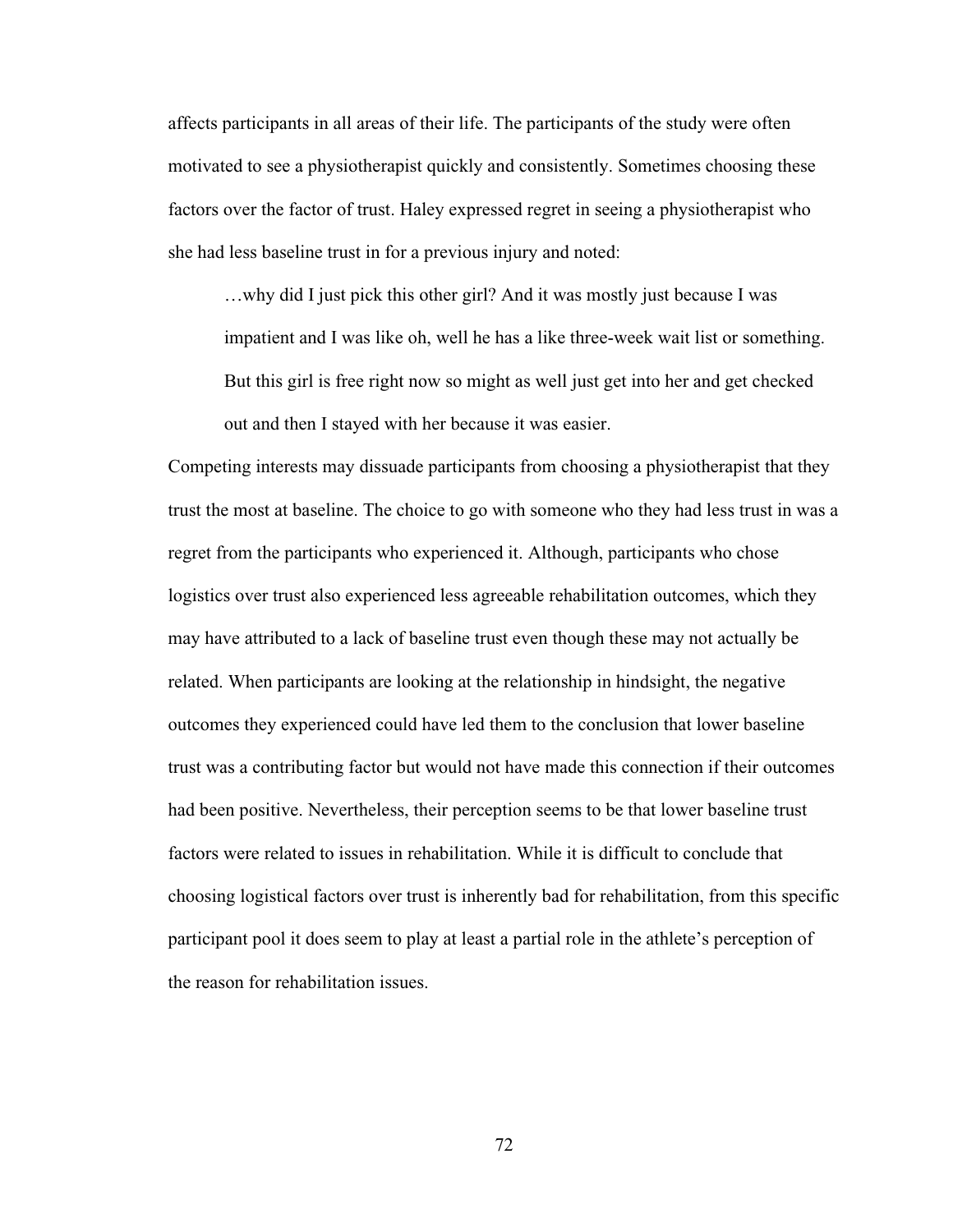affects participants in all areas of their life. The participants of the study were often motivated to see a physiotherapist quickly and consistently. Sometimes choosing these factors over the factor of trust. Haley expressed regret in seeing a physiotherapist who she had less baseline trust in for a previous injury and noted:

…why did I just pick this other girl? And it was mostly just because I was impatient and I was like oh, well he has a like three-week wait list or something. But this girl is free right now so might as well just get into her and get checked out and then I stayed with her because it was easier.

Competing interests may dissuade participants from choosing a physiotherapist that they trust the most at baseline. The choice to go with someone who they had less trust in was a regret from the participants who experienced it. Although, participants who chose logistics over trust also experienced less agreeable rehabilitation outcomes, which they may have attributed to a lack of baseline trust even though these may not actually be related. When participants are looking at the relationship in hindsight, the negative outcomes they experienced could have led them to the conclusion that lower baseline trust was a contributing factor but would not have made this connection if their outcomes had been positive. Nevertheless, their perception seems to be that lower baseline trust factors were related to issues in rehabilitation. While it is difficult to conclude that choosing logistical factors over trust is inherently bad for rehabilitation, from this specific participant pool it does seem to play at least a partial role in the athlete's perception of the reason for rehabilitation issues.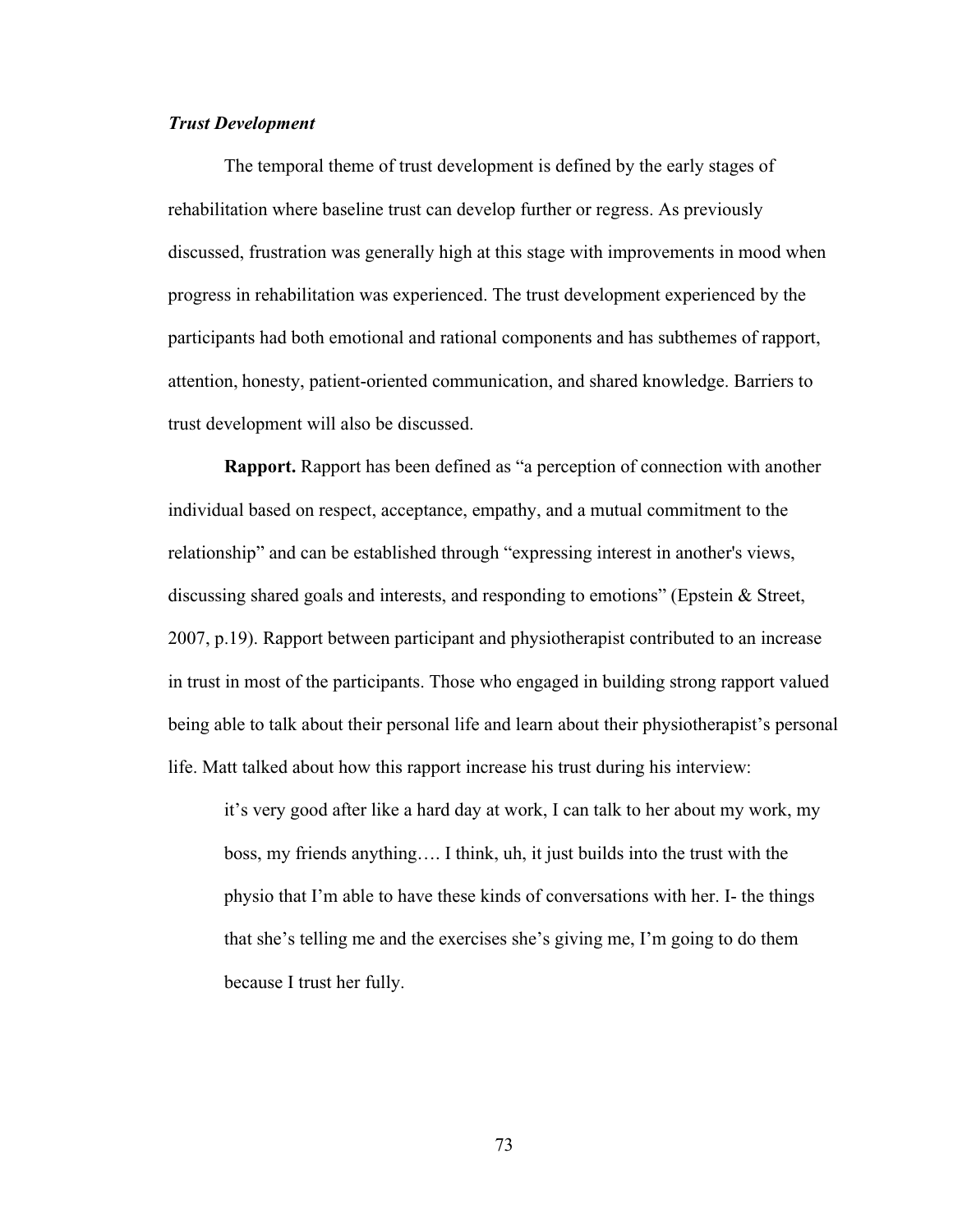# *Trust Development*

The temporal theme of trust development is defined by the early stages of rehabilitation where baseline trust can develop further or regress. As previously discussed, frustration was generally high at this stage with improvements in mood when progress in rehabilitation was experienced. The trust development experienced by the participants had both emotional and rational components and has subthemes of rapport, attention, honesty, patient-oriented communication, and shared knowledge. Barriers to trust development will also be discussed.

**Rapport.** Rapport has been defined as "a perception of connection with another individual based on respect, acceptance, empathy, and a mutual commitment to the relationship" and can be established through "expressing interest in another's views, discussing shared goals and interests, and responding to emotions" (Epstein & Street, 2007, p.19). Rapport between participant and physiotherapist contributed to an increase in trust in most of the participants. Those who engaged in building strong rapport valued being able to talk about their personal life and learn about their physiotherapist's personal life. Matt talked about how this rapport increase his trust during his interview:

it's very good after like a hard day at work, I can talk to her about my work, my boss, my friends anything…. I think, uh, it just builds into the trust with the physio that I'm able to have these kinds of conversations with her. I- the things that she's telling me and the exercises she's giving me, I'm going to do them because I trust her fully.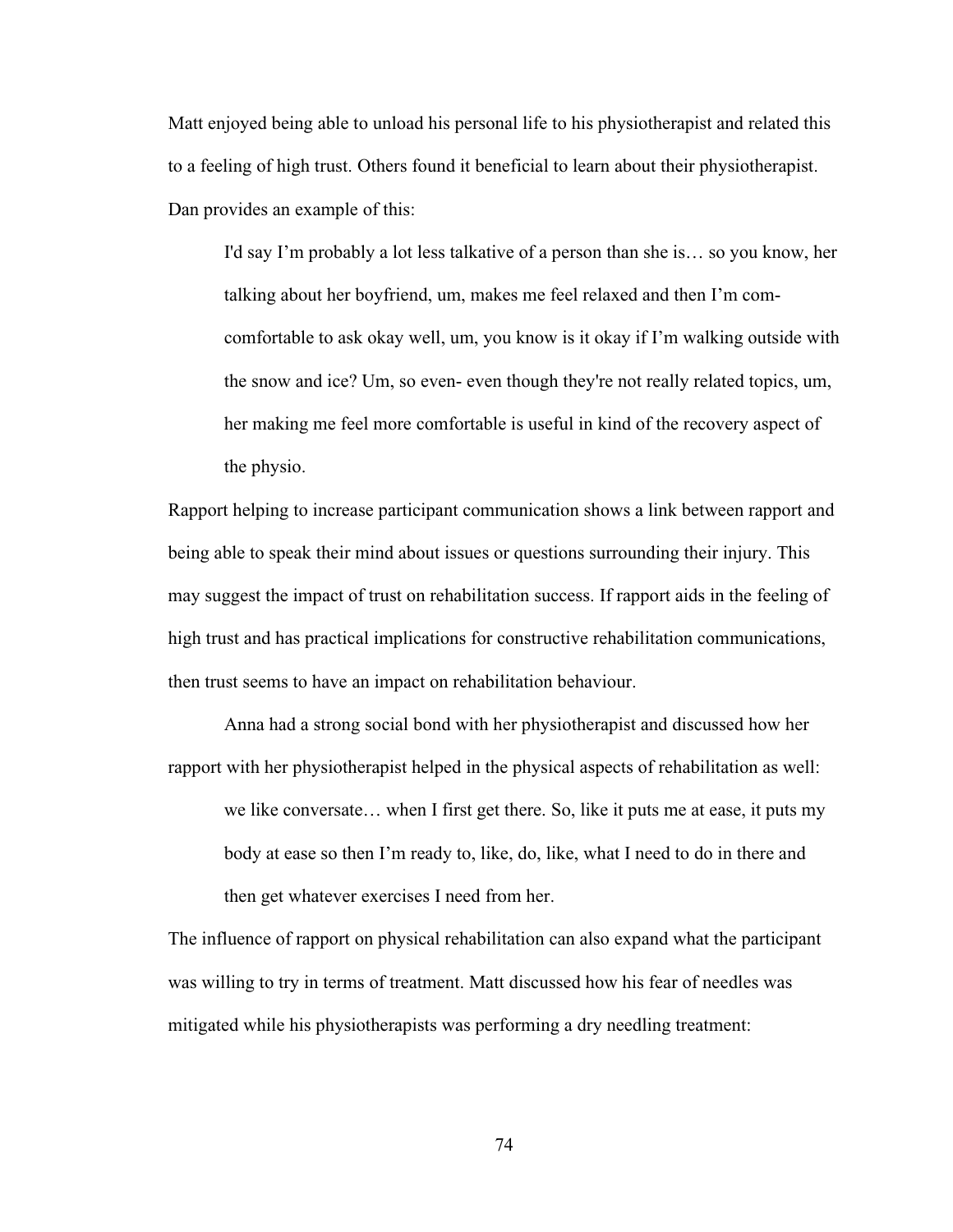Matt enjoyed being able to unload his personal life to his physiotherapist and related this to a feeling of high trust. Others found it beneficial to learn about their physiotherapist. Dan provides an example of this:

I'd say I'm probably a lot less talkative of a person than she is… so you know, her talking about her boyfriend, um, makes me feel relaxed and then I'm comcomfortable to ask okay well, um, you know is it okay if I'm walking outside with the snow and ice? Um, so even- even though they're not really related topics, um, her making me feel more comfortable is useful in kind of the recovery aspect of the physio.

Rapport helping to increase participant communication shows a link between rapport and being able to speak their mind about issues or questions surrounding their injury. This may suggest the impact of trust on rehabilitation success. If rapport aids in the feeling of high trust and has practical implications for constructive rehabilitation communications, then trust seems to have an impact on rehabilitation behaviour.

Anna had a strong social bond with her physiotherapist and discussed how her rapport with her physiotherapist helped in the physical aspects of rehabilitation as well: we like conversate… when I first get there. So, like it puts me at ease, it puts my body at ease so then I'm ready to, like, do, like, what I need to do in there and then get whatever exercises I need from her.

The influence of rapport on physical rehabilitation can also expand what the participant was willing to try in terms of treatment. Matt discussed how his fear of needles was mitigated while his physiotherapists was performing a dry needling treatment: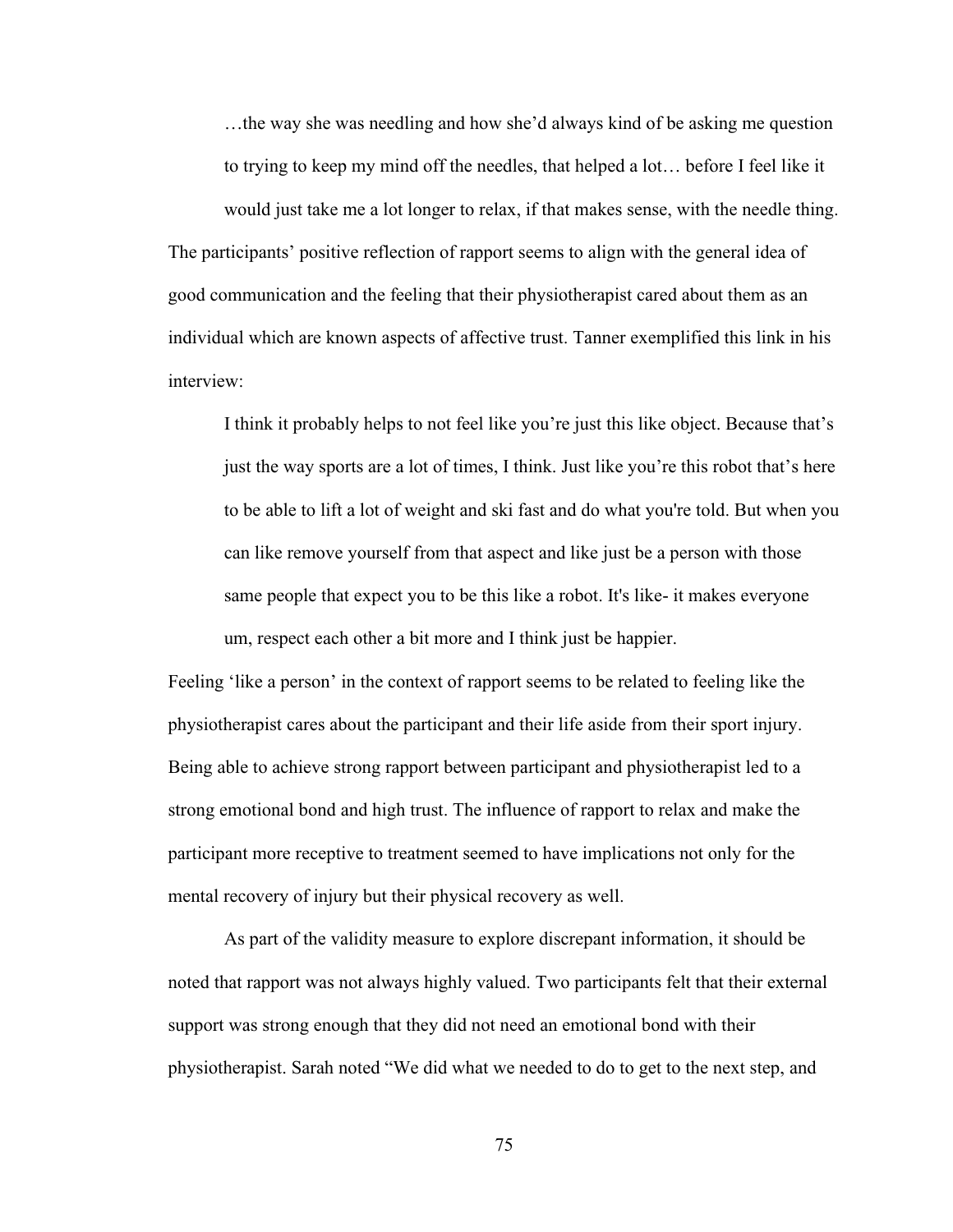…the way she was needling and how she'd always kind of be asking me question to trying to keep my mind off the needles, that helped a lot… before I feel like it

would just take me a lot longer to relax, if that makes sense, with the needle thing. The participants' positive reflection of rapport seems to align with the general idea of good communication and the feeling that their physiotherapist cared about them as an individual which are known aspects of affective trust. Tanner exemplified this link in his interview:

I think it probably helps to not feel like you're just this like object. Because that's just the way sports are a lot of times, I think. Just like you're this robot that's here to be able to lift a lot of weight and ski fast and do what you're told. But when you can like remove yourself from that aspect and like just be a person with those same people that expect you to be this like a robot. It's like- it makes everyone um, respect each other a bit more and I think just be happier.

Feeling 'like a person' in the context of rapport seems to be related to feeling like the physiotherapist cares about the participant and their life aside from their sport injury. Being able to achieve strong rapport between participant and physiotherapist led to a strong emotional bond and high trust. The influence of rapport to relax and make the participant more receptive to treatment seemed to have implications not only for the mental recovery of injury but their physical recovery as well.

As part of the validity measure to explore discrepant information, it should be noted that rapport was not always highly valued. Two participants felt that their external support was strong enough that they did not need an emotional bond with their physiotherapist. Sarah noted "We did what we needed to do to get to the next step, and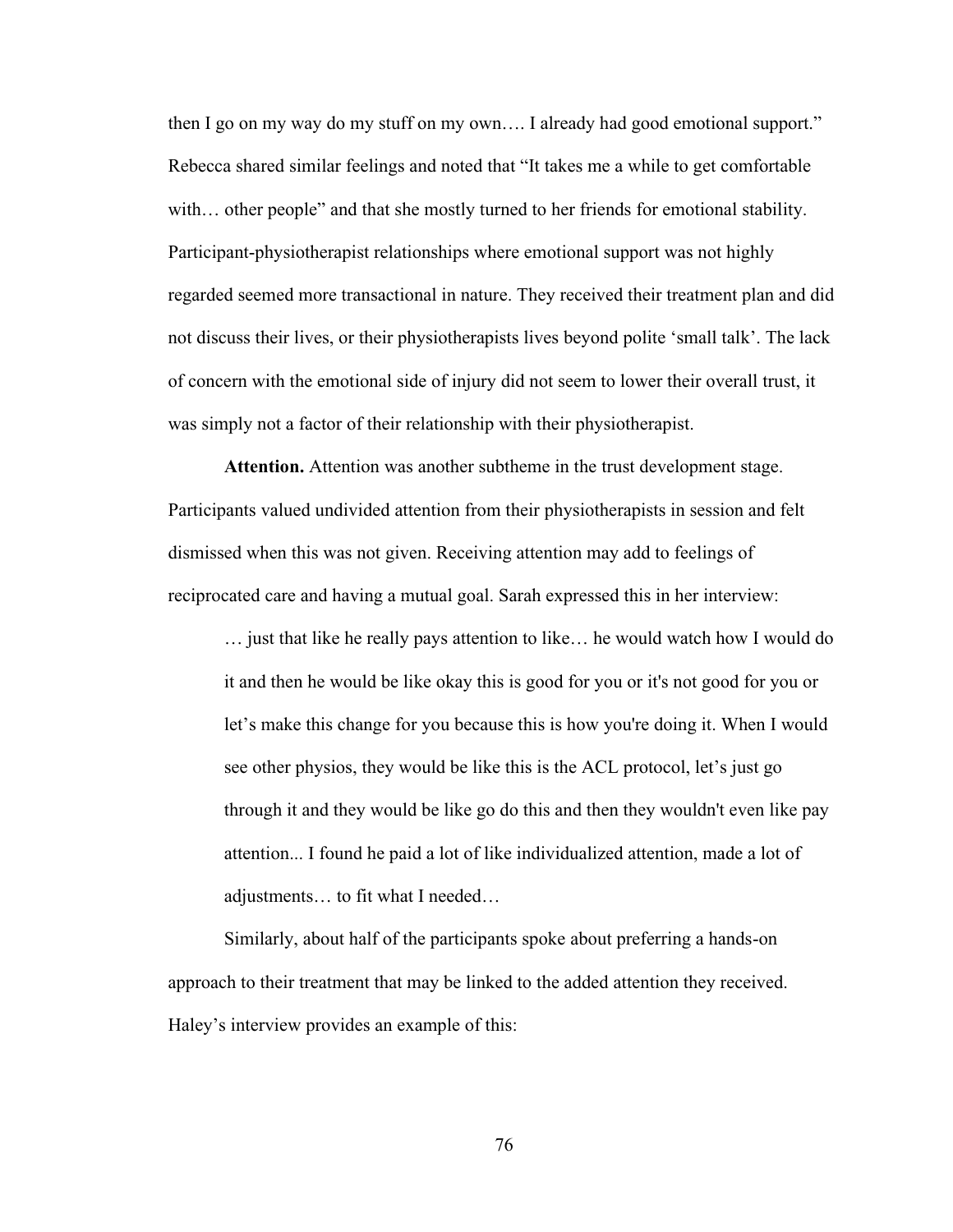then I go on my way do my stuff on my own…. I already had good emotional support." Rebecca shared similar feelings and noted that "It takes me a while to get comfortable with… other people" and that she mostly turned to her friends for emotional stability. Participant-physiotherapist relationships where emotional support was not highly regarded seemed more transactional in nature. They received their treatment plan and did not discuss their lives, or their physiotherapists lives beyond polite 'small talk'. The lack of concern with the emotional side of injury did not seem to lower their overall trust, it was simply not a factor of their relationship with their physiotherapist.

**Attention.** Attention was another subtheme in the trust development stage. Participants valued undivided attention from their physiotherapists in session and felt dismissed when this was not given. Receiving attention may add to feelings of reciprocated care and having a mutual goal. Sarah expressed this in her interview:

… just that like he really pays attention to like… he would watch how I would do it and then he would be like okay this is good for you or it's not good for you or let's make this change for you because this is how you're doing it. When I would see other physios, they would be like this is the ACL protocol, let's just go through it and they would be like go do this and then they wouldn't even like pay attention... I found he paid a lot of like individualized attention, made a lot of adjustments… to fit what I needed…

Similarly, about half of the participants spoke about preferring a hands-on approach to their treatment that may be linked to the added attention they received. Haley's interview provides an example of this: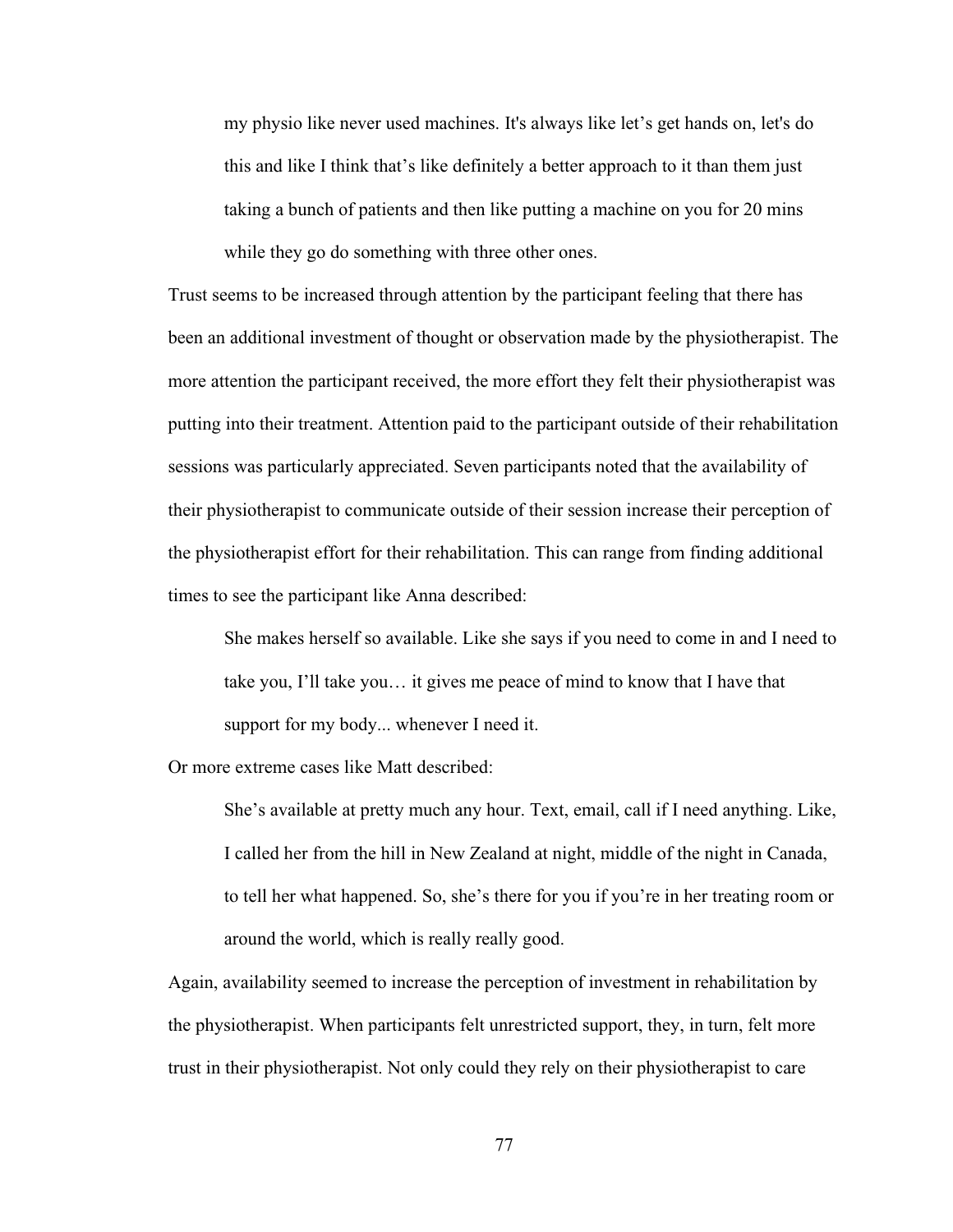my physio like never used machines. It's always like let's get hands on, let's do this and like I think that's like definitely a better approach to it than them just taking a bunch of patients and then like putting a machine on you for 20 mins while they go do something with three other ones.

Trust seems to be increased through attention by the participant feeling that there has been an additional investment of thought or observation made by the physiotherapist. The more attention the participant received, the more effort they felt their physiotherapist was putting into their treatment. Attention paid to the participant outside of their rehabilitation sessions was particularly appreciated. Seven participants noted that the availability of their physiotherapist to communicate outside of their session increase their perception of the physiotherapist effort for their rehabilitation. This can range from finding additional times to see the participant like Anna described:

She makes herself so available. Like she says if you need to come in and I need to take you, I'll take you… it gives me peace of mind to know that I have that support for my body... whenever I need it.

Or more extreme cases like Matt described:

She's available at pretty much any hour. Text, email, call if I need anything. Like, I called her from the hill in New Zealand at night, middle of the night in Canada, to tell her what happened. So, she's there for you if you're in her treating room or around the world, which is really really good.

Again, availability seemed to increase the perception of investment in rehabilitation by the physiotherapist. When participants felt unrestricted support, they, in turn, felt more trust in their physiotherapist. Not only could they rely on their physiotherapist to care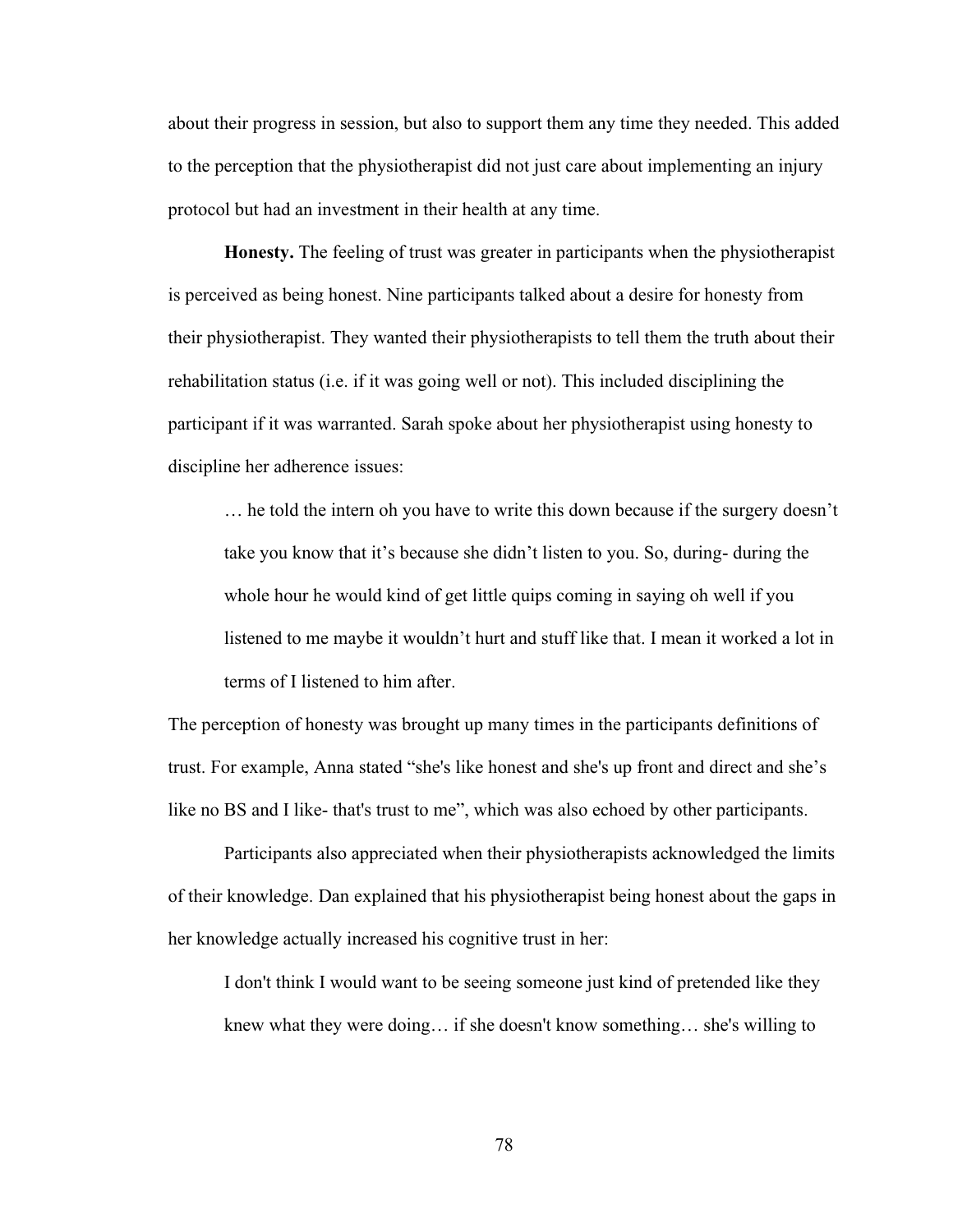about their progress in session, but also to support them any time they needed. This added to the perception that the physiotherapist did not just care about implementing an injury protocol but had an investment in their health at any time.

**Honesty.** The feeling of trust was greater in participants when the physiotherapist is perceived as being honest. Nine participants talked about a desire for honesty from their physiotherapist. They wanted their physiotherapists to tell them the truth about their rehabilitation status (i.e. if it was going well or not). This included disciplining the participant if it was warranted. Sarah spoke about her physiotherapist using honesty to discipline her adherence issues:

… he told the intern oh you have to write this down because if the surgery doesn't take you know that it's because she didn't listen to you. So, during- during the whole hour he would kind of get little quips coming in saying oh well if you listened to me maybe it wouldn't hurt and stuff like that. I mean it worked a lot in terms of I listened to him after.

The perception of honesty was brought up many times in the participants definitions of trust. For example, Anna stated "she's like honest and she's up front and direct and she's like no BS and I like- that's trust to me", which was also echoed by other participants.

Participants also appreciated when their physiotherapists acknowledged the limits of their knowledge. Dan explained that his physiotherapist being honest about the gaps in her knowledge actually increased his cognitive trust in her:

I don't think I would want to be seeing someone just kind of pretended like they knew what they were doing… if she doesn't know something… she's willing to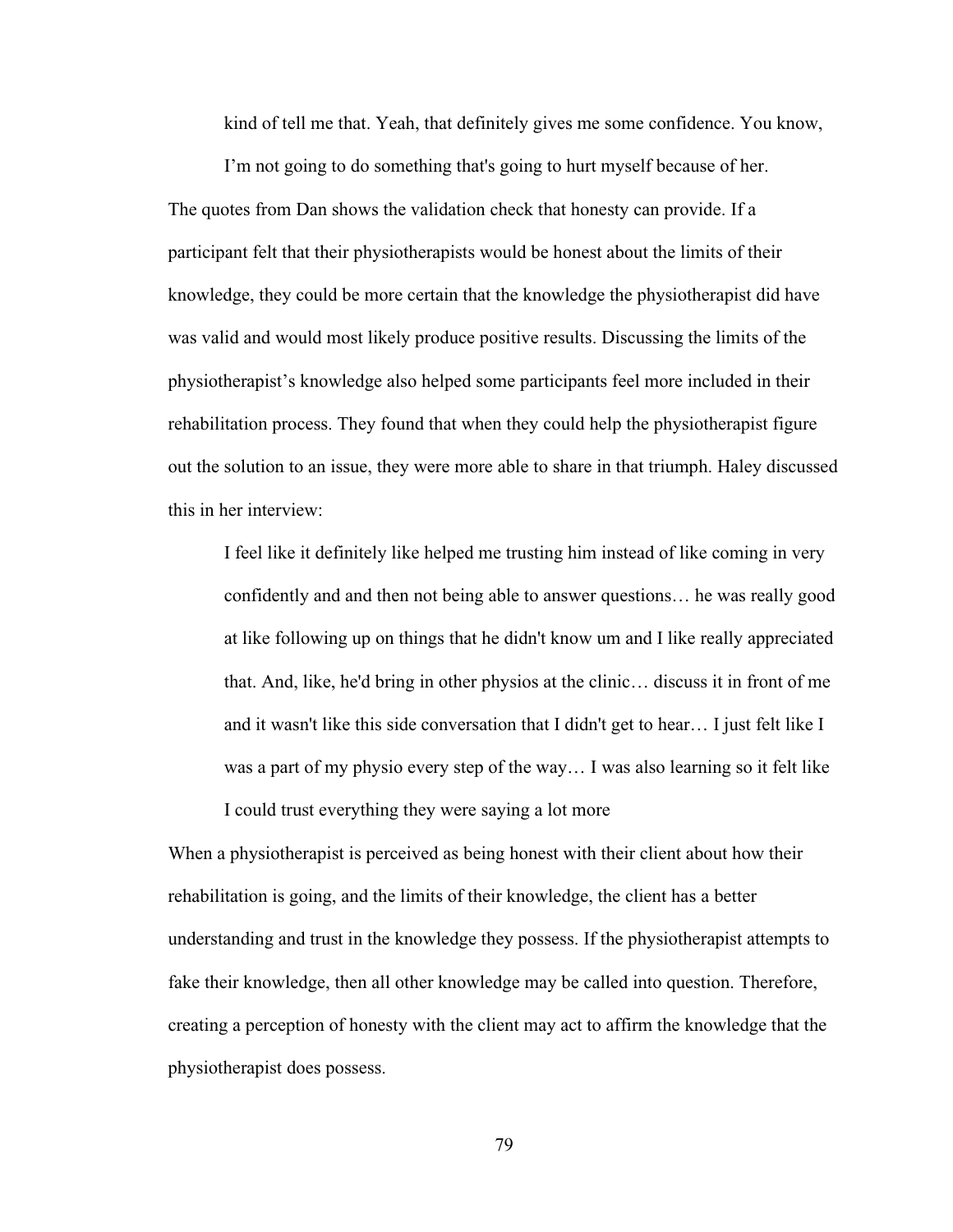kind of tell me that. Yeah, that definitely gives me some confidence. You know,

I'm not going to do something that's going to hurt myself because of her. The quotes from Dan shows the validation check that honesty can provide. If a participant felt that their physiotherapists would be honest about the limits of their knowledge, they could be more certain that the knowledge the physiotherapist did have was valid and would most likely produce positive results. Discussing the limits of the physiotherapist's knowledge also helped some participants feel more included in their rehabilitation process. They found that when they could help the physiotherapist figure out the solution to an issue, they were more able to share in that triumph. Haley discussed this in her interview:

I feel like it definitely like helped me trusting him instead of like coming in very confidently and and then not being able to answer questions… he was really good at like following up on things that he didn't know um and I like really appreciated that. And, like, he'd bring in other physios at the clinic… discuss it in front of me and it wasn't like this side conversation that I didn't get to hear… I just felt like I was a part of my physio every step of the way… I was also learning so it felt like I could trust everything they were saying a lot more

When a physiotherapist is perceived as being honest with their client about how their rehabilitation is going, and the limits of their knowledge, the client has a better understanding and trust in the knowledge they possess. If the physiotherapist attempts to fake their knowledge, then all other knowledge may be called into question. Therefore, creating a perception of honesty with the client may act to affirm the knowledge that the physiotherapist does possess.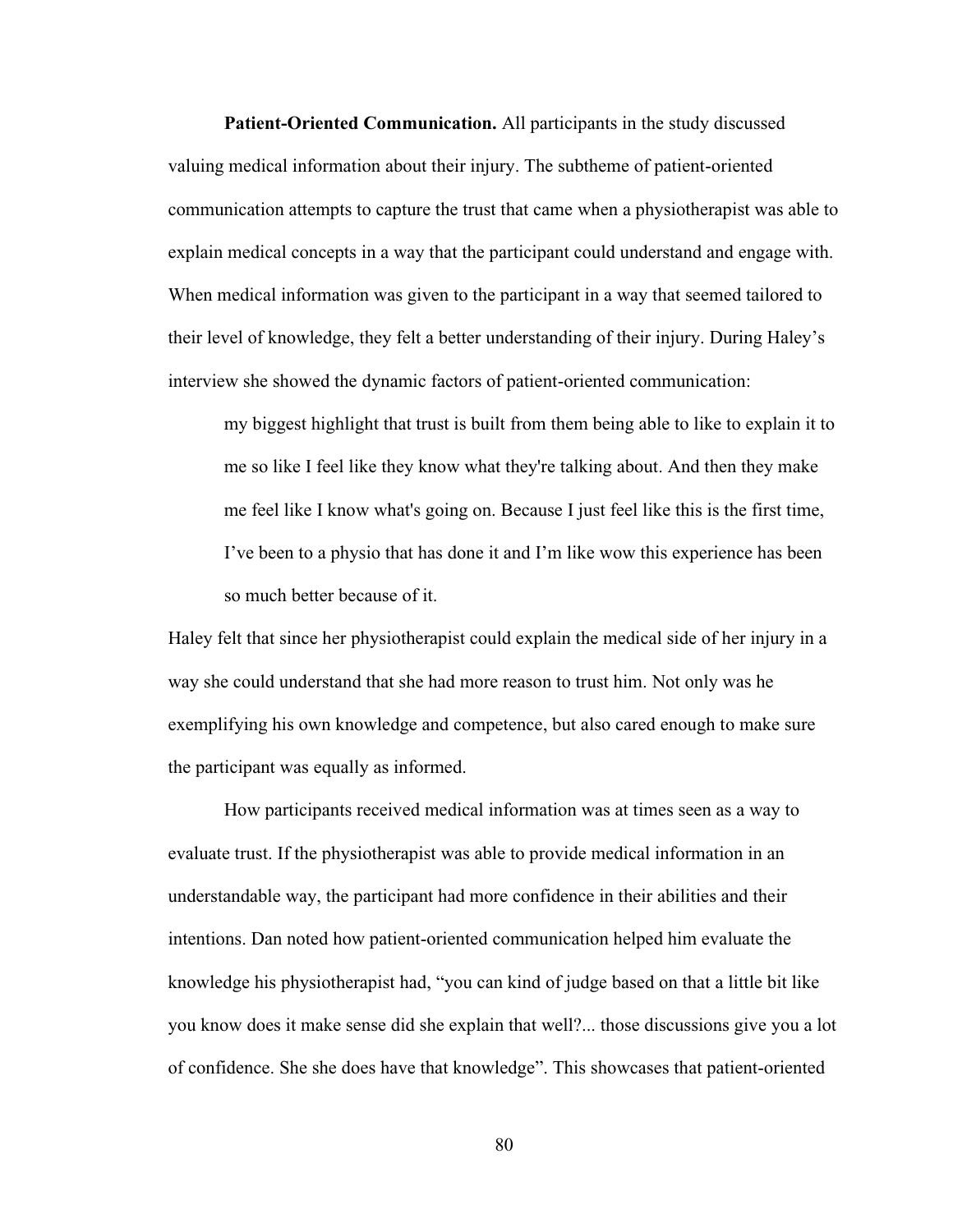**Patient-Oriented Communication.** All participants in the study discussed valuing medical information about their injury. The subtheme of patient-oriented communication attempts to capture the trust that came when a physiotherapist was able to explain medical concepts in a way that the participant could understand and engage with. When medical information was given to the participant in a way that seemed tailored to their level of knowledge, they felt a better understanding of their injury. During Haley's interview she showed the dynamic factors of patient-oriented communication:

my biggest highlight that trust is built from them being able to like to explain it to me so like I feel like they know what they're talking about. And then they make me feel like I know what's going on. Because I just feel like this is the first time, I've been to a physio that has done it and I'm like wow this experience has been so much better because of it.

Haley felt that since her physiotherapist could explain the medical side of her injury in a way she could understand that she had more reason to trust him. Not only was he exemplifying his own knowledge and competence, but also cared enough to make sure the participant was equally as informed.

How participants received medical information was at times seen as a way to evaluate trust. If the physiotherapist was able to provide medical information in an understandable way, the participant had more confidence in their abilities and their intentions. Dan noted how patient-oriented communication helped him evaluate the knowledge his physiotherapist had, "you can kind of judge based on that a little bit like you know does it make sense did she explain that well?... those discussions give you a lot of confidence. She she does have that knowledge". This showcases that patient-oriented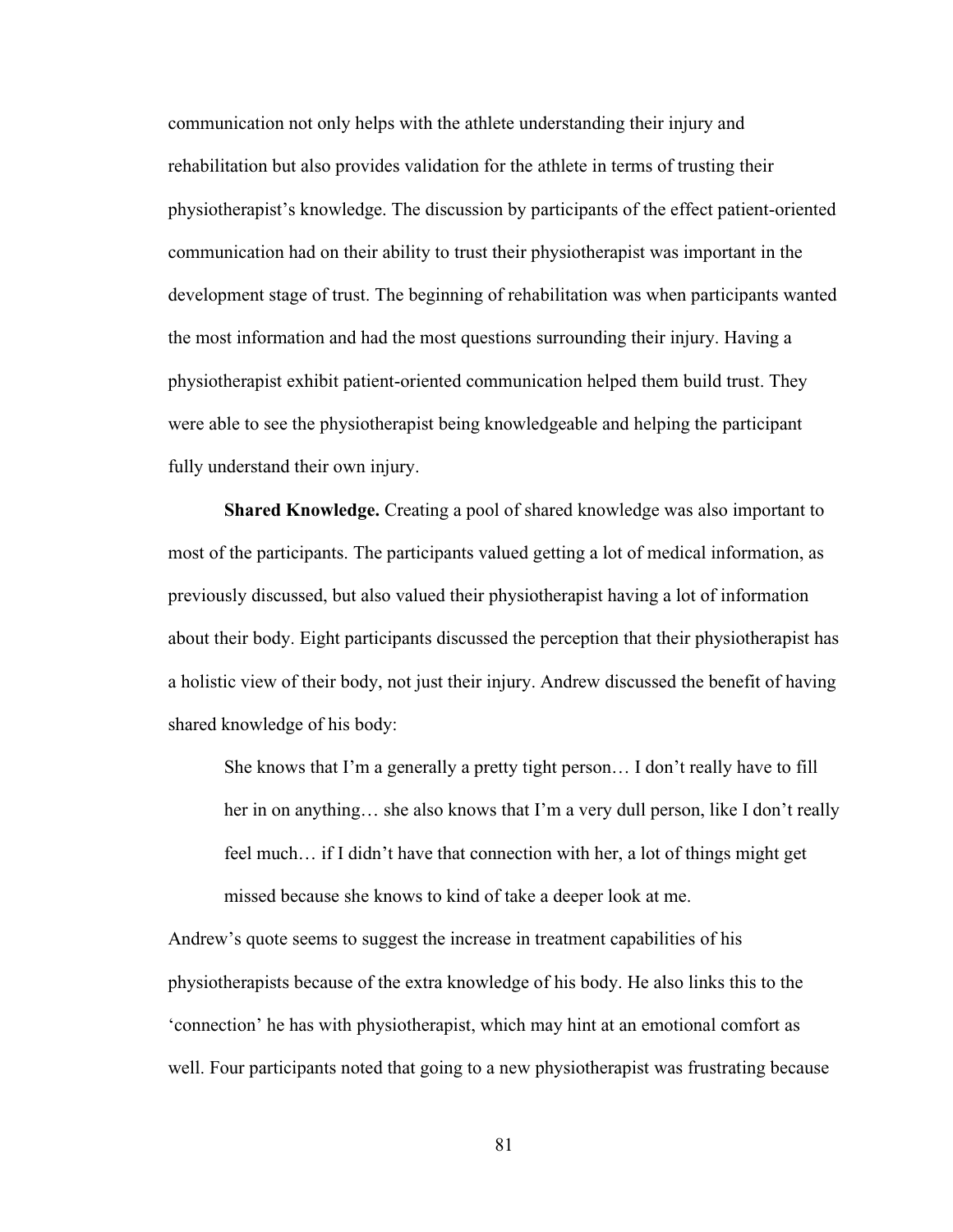communication not only helps with the athlete understanding their injury and rehabilitation but also provides validation for the athlete in terms of trusting their physiotherapist's knowledge. The discussion by participants of the effect patient-oriented communication had on their ability to trust their physiotherapist was important in the development stage of trust. The beginning of rehabilitation was when participants wanted the most information and had the most questions surrounding their injury. Having a physiotherapist exhibit patient-oriented communication helped them build trust. They were able to see the physiotherapist being knowledgeable and helping the participant fully understand their own injury.

**Shared Knowledge.** Creating a pool of shared knowledge was also important to most of the participants. The participants valued getting a lot of medical information, as previously discussed, but also valued their physiotherapist having a lot of information about their body. Eight participants discussed the perception that their physiotherapist has a holistic view of their body, not just their injury. Andrew discussed the benefit of having shared knowledge of his body:

She knows that I'm a generally a pretty tight person… I don't really have to fill her in on anything… she also knows that I'm a very dull person, like I don't really feel much… if I didn't have that connection with her, a lot of things might get missed because she knows to kind of take a deeper look at me.

Andrew's quote seems to suggest the increase in treatment capabilities of his physiotherapists because of the extra knowledge of his body. He also links this to the 'connection' he has with physiotherapist, which may hint at an emotional comfort as well. Four participants noted that going to a new physiotherapist was frustrating because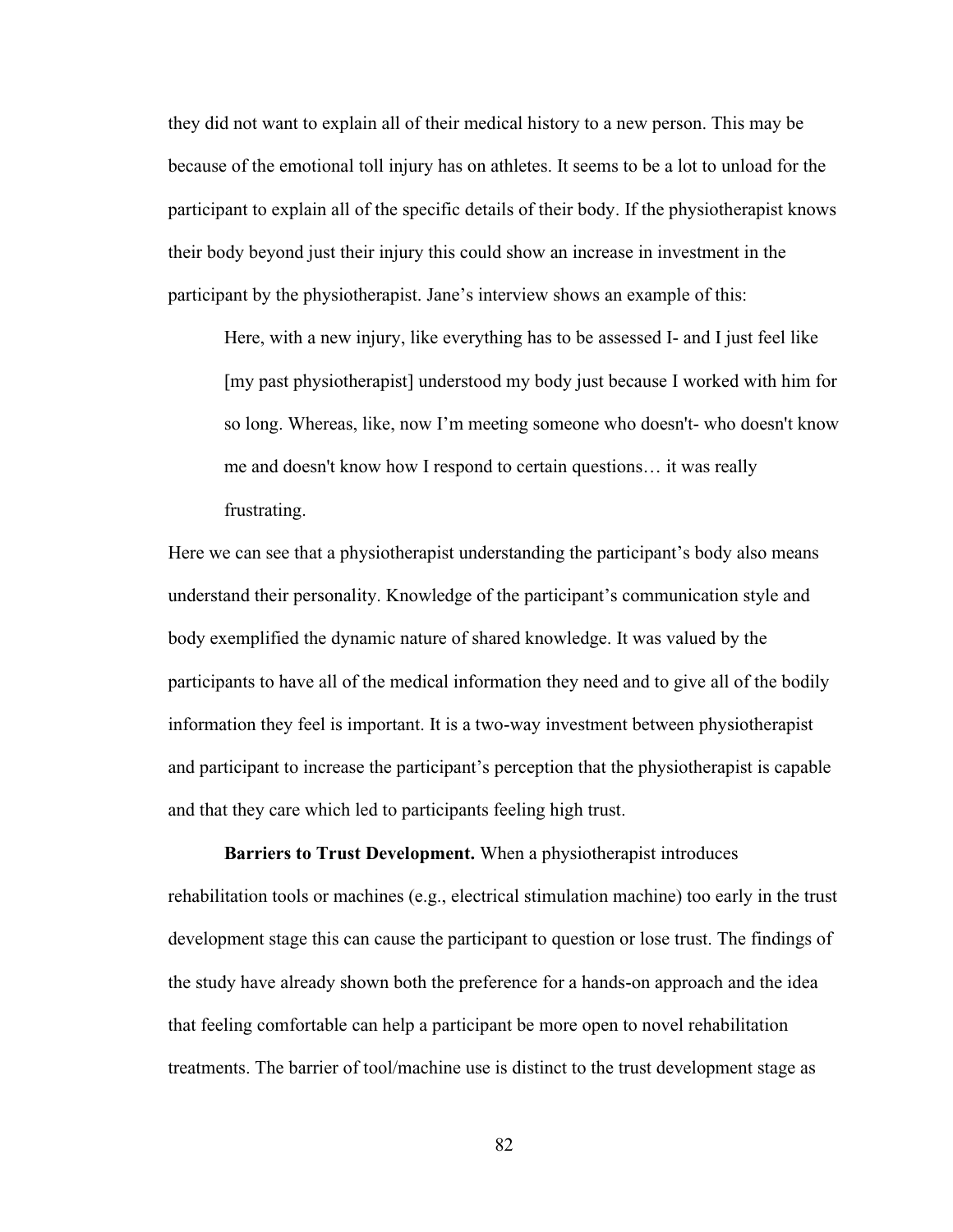they did not want to explain all of their medical history to a new person. This may be because of the emotional toll injury has on athletes. It seems to be a lot to unload for the participant to explain all of the specific details of their body. If the physiotherapist knows their body beyond just their injury this could show an increase in investment in the participant by the physiotherapist. Jane's interview shows an example of this:

Here, with a new injury, like everything has to be assessed I- and I just feel like [my past physiotherapist] understood my body just because I worked with him for so long. Whereas, like, now I'm meeting someone who doesn't- who doesn't know me and doesn't know how I respond to certain questions… it was really frustrating.

Here we can see that a physiotherapist understanding the participant's body also means understand their personality. Knowledge of the participant's communication style and body exemplified the dynamic nature of shared knowledge. It was valued by the participants to have all of the medical information they need and to give all of the bodily information they feel is important. It is a two-way investment between physiotherapist and participant to increase the participant's perception that the physiotherapist is capable and that they care which led to participants feeling high trust.

**Barriers to Trust Development.** When a physiotherapist introduces rehabilitation tools or machines (e.g., electrical stimulation machine) too early in the trust development stage this can cause the participant to question or lose trust. The findings of the study have already shown both the preference for a hands-on approach and the idea that feeling comfortable can help a participant be more open to novel rehabilitation treatments. The barrier of tool/machine use is distinct to the trust development stage as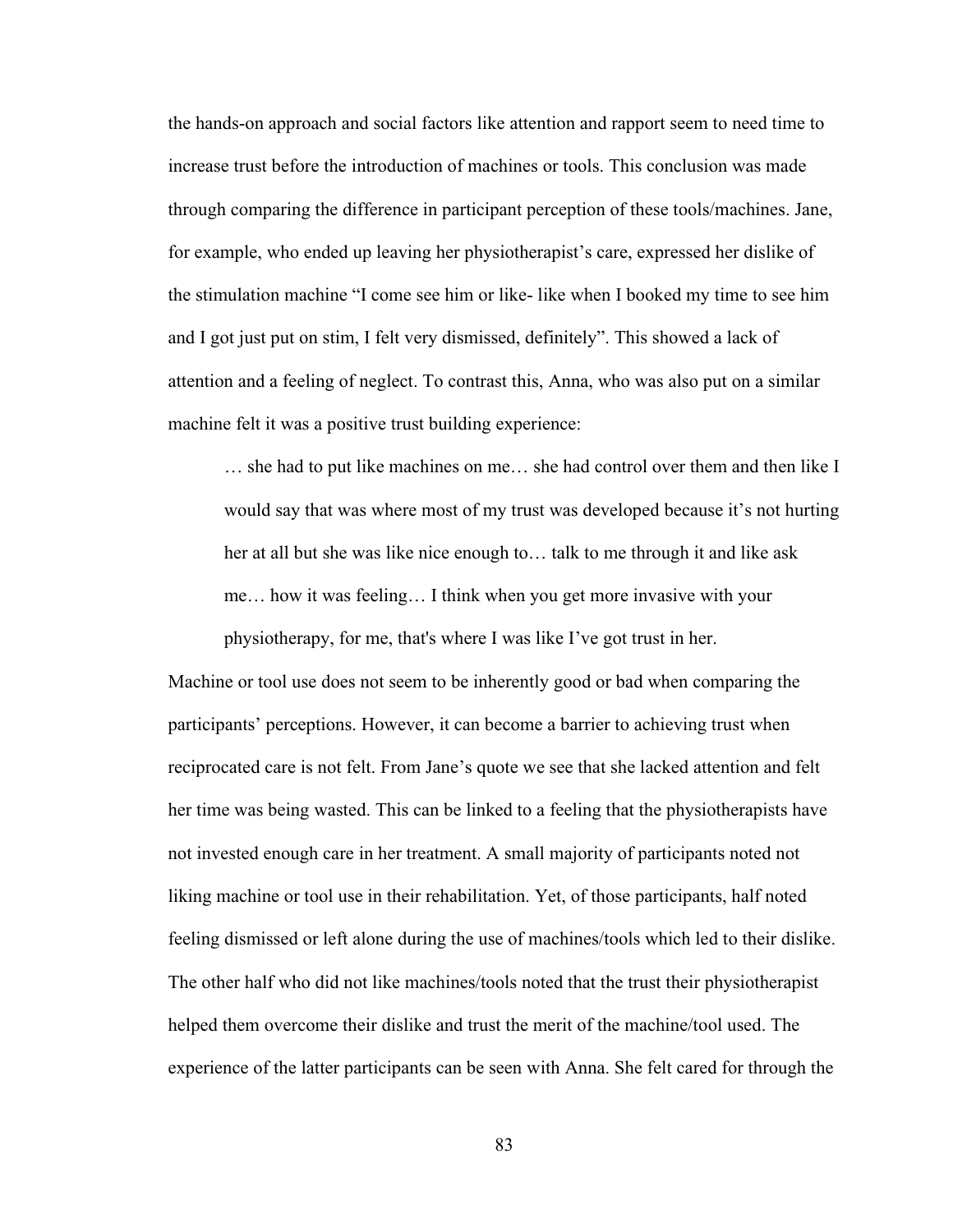the hands-on approach and social factors like attention and rapport seem to need time to increase trust before the introduction of machines or tools. This conclusion was made through comparing the difference in participant perception of these tools/machines. Jane, for example, who ended up leaving her physiotherapist's care, expressed her dislike of the stimulation machine "I come see him or like- like when I booked my time to see him and I got just put on stim, I felt very dismissed, definitely". This showed a lack of attention and a feeling of neglect. To contrast this, Anna, who was also put on a similar machine felt it was a positive trust building experience:

… she had to put like machines on me… she had control over them and then like I would say that was where most of my trust was developed because it's not hurting her at all but she was like nice enough to… talk to me through it and like ask me… how it was feeling… I think when you get more invasive with your physiotherapy, for me, that's where I was like I've got trust in her.

Machine or tool use does not seem to be inherently good or bad when comparing the participants' perceptions. However, it can become a barrier to achieving trust when reciprocated care is not felt. From Jane's quote we see that she lacked attention and felt her time was being wasted. This can be linked to a feeling that the physiotherapists have not invested enough care in her treatment. A small majority of participants noted not liking machine or tool use in their rehabilitation. Yet, of those participants, half noted feeling dismissed or left alone during the use of machines/tools which led to their dislike. The other half who did not like machines/tools noted that the trust their physiotherapist helped them overcome their dislike and trust the merit of the machine/tool used. The experience of the latter participants can be seen with Anna. She felt cared for through the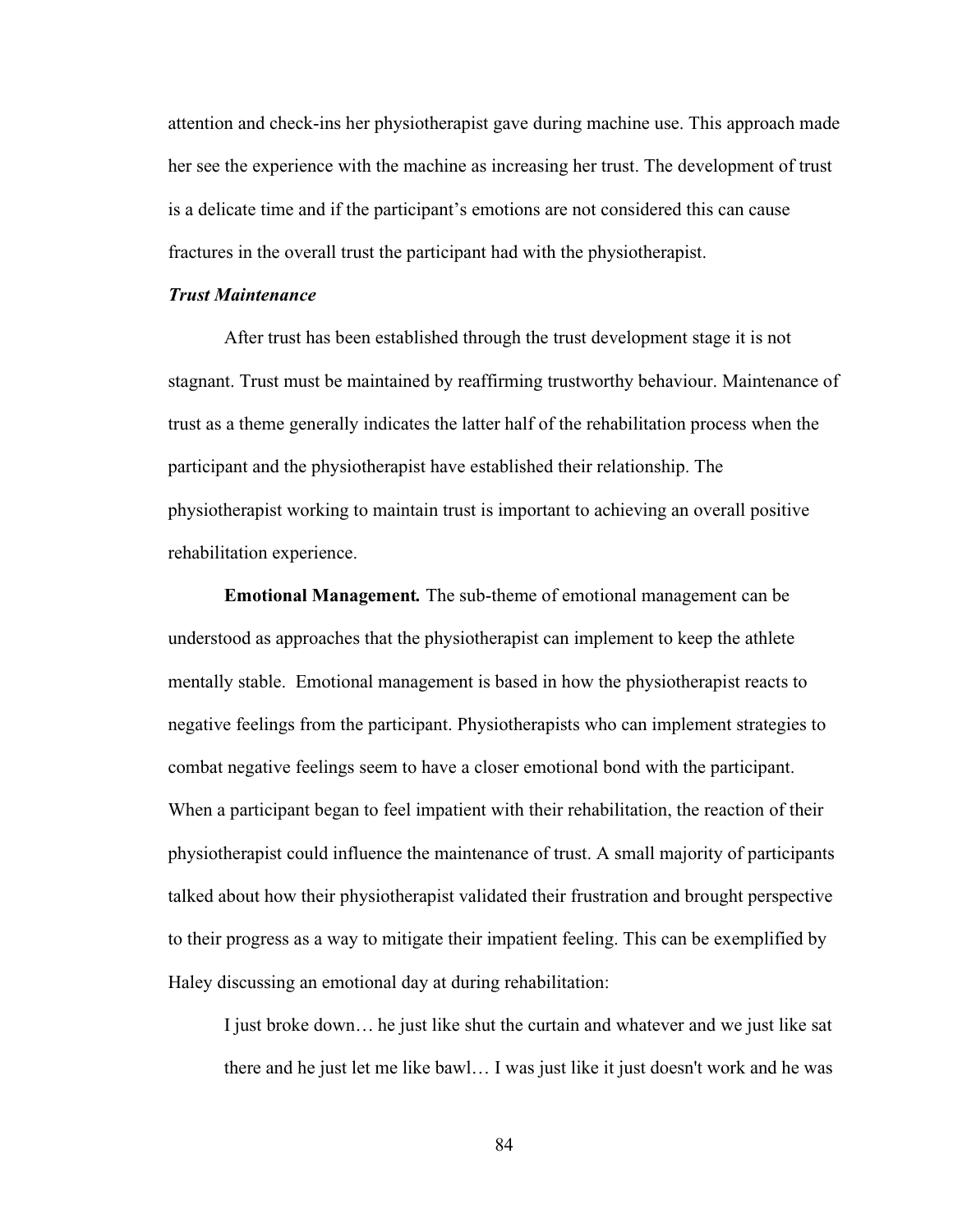attention and check-ins her physiotherapist gave during machine use. This approach made her see the experience with the machine as increasing her trust. The development of trust is a delicate time and if the participant's emotions are not considered this can cause fractures in the overall trust the participant had with the physiotherapist.

# *Trust Maintenance*

After trust has been established through the trust development stage it is not stagnant. Trust must be maintained by reaffirming trustworthy behaviour. Maintenance of trust as a theme generally indicates the latter half of the rehabilitation process when the participant and the physiotherapist have established their relationship. The physiotherapist working to maintain trust is important to achieving an overall positive rehabilitation experience.

**Emotional Management***.* The sub-theme of emotional management can be understood as approaches that the physiotherapist can implement to keep the athlete mentally stable. Emotional management is based in how the physiotherapist reacts to negative feelings from the participant. Physiotherapists who can implement strategies to combat negative feelings seem to have a closer emotional bond with the participant. When a participant began to feel impatient with their rehabilitation, the reaction of their physiotherapist could influence the maintenance of trust. A small majority of participants talked about how their physiotherapist validated their frustration and brought perspective to their progress as a way to mitigate their impatient feeling. This can be exemplified by Haley discussing an emotional day at during rehabilitation:

I just broke down… he just like shut the curtain and whatever and we just like sat there and he just let me like bawl… I was just like it just doesn't work and he was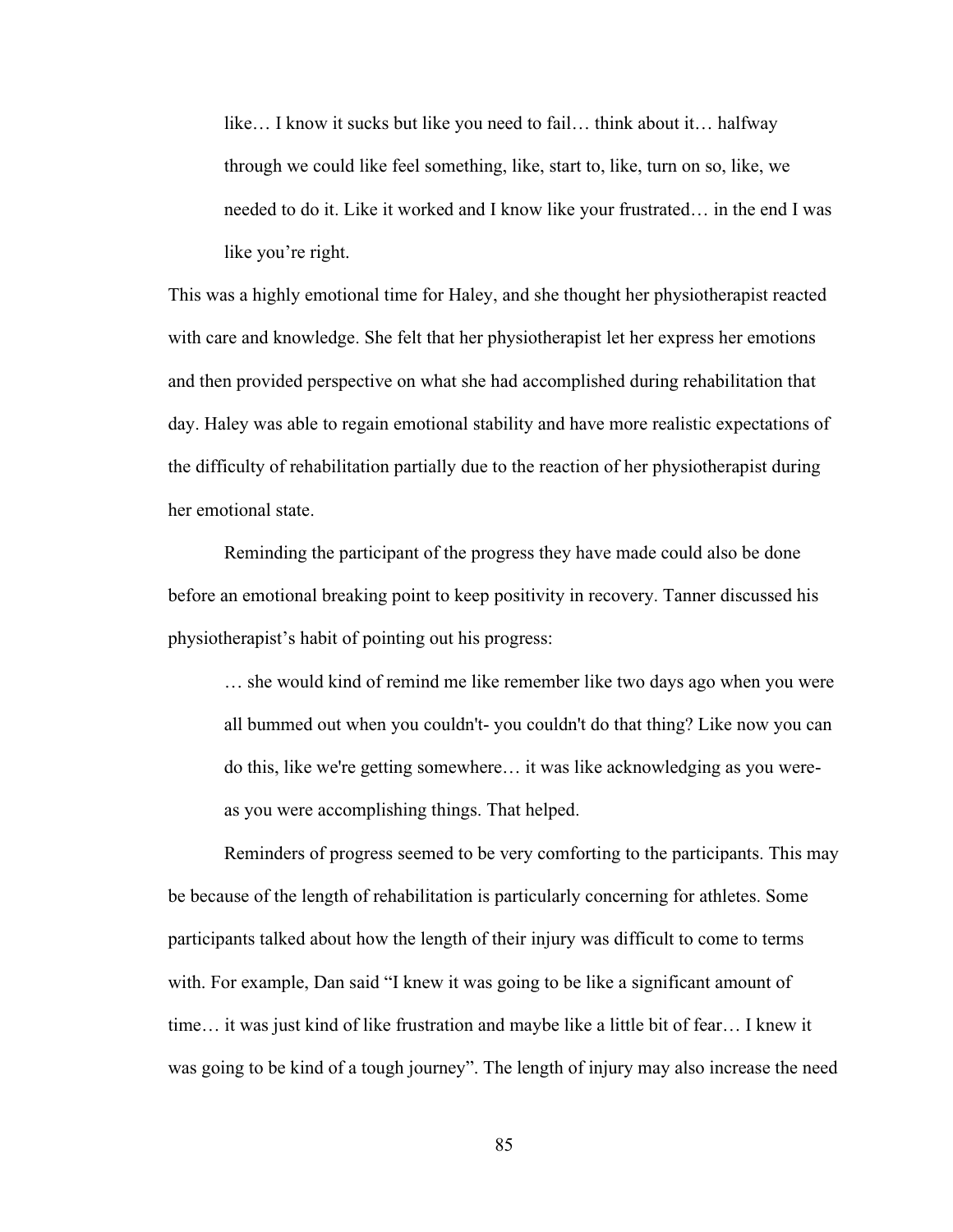like… I know it sucks but like you need to fail… think about it… halfway through we could like feel something, like, start to, like, turn on so, like, we needed to do it. Like it worked and I know like your frustrated… in the end I was like you're right.

This was a highly emotional time for Haley, and she thought her physiotherapist reacted with care and knowledge. She felt that her physiotherapist let her express her emotions and then provided perspective on what she had accomplished during rehabilitation that day. Haley was able to regain emotional stability and have more realistic expectations of the difficulty of rehabilitation partially due to the reaction of her physiotherapist during her emotional state.

Reminding the participant of the progress they have made could also be done before an emotional breaking point to keep positivity in recovery. Tanner discussed his physiotherapist's habit of pointing out his progress:

… she would kind of remind me like remember like two days ago when you were all bummed out when you couldn't- you couldn't do that thing? Like now you can do this, like we're getting somewhere… it was like acknowledging as you wereas you were accomplishing things. That helped.

Reminders of progress seemed to be very comforting to the participants. This may be because of the length of rehabilitation is particularly concerning for athletes. Some participants talked about how the length of their injury was difficult to come to terms with. For example, Dan said "I knew it was going to be like a significant amount of time… it was just kind of like frustration and maybe like a little bit of fear… I knew it was going to be kind of a tough journey". The length of injury may also increase the need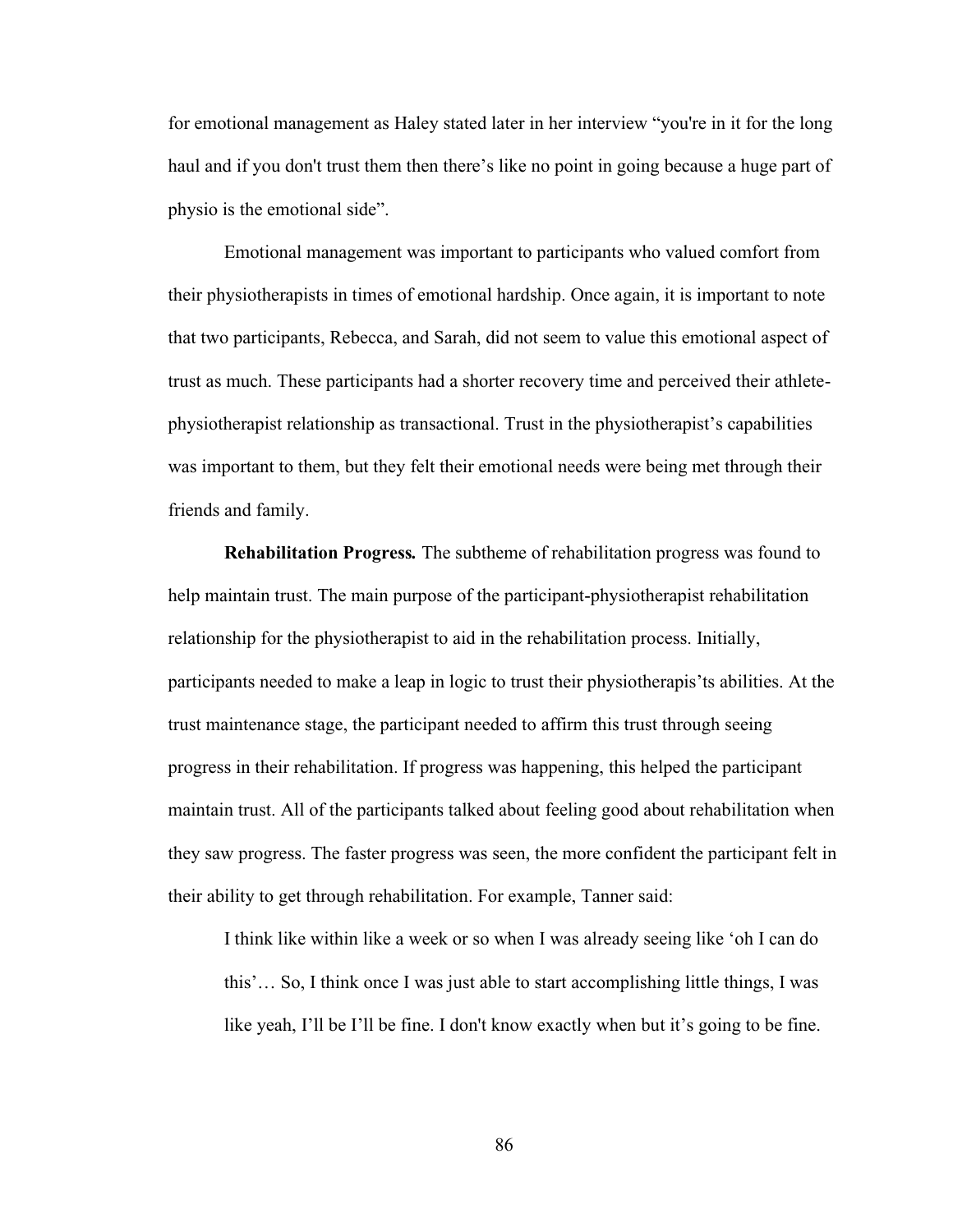for emotional management as Haley stated later in her interview "you're in it for the long haul and if you don't trust them then there's like no point in going because a huge part of physio is the emotional side".

Emotional management was important to participants who valued comfort from their physiotherapists in times of emotional hardship. Once again, it is important to note that two participants, Rebecca, and Sarah, did not seem to value this emotional aspect of trust as much. These participants had a shorter recovery time and perceived their athletephysiotherapist relationship as transactional. Trust in the physiotherapist's capabilities was important to them, but they felt their emotional needs were being met through their friends and family.

**Rehabilitation Progress***.* The subtheme of rehabilitation progress was found to help maintain trust. The main purpose of the participant-physiotherapist rehabilitation relationship for the physiotherapist to aid in the rehabilitation process. Initially, participants needed to make a leap in logic to trust their physiotherapis'ts abilities. At the trust maintenance stage, the participant needed to affirm this trust through seeing progress in their rehabilitation. If progress was happening, this helped the participant maintain trust. All of the participants talked about feeling good about rehabilitation when they saw progress. The faster progress was seen, the more confident the participant felt in their ability to get through rehabilitation. For example, Tanner said:

I think like within like a week or so when I was already seeing like 'oh I can do this'… So, I think once I was just able to start accomplishing little things, I was like yeah, I'll be I'll be fine. I don't know exactly when but it's going to be fine.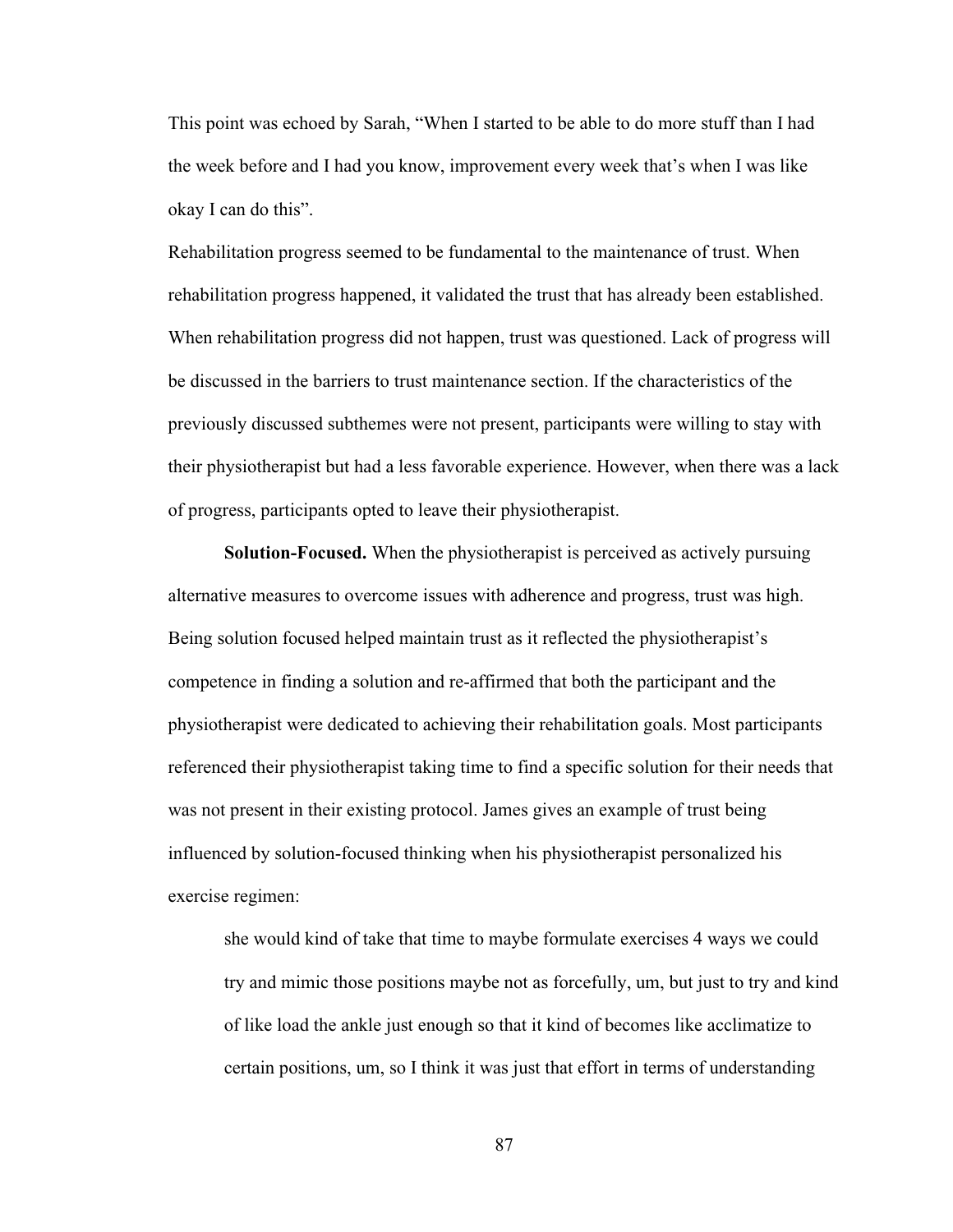This point was echoed by Sarah, "When I started to be able to do more stuff than I had the week before and I had you know, improvement every week that's when I was like okay I can do this".

Rehabilitation progress seemed to be fundamental to the maintenance of trust. When rehabilitation progress happened, it validated the trust that has already been established. When rehabilitation progress did not happen, trust was questioned. Lack of progress will be discussed in the barriers to trust maintenance section. If the characteristics of the previously discussed subthemes were not present, participants were willing to stay with their physiotherapist but had a less favorable experience. However, when there was a lack of progress, participants opted to leave their physiotherapist.

**Solution-Focused.** When the physiotherapist is perceived as actively pursuing alternative measures to overcome issues with adherence and progress, trust was high. Being solution focused helped maintain trust as it reflected the physiotherapist's competence in finding a solution and re-affirmed that both the participant and the physiotherapist were dedicated to achieving their rehabilitation goals. Most participants referenced their physiotherapist taking time to find a specific solution for their needs that was not present in their existing protocol. James gives an example of trust being influenced by solution-focused thinking when his physiotherapist personalized his exercise regimen:

she would kind of take that time to maybe formulate exercises 4 ways we could try and mimic those positions maybe not as forcefully, um, but just to try and kind of like load the ankle just enough so that it kind of becomes like acclimatize to certain positions, um, so I think it was just that effort in terms of understanding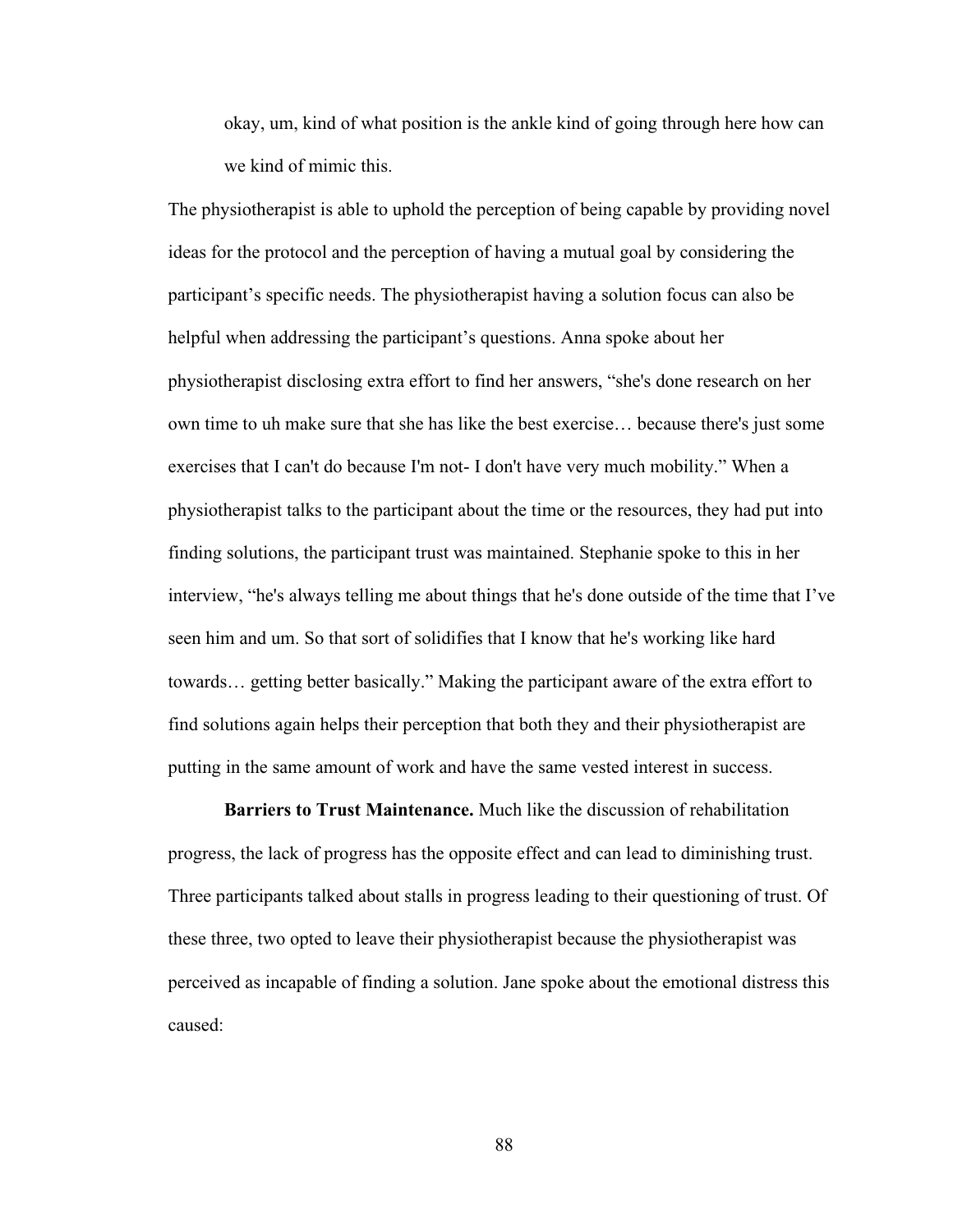okay, um, kind of what position is the ankle kind of going through here how can we kind of mimic this.

The physiotherapist is able to uphold the perception of being capable by providing novel ideas for the protocol and the perception of having a mutual goal by considering the participant's specific needs. The physiotherapist having a solution focus can also be helpful when addressing the participant's questions. Anna spoke about her physiotherapist disclosing extra effort to find her answers, "she's done research on her own time to uh make sure that she has like the best exercise… because there's just some exercises that I can't do because I'm not- I don't have very much mobility." When a physiotherapist talks to the participant about the time or the resources, they had put into finding solutions, the participant trust was maintained. Stephanie spoke to this in her interview, "he's always telling me about things that he's done outside of the time that I've seen him and um. So that sort of solidifies that I know that he's working like hard towards… getting better basically." Making the participant aware of the extra effort to find solutions again helps their perception that both they and their physiotherapist are putting in the same amount of work and have the same vested interest in success.

**Barriers to Trust Maintenance.** Much like the discussion of rehabilitation progress, the lack of progress has the opposite effect and can lead to diminishing trust. Three participants talked about stalls in progress leading to their questioning of trust. Of these three, two opted to leave their physiotherapist because the physiotherapist was perceived as incapable of finding a solution. Jane spoke about the emotional distress this caused: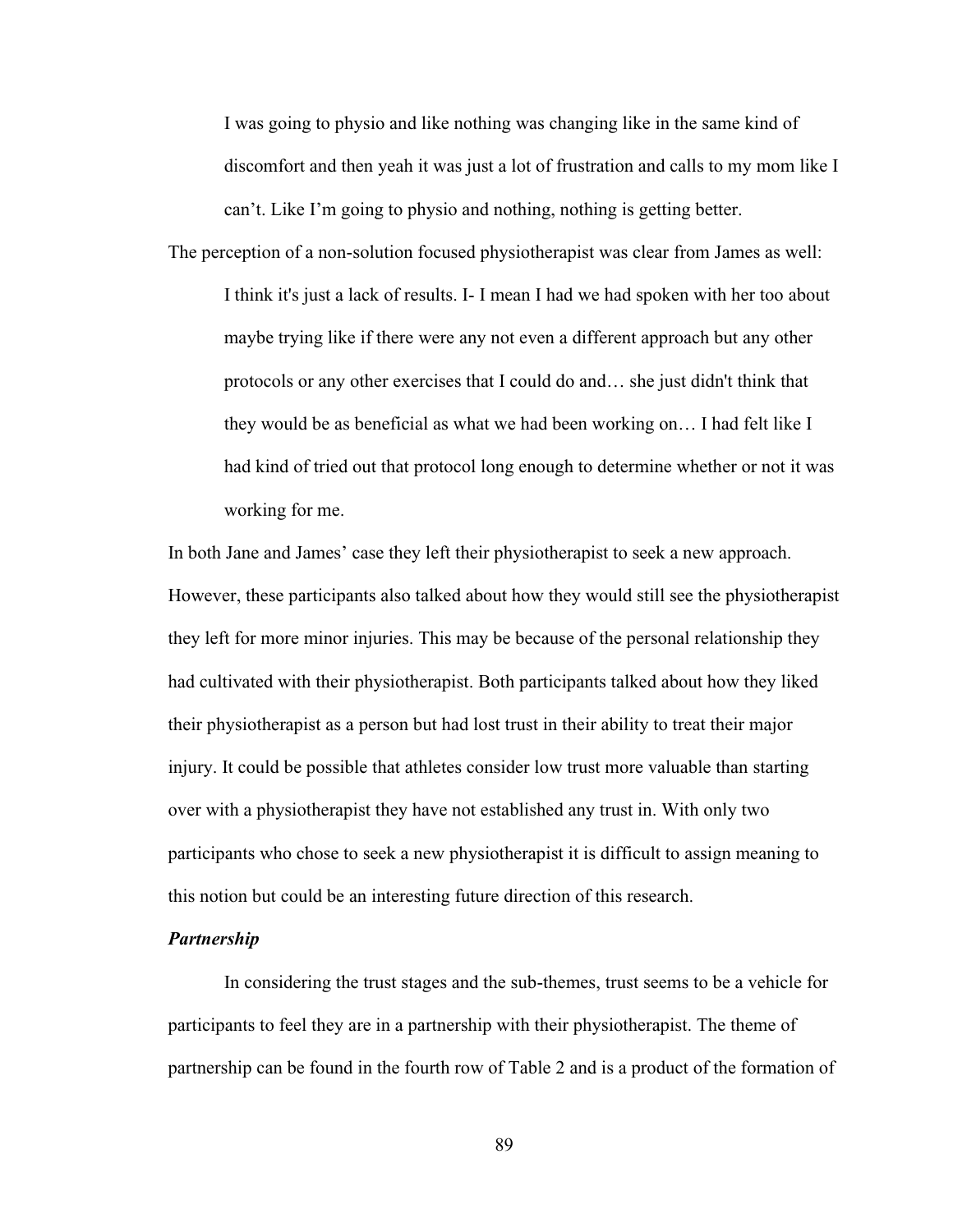I was going to physio and like nothing was changing like in the same kind of discomfort and then yeah it was just a lot of frustration and calls to my mom like I can't. Like I'm going to physio and nothing, nothing is getting better.

The perception of a non-solution focused physiotherapist was clear from James as well: I think it's just a lack of results. I- I mean I had we had spoken with her too about maybe trying like if there were any not even a different approach but any other protocols or any other exercises that I could do and… she just didn't think that they would be as beneficial as what we had been working on… I had felt like I had kind of tried out that protocol long enough to determine whether or not it was working for me.

In both Jane and James' case they left their physiotherapist to seek a new approach. However, these participants also talked about how they would still see the physiotherapist they left for more minor injuries. This may be because of the personal relationship they had cultivated with their physiotherapist. Both participants talked about how they liked their physiotherapist as a person but had lost trust in their ability to treat their major injury. It could be possible that athletes consider low trust more valuable than starting over with a physiotherapist they have not established any trust in. With only two participants who chose to seek a new physiotherapist it is difficult to assign meaning to this notion but could be an interesting future direction of this research.

### *Partnership*

In considering the trust stages and the sub-themes, trust seems to be a vehicle for participants to feel they are in a partnership with their physiotherapist. The theme of partnership can be found in the fourth row of Table 2 and is a product of the formation of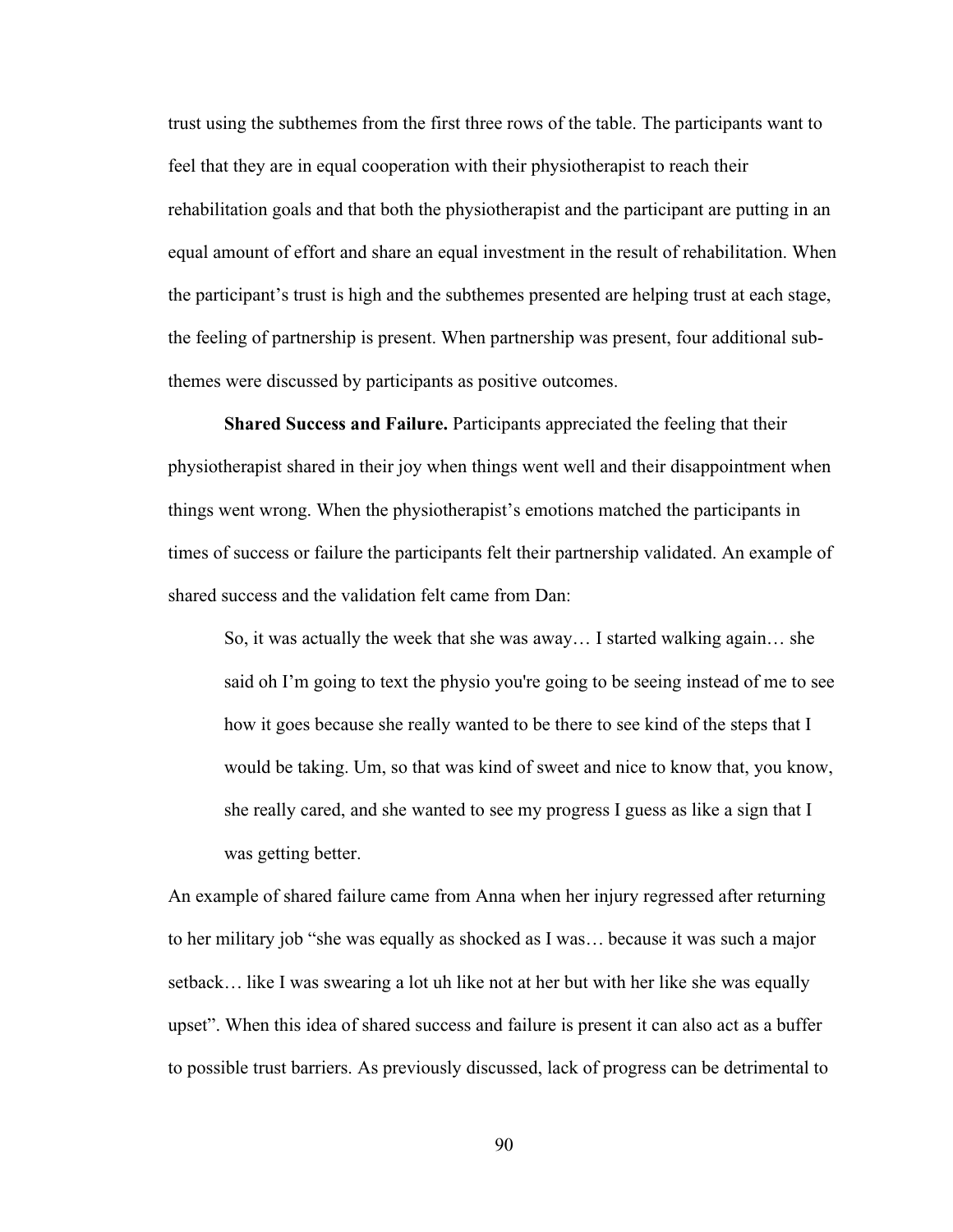trust using the subthemes from the first three rows of the table. The participants want to feel that they are in equal cooperation with their physiotherapist to reach their rehabilitation goals and that both the physiotherapist and the participant are putting in an equal amount of effort and share an equal investment in the result of rehabilitation. When the participant's trust is high and the subthemes presented are helping trust at each stage, the feeling of partnership is present. When partnership was present, four additional subthemes were discussed by participants as positive outcomes.

**Shared Success and Failure.** Participants appreciated the feeling that their physiotherapist shared in their joy when things went well and their disappointment when things went wrong. When the physiotherapist's emotions matched the participants in times of success or failure the participants felt their partnership validated. An example of shared success and the validation felt came from Dan:

So, it was actually the week that she was away… I started walking again… she said oh I'm going to text the physio you're going to be seeing instead of me to see how it goes because she really wanted to be there to see kind of the steps that I would be taking. Um, so that was kind of sweet and nice to know that, you know, she really cared, and she wanted to see my progress I guess as like a sign that I was getting better.

An example of shared failure came from Anna when her injury regressed after returning to her military job "she was equally as shocked as I was… because it was such a major setback… like I was swearing a lot uh like not at her but with her like she was equally upset". When this idea of shared success and failure is present it can also act as a buffer to possible trust barriers. As previously discussed, lack of progress can be detrimental to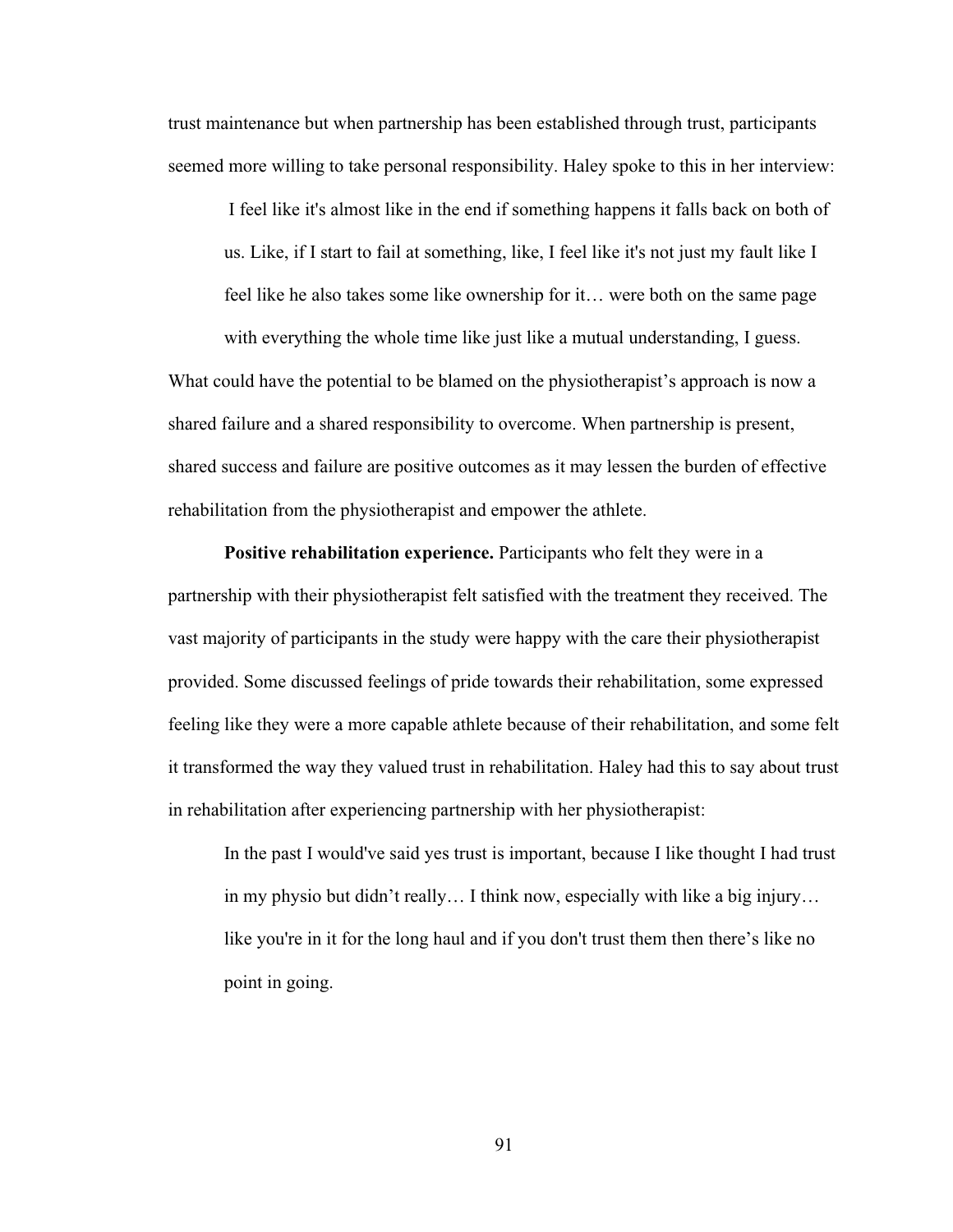trust maintenance but when partnership has been established through trust, participants seemed more willing to take personal responsibility. Haley spoke to this in her interview:

I feel like it's almost like in the end if something happens it falls back on both of us. Like, if I start to fail at something, like, I feel like it's not just my fault like I feel like he also takes some like ownership for it… were both on the same page with everything the whole time like just like a mutual understanding, I guess.

What could have the potential to be blamed on the physiotherapist's approach is now a shared failure and a shared responsibility to overcome. When partnership is present, shared success and failure are positive outcomes as it may lessen the burden of effective rehabilitation from the physiotherapist and empower the athlete.

**Positive rehabilitation experience.** Participants who felt they were in a partnership with their physiotherapist felt satisfied with the treatment they received. The vast majority of participants in the study were happy with the care their physiotherapist provided. Some discussed feelings of pride towards their rehabilitation, some expressed feeling like they were a more capable athlete because of their rehabilitation, and some felt it transformed the way they valued trust in rehabilitation. Haley had this to say about trust in rehabilitation after experiencing partnership with her physiotherapist:

In the past I would've said yes trust is important, because I like thought I had trust in my physio but didn't really… I think now, especially with like a big injury… like you're in it for the long haul and if you don't trust them then there's like no point in going.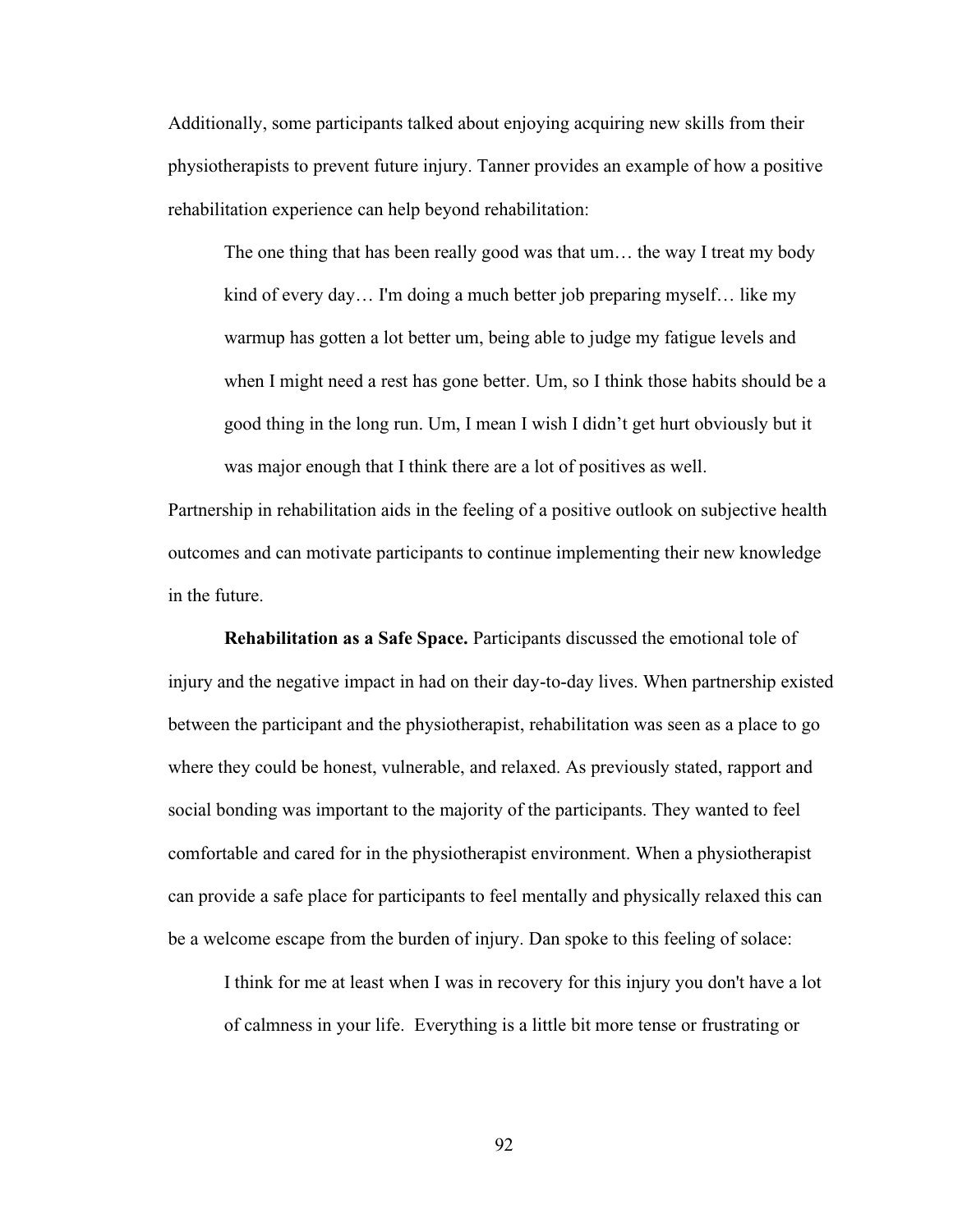Additionally, some participants talked about enjoying acquiring new skills from their physiotherapists to prevent future injury. Tanner provides an example of how a positive rehabilitation experience can help beyond rehabilitation:

The one thing that has been really good was that um… the way I treat my body kind of every day… I'm doing a much better job preparing myself… like my warmup has gotten a lot better um, being able to judge my fatigue levels and when I might need a rest has gone better. Um, so I think those habits should be a good thing in the long run. Um, I mean I wish I didn't get hurt obviously but it was major enough that I think there are a lot of positives as well.

Partnership in rehabilitation aids in the feeling of a positive outlook on subjective health outcomes and can motivate participants to continue implementing their new knowledge in the future.

**Rehabilitation as a Safe Space.** Participants discussed the emotional tole of injury and the negative impact in had on their day-to-day lives. When partnership existed between the participant and the physiotherapist, rehabilitation was seen as a place to go where they could be honest, vulnerable, and relaxed. As previously stated, rapport and social bonding was important to the majority of the participants. They wanted to feel comfortable and cared for in the physiotherapist environment. When a physiotherapist can provide a safe place for participants to feel mentally and physically relaxed this can be a welcome escape from the burden of injury. Dan spoke to this feeling of solace:

I think for me at least when I was in recovery for this injury you don't have a lot of calmness in your life. Everything is a little bit more tense or frustrating or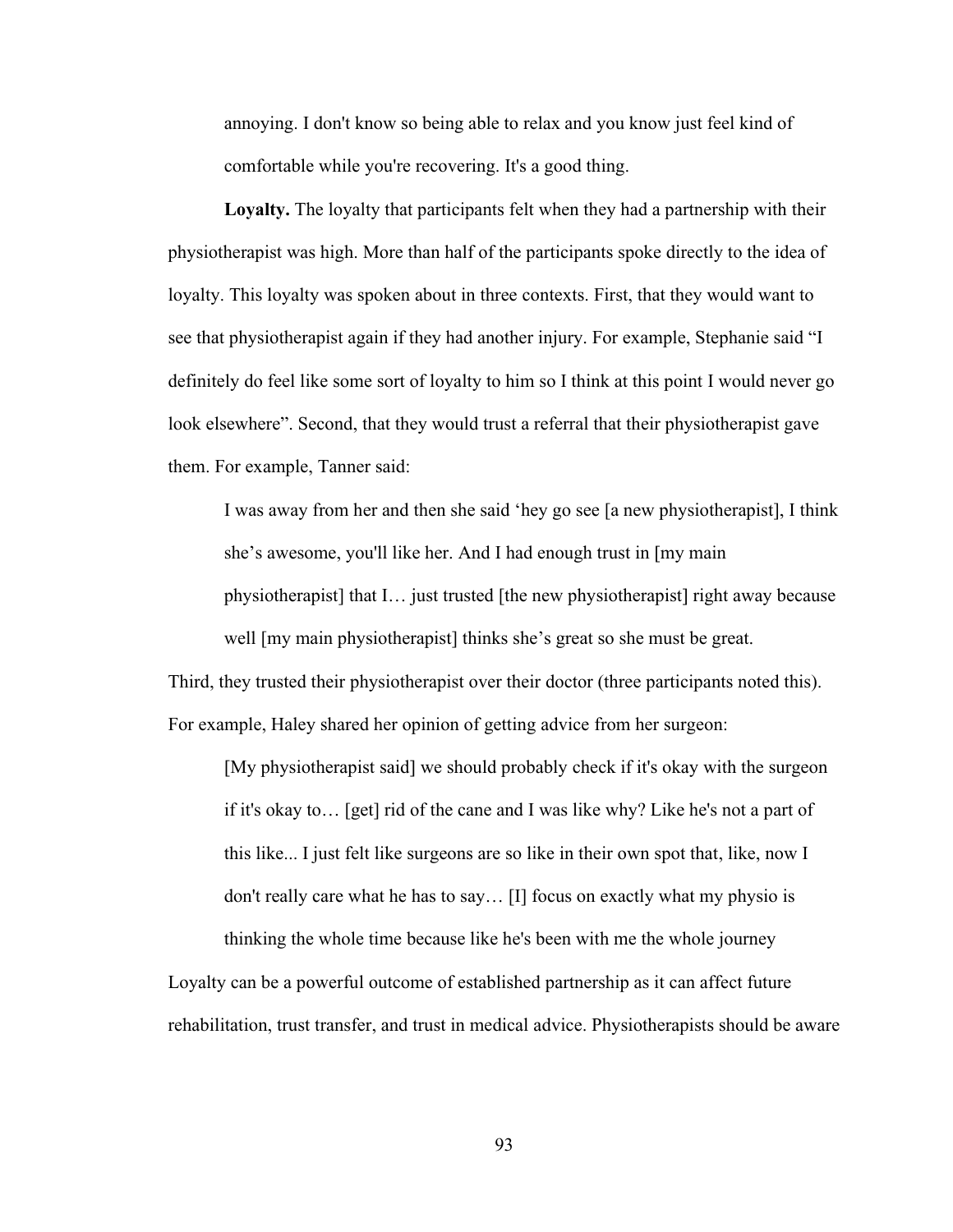annoying. I don't know so being able to relax and you know just feel kind of comfortable while you're recovering. It's a good thing.

**Loyalty.** The loyalty that participants felt when they had a partnership with their physiotherapist was high. More than half of the participants spoke directly to the idea of loyalty. This loyalty was spoken about in three contexts. First, that they would want to see that physiotherapist again if they had another injury. For example, Stephanie said "I definitely do feel like some sort of loyalty to him so I think at this point I would never go look elsewhere". Second, that they would trust a referral that their physiotherapist gave them. For example, Tanner said:

I was away from her and then she said 'hey go see [a new physiotherapist], I think she's awesome, you'll like her. And I had enough trust in [my main physiotherapist] that I… just trusted [the new physiotherapist] right away because well [my main physiotherapist] thinks she's great so she must be great.

Third, they trusted their physiotherapist over their doctor (three participants noted this). For example, Haley shared her opinion of getting advice from her surgeon:

[My physiotherapist said] we should probably check if it's okay with the surgeon if it's okay to… [get] rid of the cane and I was like why? Like he's not a part of this like... I just felt like surgeons are so like in their own spot that, like, now I don't really care what he has to say… [I] focus on exactly what my physio is thinking the whole time because like he's been with me the whole journey

Loyalty can be a powerful outcome of established partnership as it can affect future rehabilitation, trust transfer, and trust in medical advice. Physiotherapists should be aware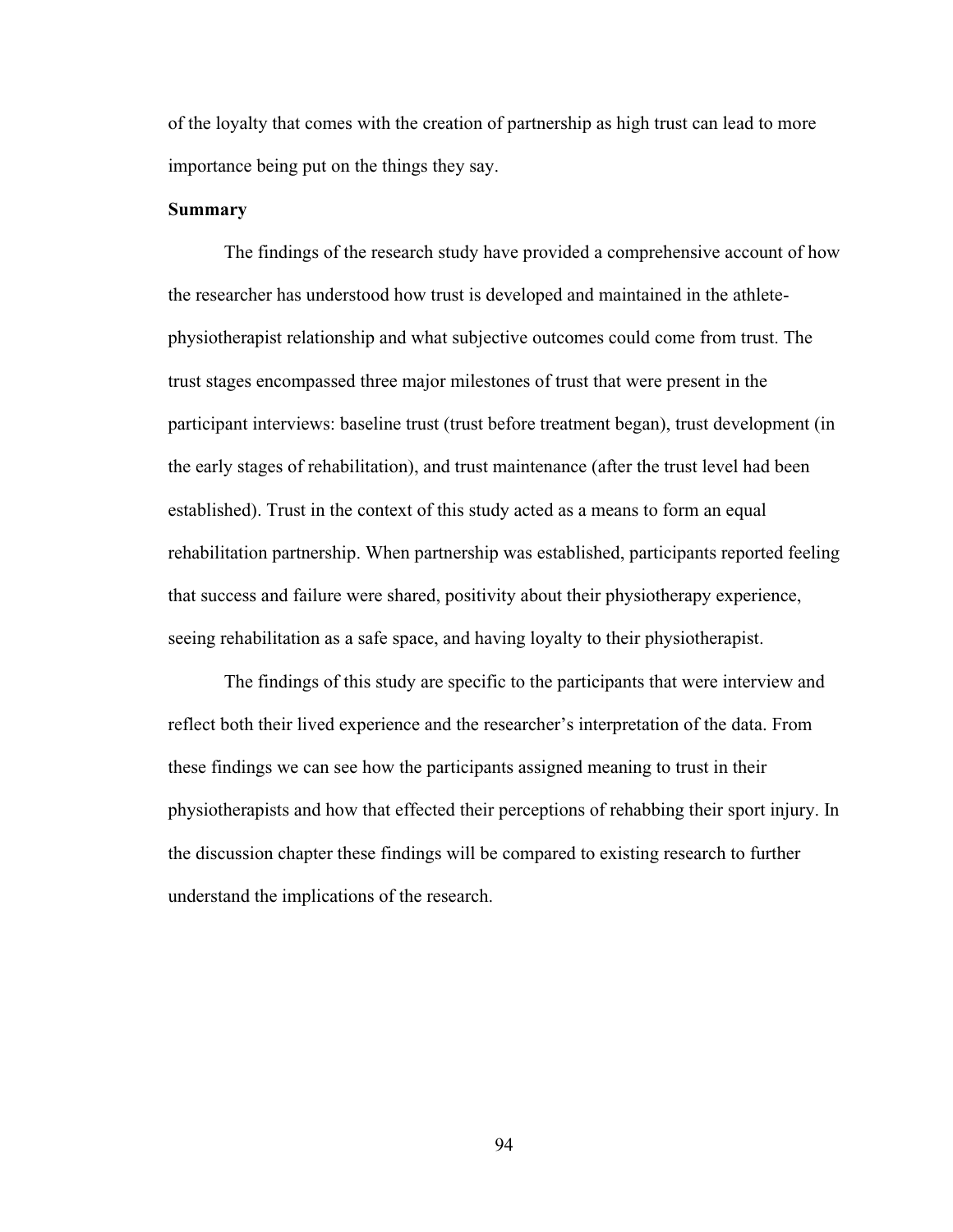of the loyalty that comes with the creation of partnership as high trust can lead to more importance being put on the things they say.

# **Summary**

The findings of the research study have provided a comprehensive account of how the researcher has understood how trust is developed and maintained in the athletephysiotherapist relationship and what subjective outcomes could come from trust. The trust stages encompassed three major milestones of trust that were present in the participant interviews: baseline trust (trust before treatment began), trust development (in the early stages of rehabilitation), and trust maintenance (after the trust level had been established). Trust in the context of this study acted as a means to form an equal rehabilitation partnership. When partnership was established, participants reported feeling that success and failure were shared, positivity about their physiotherapy experience, seeing rehabilitation as a safe space, and having loyalty to their physiotherapist.

The findings of this study are specific to the participants that were interview and reflect both their lived experience and the researcher's interpretation of the data. From these findings we can see how the participants assigned meaning to trust in their physiotherapists and how that effected their perceptions of rehabbing their sport injury. In the discussion chapter these findings will be compared to existing research to further understand the implications of the research.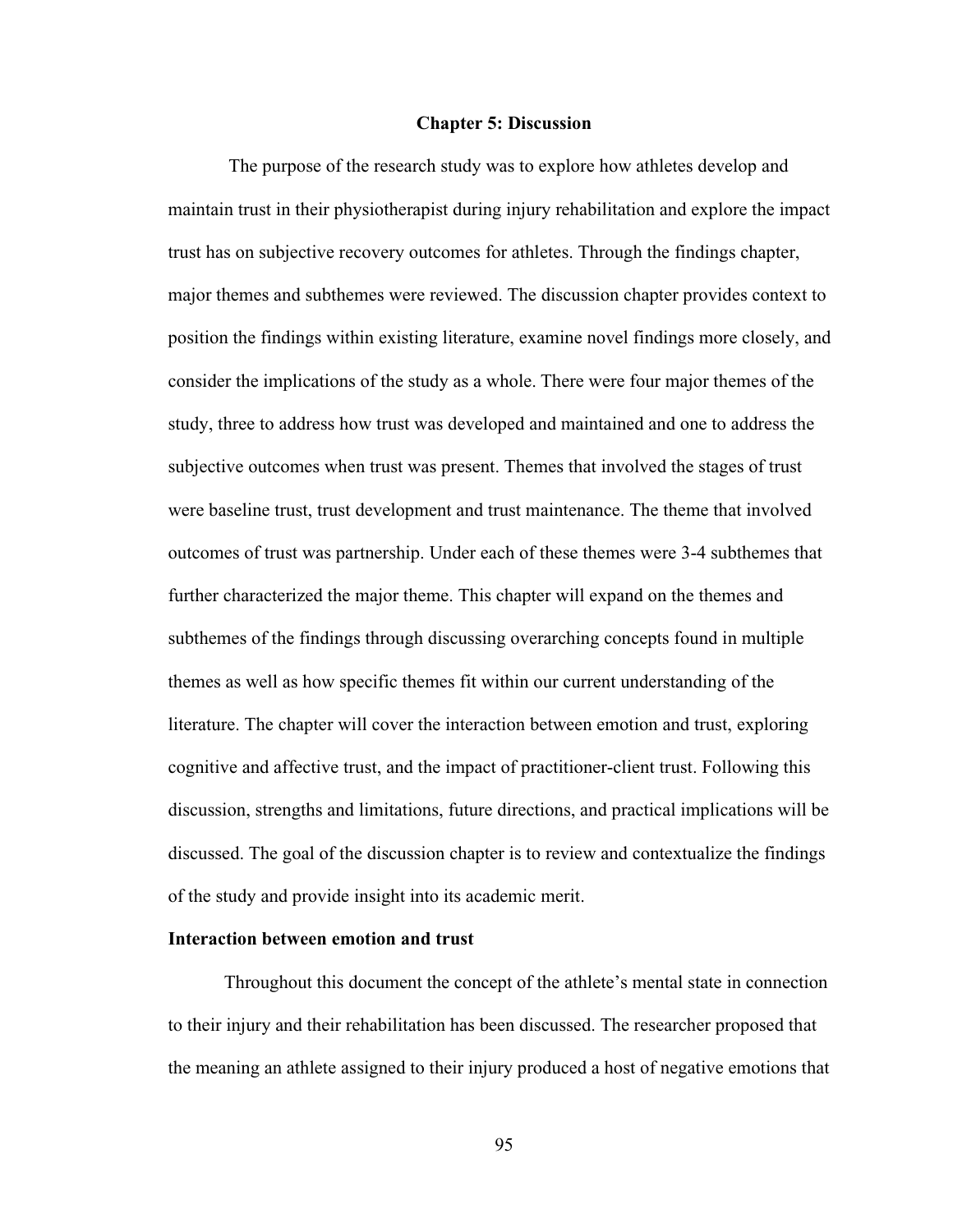#### **Chapter 5: Discussion**

The purpose of the research study was to explore how athletes develop and maintain trust in their physiotherapist during injury rehabilitation and explore the impact trust has on subjective recovery outcomes for athletes. Through the findings chapter, major themes and subthemes were reviewed. The discussion chapter provides context to position the findings within existing literature, examine novel findings more closely, and consider the implications of the study as a whole. There were four major themes of the study, three to address how trust was developed and maintained and one to address the subjective outcomes when trust was present. Themes that involved the stages of trust were baseline trust, trust development and trust maintenance. The theme that involved outcomes of trust was partnership. Under each of these themes were 3-4 subthemes that further characterized the major theme. This chapter will expand on the themes and subthemes of the findings through discussing overarching concepts found in multiple themes as well as how specific themes fit within our current understanding of the literature. The chapter will cover the interaction between emotion and trust, exploring cognitive and affective trust, and the impact of practitioner-client trust. Following this discussion, strengths and limitations, future directions, and practical implications will be discussed. The goal of the discussion chapter is to review and contextualize the findings of the study and provide insight into its academic merit.

# **Interaction between emotion and trust**

Throughout this document the concept of the athlete's mental state in connection to their injury and their rehabilitation has been discussed. The researcher proposed that the meaning an athlete assigned to their injury produced a host of negative emotions that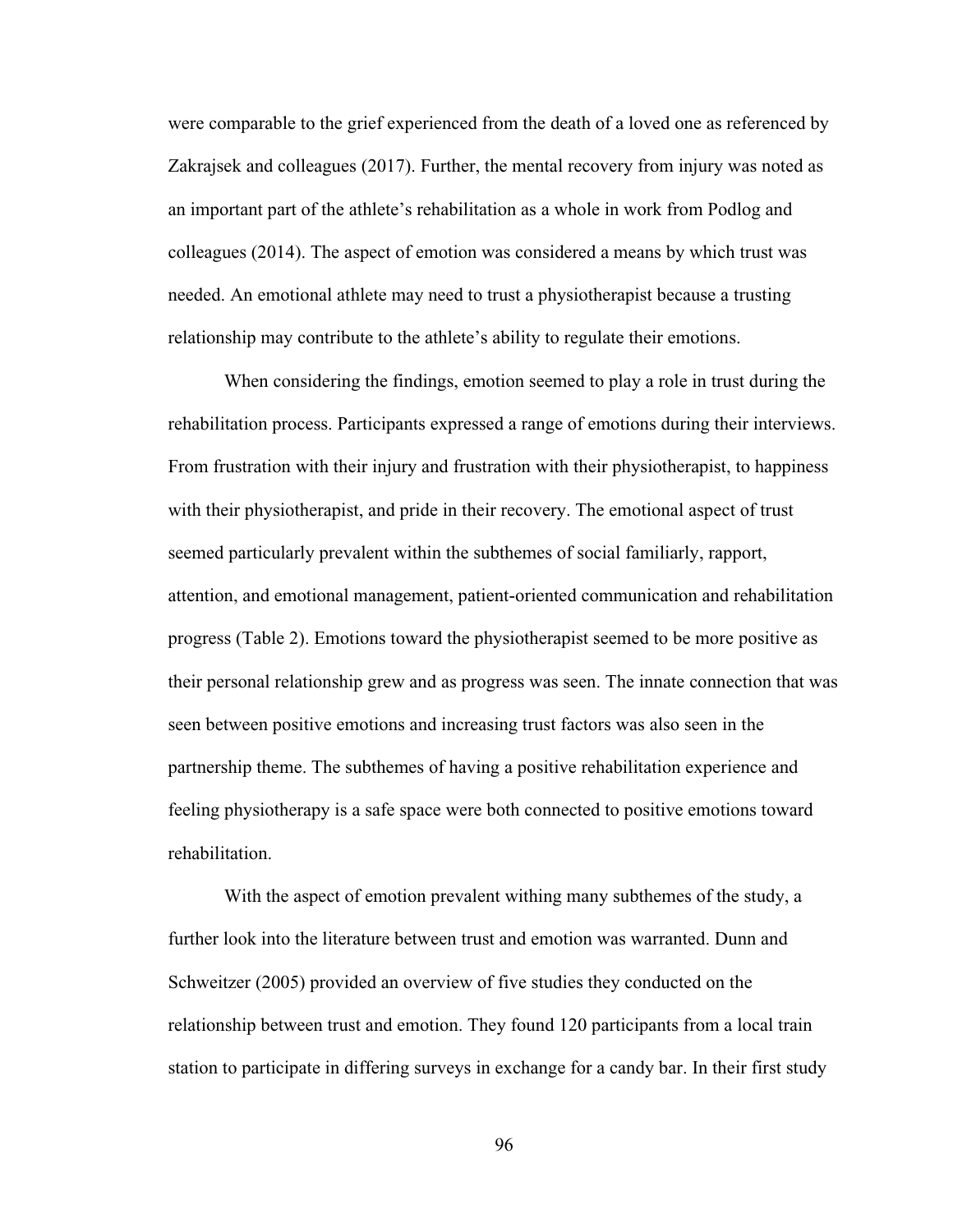were comparable to the grief experienced from the death of a loved one as referenced by Zakrajsek and colleagues (2017). Further, the mental recovery from injury was noted as an important part of the athlete's rehabilitation as a whole in work from Podlog and colleagues (2014). The aspect of emotion was considered a means by which trust was needed. An emotional athlete may need to trust a physiotherapist because a trusting relationship may contribute to the athlete's ability to regulate their emotions.

When considering the findings, emotion seemed to play a role in trust during the rehabilitation process. Participants expressed a range of emotions during their interviews. From frustration with their injury and frustration with their physiotherapist, to happiness with their physiotherapist, and pride in their recovery. The emotional aspect of trust seemed particularly prevalent within the subthemes of social familiarly, rapport, attention, and emotional management, patient-oriented communication and rehabilitation progress (Table 2). Emotions toward the physiotherapist seemed to be more positive as their personal relationship grew and as progress was seen. The innate connection that was seen between positive emotions and increasing trust factors was also seen in the partnership theme. The subthemes of having a positive rehabilitation experience and feeling physiotherapy is a safe space were both connected to positive emotions toward rehabilitation.

With the aspect of emotion prevalent withing many subthemes of the study, a further look into the literature between trust and emotion was warranted. Dunn and Schweitzer (2005) provided an overview of five studies they conducted on the relationship between trust and emotion. They found 120 participants from a local train station to participate in differing surveys in exchange for a candy bar. In their first study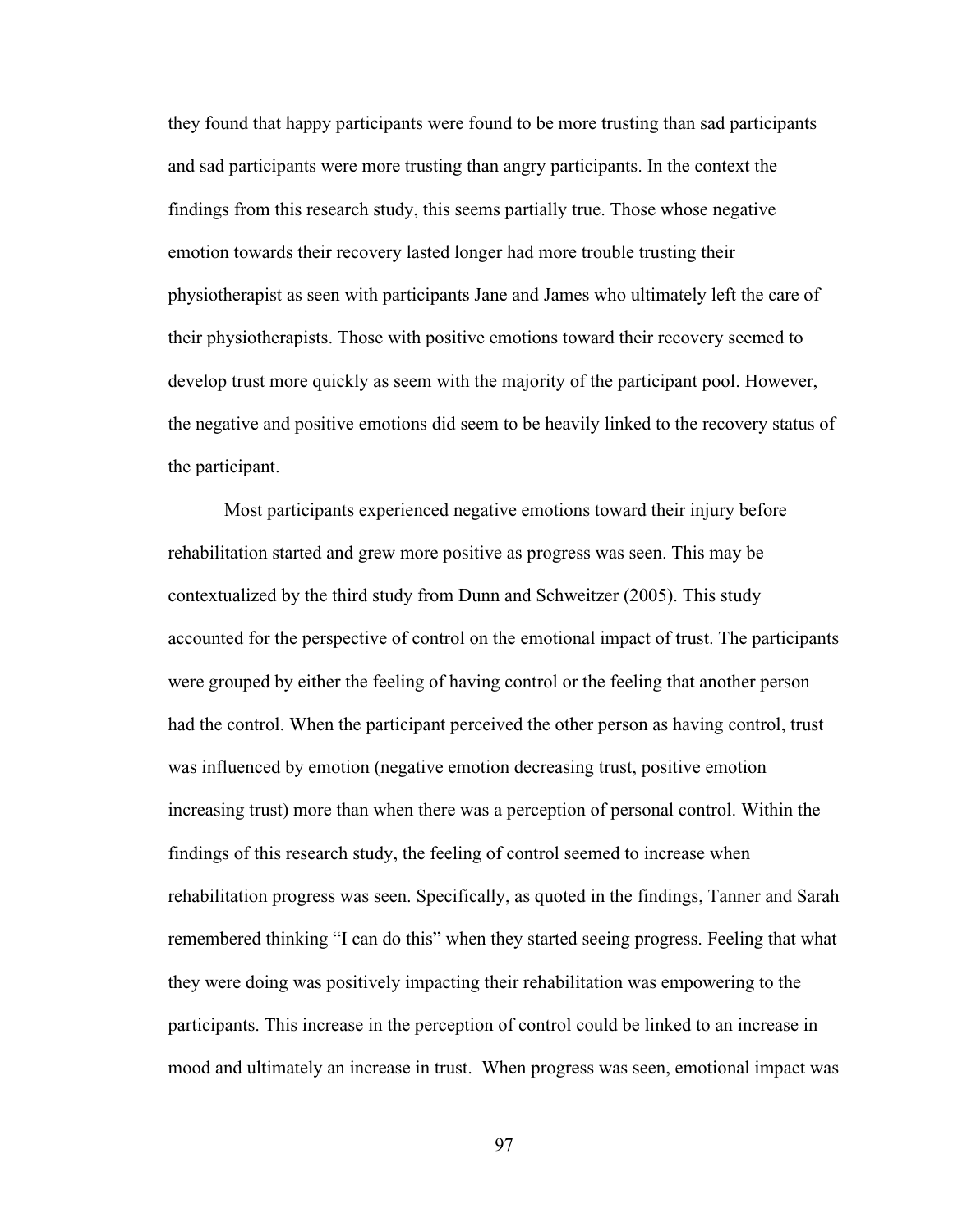they found that happy participants were found to be more trusting than sad participants and sad participants were more trusting than angry participants. In the context the findings from this research study, this seems partially true. Those whose negative emotion towards their recovery lasted longer had more trouble trusting their physiotherapist as seen with participants Jane and James who ultimately left the care of their physiotherapists. Those with positive emotions toward their recovery seemed to develop trust more quickly as seem with the majority of the participant pool. However, the negative and positive emotions did seem to be heavily linked to the recovery status of the participant.

Most participants experienced negative emotions toward their injury before rehabilitation started and grew more positive as progress was seen. This may be contextualized by the third study from Dunn and Schweitzer (2005). This study accounted for the perspective of control on the emotional impact of trust. The participants were grouped by either the feeling of having control or the feeling that another person had the control. When the participant perceived the other person as having control, trust was influenced by emotion (negative emotion decreasing trust, positive emotion increasing trust) more than when there was a perception of personal control. Within the findings of this research study, the feeling of control seemed to increase when rehabilitation progress was seen. Specifically, as quoted in the findings, Tanner and Sarah remembered thinking "I can do this" when they started seeing progress. Feeling that what they were doing was positively impacting their rehabilitation was empowering to the participants. This increase in the perception of control could be linked to an increase in mood and ultimately an increase in trust. When progress was seen, emotional impact was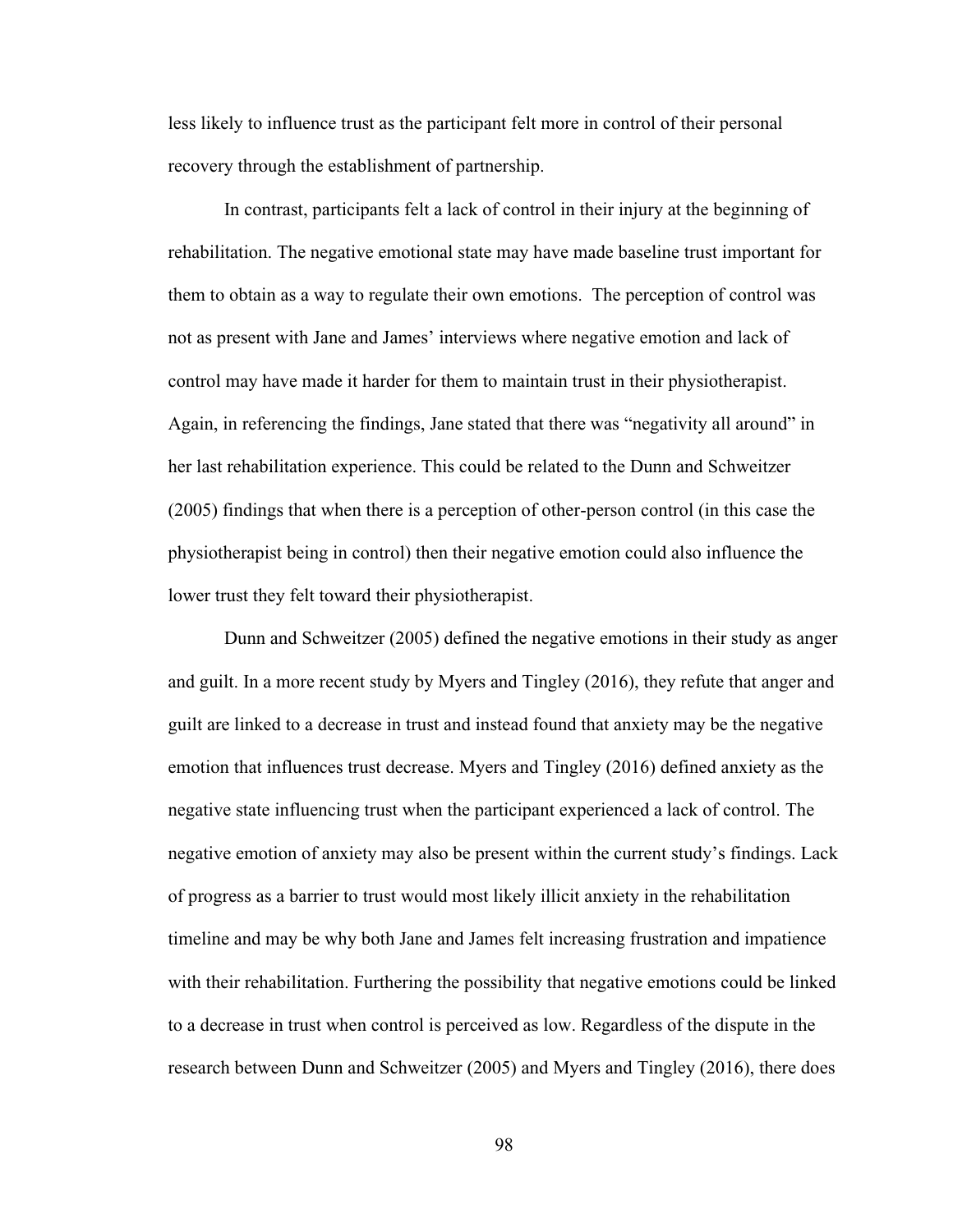less likely to influence trust as the participant felt more in control of their personal recovery through the establishment of partnership.

In contrast, participants felt a lack of control in their injury at the beginning of rehabilitation. The negative emotional state may have made baseline trust important for them to obtain as a way to regulate their own emotions. The perception of control was not as present with Jane and James' interviews where negative emotion and lack of control may have made it harder for them to maintain trust in their physiotherapist. Again, in referencing the findings, Jane stated that there was "negativity all around" in her last rehabilitation experience. This could be related to the Dunn and Schweitzer (2005) findings that when there is a perception of other-person control (in this case the physiotherapist being in control) then their negative emotion could also influence the lower trust they felt toward their physiotherapist.

Dunn and Schweitzer (2005) defined the negative emotions in their study as anger and guilt. In a more recent study by Myers and Tingley (2016), they refute that anger and guilt are linked to a decrease in trust and instead found that anxiety may be the negative emotion that influences trust decrease. Myers and Tingley (2016) defined anxiety as the negative state influencing trust when the participant experienced a lack of control. The negative emotion of anxiety may also be present within the current study's findings. Lack of progress as a barrier to trust would most likely illicit anxiety in the rehabilitation timeline and may be why both Jane and James felt increasing frustration and impatience with their rehabilitation. Furthering the possibility that negative emotions could be linked to a decrease in trust when control is perceived as low. Regardless of the dispute in the research between Dunn and Schweitzer (2005) and Myers and Tingley (2016), there does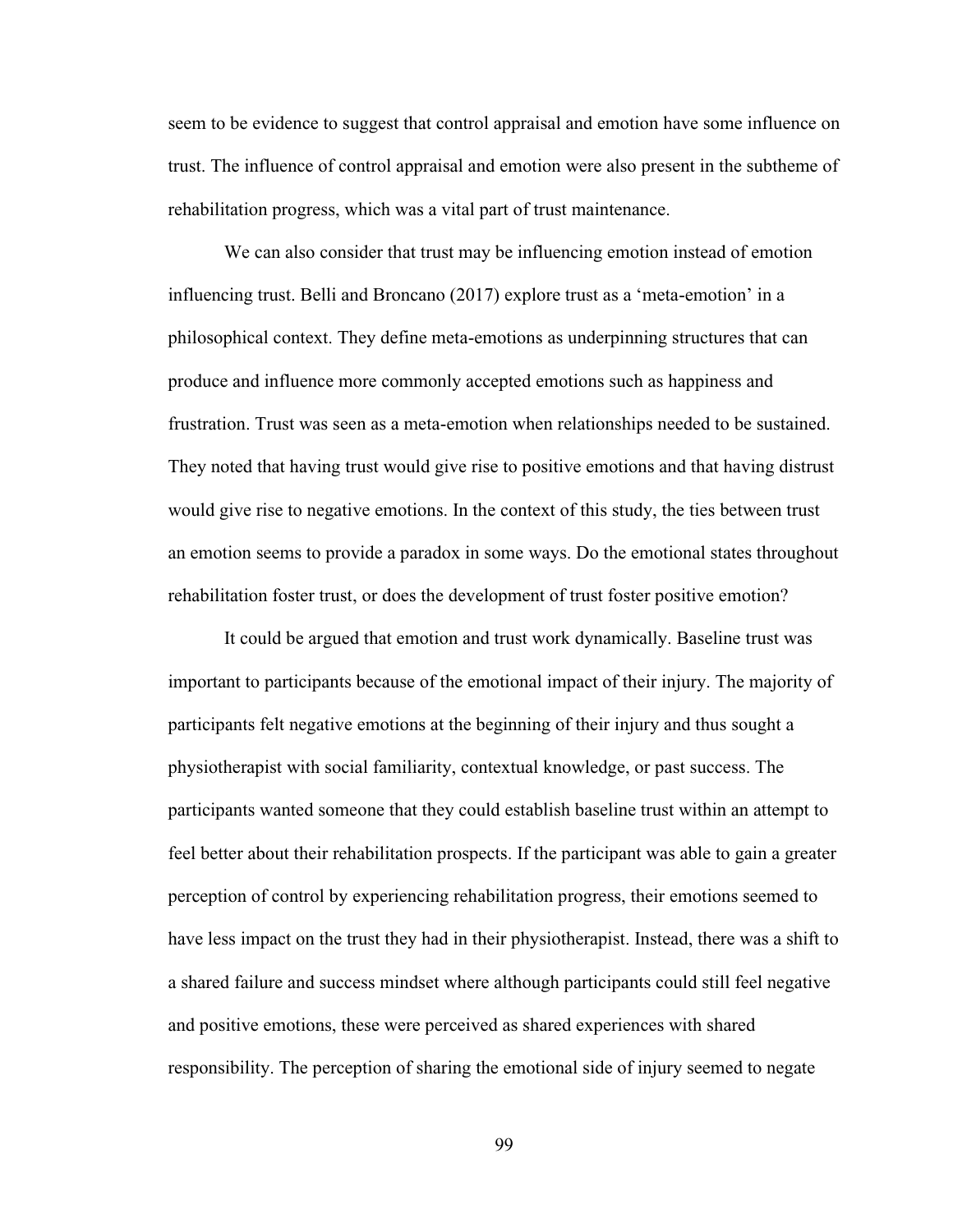seem to be evidence to suggest that control appraisal and emotion have some influence on trust. The influence of control appraisal and emotion were also present in the subtheme of rehabilitation progress, which was a vital part of trust maintenance.

We can also consider that trust may be influencing emotion instead of emotion influencing trust. Belli and Broncano (2017) explore trust as a 'meta-emotion' in a philosophical context. They define meta-emotions as underpinning structures that can produce and influence more commonly accepted emotions such as happiness and frustration. Trust was seen as a meta-emotion when relationships needed to be sustained. They noted that having trust would give rise to positive emotions and that having distrust would give rise to negative emotions. In the context of this study, the ties between trust an emotion seems to provide a paradox in some ways. Do the emotional states throughout rehabilitation foster trust, or does the development of trust foster positive emotion?

It could be argued that emotion and trust work dynamically. Baseline trust was important to participants because of the emotional impact of their injury. The majority of participants felt negative emotions at the beginning of their injury and thus sought a physiotherapist with social familiarity, contextual knowledge, or past success. The participants wanted someone that they could establish baseline trust within an attempt to feel better about their rehabilitation prospects. If the participant was able to gain a greater perception of control by experiencing rehabilitation progress, their emotions seemed to have less impact on the trust they had in their physiotherapist. Instead, there was a shift to a shared failure and success mindset where although participants could still feel negative and positive emotions, these were perceived as shared experiences with shared responsibility. The perception of sharing the emotional side of injury seemed to negate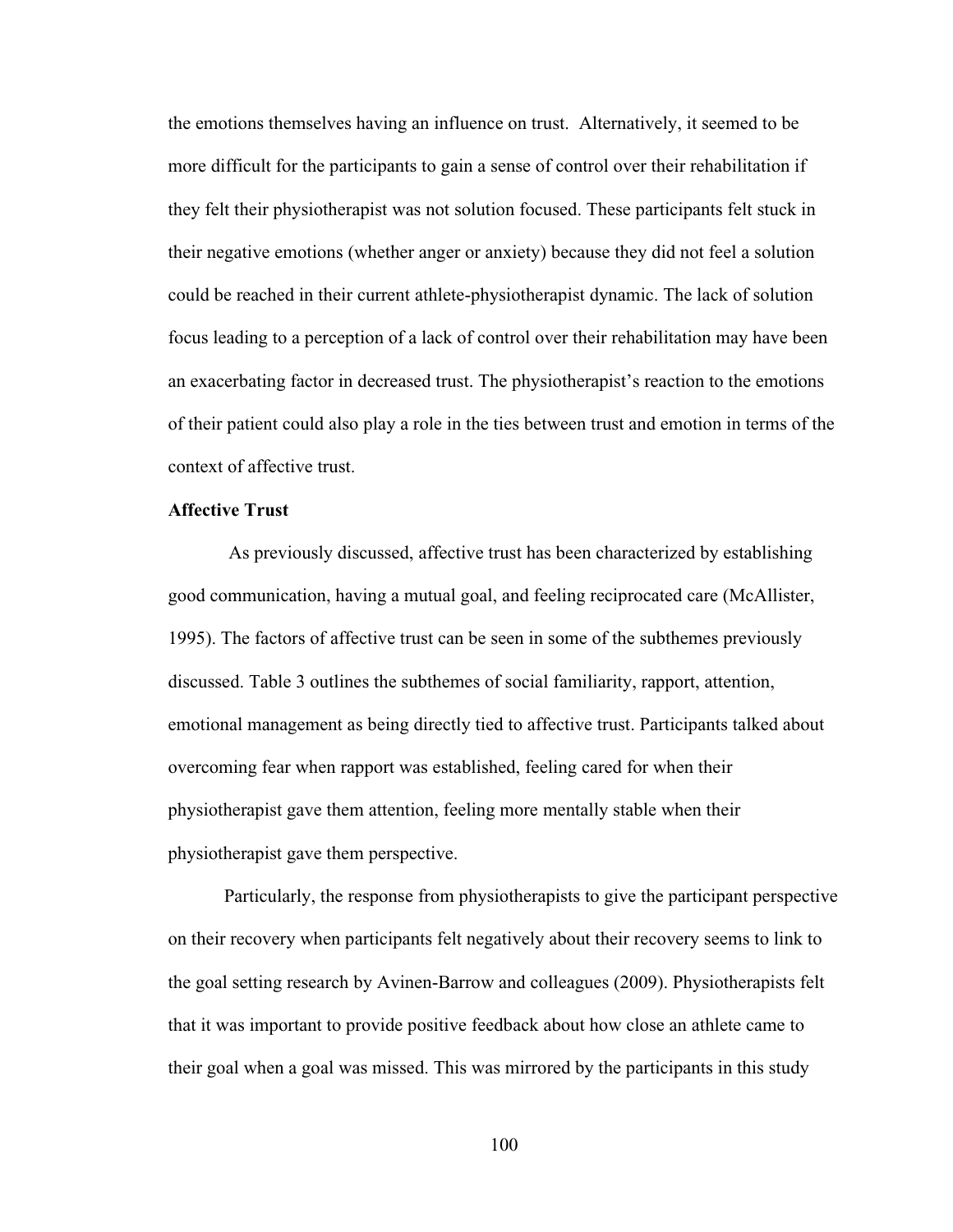the emotions themselves having an influence on trust. Alternatively, it seemed to be more difficult for the participants to gain a sense of control over their rehabilitation if they felt their physiotherapist was not solution focused. These participants felt stuck in their negative emotions (whether anger or anxiety) because they did not feel a solution could be reached in their current athlete-physiotherapist dynamic. The lack of solution focus leading to a perception of a lack of control over their rehabilitation may have been an exacerbating factor in decreased trust. The physiotherapist's reaction to the emotions of their patient could also play a role in the ties between trust and emotion in terms of the context of affective trust.

# **Affective Trust**

As previously discussed, affective trust has been characterized by establishing good communication, having a mutual goal, and feeling reciprocated care (McAllister, 1995). The factors of affective trust can be seen in some of the subthemes previously discussed. Table 3 outlines the subthemes of social familiarity, rapport, attention, emotional management as being directly tied to affective trust. Participants talked about overcoming fear when rapport was established, feeling cared for when their physiotherapist gave them attention, feeling more mentally stable when their physiotherapist gave them perspective.

Particularly, the response from physiotherapists to give the participant perspective on their recovery when participants felt negatively about their recovery seems to link to the goal setting research by Avinen-Barrow and colleagues (2009). Physiotherapists felt that it was important to provide positive feedback about how close an athlete came to their goal when a goal was missed. This was mirrored by the participants in this study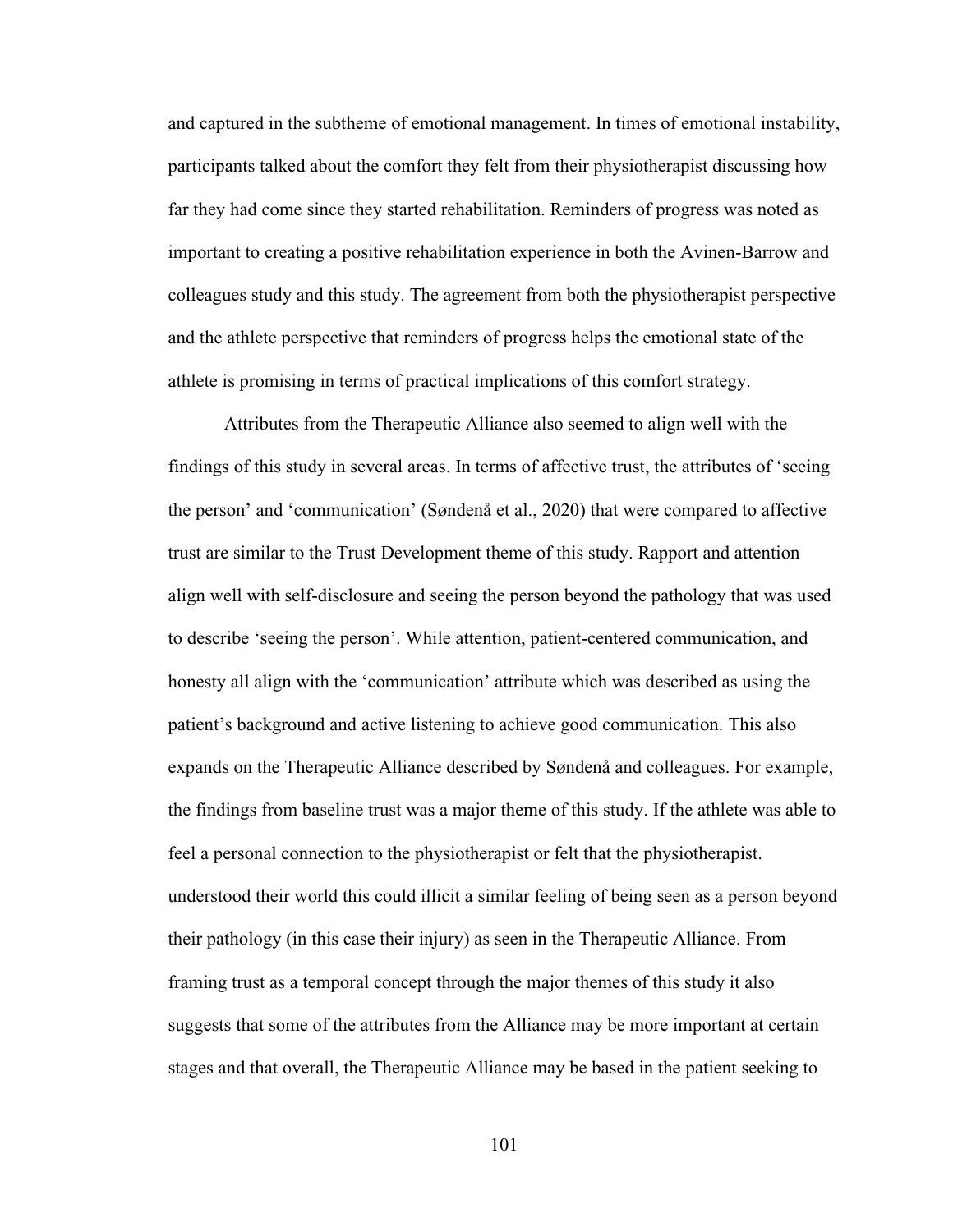and captured in the subtheme of emotional management. In times of emotional instability, participants talked about the comfort they felt from their physiotherapist discussing how far they had come since they started rehabilitation. Reminders of progress was noted as important to creating a positive rehabilitation experience in both the Avinen-Barrow and colleagues study and this study. The agreement from both the physiotherapist perspective and the athlete perspective that reminders of progress helps the emotional state of the athlete is promising in terms of practical implications of this comfort strategy.

Attributes from the Therapeutic Alliance also seemed to align well with the findings of this study in several areas. In terms of affective trust, the attributes of 'seeing the person' and 'communication' (Søndenå et al., 2020) that were compared to affective trust are similar to the Trust Development theme of this study. Rapport and attention align well with self-disclosure and seeing the person beyond the pathology that was used to describe 'seeing the person'. While attention, patient-centered communication, and honesty all align with the 'communication' attribute which was described as using the patient's background and active listening to achieve good communication. This also expands on the Therapeutic Alliance described by Søndenå and colleagues. For example, the findings from baseline trust was a major theme of this study. If the athlete was able to feel a personal connection to the physiotherapist or felt that the physiotherapist. understood their world this could illicit a similar feeling of being seen as a person beyond their pathology (in this case their injury) as seen in the Therapeutic Alliance. From framing trust as a temporal concept through the major themes of this study it also suggests that some of the attributes from the Alliance may be more important at certain stages and that overall, the Therapeutic Alliance may be based in the patient seeking to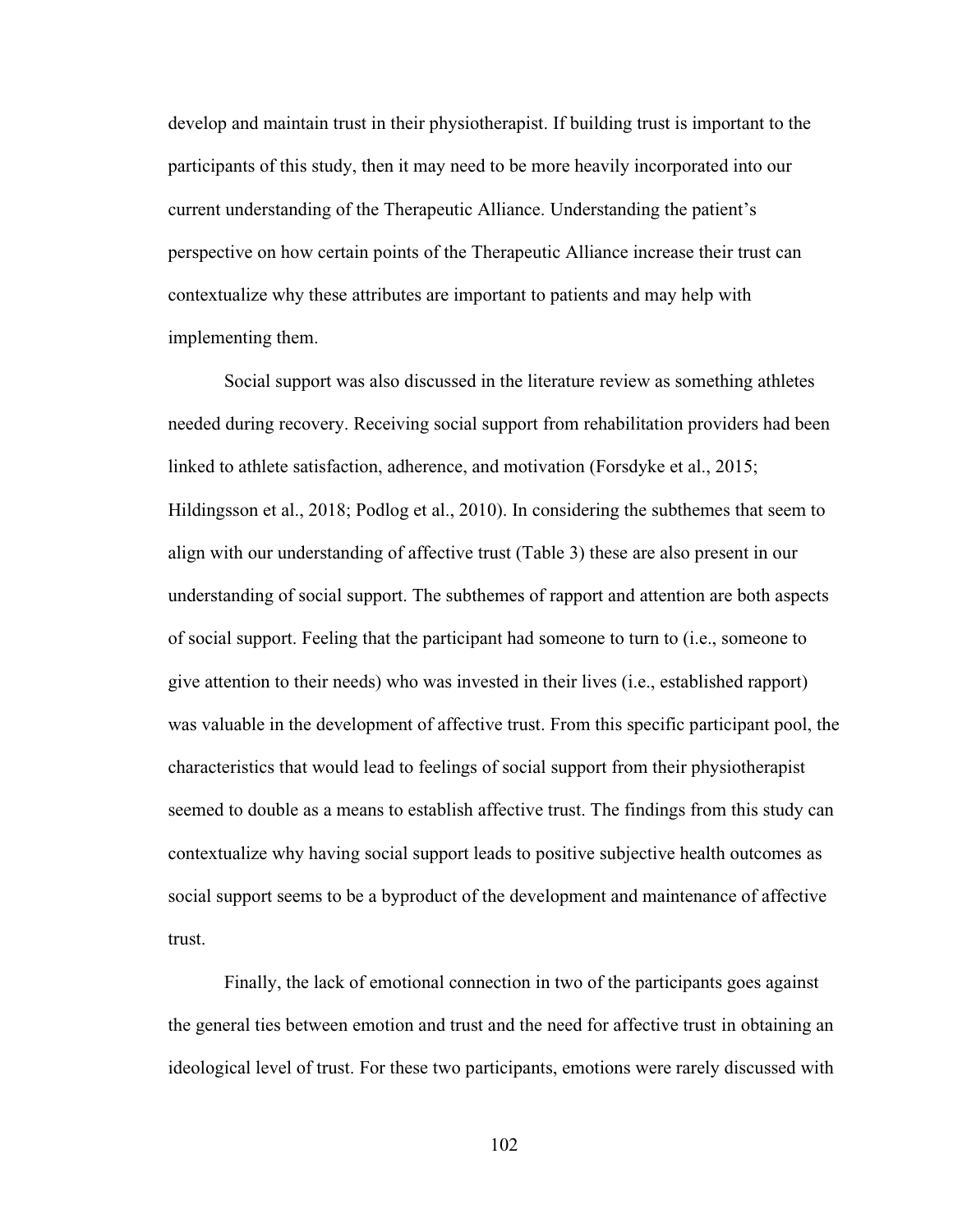develop and maintain trust in their physiotherapist. If building trust is important to the participants of this study, then it may need to be more heavily incorporated into our current understanding of the Therapeutic Alliance. Understanding the patient's perspective on how certain points of the Therapeutic Alliance increase their trust can contextualize why these attributes are important to patients and may help with implementing them.

Social support was also discussed in the literature review as something athletes needed during recovery. Receiving social support from rehabilitation providers had been linked to athlete satisfaction, adherence, and motivation (Forsdyke et al., 2015; Hildingsson et al., 2018; Podlog et al., 2010). In considering the subthemes that seem to align with our understanding of affective trust (Table 3) these are also present in our understanding of social support. The subthemes of rapport and attention are both aspects of social support. Feeling that the participant had someone to turn to (i.e., someone to give attention to their needs) who was invested in their lives (i.e., established rapport) was valuable in the development of affective trust. From this specific participant pool, the characteristics that would lead to feelings of social support from their physiotherapist seemed to double as a means to establish affective trust. The findings from this study can contextualize why having social support leads to positive subjective health outcomes as social support seems to be a byproduct of the development and maintenance of affective trust.

Finally, the lack of emotional connection in two of the participants goes against the general ties between emotion and trust and the need for affective trust in obtaining an ideological level of trust. For these two participants, emotions were rarely discussed with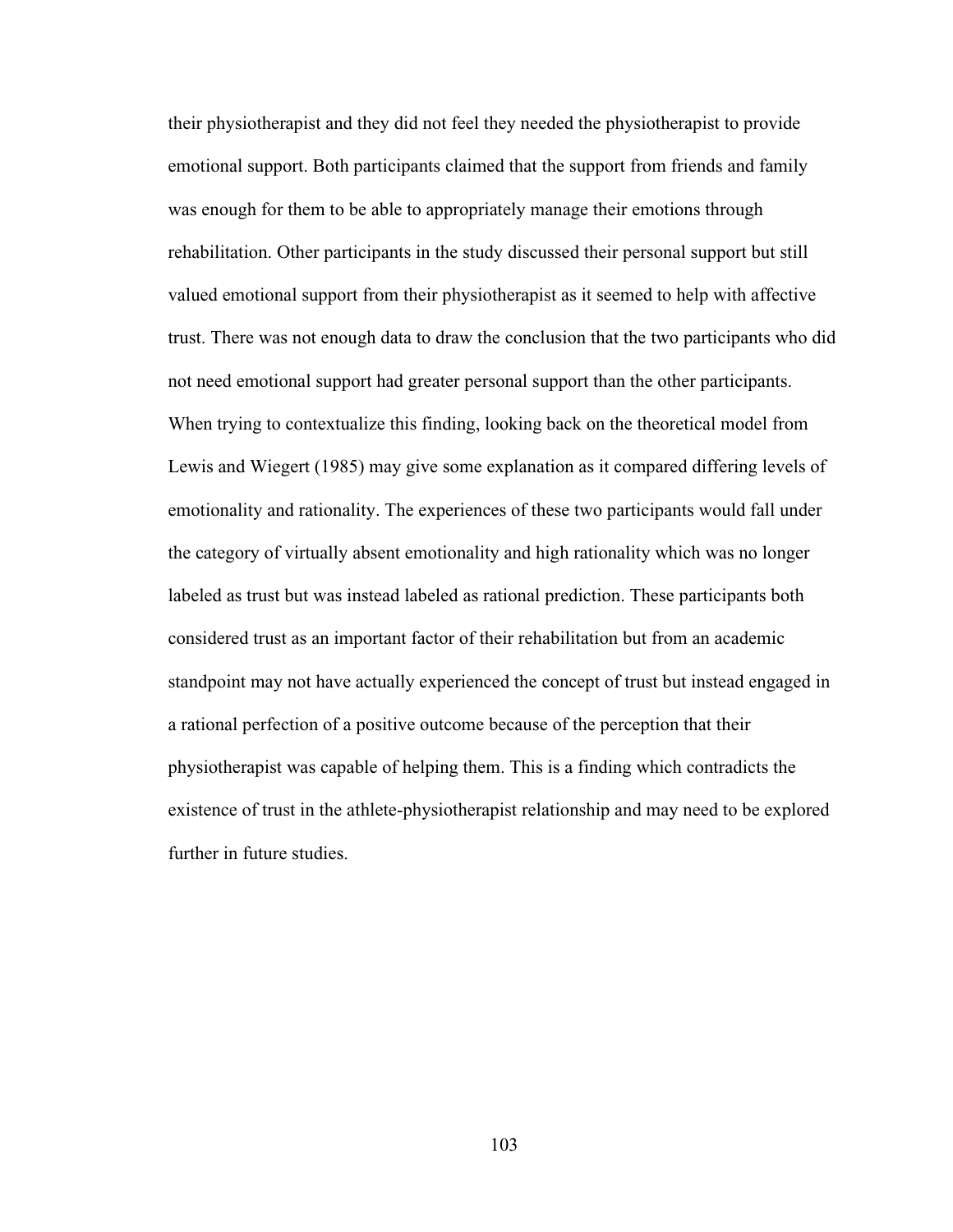their physiotherapist and they did not feel they needed the physiotherapist to provide emotional support. Both participants claimed that the support from friends and family was enough for them to be able to appropriately manage their emotions through rehabilitation. Other participants in the study discussed their personal support but still valued emotional support from their physiotherapist as it seemed to help with affective trust. There was not enough data to draw the conclusion that the two participants who did not need emotional support had greater personal support than the other participants. When trying to contextualize this finding, looking back on the theoretical model from Lewis and Wiegert (1985) may give some explanation as it compared differing levels of emotionality and rationality. The experiences of these two participants would fall under the category of virtually absent emotionality and high rationality which was no longer labeled as trust but was instead labeled as rational prediction. These participants both considered trust as an important factor of their rehabilitation but from an academic standpoint may not have actually experienced the concept of trust but instead engaged in a rational perfection of a positive outcome because of the perception that their physiotherapist was capable of helping them. This is a finding which contradicts the existence of trust in the athlete-physiotherapist relationship and may need to be explored further in future studies.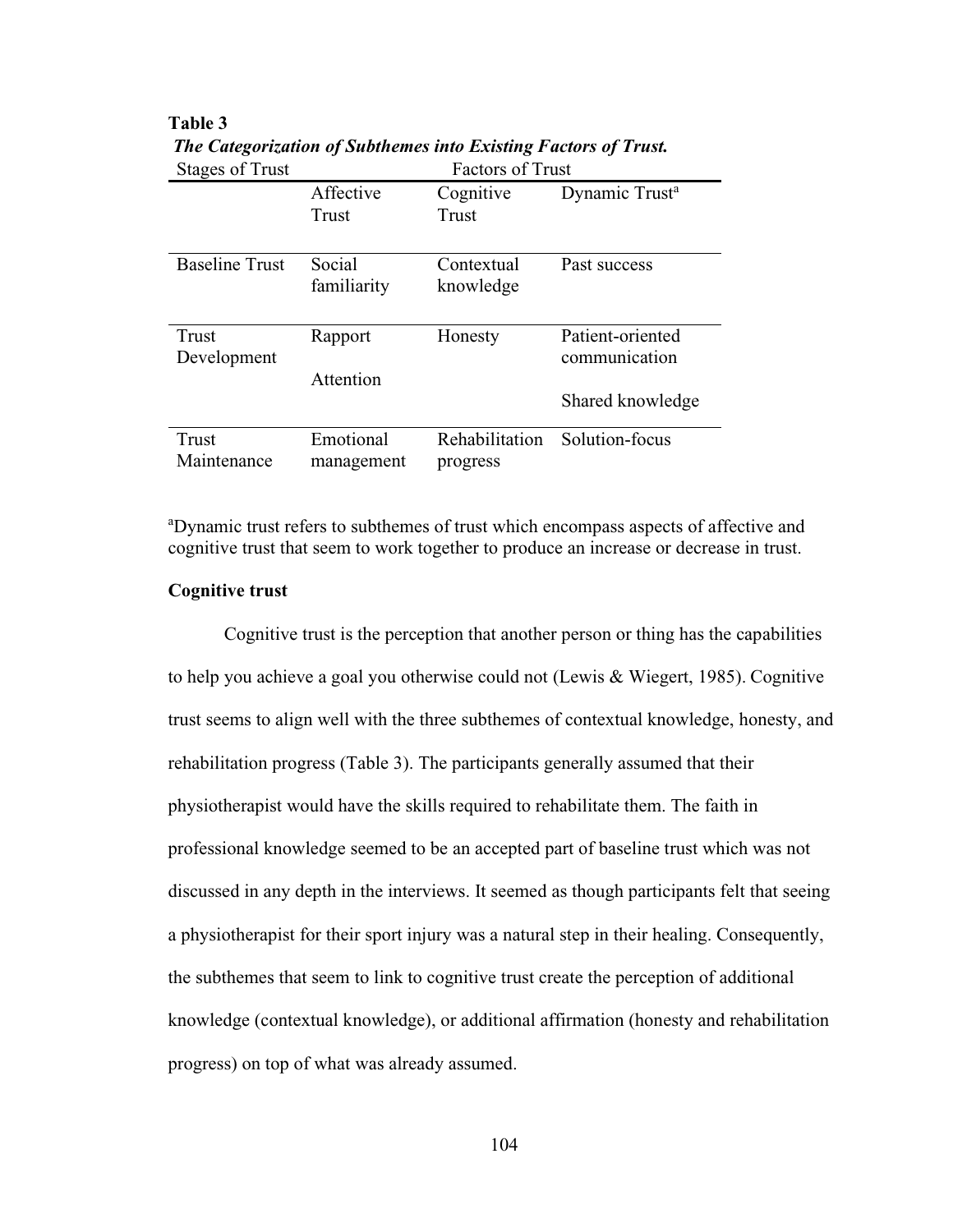| <b>Stages of Trust</b> | <b>Factors of Trust</b> |                |                            |
|------------------------|-------------------------|----------------|----------------------------|
|                        | Affective               | Cognitive      | Dynamic Trust <sup>a</sup> |
|                        | Trust                   | Trust          |                            |
|                        |                         |                |                            |
| <b>Baseline Trust</b>  | Social                  | Contextual     | Past success               |
|                        | familiarity             | knowledge      |                            |
|                        |                         |                |                            |
| Trust                  | Rapport                 | Honesty        | Patient-oriented           |
| Development            |                         |                | communication              |
|                        | Attention               |                |                            |
|                        |                         |                | Shared knowledge           |
| Trust                  | Emotional               | Rehabilitation | Solution-focus             |
|                        |                         |                |                            |
| Maintenance            | management              | progress       |                            |

**Table 3** *The Categorization of Subthemes into Existing Factors of Trust.*

<sup>a</sup>Dynamic trust refers to subthemes of trust which encompass aspects of affective and cognitive trust that seem to work together to produce an increase or decrease in trust.

# **Cognitive trust**

Cognitive trust is the perception that another person or thing has the capabilities to help you achieve a goal you otherwise could not (Lewis & Wiegert, 1985). Cognitive trust seems to align well with the three subthemes of contextual knowledge, honesty, and rehabilitation progress (Table 3). The participants generally assumed that their physiotherapist would have the skills required to rehabilitate them. The faith in professional knowledge seemed to be an accepted part of baseline trust which was not discussed in any depth in the interviews. It seemed as though participants felt that seeing a physiotherapist for their sport injury was a natural step in their healing. Consequently, the subthemes that seem to link to cognitive trust create the perception of additional knowledge (contextual knowledge), or additional affirmation (honesty and rehabilitation progress) on top of what was already assumed.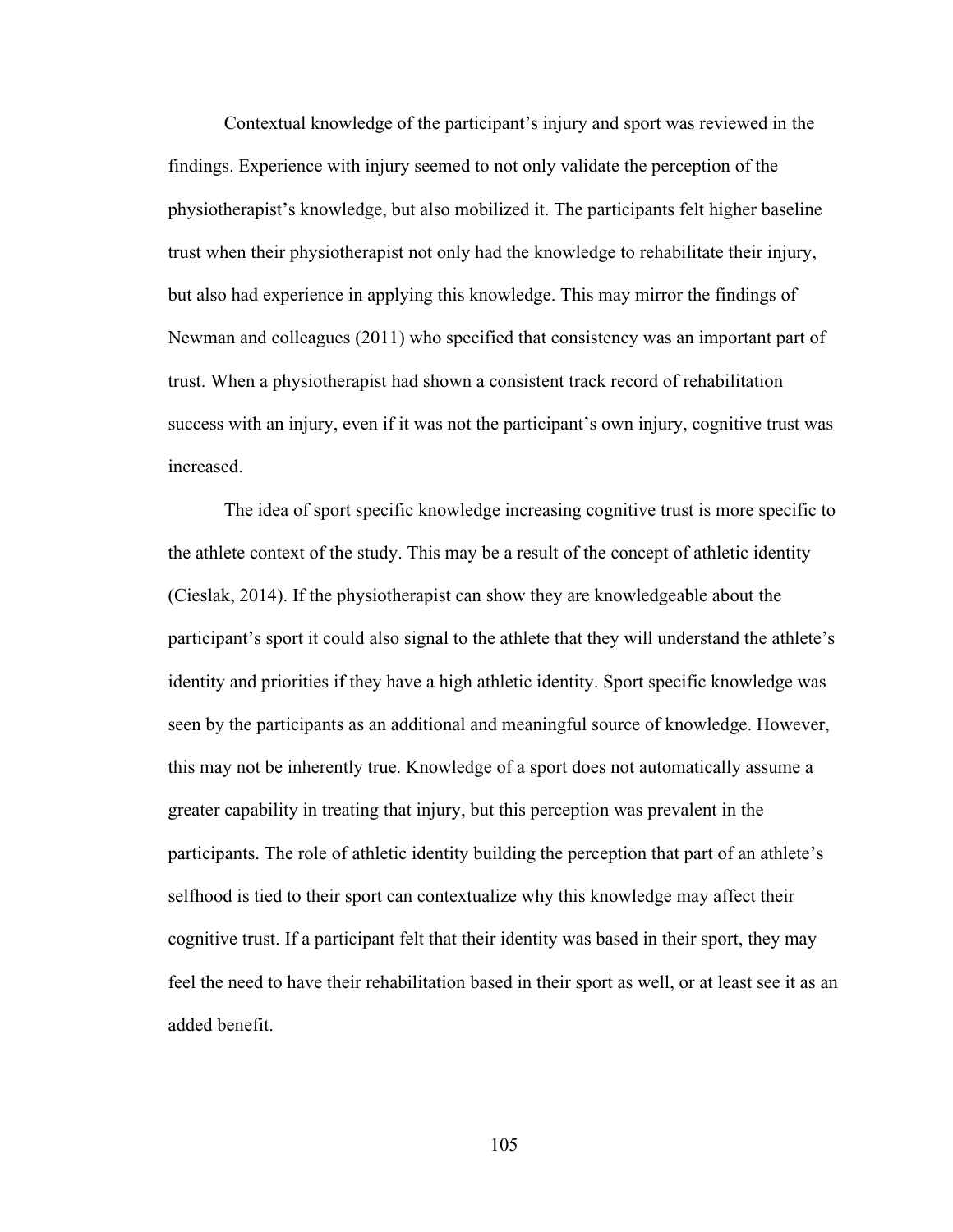Contextual knowledge of the participant's injury and sport was reviewed in the findings. Experience with injury seemed to not only validate the perception of the physiotherapist's knowledge, but also mobilized it. The participants felt higher baseline trust when their physiotherapist not only had the knowledge to rehabilitate their injury, but also had experience in applying this knowledge. This may mirror the findings of Newman and colleagues (2011) who specified that consistency was an important part of trust. When a physiotherapist had shown a consistent track record of rehabilitation success with an injury, even if it was not the participant's own injury, cognitive trust was increased.

The idea of sport specific knowledge increasing cognitive trust is more specific to the athlete context of the study. This may be a result of the concept of athletic identity (Cieslak, 2014). If the physiotherapist can show they are knowledgeable about the participant's sport it could also signal to the athlete that they will understand the athlete's identity and priorities if they have a high athletic identity. Sport specific knowledge was seen by the participants as an additional and meaningful source of knowledge. However, this may not be inherently true. Knowledge of a sport does not automatically assume a greater capability in treating that injury, but this perception was prevalent in the participants. The role of athletic identity building the perception that part of an athlete's selfhood is tied to their sport can contextualize why this knowledge may affect their cognitive trust. If a participant felt that their identity was based in their sport, they may feel the need to have their rehabilitation based in their sport as well, or at least see it as an added benefit.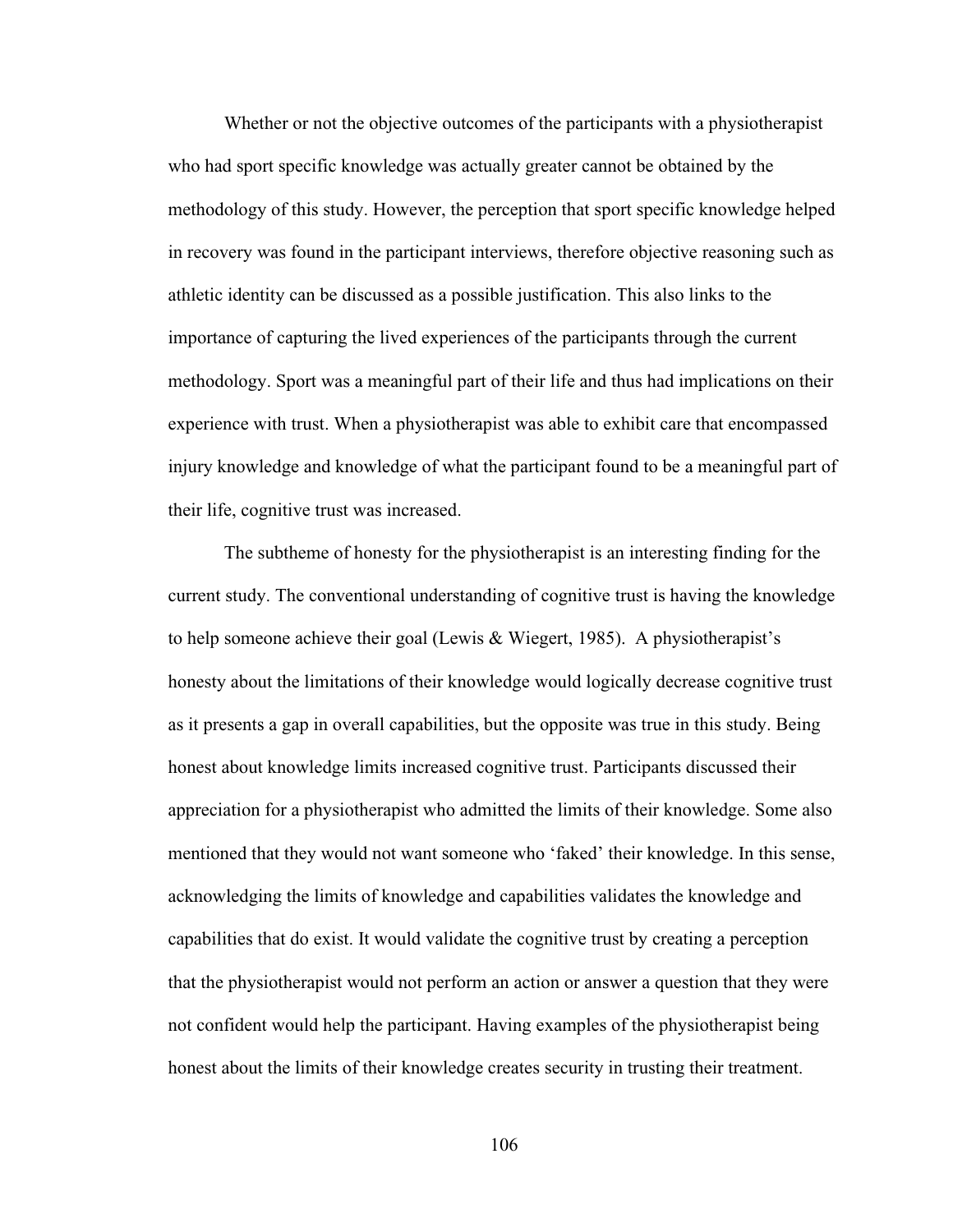Whether or not the objective outcomes of the participants with a physiotherapist who had sport specific knowledge was actually greater cannot be obtained by the methodology of this study. However, the perception that sport specific knowledge helped in recovery was found in the participant interviews, therefore objective reasoning such as athletic identity can be discussed as a possible justification. This also links to the importance of capturing the lived experiences of the participants through the current methodology. Sport was a meaningful part of their life and thus had implications on their experience with trust. When a physiotherapist was able to exhibit care that encompassed injury knowledge and knowledge of what the participant found to be a meaningful part of their life, cognitive trust was increased.

The subtheme of honesty for the physiotherapist is an interesting finding for the current study. The conventional understanding of cognitive trust is having the knowledge to help someone achieve their goal (Lewis & Wiegert, 1985). A physiotherapist's honesty about the limitations of their knowledge would logically decrease cognitive trust as it presents a gap in overall capabilities, but the opposite was true in this study. Being honest about knowledge limits increased cognitive trust. Participants discussed their appreciation for a physiotherapist who admitted the limits of their knowledge. Some also mentioned that they would not want someone who 'faked' their knowledge. In this sense, acknowledging the limits of knowledge and capabilities validates the knowledge and capabilities that do exist. It would validate the cognitive trust by creating a perception that the physiotherapist would not perform an action or answer a question that they were not confident would help the participant. Having examples of the physiotherapist being honest about the limits of their knowledge creates security in trusting their treatment.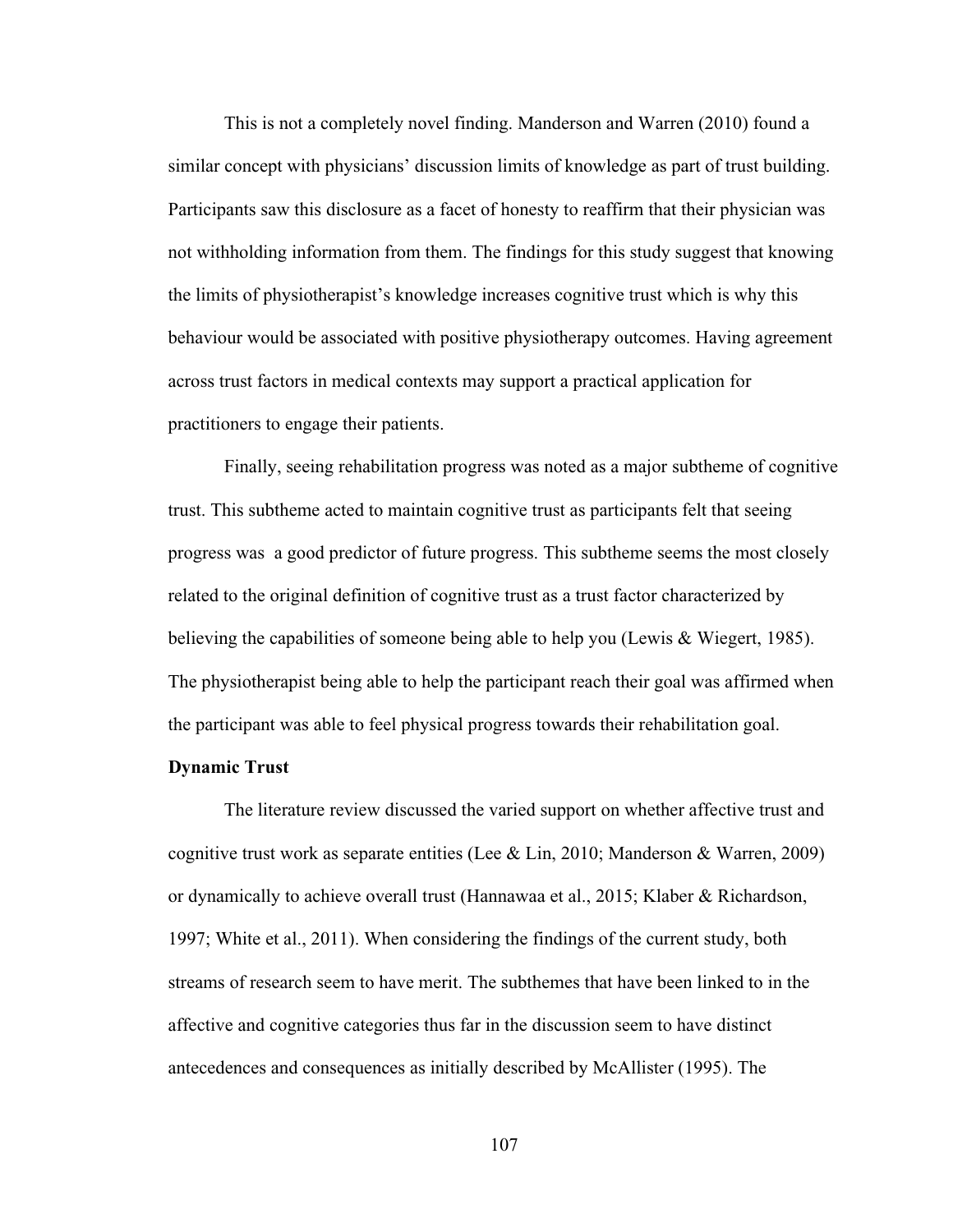This is not a completely novel finding. Manderson and Warren (2010) found a similar concept with physicians' discussion limits of knowledge as part of trust building. Participants saw this disclosure as a facet of honesty to reaffirm that their physician was not withholding information from them. The findings for this study suggest that knowing the limits of physiotherapist's knowledge increases cognitive trust which is why this behaviour would be associated with positive physiotherapy outcomes. Having agreement across trust factors in medical contexts may support a practical application for practitioners to engage their patients.

Finally, seeing rehabilitation progress was noted as a major subtheme of cognitive trust. This subtheme acted to maintain cognitive trust as participants felt that seeing progress was a good predictor of future progress. This subtheme seems the most closely related to the original definition of cognitive trust as a trust factor characterized by believing the capabilities of someone being able to help you (Lewis & Wiegert, 1985). The physiotherapist being able to help the participant reach their goal was affirmed when the participant was able to feel physical progress towards their rehabilitation goal.

## **Dynamic Trust**

The literature review discussed the varied support on whether affective trust and cognitive trust work as separate entities (Lee & Lin, 2010; Manderson & Warren, 2009) or dynamically to achieve overall trust (Hannawaa et al., 2015; Klaber & Richardson, 1997; White et al., 2011). When considering the findings of the current study, both streams of research seem to have merit. The subthemes that have been linked to in the affective and cognitive categories thus far in the discussion seem to have distinct antecedences and consequences as initially described by McAllister (1995). The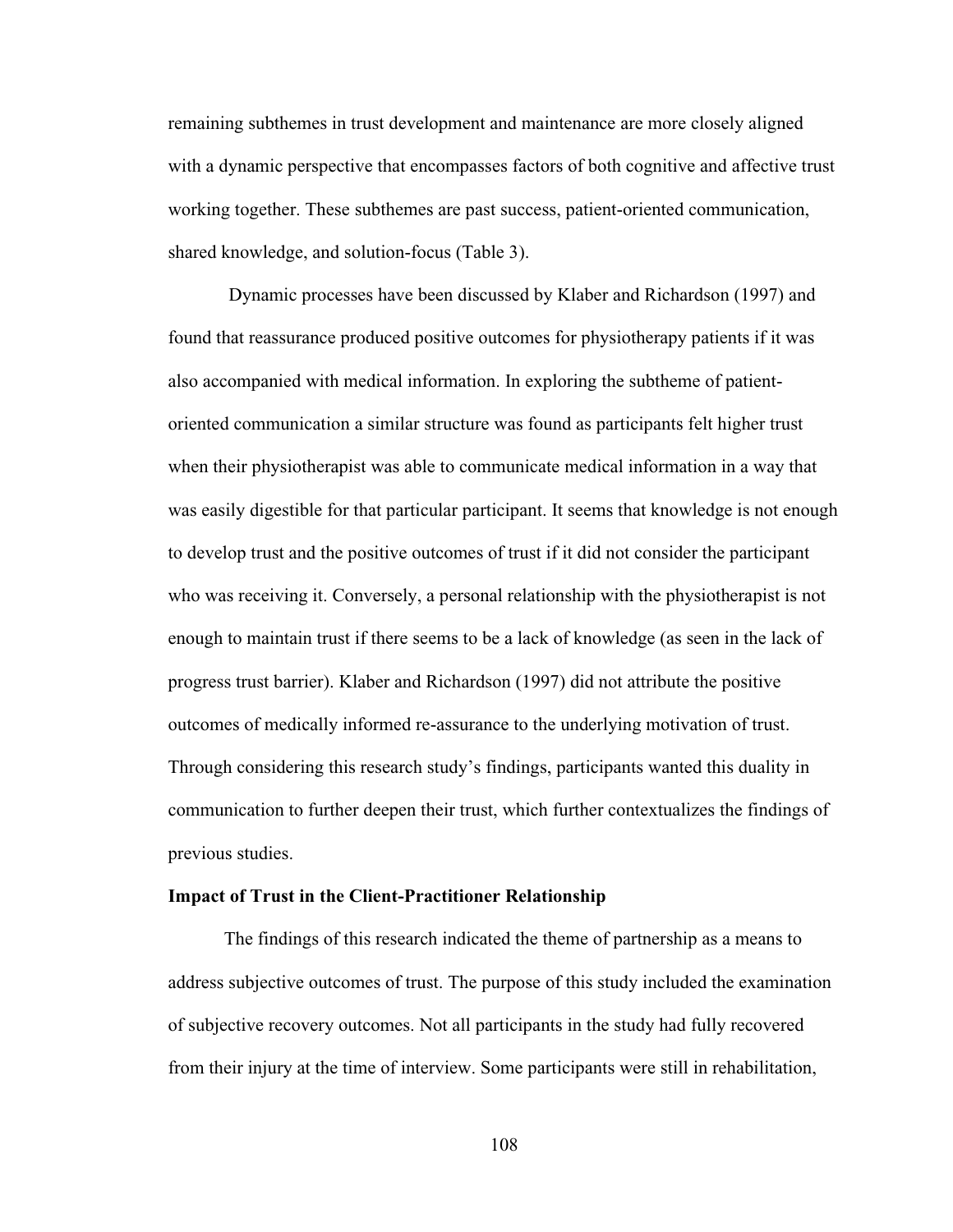remaining subthemes in trust development and maintenance are more closely aligned with a dynamic perspective that encompasses factors of both cognitive and affective trust working together. These subthemes are past success, patient-oriented communication, shared knowledge, and solution-focus (Table 3).

Dynamic processes have been discussed by Klaber and Richardson (1997) and found that reassurance produced positive outcomes for physiotherapy patients if it was also accompanied with medical information. In exploring the subtheme of patientoriented communication a similar structure was found as participants felt higher trust when their physiotherapist was able to communicate medical information in a way that was easily digestible for that particular participant. It seems that knowledge is not enough to develop trust and the positive outcomes of trust if it did not consider the participant who was receiving it. Conversely, a personal relationship with the physiotherapist is not enough to maintain trust if there seems to be a lack of knowledge (as seen in the lack of progress trust barrier). Klaber and Richardson (1997) did not attribute the positive outcomes of medically informed re-assurance to the underlying motivation of trust. Through considering this research study's findings, participants wanted this duality in communication to further deepen their trust, which further contextualizes the findings of previous studies.

#### **Impact of Trust in the Client-Practitioner Relationship**

The findings of this research indicated the theme of partnership as a means to address subjective outcomes of trust. The purpose of this study included the examination of subjective recovery outcomes. Not all participants in the study had fully recovered from their injury at the time of interview. Some participants were still in rehabilitation,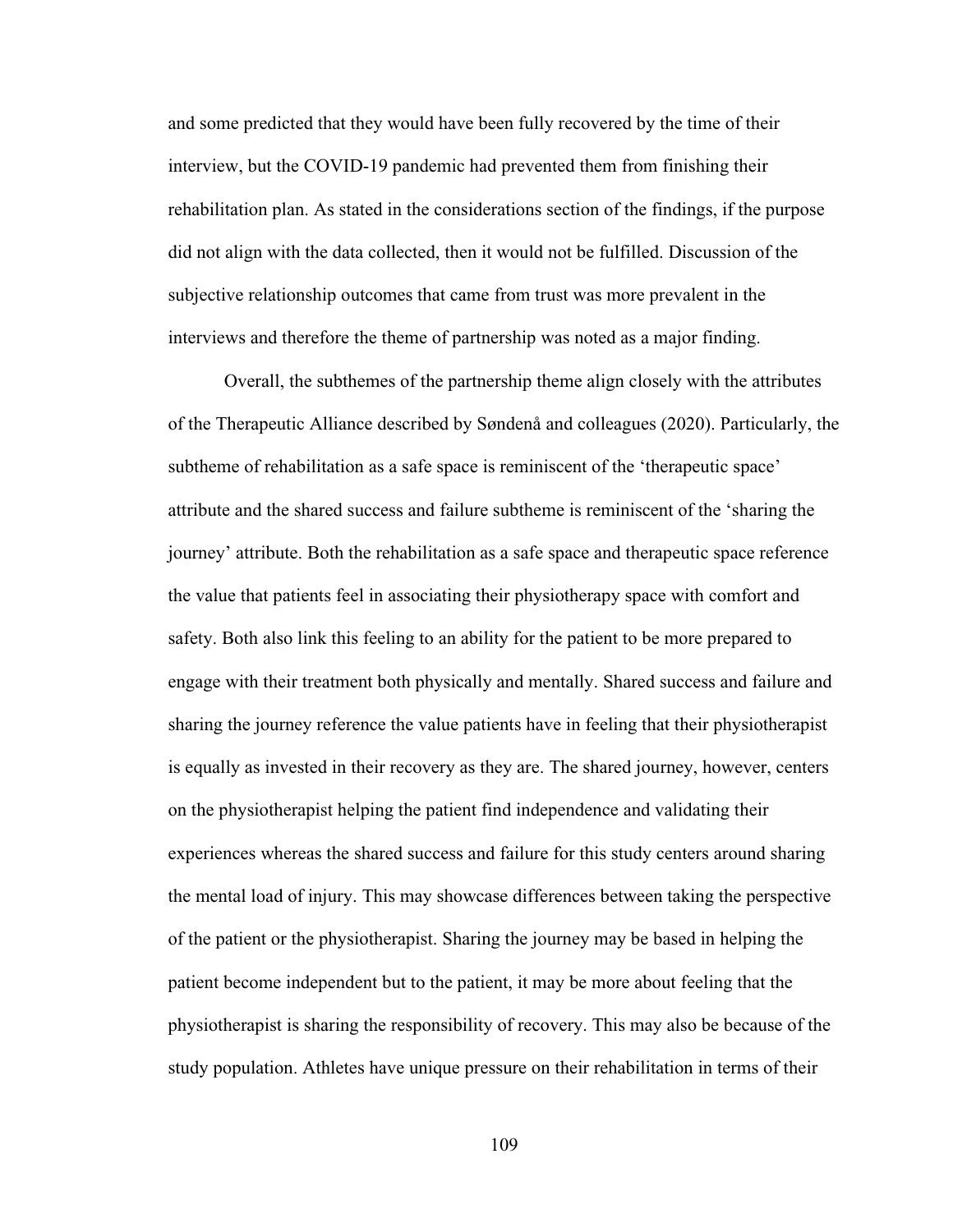and some predicted that they would have been fully recovered by the time of their interview, but the COVID-19 pandemic had prevented them from finishing their rehabilitation plan. As stated in the considerations section of the findings, if the purpose did not align with the data collected, then it would not be fulfilled. Discussion of the subjective relationship outcomes that came from trust was more prevalent in the interviews and therefore the theme of partnership was noted as a major finding.

Overall, the subthemes of the partnership theme align closely with the attributes of the Therapeutic Alliance described by Søndenå and colleagues (2020). Particularly, the subtheme of rehabilitation as a safe space is reminiscent of the 'therapeutic space' attribute and the shared success and failure subtheme is reminiscent of the 'sharing the journey' attribute. Both the rehabilitation as a safe space and therapeutic space reference the value that patients feel in associating their physiotherapy space with comfort and safety. Both also link this feeling to an ability for the patient to be more prepared to engage with their treatment both physically and mentally. Shared success and failure and sharing the journey reference the value patients have in feeling that their physiotherapist is equally as invested in their recovery as they are. The shared journey, however, centers on the physiotherapist helping the patient find independence and validating their experiences whereas the shared success and failure for this study centers around sharing the mental load of injury. This may showcase differences between taking the perspective of the patient or the physiotherapist. Sharing the journey may be based in helping the patient become independent but to the patient, it may be more about feeling that the physiotherapist is sharing the responsibility of recovery. This may also be because of the study population. Athletes have unique pressure on their rehabilitation in terms of their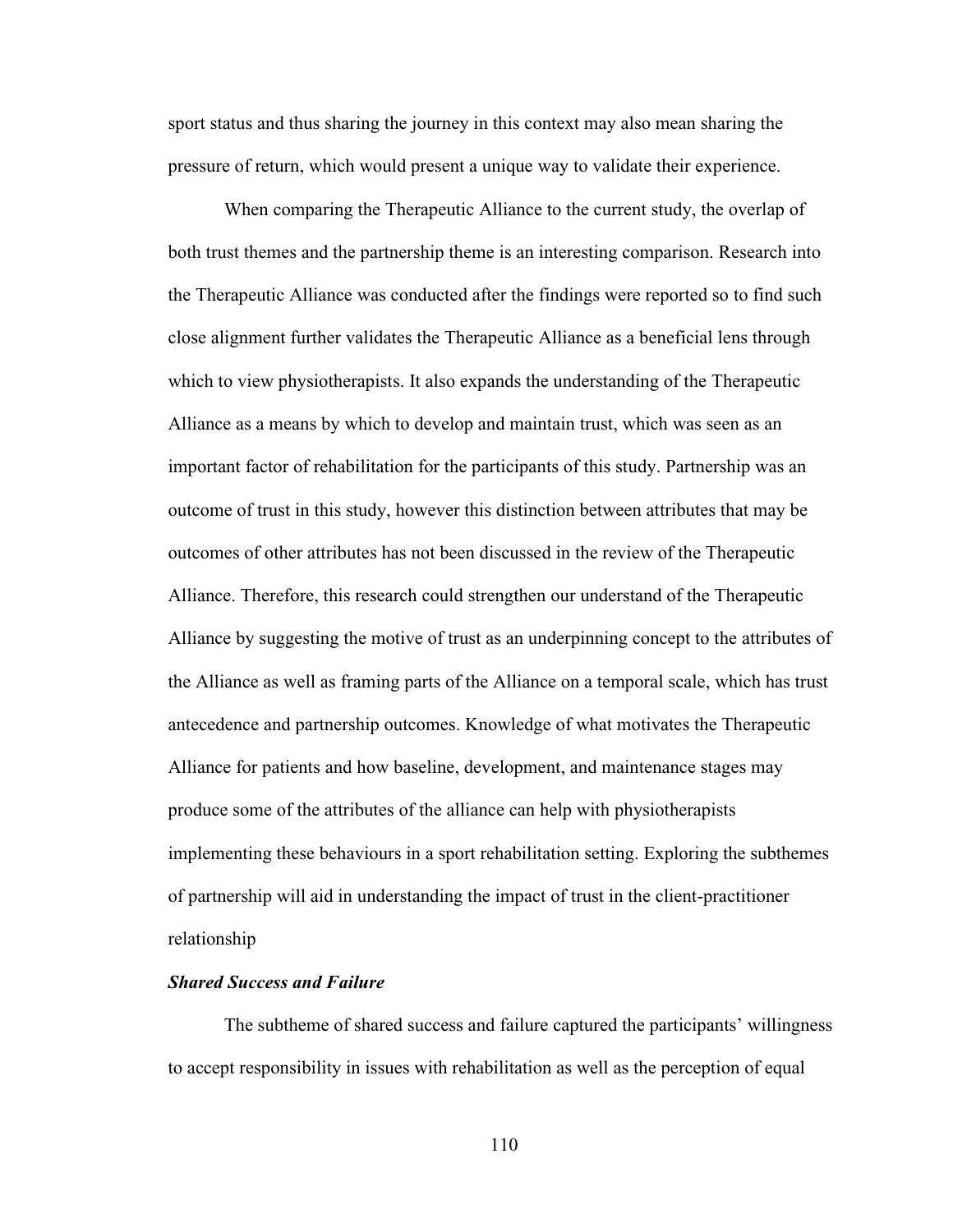sport status and thus sharing the journey in this context may also mean sharing the pressure of return, which would present a unique way to validate their experience.

When comparing the Therapeutic Alliance to the current study, the overlap of both trust themes and the partnership theme is an interesting comparison. Research into the Therapeutic Alliance was conducted after the findings were reported so to find such close alignment further validates the Therapeutic Alliance as a beneficial lens through which to view physiotherapists. It also expands the understanding of the Therapeutic Alliance as a means by which to develop and maintain trust, which was seen as an important factor of rehabilitation for the participants of this study. Partnership was an outcome of trust in this study, however this distinction between attributes that may be outcomes of other attributes has not been discussed in the review of the Therapeutic Alliance. Therefore, this research could strengthen our understand of the Therapeutic Alliance by suggesting the motive of trust as an underpinning concept to the attributes of the Alliance as well as framing parts of the Alliance on a temporal scale, which has trust antecedence and partnership outcomes. Knowledge of what motivates the Therapeutic Alliance for patients and how baseline, development, and maintenance stages may produce some of the attributes of the alliance can help with physiotherapists implementing these behaviours in a sport rehabilitation setting. Exploring the subthemes of partnership will aid in understanding the impact of trust in the client-practitioner relationship

## *Shared Success and Failure*

The subtheme of shared success and failure captured the participants' willingness to accept responsibility in issues with rehabilitation as well as the perception of equal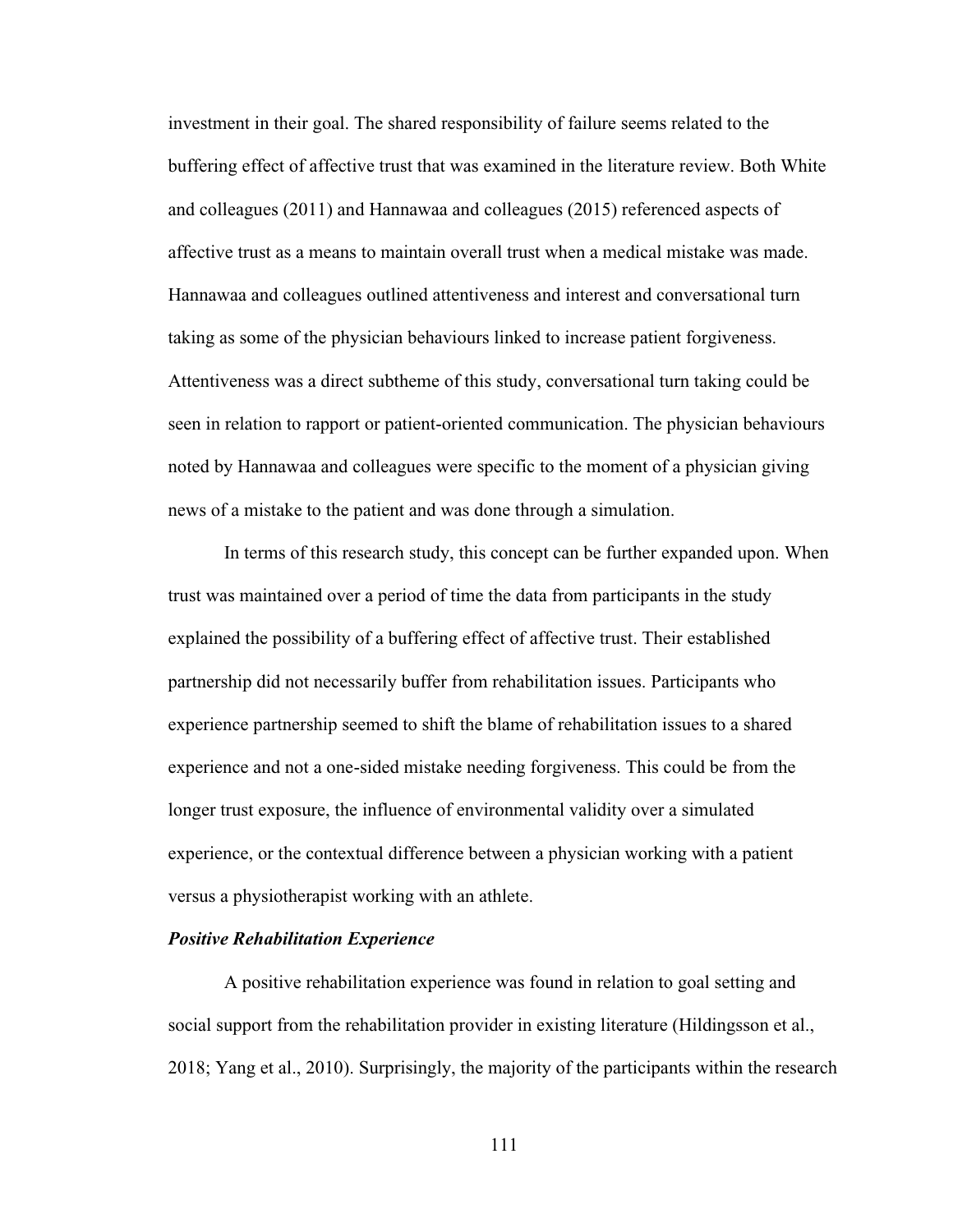investment in their goal. The shared responsibility of failure seems related to the buffering effect of affective trust that was examined in the literature review. Both White and colleagues (2011) and Hannawaa and colleagues (2015) referenced aspects of affective trust as a means to maintain overall trust when a medical mistake was made. Hannawaa and colleagues outlined attentiveness and interest and conversational turn taking as some of the physician behaviours linked to increase patient forgiveness. Attentiveness was a direct subtheme of this study, conversational turn taking could be seen in relation to rapport or patient-oriented communication. The physician behaviours noted by Hannawaa and colleagues were specific to the moment of a physician giving news of a mistake to the patient and was done through a simulation.

In terms of this research study, this concept can be further expanded upon. When trust was maintained over a period of time the data from participants in the study explained the possibility of a buffering effect of affective trust. Their established partnership did not necessarily buffer from rehabilitation issues. Participants who experience partnership seemed to shift the blame of rehabilitation issues to a shared experience and not a one-sided mistake needing forgiveness. This could be from the longer trust exposure, the influence of environmental validity over a simulated experience, or the contextual difference between a physician working with a patient versus a physiotherapist working with an athlete.

## *Positive Rehabilitation Experience*

A positive rehabilitation experience was found in relation to goal setting and social support from the rehabilitation provider in existing literature (Hildingsson et al., 2018; Yang et al., 2010). Surprisingly, the majority of the participants within the research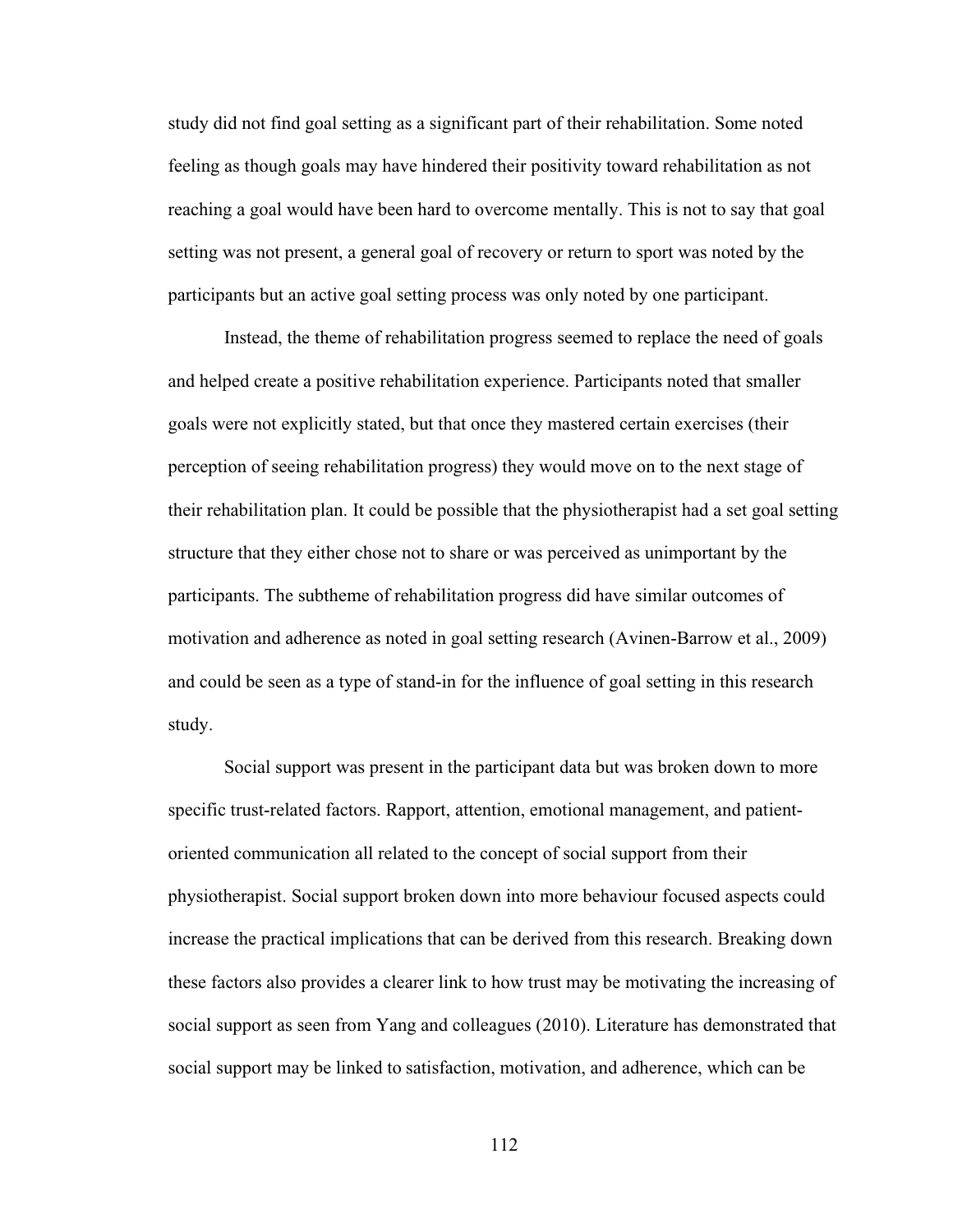study did not find goal setting as a significant part of their rehabilitation. Some noted feeling as though goals may have hindered their positivity toward rehabilitation as not reaching a goal would have been hard to overcome mentally. This is not to say that goal setting was not present, a general goal of recovery or return to sport was noted by the participants but an active goal setting process was only noted by one participant.

Instead, the theme of rehabilitation progress seemed to replace the need of goals and helped create a positive rehabilitation experience. Participants noted that smaller goals were not explicitly stated, but that once they mastered certain exercises (their perception of seeing rehabilitation progress) they would move on to the next stage of their rehabilitation plan. It could be possible that the physiotherapist had a set goal setting structure that they either chose not to share or was perceived as unimportant by the participants. The subtheme of rehabilitation progress did have similar outcomes of motivation and adherence as noted in goal setting research (Avinen-Barrow et al., 2009) and could be seen as a type of stand-in for the influence of goal setting in this research study.

Social support was present in the participant data but was broken down to more specific trust-related factors. Rapport, attention, emotional management, and patientoriented communication all related to the concept of social support from their physiotherapist. Social support broken down into more behaviour focused aspects could increase the practical implications that can be derived from this research. Breaking down these factors also provides a clearer link to how trust may be motivating the increasing of social support as seen from Yang and colleagues (2010). Literature has demonstrated that social support may be linked to satisfaction, motivation, and adherence, which can be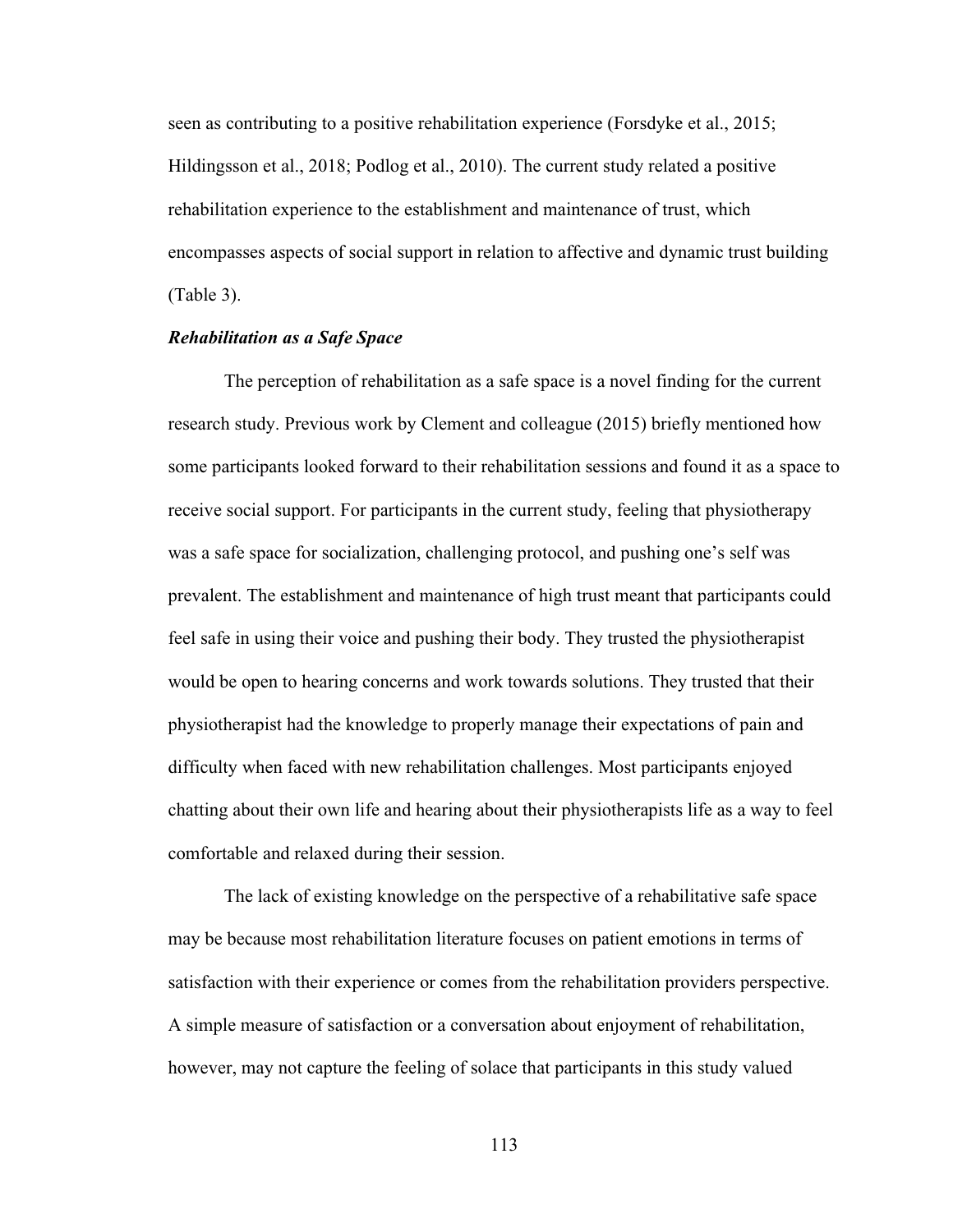seen as contributing to a positive rehabilitation experience (Forsdyke et al., 2015; Hildingsson et al., 2018; Podlog et al., 2010). The current study related a positive rehabilitation experience to the establishment and maintenance of trust, which encompasses aspects of social support in relation to affective and dynamic trust building (Table 3).

## *Rehabilitation as a Safe Space*

The perception of rehabilitation as a safe space is a novel finding for the current research study. Previous work by Clement and colleague (2015) briefly mentioned how some participants looked forward to their rehabilitation sessions and found it as a space to receive social support. For participants in the current study, feeling that physiotherapy was a safe space for socialization, challenging protocol, and pushing one's self was prevalent. The establishment and maintenance of high trust meant that participants could feel safe in using their voice and pushing their body. They trusted the physiotherapist would be open to hearing concerns and work towards solutions. They trusted that their physiotherapist had the knowledge to properly manage their expectations of pain and difficulty when faced with new rehabilitation challenges. Most participants enjoyed chatting about their own life and hearing about their physiotherapists life as a way to feel comfortable and relaxed during their session.

The lack of existing knowledge on the perspective of a rehabilitative safe space may be because most rehabilitation literature focuses on patient emotions in terms of satisfaction with their experience or comes from the rehabilitation providers perspective. A simple measure of satisfaction or a conversation about enjoyment of rehabilitation, however, may not capture the feeling of solace that participants in this study valued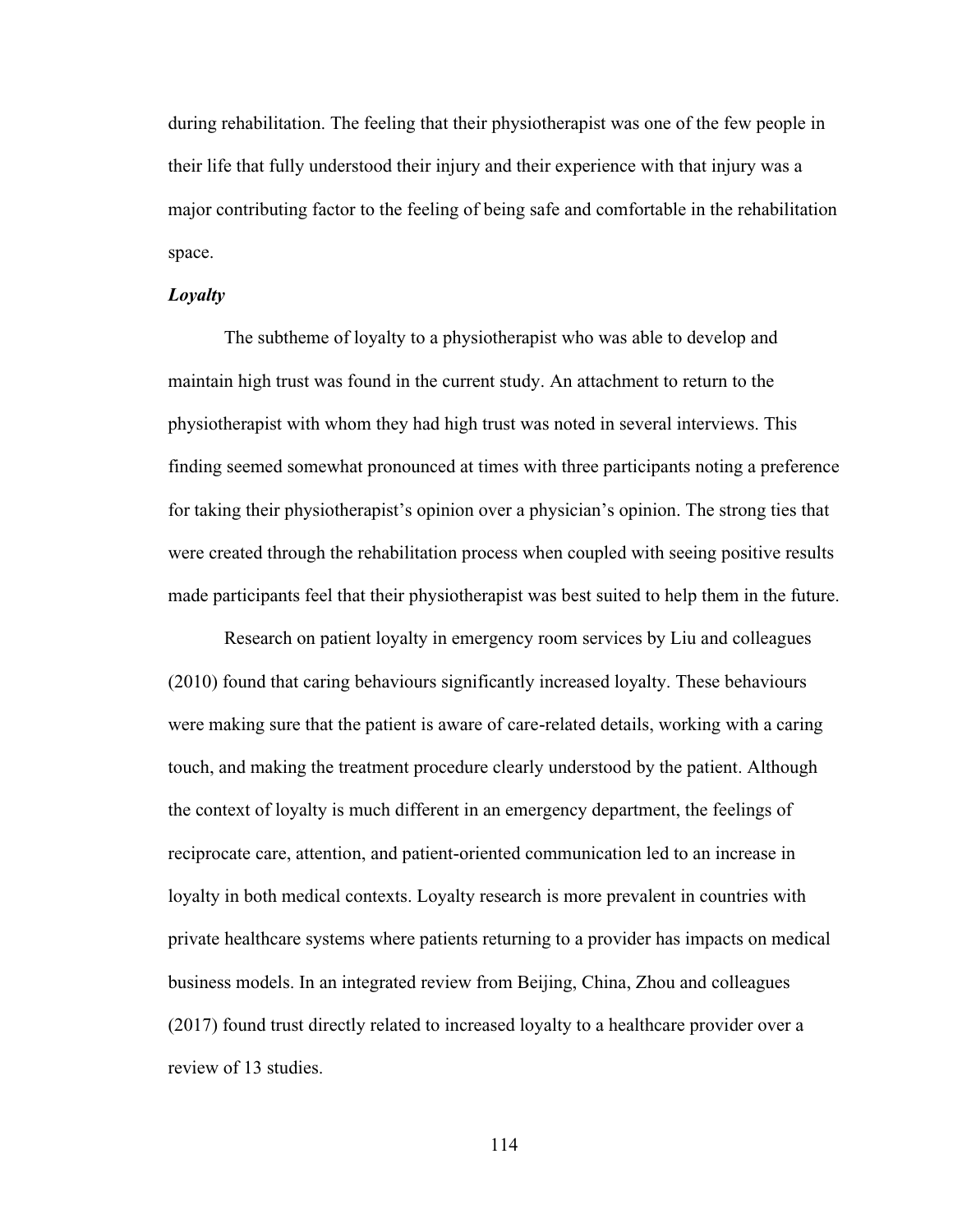during rehabilitation. The feeling that their physiotherapist was one of the few people in their life that fully understood their injury and their experience with that injury was a major contributing factor to the feeling of being safe and comfortable in the rehabilitation space.

#### *Loyalty*

The subtheme of loyalty to a physiotherapist who was able to develop and maintain high trust was found in the current study. An attachment to return to the physiotherapist with whom they had high trust was noted in several interviews. This finding seemed somewhat pronounced at times with three participants noting a preference for taking their physiotherapist's opinion over a physician's opinion. The strong ties that were created through the rehabilitation process when coupled with seeing positive results made participants feel that their physiotherapist was best suited to help them in the future.

Research on patient loyalty in emergency room services by Liu and colleagues (2010) found that caring behaviours significantly increased loyalty. These behaviours were making sure that the patient is aware of care-related details, working with a caring touch, and making the treatment procedure clearly understood by the patient. Although the context of loyalty is much different in an emergency department, the feelings of reciprocate care, attention, and patient-oriented communication led to an increase in loyalty in both medical contexts. Loyalty research is more prevalent in countries with private healthcare systems where patients returning to a provider has impacts on medical business models. In an integrated review from Beijing, China, Zhou and colleagues (2017) found trust directly related to increased loyalty to a healthcare provider over a review of 13 studies.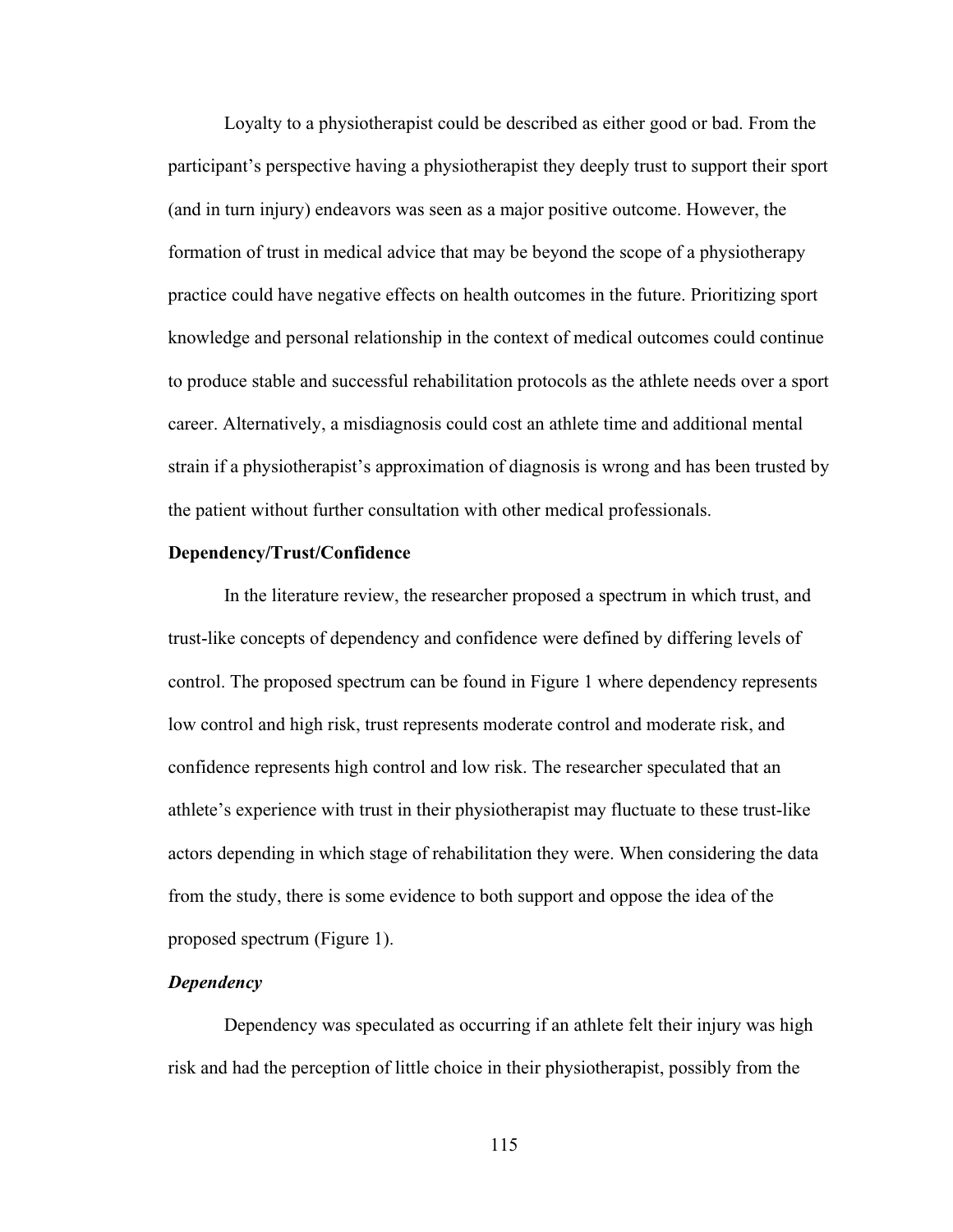Loyalty to a physiotherapist could be described as either good or bad. From the participant's perspective having a physiotherapist they deeply trust to support their sport (and in turn injury) endeavors was seen as a major positive outcome. However, the formation of trust in medical advice that may be beyond the scope of a physiotherapy practice could have negative effects on health outcomes in the future. Prioritizing sport knowledge and personal relationship in the context of medical outcomes could continue to produce stable and successful rehabilitation protocols as the athlete needs over a sport career. Alternatively, a misdiagnosis could cost an athlete time and additional mental strain if a physiotherapist's approximation of diagnosis is wrong and has been trusted by the patient without further consultation with other medical professionals.

## **Dependency/Trust/Confidence**

In the literature review, the researcher proposed a spectrum in which trust, and trust-like concepts of dependency and confidence were defined by differing levels of control. The proposed spectrum can be found in Figure 1 where dependency represents low control and high risk, trust represents moderate control and moderate risk, and confidence represents high control and low risk. The researcher speculated that an athlete's experience with trust in their physiotherapist may fluctuate to these trust-like actors depending in which stage of rehabilitation they were. When considering the data from the study, there is some evidence to both support and oppose the idea of the proposed spectrum (Figure 1).

## *Dependency*

Dependency was speculated as occurring if an athlete felt their injury was high risk and had the perception of little choice in their physiotherapist, possibly from the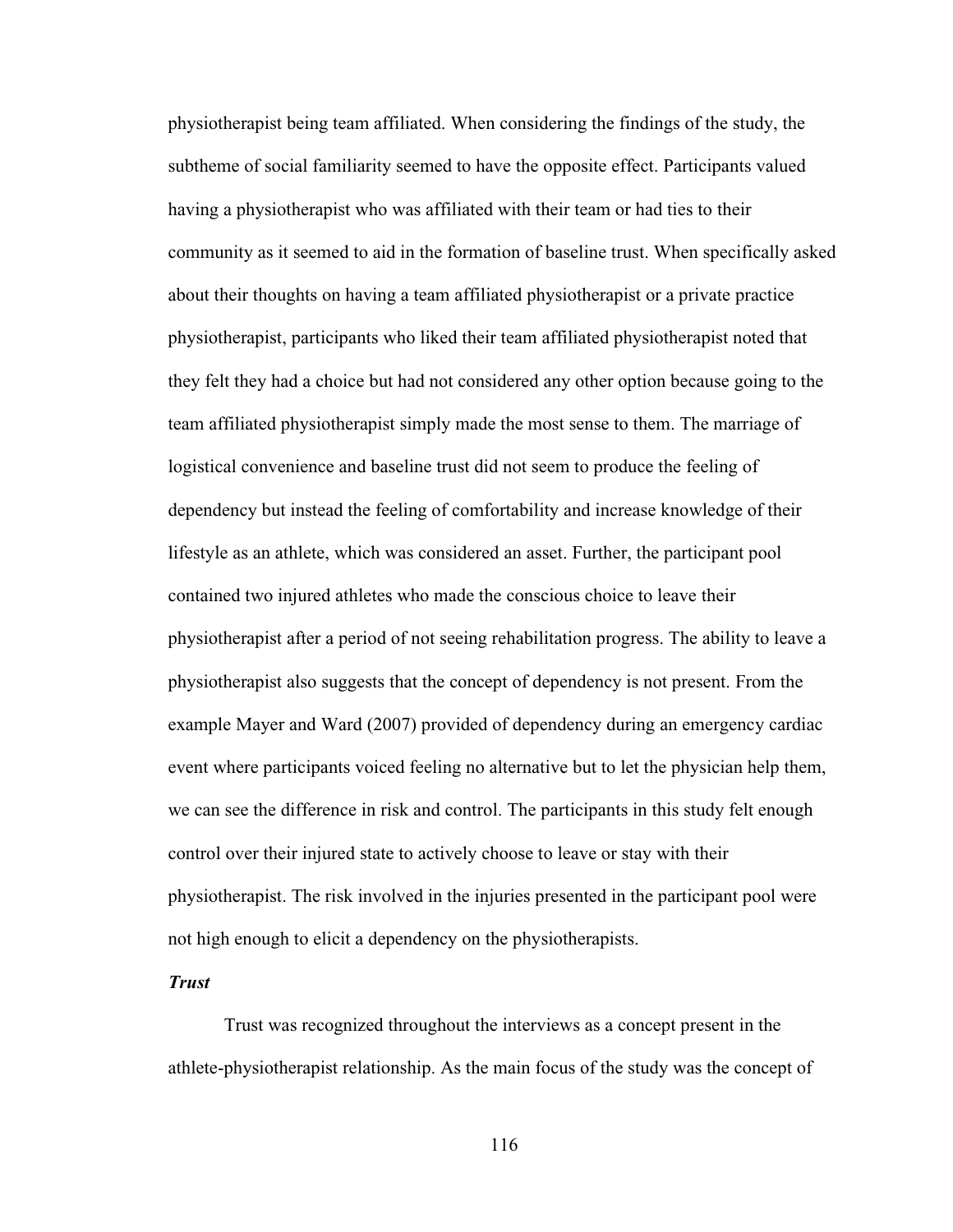physiotherapist being team affiliated. When considering the findings of the study, the subtheme of social familiarity seemed to have the opposite effect. Participants valued having a physiotherapist who was affiliated with their team or had ties to their community as it seemed to aid in the formation of baseline trust. When specifically asked about their thoughts on having a team affiliated physiotherapist or a private practice physiotherapist, participants who liked their team affiliated physiotherapist noted that they felt they had a choice but had not considered any other option because going to the team affiliated physiotherapist simply made the most sense to them. The marriage of logistical convenience and baseline trust did not seem to produce the feeling of dependency but instead the feeling of comfortability and increase knowledge of their lifestyle as an athlete, which was considered an asset. Further, the participant pool contained two injured athletes who made the conscious choice to leave their physiotherapist after a period of not seeing rehabilitation progress. The ability to leave a physiotherapist also suggests that the concept of dependency is not present. From the example Mayer and Ward (2007) provided of dependency during an emergency cardiac event where participants voiced feeling no alternative but to let the physician help them, we can see the difference in risk and control. The participants in this study felt enough control over their injured state to actively choose to leave or stay with their physiotherapist. The risk involved in the injuries presented in the participant pool were not high enough to elicit a dependency on the physiotherapists.

## *Trust*

Trust was recognized throughout the interviews as a concept present in the athlete-physiotherapist relationship. As the main focus of the study was the concept of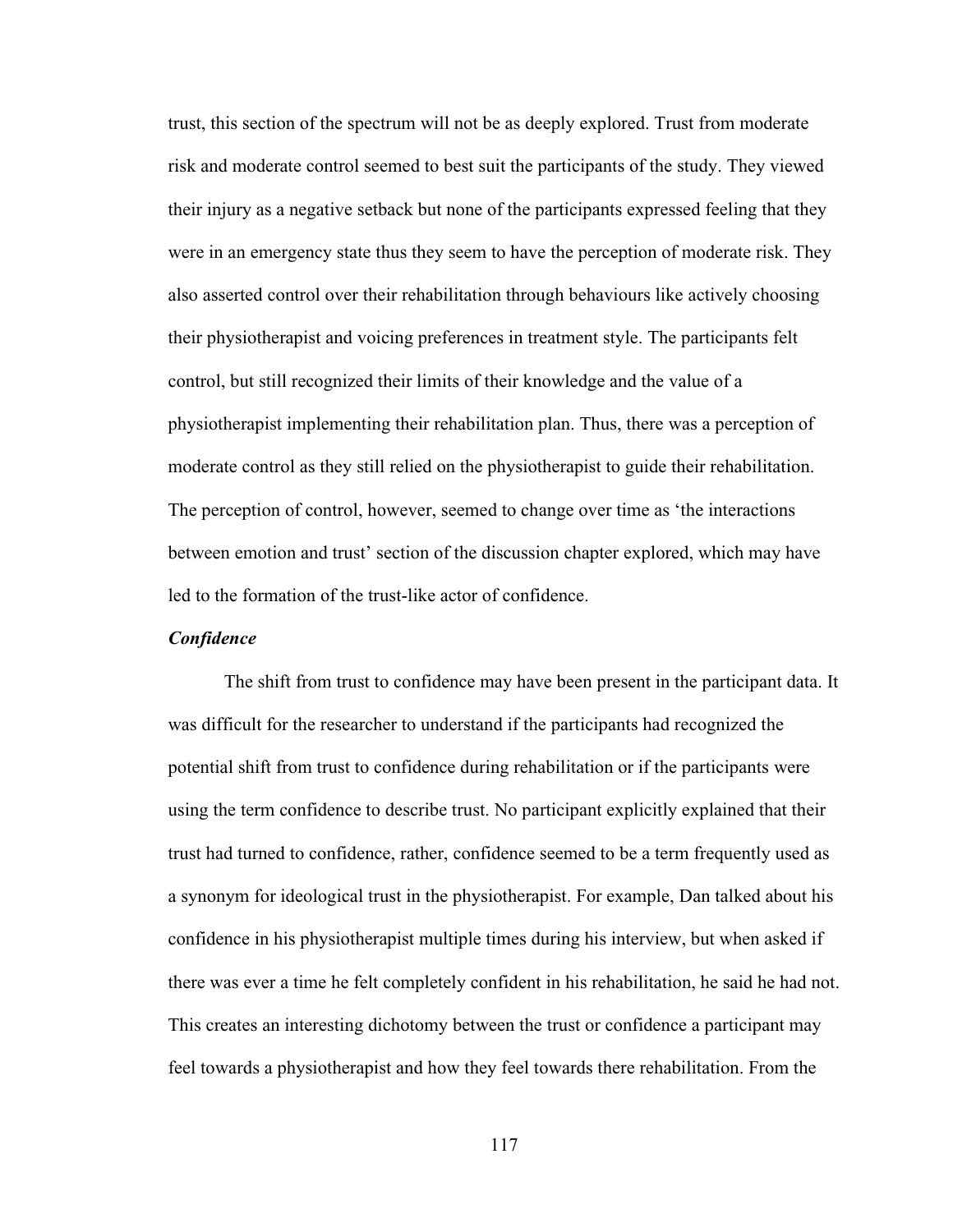trust, this section of the spectrum will not be as deeply explored. Trust from moderate risk and moderate control seemed to best suit the participants of the study. They viewed their injury as a negative setback but none of the participants expressed feeling that they were in an emergency state thus they seem to have the perception of moderate risk. They also asserted control over their rehabilitation through behaviours like actively choosing their physiotherapist and voicing preferences in treatment style. The participants felt control, but still recognized their limits of their knowledge and the value of a physiotherapist implementing their rehabilitation plan. Thus, there was a perception of moderate control as they still relied on the physiotherapist to guide their rehabilitation. The perception of control, however, seemed to change over time as 'the interactions between emotion and trust' section of the discussion chapter explored, which may have led to the formation of the trust-like actor of confidence.

#### *Confidence*

The shift from trust to confidence may have been present in the participant data. It was difficult for the researcher to understand if the participants had recognized the potential shift from trust to confidence during rehabilitation or if the participants were using the term confidence to describe trust. No participant explicitly explained that their trust had turned to confidence, rather, confidence seemed to be a term frequently used as a synonym for ideological trust in the physiotherapist. For example, Dan talked about his confidence in his physiotherapist multiple times during his interview, but when asked if there was ever a time he felt completely confident in his rehabilitation, he said he had not. This creates an interesting dichotomy between the trust or confidence a participant may feel towards a physiotherapist and how they feel towards there rehabilitation. From the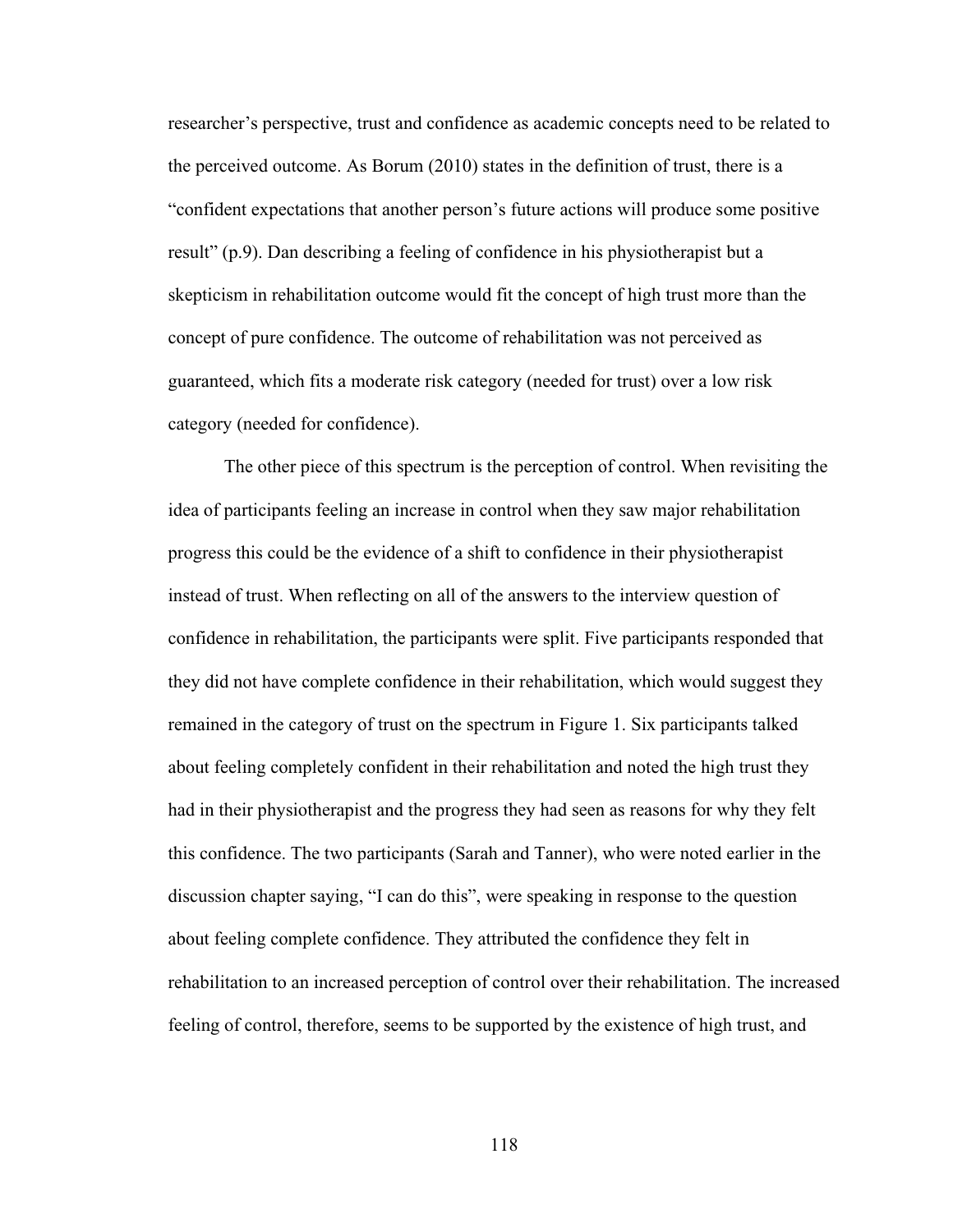researcher's perspective, trust and confidence as academic concepts need to be related to the perceived outcome. As Borum (2010) states in the definition of trust, there is a "confident expectations that another person's future actions will produce some positive result" (p.9). Dan describing a feeling of confidence in his physiotherapist but a skepticism in rehabilitation outcome would fit the concept of high trust more than the concept of pure confidence. The outcome of rehabilitation was not perceived as guaranteed, which fits a moderate risk category (needed for trust) over a low risk category (needed for confidence).

The other piece of this spectrum is the perception of control. When revisiting the idea of participants feeling an increase in control when they saw major rehabilitation progress this could be the evidence of a shift to confidence in their physiotherapist instead of trust. When reflecting on all of the answers to the interview question of confidence in rehabilitation, the participants were split. Five participants responded that they did not have complete confidence in their rehabilitation, which would suggest they remained in the category of trust on the spectrum in Figure 1. Six participants talked about feeling completely confident in their rehabilitation and noted the high trust they had in their physiotherapist and the progress they had seen as reasons for why they felt this confidence. The two participants (Sarah and Tanner), who were noted earlier in the discussion chapter saying, "I can do this", were speaking in response to the question about feeling complete confidence. They attributed the confidence they felt in rehabilitation to an increased perception of control over their rehabilitation. The increased feeling of control, therefore, seems to be supported by the existence of high trust, and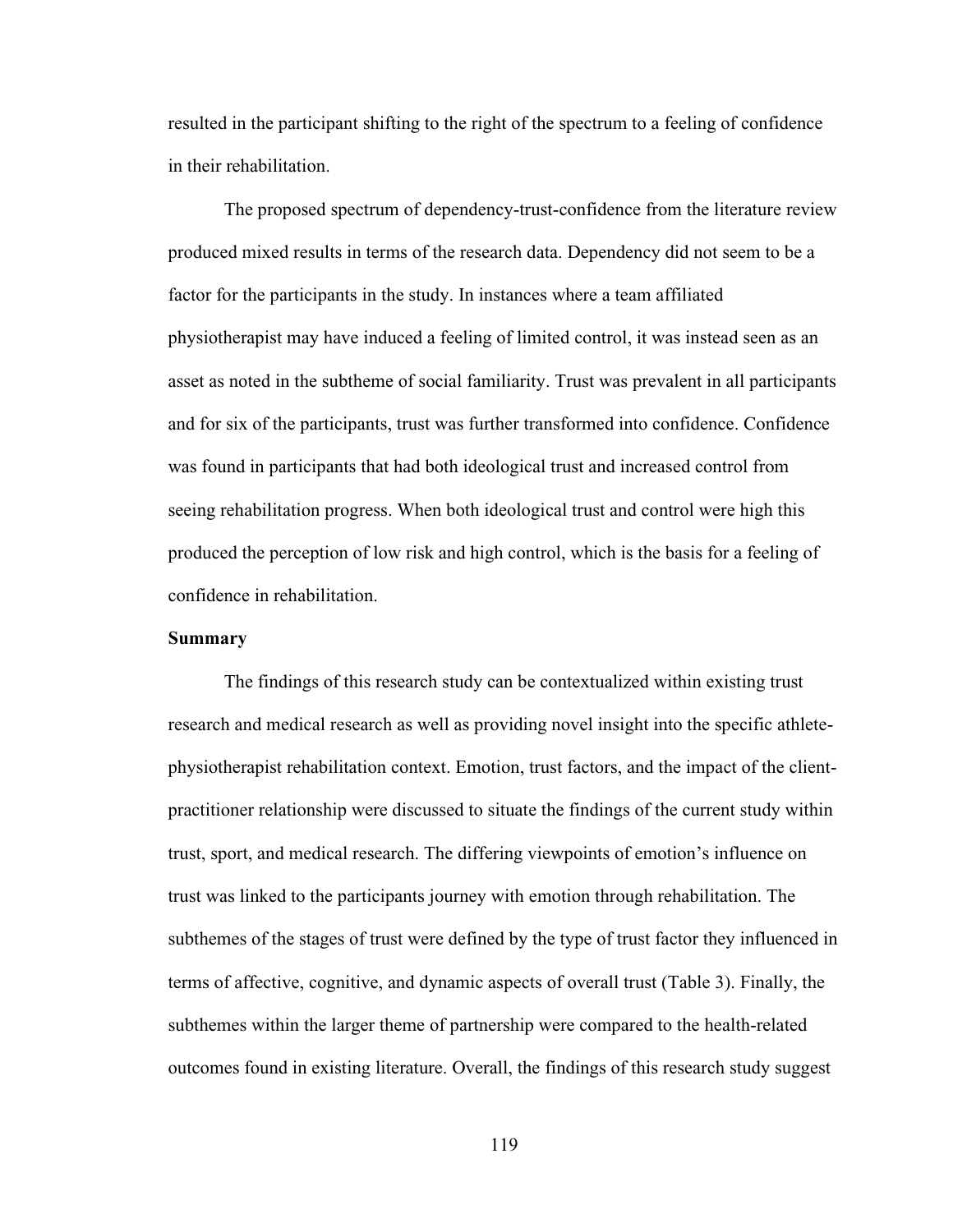resulted in the participant shifting to the right of the spectrum to a feeling of confidence in their rehabilitation.

The proposed spectrum of dependency-trust-confidence from the literature review produced mixed results in terms of the research data. Dependency did not seem to be a factor for the participants in the study. In instances where a team affiliated physiotherapist may have induced a feeling of limited control, it was instead seen as an asset as noted in the subtheme of social familiarity. Trust was prevalent in all participants and for six of the participants, trust was further transformed into confidence. Confidence was found in participants that had both ideological trust and increased control from seeing rehabilitation progress. When both ideological trust and control were high this produced the perception of low risk and high control, which is the basis for a feeling of confidence in rehabilitation.

#### **Summary**

The findings of this research study can be contextualized within existing trust research and medical research as well as providing novel insight into the specific athletephysiotherapist rehabilitation context. Emotion, trust factors, and the impact of the clientpractitioner relationship were discussed to situate the findings of the current study within trust, sport, and medical research. The differing viewpoints of emotion's influence on trust was linked to the participants journey with emotion through rehabilitation. The subthemes of the stages of trust were defined by the type of trust factor they influenced in terms of affective, cognitive, and dynamic aspects of overall trust (Table 3). Finally, the subthemes within the larger theme of partnership were compared to the health-related outcomes found in existing literature. Overall, the findings of this research study suggest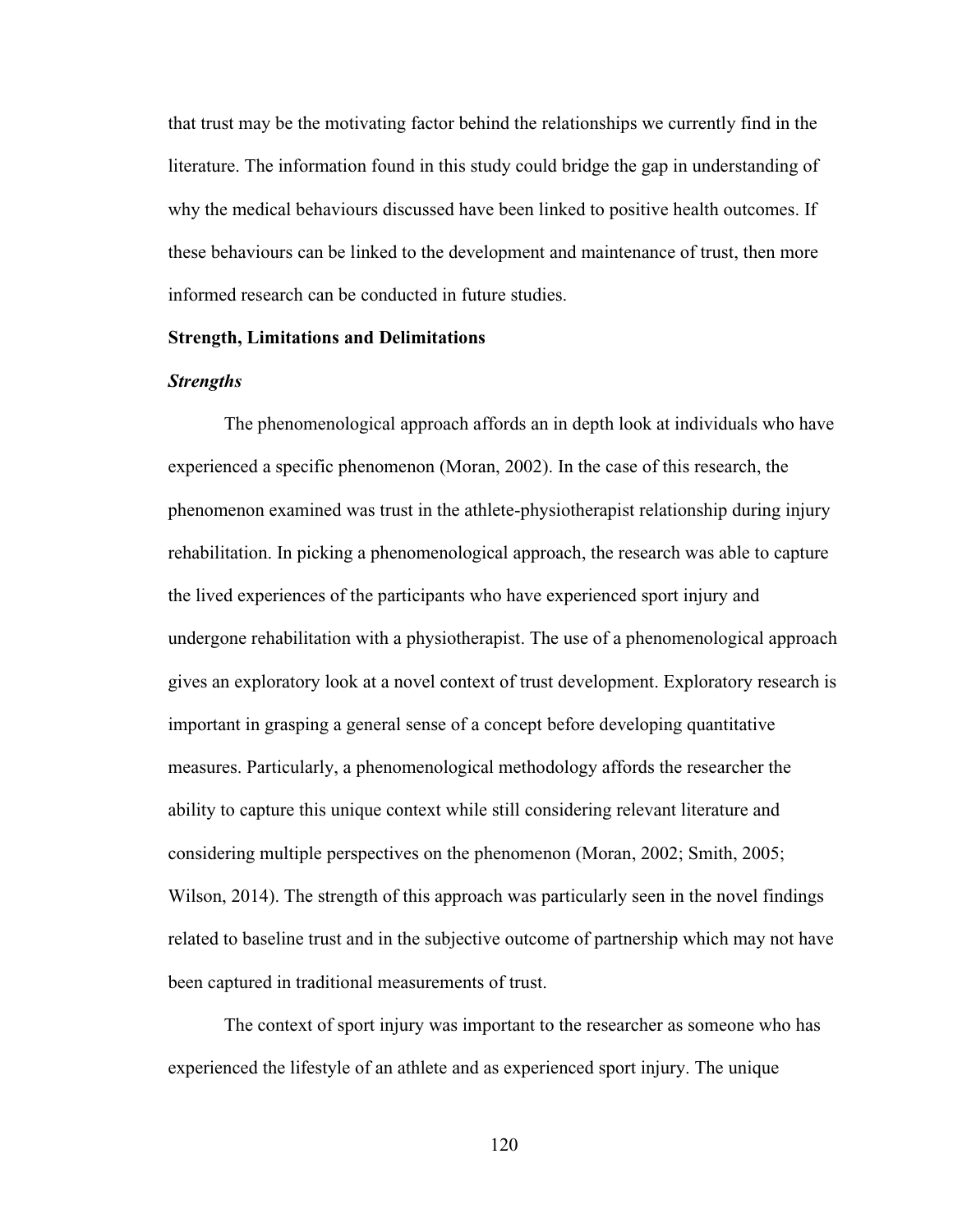that trust may be the motivating factor behind the relationships we currently find in the literature. The information found in this study could bridge the gap in understanding of why the medical behaviours discussed have been linked to positive health outcomes. If these behaviours can be linked to the development and maintenance of trust, then more informed research can be conducted in future studies.

## **Strength, Limitations and Delimitations**

# *Strengths*

The phenomenological approach affords an in depth look at individuals who have experienced a specific phenomenon (Moran, 2002). In the case of this research, the phenomenon examined was trust in the athlete-physiotherapist relationship during injury rehabilitation. In picking a phenomenological approach, the research was able to capture the lived experiences of the participants who have experienced sport injury and undergone rehabilitation with a physiotherapist. The use of a phenomenological approach gives an exploratory look at a novel context of trust development. Exploratory research is important in grasping a general sense of a concept before developing quantitative measures. Particularly, a phenomenological methodology affords the researcher the ability to capture this unique context while still considering relevant literature and considering multiple perspectives on the phenomenon (Moran, 2002; Smith, 2005; Wilson, 2014). The strength of this approach was particularly seen in the novel findings related to baseline trust and in the subjective outcome of partnership which may not have been captured in traditional measurements of trust.

The context of sport injury was important to the researcher as someone who has experienced the lifestyle of an athlete and as experienced sport injury. The unique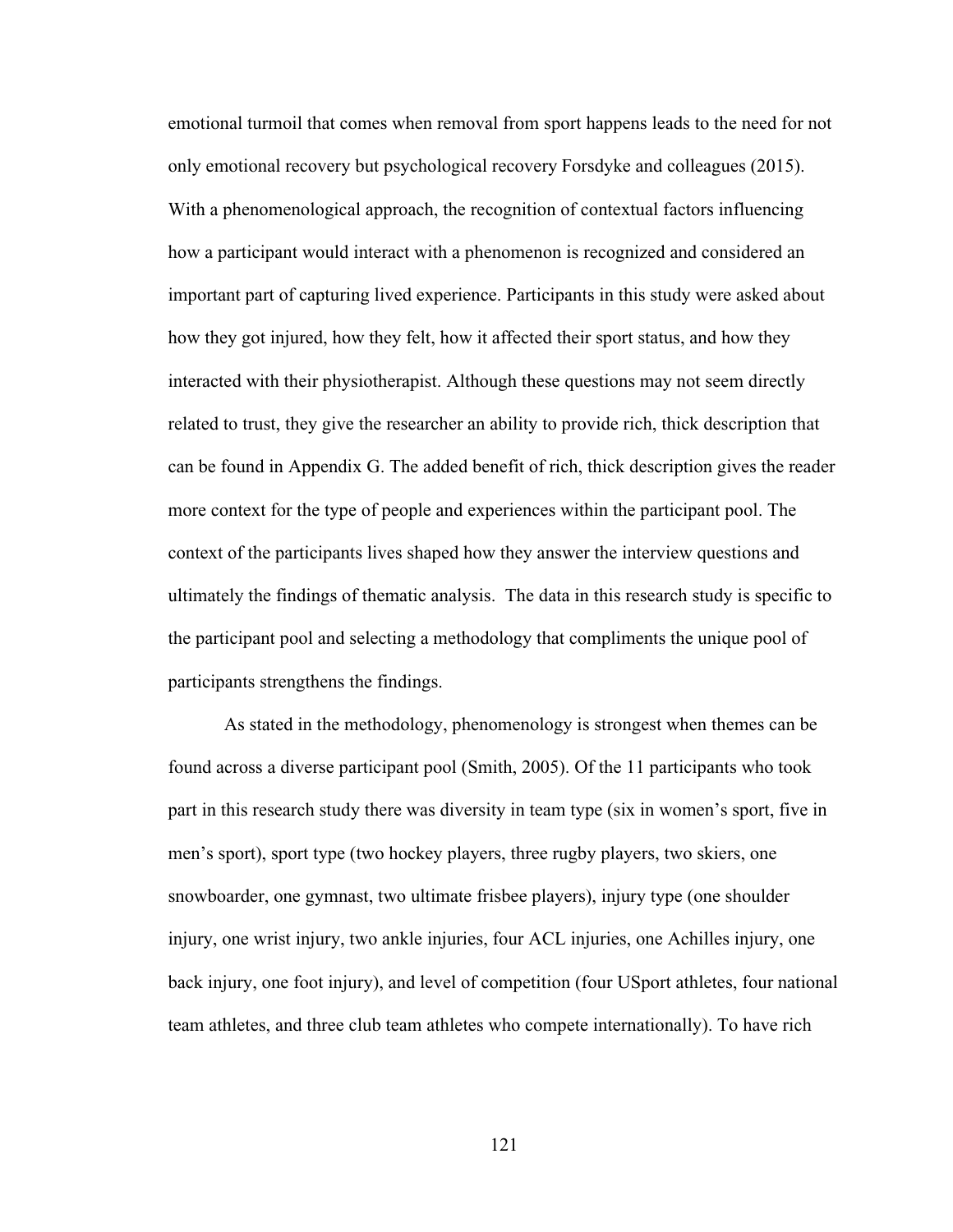emotional turmoil that comes when removal from sport happens leads to the need for not only emotional recovery but psychological recovery Forsdyke and colleagues (2015). With a phenomenological approach, the recognition of contextual factors influencing how a participant would interact with a phenomenon is recognized and considered an important part of capturing lived experience. Participants in this study were asked about how they got injured, how they felt, how it affected their sport status, and how they interacted with their physiotherapist. Although these questions may not seem directly related to trust, they give the researcher an ability to provide rich, thick description that can be found in Appendix G. The added benefit of rich, thick description gives the reader more context for the type of people and experiences within the participant pool. The context of the participants lives shaped how they answer the interview questions and ultimately the findings of thematic analysis. The data in this research study is specific to the participant pool and selecting a methodology that compliments the unique pool of participants strengthens the findings.

As stated in the methodology, phenomenology is strongest when themes can be found across a diverse participant pool (Smith, 2005). Of the 11 participants who took part in this research study there was diversity in team type (six in women's sport, five in men's sport), sport type (two hockey players, three rugby players, two skiers, one snowboarder, one gymnast, two ultimate frisbee players), injury type (one shoulder injury, one wrist injury, two ankle injuries, four ACL injuries, one Achilles injury, one back injury, one foot injury), and level of competition (four USport athletes, four national team athletes, and three club team athletes who compete internationally). To have rich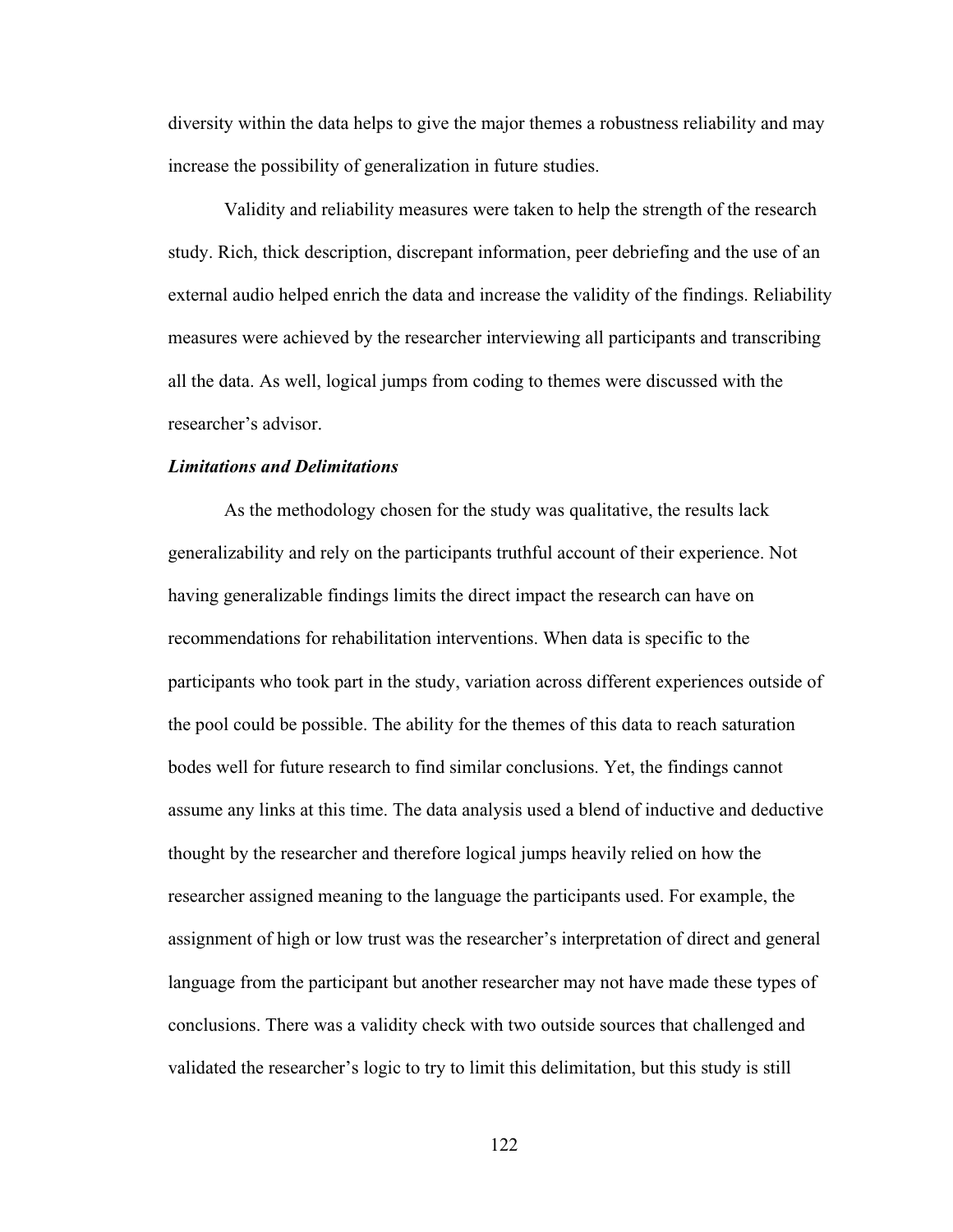diversity within the data helps to give the major themes a robustness reliability and may increase the possibility of generalization in future studies.

Validity and reliability measures were taken to help the strength of the research study. Rich, thick description, discrepant information, peer debriefing and the use of an external audio helped enrich the data and increase the validity of the findings. Reliability measures were achieved by the researcher interviewing all participants and transcribing all the data. As well, logical jumps from coding to themes were discussed with the researcher's advisor.

## *Limitations and Delimitations*

As the methodology chosen for the study was qualitative, the results lack generalizability and rely on the participants truthful account of their experience. Not having generalizable findings limits the direct impact the research can have on recommendations for rehabilitation interventions. When data is specific to the participants who took part in the study, variation across different experiences outside of the pool could be possible. The ability for the themes of this data to reach saturation bodes well for future research to find similar conclusions. Yet, the findings cannot assume any links at this time. The data analysis used a blend of inductive and deductive thought by the researcher and therefore logical jumps heavily relied on how the researcher assigned meaning to the language the participants used. For example, the assignment of high or low trust was the researcher's interpretation of direct and general language from the participant but another researcher may not have made these types of conclusions. There was a validity check with two outside sources that challenged and validated the researcher's logic to try to limit this delimitation, but this study is still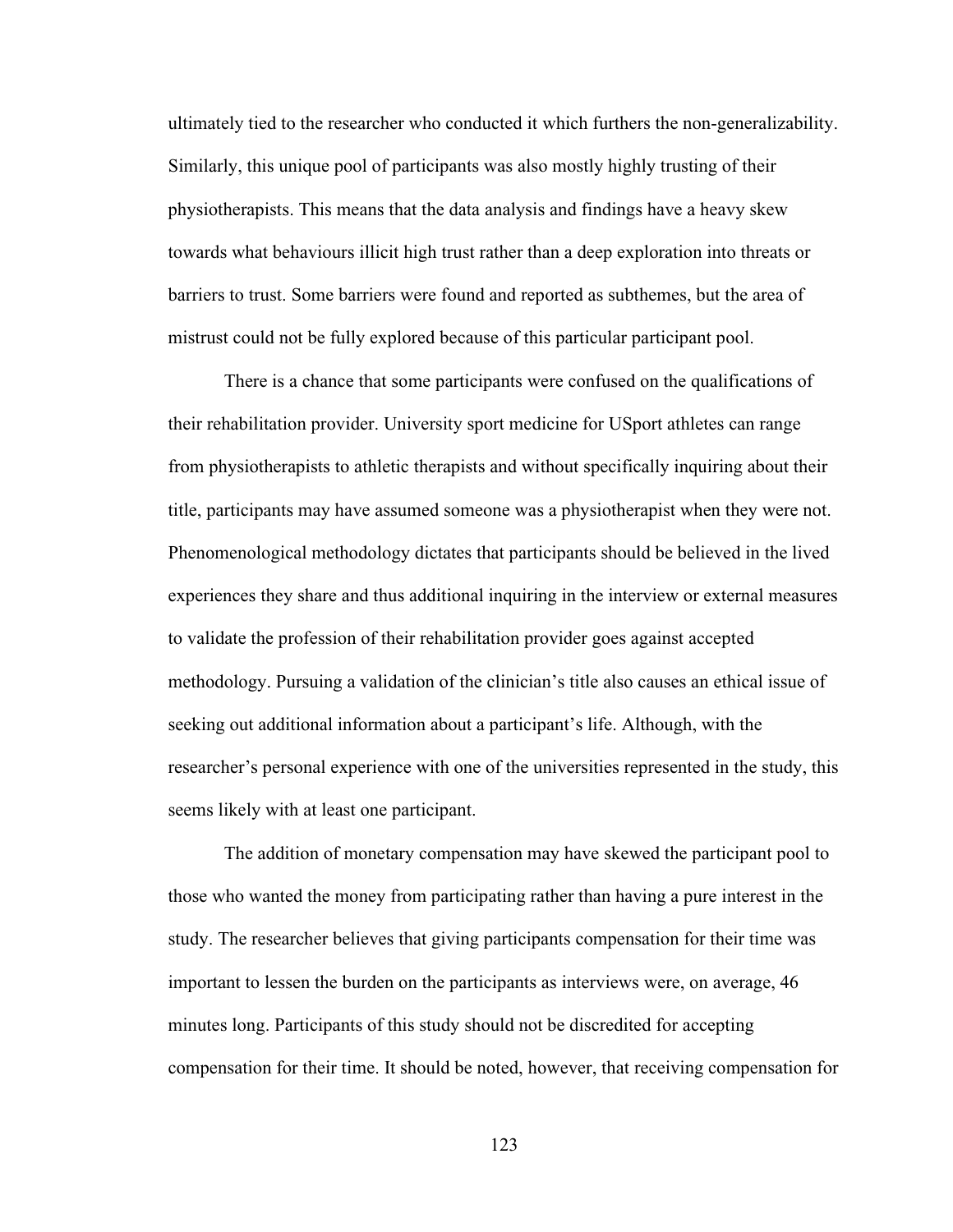ultimately tied to the researcher who conducted it which furthers the non-generalizability. Similarly, this unique pool of participants was also mostly highly trusting of their physiotherapists. This means that the data analysis and findings have a heavy skew towards what behaviours illicit high trust rather than a deep exploration into threats or barriers to trust. Some barriers were found and reported as subthemes, but the area of mistrust could not be fully explored because of this particular participant pool.

There is a chance that some participants were confused on the qualifications of their rehabilitation provider. University sport medicine for USport athletes can range from physiotherapists to athletic therapists and without specifically inquiring about their title, participants may have assumed someone was a physiotherapist when they were not. Phenomenological methodology dictates that participants should be believed in the lived experiences they share and thus additional inquiring in the interview or external measures to validate the profession of their rehabilitation provider goes against accepted methodology. Pursuing a validation of the clinician's title also causes an ethical issue of seeking out additional information about a participant's life. Although, with the researcher's personal experience with one of the universities represented in the study, this seems likely with at least one participant.

The addition of monetary compensation may have skewed the participant pool to those who wanted the money from participating rather than having a pure interest in the study. The researcher believes that giving participants compensation for their time was important to lessen the burden on the participants as interviews were, on average, 46 minutes long. Participants of this study should not be discredited for accepting compensation for their time. It should be noted, however, that receiving compensation for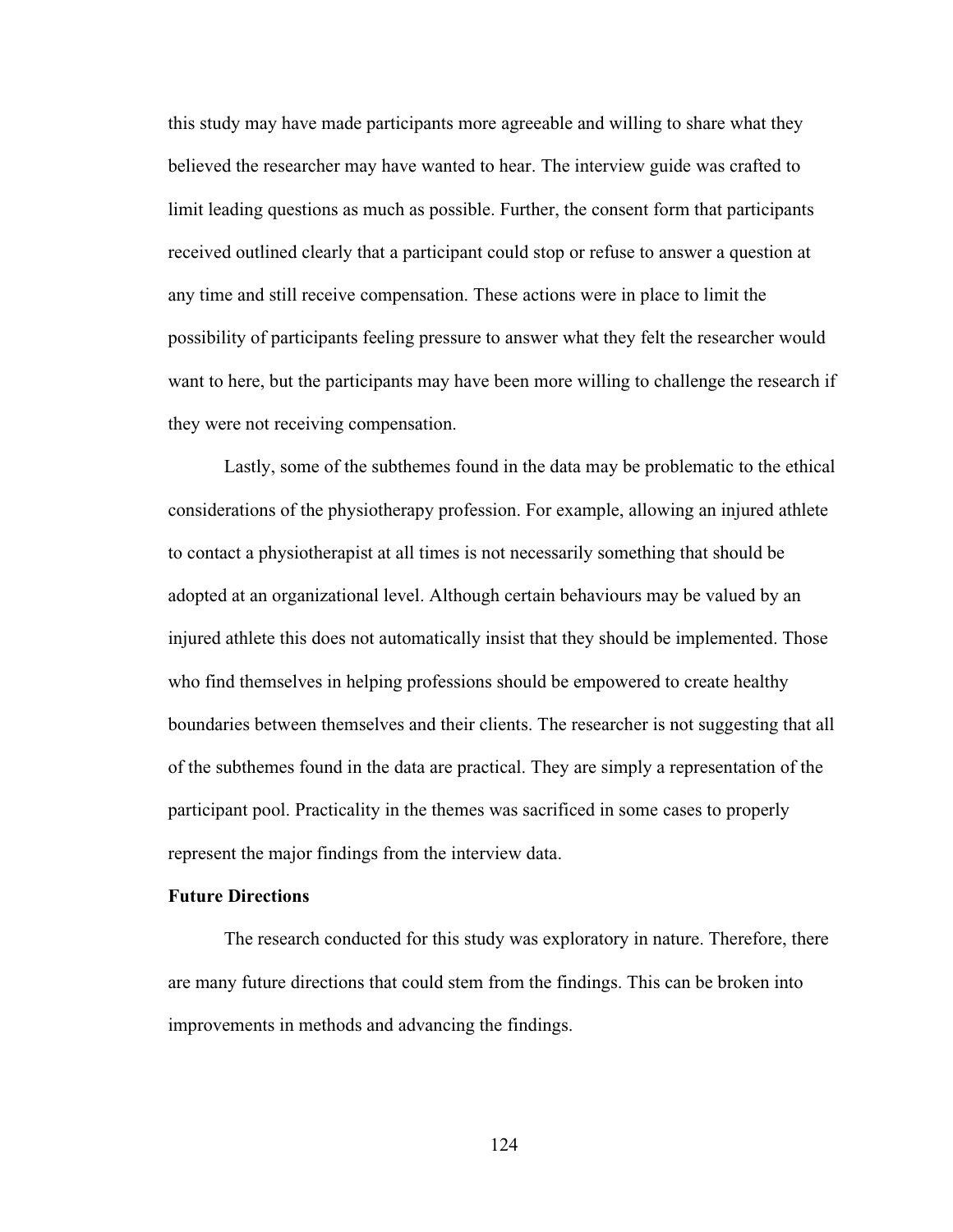this study may have made participants more agreeable and willing to share what they believed the researcher may have wanted to hear. The interview guide was crafted to limit leading questions as much as possible. Further, the consent form that participants received outlined clearly that a participant could stop or refuse to answer a question at any time and still receive compensation. These actions were in place to limit the possibility of participants feeling pressure to answer what they felt the researcher would want to here, but the participants may have been more willing to challenge the research if they were not receiving compensation.

Lastly, some of the subthemes found in the data may be problematic to the ethical considerations of the physiotherapy profession. For example, allowing an injured athlete to contact a physiotherapist at all times is not necessarily something that should be adopted at an organizational level. Although certain behaviours may be valued by an injured athlete this does not automatically insist that they should be implemented. Those who find themselves in helping professions should be empowered to create healthy boundaries between themselves and their clients. The researcher is not suggesting that all of the subthemes found in the data are practical. They are simply a representation of the participant pool. Practicality in the themes was sacrificed in some cases to properly represent the major findings from the interview data.

# **Future Directions**

The research conducted for this study was exploratory in nature. Therefore, there are many future directions that could stem from the findings. This can be broken into improvements in methods and advancing the findings.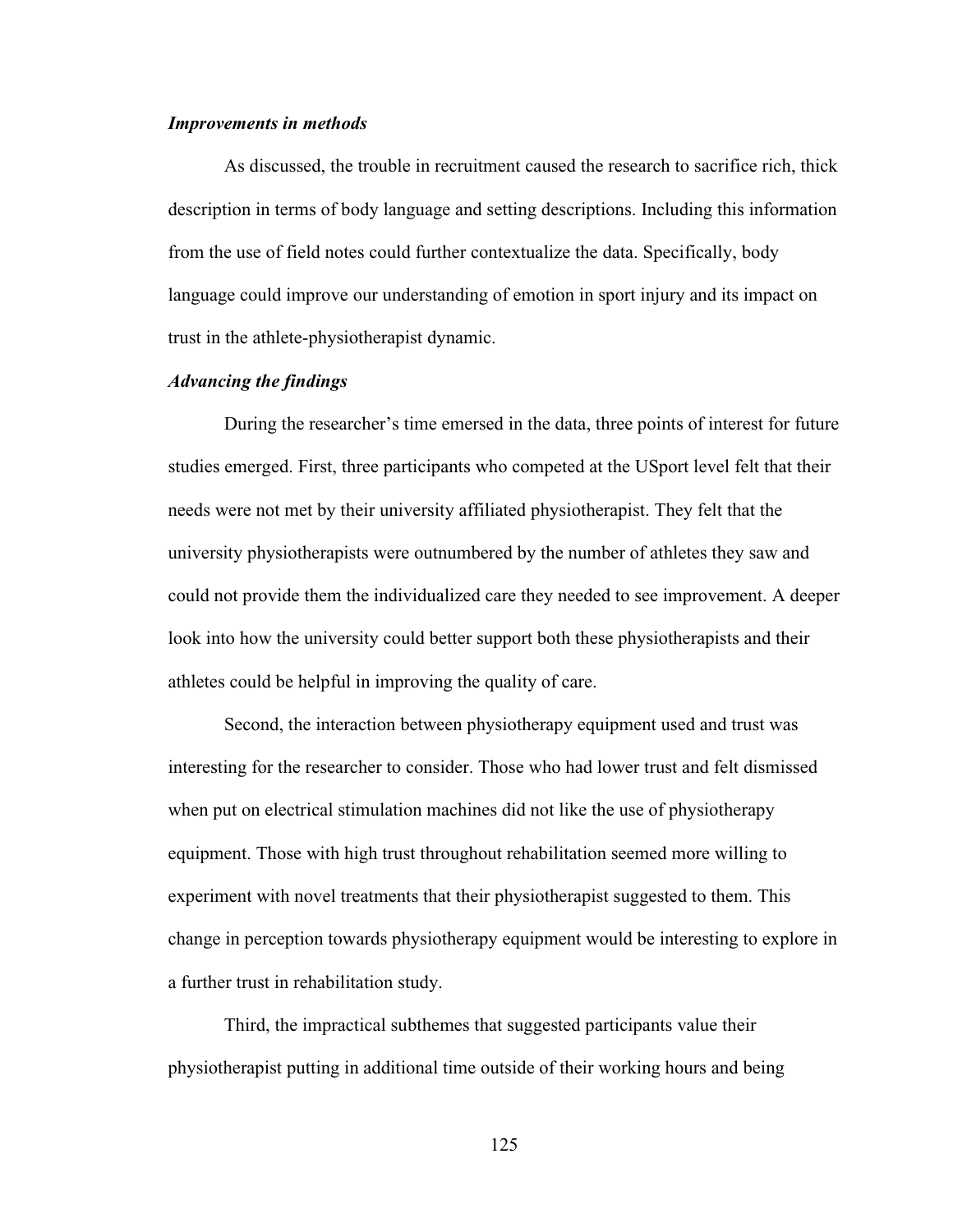#### *Improvements in methods*

As discussed, the trouble in recruitment caused the research to sacrifice rich, thick description in terms of body language and setting descriptions. Including this information from the use of field notes could further contextualize the data. Specifically, body language could improve our understanding of emotion in sport injury and its impact on trust in the athlete-physiotherapist dynamic.

## *Advancing the findings*

During the researcher's time emersed in the data, three points of interest for future studies emerged. First, three participants who competed at the USport level felt that their needs were not met by their university affiliated physiotherapist. They felt that the university physiotherapists were outnumbered by the number of athletes they saw and could not provide them the individualized care they needed to see improvement. A deeper look into how the university could better support both these physiotherapists and their athletes could be helpful in improving the quality of care.

Second, the interaction between physiotherapy equipment used and trust was interesting for the researcher to consider. Those who had lower trust and felt dismissed when put on electrical stimulation machines did not like the use of physiotherapy equipment. Those with high trust throughout rehabilitation seemed more willing to experiment with novel treatments that their physiotherapist suggested to them. This change in perception towards physiotherapy equipment would be interesting to explore in a further trust in rehabilitation study.

Third, the impractical subthemes that suggested participants value their physiotherapist putting in additional time outside of their working hours and being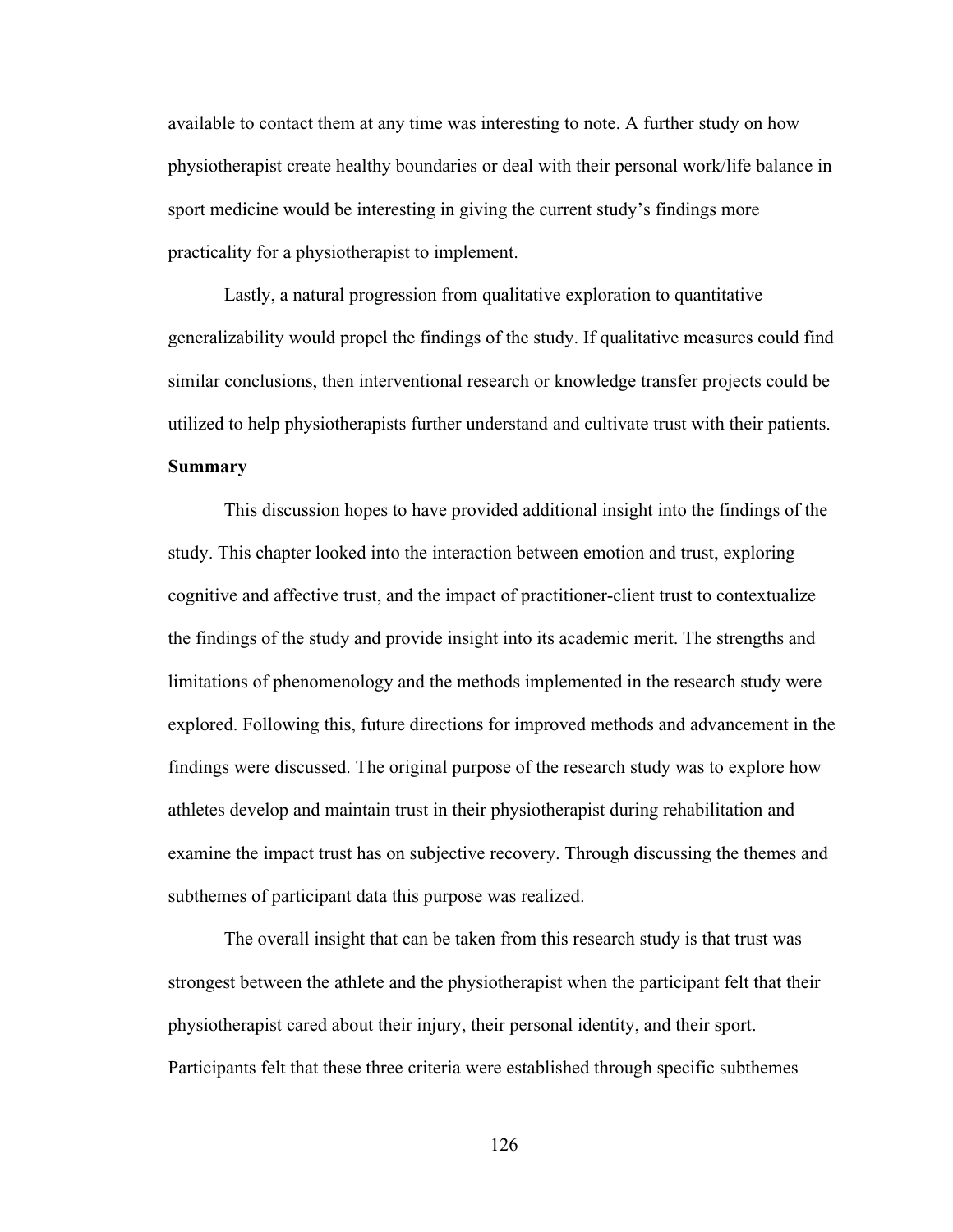available to contact them at any time was interesting to note. A further study on how physiotherapist create healthy boundaries or deal with their personal work/life balance in sport medicine would be interesting in giving the current study's findings more practicality for a physiotherapist to implement.

Lastly, a natural progression from qualitative exploration to quantitative generalizability would propel the findings of the study. If qualitative measures could find similar conclusions, then interventional research or knowledge transfer projects could be utilized to help physiotherapists further understand and cultivate trust with their patients. **Summary**

This discussion hopes to have provided additional insight into the findings of the study. This chapter looked into the interaction between emotion and trust, exploring cognitive and affective trust, and the impact of practitioner-client trust to contextualize the findings of the study and provide insight into its academic merit. The strengths and limitations of phenomenology and the methods implemented in the research study were explored. Following this, future directions for improved methods and advancement in the findings were discussed. The original purpose of the research study was to explore how athletes develop and maintain trust in their physiotherapist during rehabilitation and examine the impact trust has on subjective recovery. Through discussing the themes and subthemes of participant data this purpose was realized.

The overall insight that can be taken from this research study is that trust was strongest between the athlete and the physiotherapist when the participant felt that their physiotherapist cared about their injury, their personal identity, and their sport. Participants felt that these three criteria were established through specific subthemes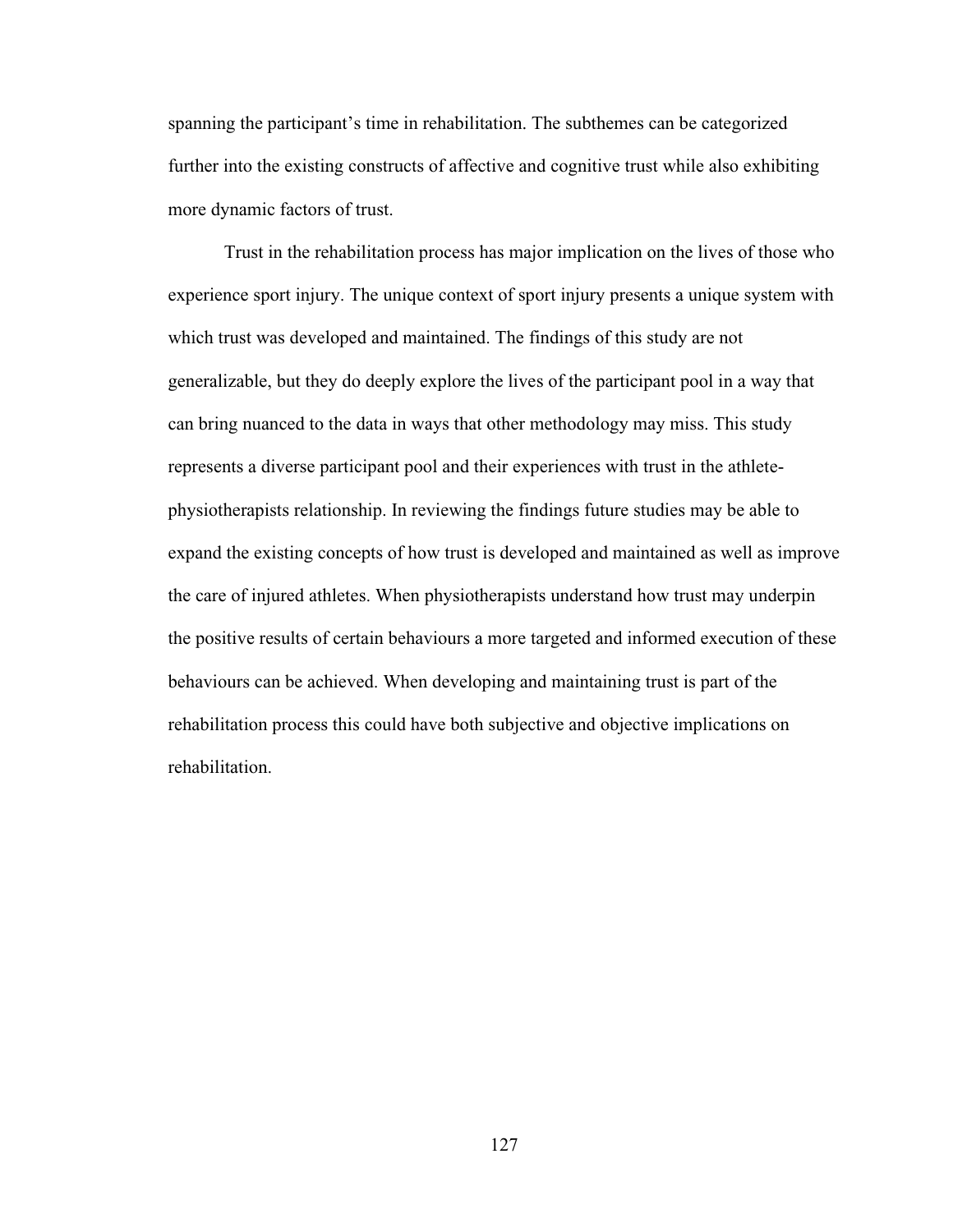spanning the participant's time in rehabilitation. The subthemes can be categorized further into the existing constructs of affective and cognitive trust while also exhibiting more dynamic factors of trust.

Trust in the rehabilitation process has major implication on the lives of those who experience sport injury. The unique context of sport injury presents a unique system with which trust was developed and maintained. The findings of this study are not generalizable, but they do deeply explore the lives of the participant pool in a way that can bring nuanced to the data in ways that other methodology may miss. This study represents a diverse participant pool and their experiences with trust in the athletephysiotherapists relationship. In reviewing the findings future studies may be able to expand the existing concepts of how trust is developed and maintained as well as improve the care of injured athletes. When physiotherapists understand how trust may underpin the positive results of certain behaviours a more targeted and informed execution of these behaviours can be achieved. When developing and maintaining trust is part of the rehabilitation process this could have both subjective and objective implications on rehabilitation.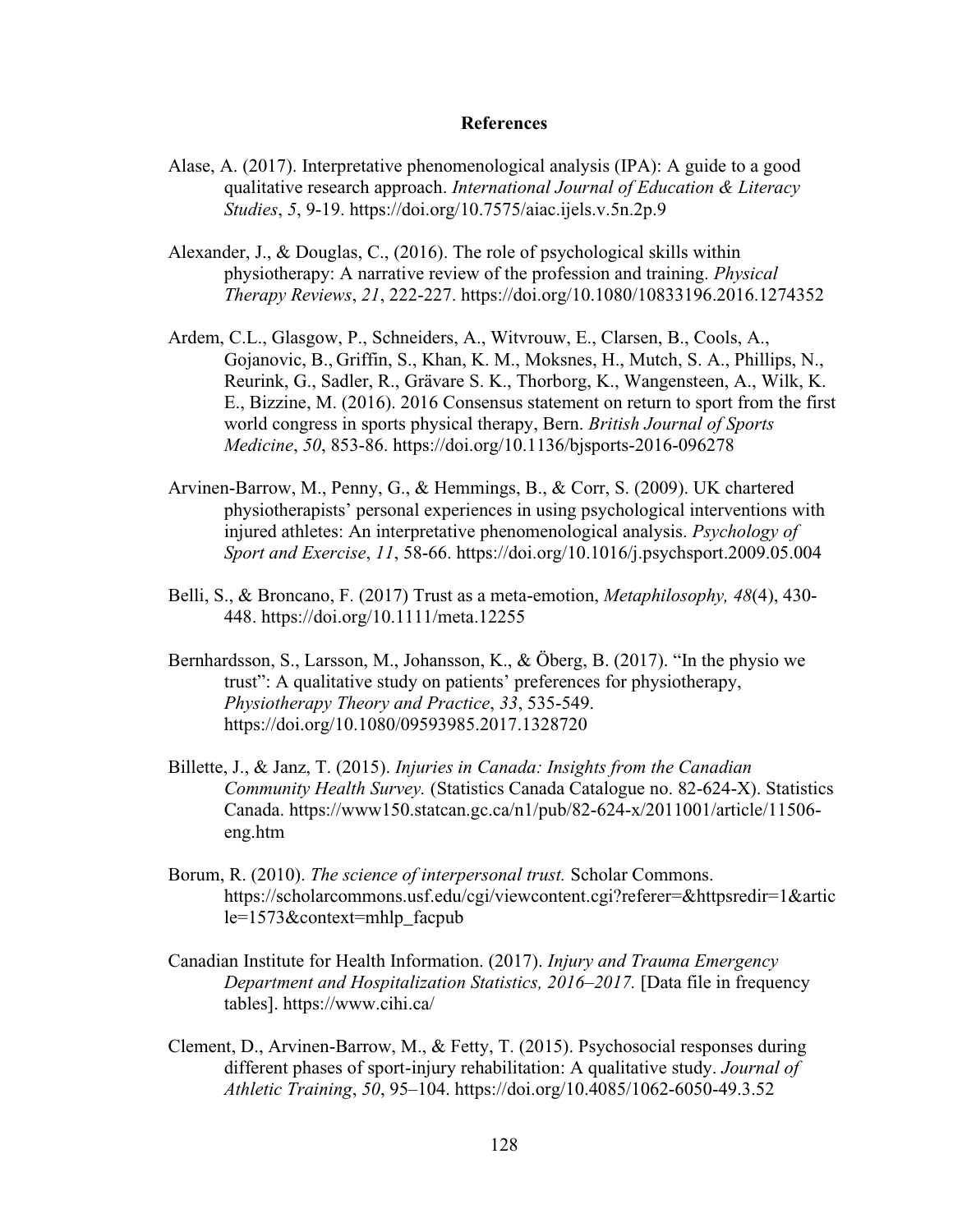#### **References**

- Alase, A. (2017). Interpretative phenomenological analysis (IPA): A guide to a good qualitative research approach. *International Journal of Education & Literacy Studies*, *5*, 9-19. https://doi.org/10.7575/aiac.ijels.v.5n.2p.9
- Alexander, J., & Douglas, C., (2016). The role of psychological skills within physiotherapy: A narrative review of the profession and training. *Physical Therapy Reviews*, *21*, 222-227. https://doi.org/10.1080/10833196.2016.1274352
- Ardem, C.L., Glasgow, P., Schneiders, A., Witvrouw, E., Clarsen, B., Cools, A., Gojanovic, B., Griffin, S., Khan, K. M., Moksnes, H., Mutch, S. A., Phillips, N., Reurink, G., Sadler, R., Grävare S. K., Thorborg, K., Wangensteen, A., Wilk, K. E., Bizzine, M. (2016). 2016 Consensus statement on return to sport from the first world congress in sports physical therapy, Bern. *British Journal of Sports Medicine*, *50*, 853-86.<https://doi.org/10.1136/bjsports-2016-096278>
- Arvinen-Barrow, M., Penny, G., & Hemmings, B., & Corr, S. (2009). UK chartered physiotherapists' personal experiences in using psychological interventions with injured athletes: An interpretative phenomenological analysis. *Psychology of Sport and Exercise*, *11*, 58-66.<https://doi.org/10.1016/j.psychsport.2009.05.004>
- Belli, S., & Broncano, F. (2017) Trust as a meta-emotion, *Metaphilosophy, 48*(4), 430- 448.<https://doi.org/10.1111/meta.12255>
- Bernhardsson, S., Larsson, M., Johansson, K., & Öberg, B. (2017). "In the physio we trust": A qualitative study on patients' preferences for physiotherapy, *Physiotherapy Theory and Practice*, *33*, 535-549. <https://doi.org/10.1080/09593985.2017.1328720>
- Billette, J., & Janz, T. (2015). *Injuries in Canada: Insights from the Canadian Community Health Survey.* (Statistics Canada Catalogue no. 82-624-X). Statistics Canada. [https://www150.statcan.gc.ca/n1/pub/82-624-x/2011001/article/11506](https://www150.statcan.gc.ca/n1/pub/82-624-x/2011001/article/11506-eng.htm) [eng.htm](https://www150.statcan.gc.ca/n1/pub/82-624-x/2011001/article/11506-eng.htm)
- Borum, R. (2010). *The science of interpersonal trust.* Scholar Commons. [https://scholarcommons.usf.edu/cgi/viewcontent.cgi?referer=&httpsredir=1&artic](https://scholarcommons.usf.edu/cgi/viewcontent.cgi?referer=&httpsredir=1&article=1573&context=mhlp_facpub) [le=1573&context=mhlp\\_facpub](https://scholarcommons.usf.edu/cgi/viewcontent.cgi?referer=&httpsredir=1&article=1573&context=mhlp_facpub)
- Canadian Institute for Health Information. (2017). *Injury and Trauma Emergency Department and Hospitalization Statistics, 2016–2017.* [Data file in frequency tables].<https://www.cihi.ca/>
- Clement, D., Arvinen-Barrow, M., & Fetty, T. (2015). Psychosocial responses during different phases of sport-injury rehabilitation: A qualitative study. *Journal of Athletic Training*, *50*, 95–104.<https://doi.org/10.4085/1062-6050-49.3.52>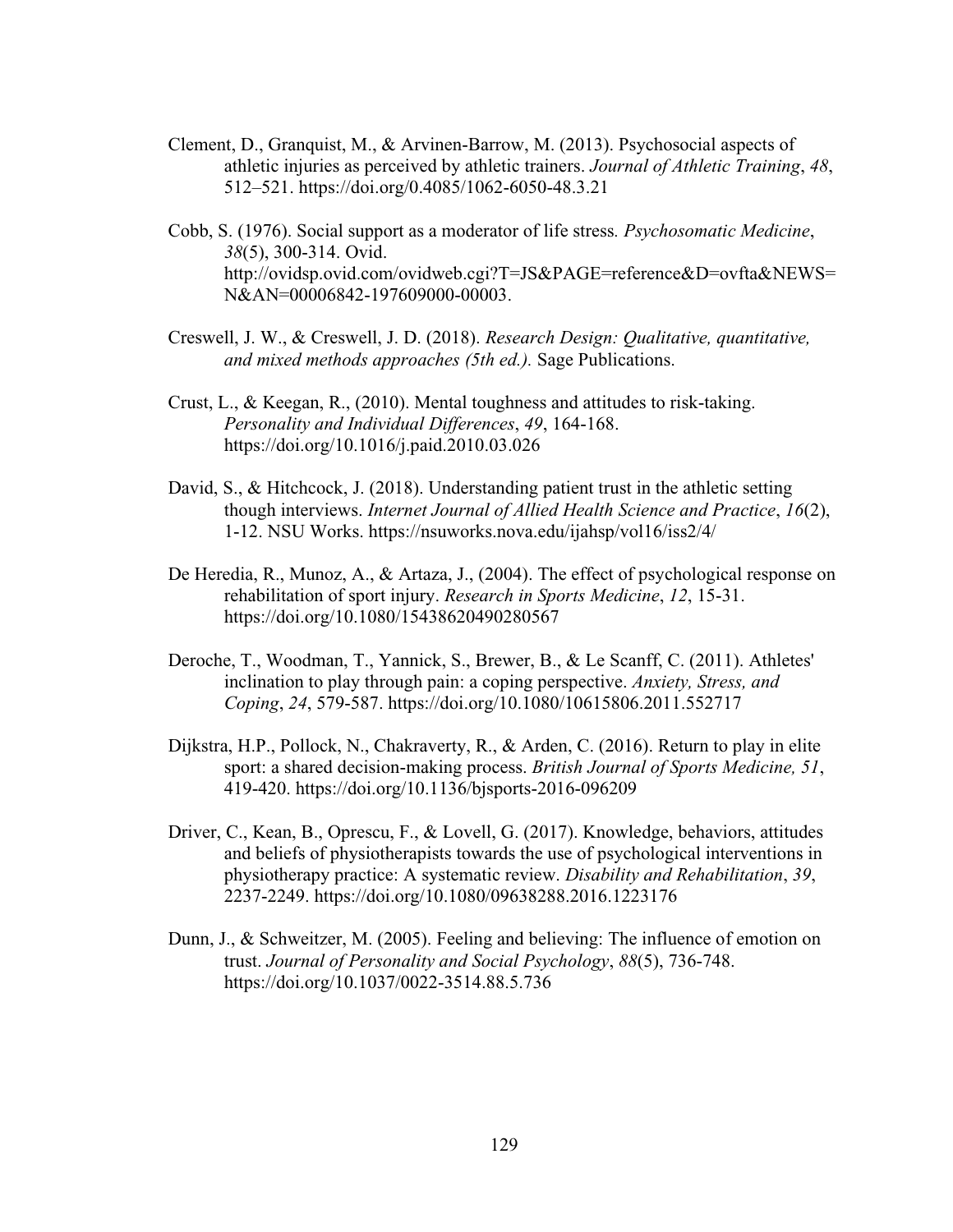- Clement, D., Granquist, M., & Arvinen-Barrow, M. (2013). Psychosocial aspects of athletic injuries as perceived by athletic trainers. *Journal of Athletic Training*, *48*, 512–521.<https://doi.org/0.4085/1062-6050-48.3.21>
- Cobb, S. (1976). Social support as a moderator of life stress*. Psychosomatic Medicine*, *38*(5), 300-314. Ovid. [http://ovidsp.ovid.com/ovidweb.cgi?T=JS&PAGE=reference&D=ovfta&NEWS=](http://ovidsp.ovid.com/ovidweb.cgi?T=JS&PAGE=reference&D=ovfta&NEWS=N&AN=00006842-197609000-00003) [N&AN=00006842-197609000-00003.](http://ovidsp.ovid.com/ovidweb.cgi?T=JS&PAGE=reference&D=ovfta&NEWS=N&AN=00006842-197609000-00003)
- Creswell, J. W., & Creswell, J. D. (2018). *Research Design: Qualitative, quantitative, and mixed methods approaches (5th ed.).* Sage Publications.
- Crust, L., & Keegan, R., (2010). Mental toughness and attitudes to risk-taking. *Personality and Individual Differences*, *49*, 164-168. <https://doi.org/10.1016/j.paid.2010.03.026>
- David, S., & Hitchcock, J. (2018). Understanding patient trust in the athletic setting though interviews. *Internet Journal of Allied Health Science and Practice*, *16*(2), 1-12. NSU Works.<https://nsuworks.nova.edu/ijahsp/vol16/iss2/4/>
- De Heredia, R., Munoz, A., & Artaza, J., (2004). The effect of psychological response on rehabilitation of sport injury. *Research in Sports Medicine*, *12*, 15-31. <https://doi.org/10.1080/15438620490280567>
- Deroche, T., Woodman, T., Yannick, S., Brewer, B., & Le Scanff, C. (2011). Athletes' inclination to play through pain: a coping perspective. *Anxiety, Stress, and Coping*, *24*, 579-587.<https://doi.org/10.1080/10615806.2011.552717>
- Dijkstra, H.P., Pollock, N., Chakraverty, R., & Arden, C. (2016). Return to play in elite sport: a shared decision-making process. *British Journal of Sports Medicine, 51*, 419-420.<https://doi.org/10.1136/bjsports-2016-096209>
- Driver, C., Kean, B., Oprescu, F., & Lovell, G. (2017). Knowledge, behaviors, attitudes and beliefs of physiotherapists towards the use of psychological interventions in physiotherapy practice: A systematic review. *Disability and Rehabilitation*, *39*, 2237-2249.<https://doi.org/10.1080/09638288.2016.1223176>
- Dunn, J., & Schweitzer, M. (2005). Feeling and believing: The influence of emotion on trust. *Journal of Personality and Social Psychology*, *88*(5), 736-748. <https://doi.org/10.1037/0022-3514.88.5.736>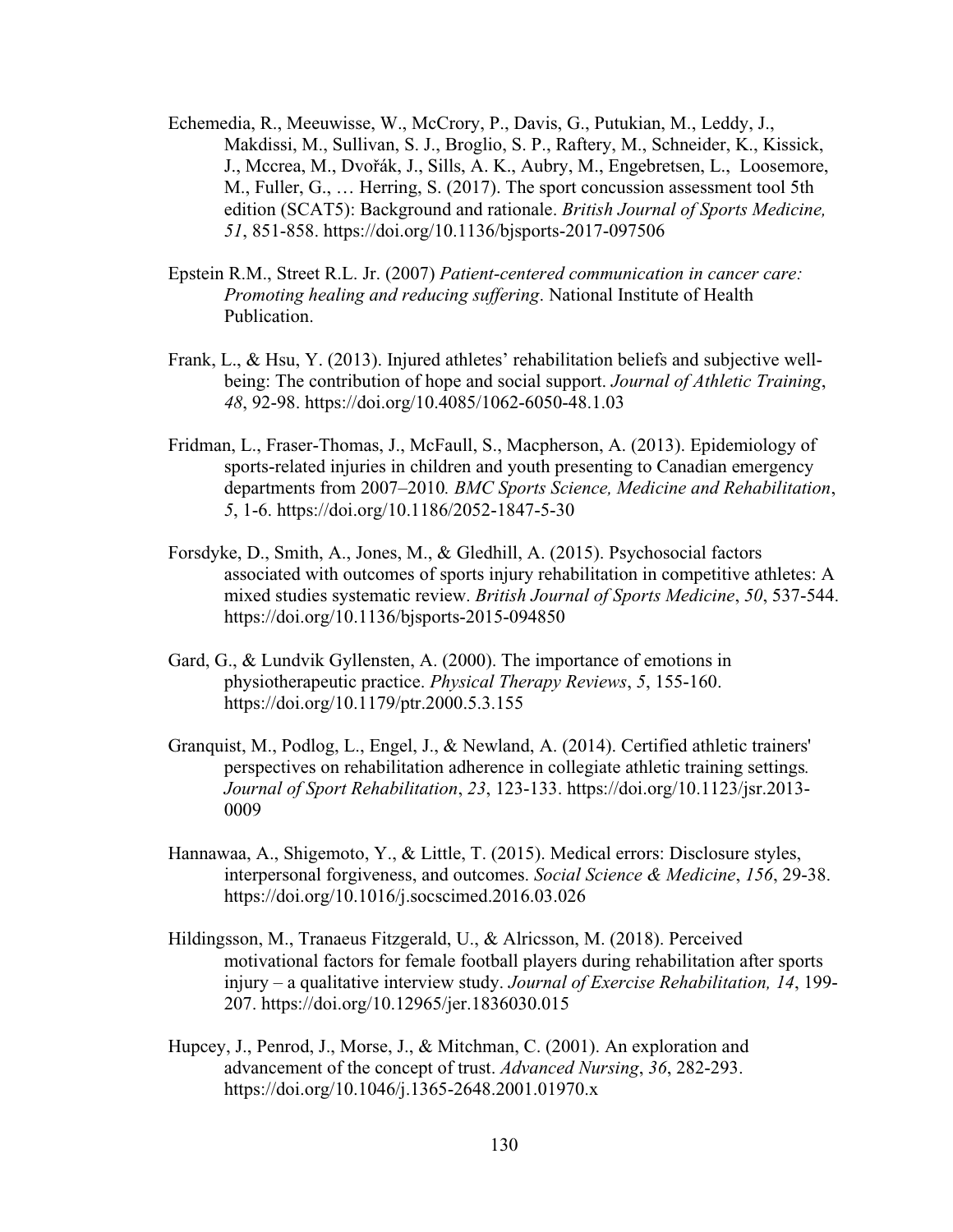- Echemedia, R., Meeuwisse, W., McCrory, P., Davis, G., Putukian, M., Leddy, J., Makdissi, M., Sullivan, S. J., Broglio, S. P., Raftery, M., Schneider, K., Kissick, J., Mccrea, M., Dvořák, J., Sills, A. K., Aubry, M., Engebretsen, L., Loosemore, M., Fuller, G., … Herring, S. (2017). The sport concussion assessment tool 5th edition (SCAT5): Background and rationale. *British Journal of Sports Medicine, 51*, 851-858.<https://doi.org/10.1136/bjsports-2017-097506>
- Epstein R.M., Street R.L. Jr. (2007) *Patient-centered communication in cancer care: Promoting healing and reducing suffering*. National Institute of Health Publication.
- Frank, L., & Hsu, Y. (2013). Injured athletes' rehabilitation beliefs and subjective wellbeing: The contribution of hope and social support. *Journal of Athletic Training*, *48*, 92-98.<https://doi.org/10.4085/1062-6050-48.1.03>
- Fridman, L., Fraser-Thomas, J., McFaull, S., Macpherson, A. (2013). Epidemiology of sports-related injuries in children and youth presenting to Canadian emergency departments from 2007–2010*. BMC Sports Science, Medicine and Rehabilitation*, *5*, 1-6.<https://doi.org/10.1186/2052-1847-5-30>
- Forsdyke, D., Smith, A., Jones, M., & Gledhill, A. (2015). Psychosocial factors associated with outcomes of sports injury rehabilitation in competitive athletes: A mixed studies systematic review. *British Journal of Sports Medicine*, *50*, 537-544. <https://doi.org/10.1136/bjsports-2015-094850>
- Gard, G., & Lundvik Gyllensten, A. (2000). The importance of emotions in physiotherapeutic practice. *Physical Therapy Reviews*, *5*, 155-160. <https://doi.org/10.1179/ptr.2000.5.3.155>
- Granquist, M., Podlog, L., Engel, J., & Newland, A. (2014). Certified athletic trainers' perspectives on rehabilitation adherence in collegiate athletic training settings*. Journal of Sport Rehabilitation*, *23*, 123-133. [https://doi.org/10.1123/jsr.2013-](https://doi.org/10.1123/jsr.2013-0009) [0009](https://doi.org/10.1123/jsr.2013-0009)
- Hannawaa, A., Shigemoto, Y., & Little, T. (2015). Medical errors: Disclosure styles, interpersonal forgiveness, and outcomes. *Social Science & Medicine*, *156*, 29-38. <https://doi.org/10.1016/j.socscimed.2016.03.026>
- Hildingsson, M., Tranaeus Fitzgerald, U., & Alricsson, M. (2018). Perceived motivational factors for female football players during rehabilitation after sports injury – a qualitative interview study. *Journal of Exercise Rehabilitation, 14*, 199- 207.<https://doi.org/10.12965/jer.1836030.015>
- Hupcey, J., Penrod, J., Morse, J., & Mitchman, C. (2001). An exploration and advancement of the concept of trust. *Advanced Nursing*, *36*, 282-293. <https://doi.org/10.1046/j.1365-2648.2001.01970.x>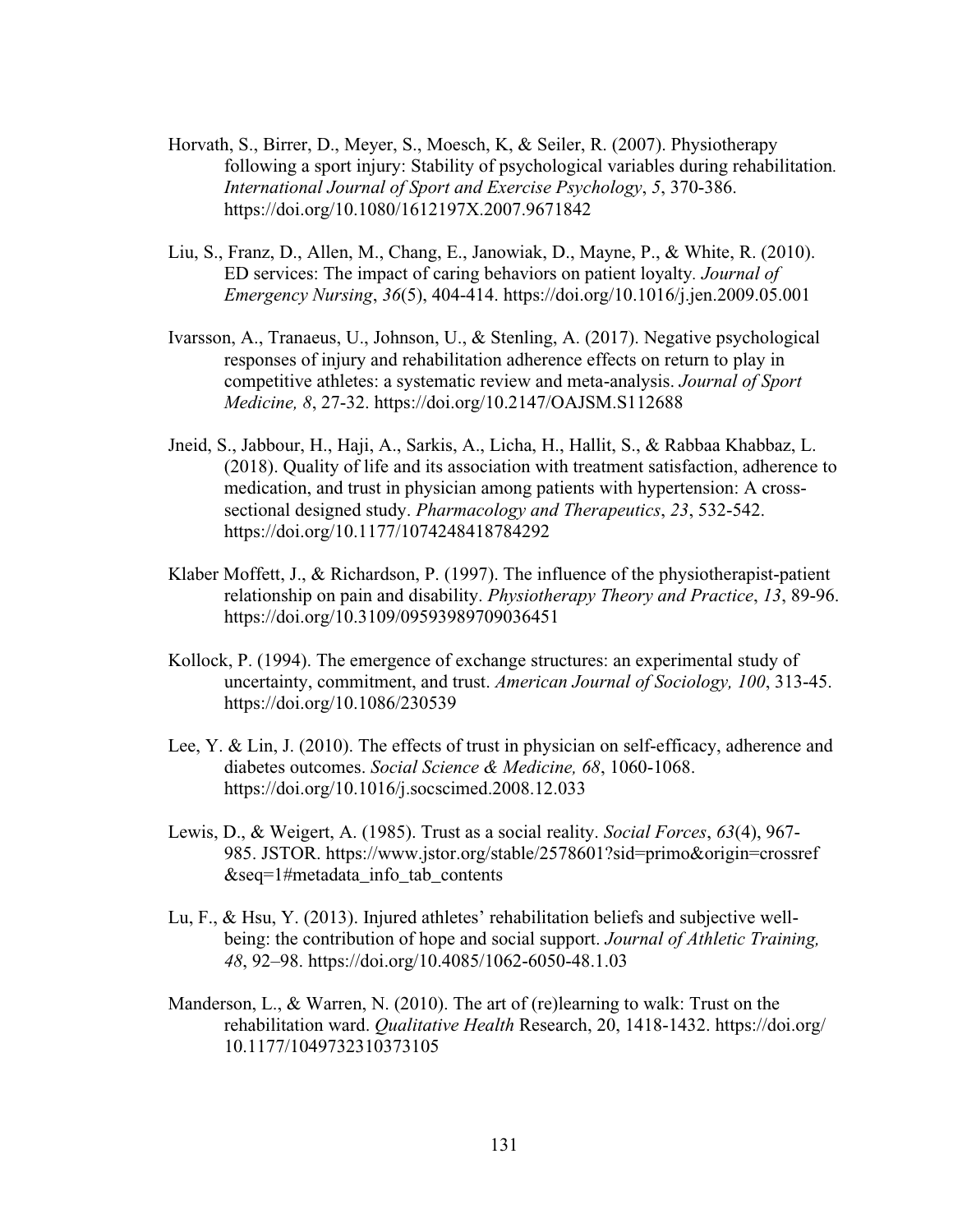- Horvath, S., Birrer, D., Meyer, S., Moesch, K, & Seiler, R. (2007). Physiotherapy following a sport injury: Stability of psychological variables during rehabilitation*. International Journal of Sport and Exercise Psychology*, *5*, 370-386. <https://doi.org/10.1080/1612197X.2007.9671842>
- Liu, S., Franz, D., Allen, M., Chang, E., Janowiak, D., Mayne, P., & White, R. (2010). ED services: The impact of caring behaviors on patient loyalty*. Journal of Emergency Nursing*, *36*(5), 404-414.<https://doi.org/10.1016/j.jen.2009.05.001>
- Ivarsson, A., Tranaeus, U., Johnson, U., & Stenling, A. (2017). Negative psychological responses of injury and rehabilitation adherence effects on return to play in competitive athletes: a systematic review and meta-analysis. *Journal of Sport Medicine, 8*, 27-32. <https://doi.org/10.2147/OAJSM.S112688>
- Jneid, S., Jabbour, H., Haji, A., Sarkis, A., Licha, H., Hallit, S., & Rabbaa Khabbaz, L. (2018). Quality of life and its association with treatment satisfaction, adherence to medication, and trust in physician among patients with hypertension: A crosssectional designed study. *Pharmacology and Therapeutics*, *23*, 532-542. <https://doi.org/10.1177/1074248418784292>
- Klaber Moffett, J., & Richardson, P. (1997). The influence of the physiotherapist-patient relationship on pain and disability. *Physiotherapy Theory and Practice*, *13*, 89-96. <https://doi.org/10.3109/09593989709036451>
- Kollock, P. (1994). The emergence of exchange structures: an experimental study of uncertainty, commitment, and trust. *American Journal of Sociology, 100*, 313-45. <https://doi.org/10.1086/230539>
- Lee, Y. & Lin, J. (2010). The effects of trust in physician on self-efficacy, adherence and diabetes outcomes. *Social Science & Medicine, 68*, 1060-1068. <https://doi.org/10.1016/j.socscimed.2008.12.033>
- Lewis, D., & Weigert, A. (1985). Trust as a social reality. *Social Forces*, *63*(4), 967- 985. JSTOR. https://www.jstor.org/stable/2578601?sid=primo&origin=crossref  $&seq=1$ #metadata info tab contents
- Lu, F., & Hsu, Y. (2013). Injured athletes' rehabilitation beliefs and subjective wellbeing: the contribution of hope and social support. *Journal of Athletic Training, 48*, 92–98.<https://doi.org/10.4085/1062-6050-48.1.03>
- Manderson, L., & Warren, N. (2010). The art of (re)learning to walk: Trust on the rehabilitation ward. *Qualitative Health* Research, 20, 1418-1432. https://doi.org/ 10.1177/1049732310373105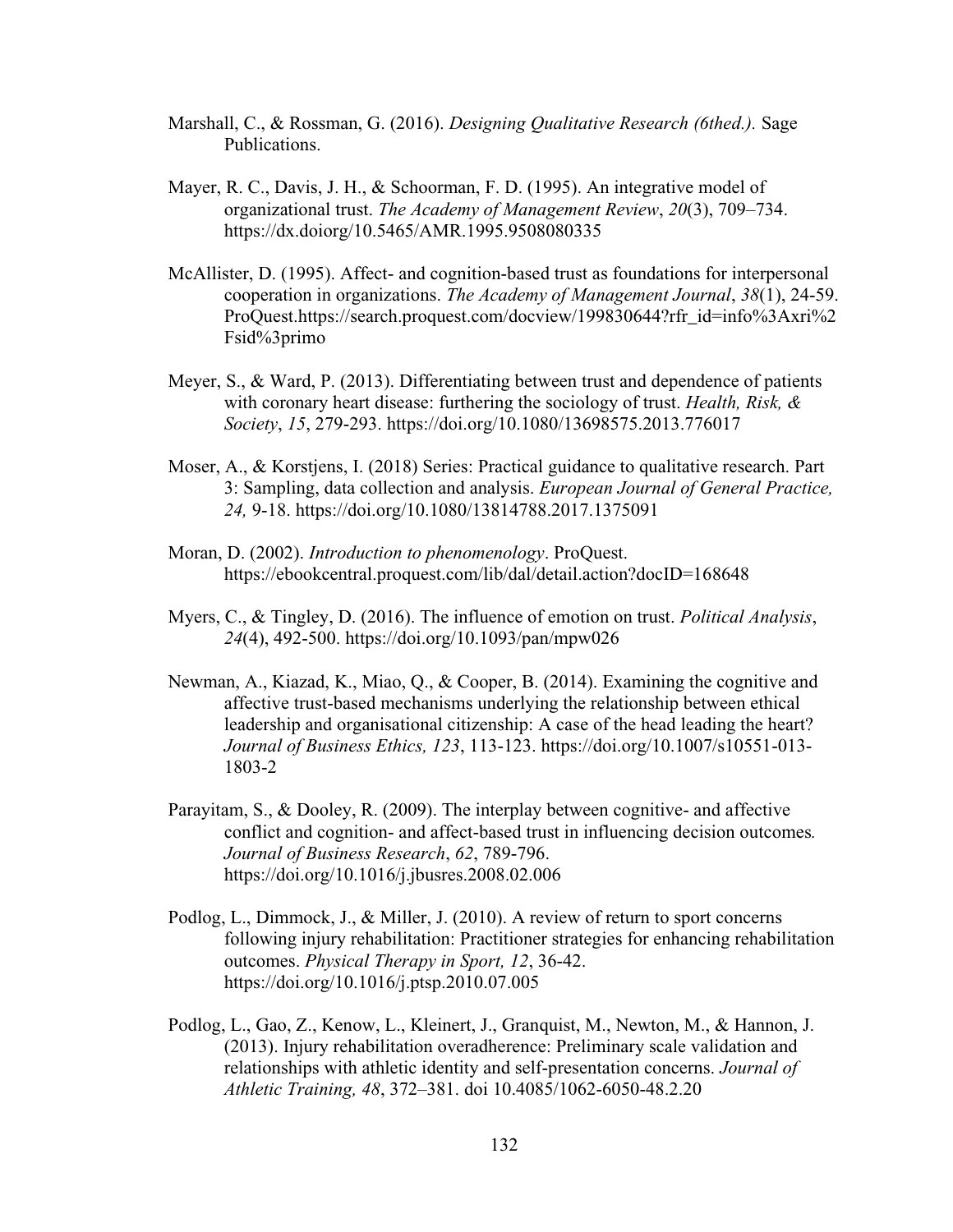- Marshall, C., & Rossman, G. (2016). *Designing Qualitative Research (6thed.).* Sage Publications.
- Mayer, R. C., Davis, J. H., & Schoorman, F. D. (1995). An integrative model of organizational trust. *The Academy of Management Review*, *20*(3), 709–734. <https://dx.doiorg/10.5465/AMR.1995.9508080335>
- McAllister, D. (1995). Affect- and cognition-based trust as foundations for interpersonal cooperation in organizations. *The Academy of Management Journal*, *38*(1), 24-59. ProQuest.https://search.proquest.com/docview/199830644?rfr\_id=info%3Axri%2 Fsid%3primo
- Meyer, S., & Ward, P. (2013). Differentiating between trust and dependence of patients with coronary heart disease: furthering the sociology of trust. *Health, Risk, & Society*, *15*, 279-293.<https://doi.org/10.1080/13698575.2013.776017>
- Moser, A., & Korstjens, I. (2018) Series: Practical guidance to qualitative research. Part 3: Sampling, data collection and analysis. *European Journal of General Practice, 24,* 9-18.<https://doi.org/10.1080/13814788.2017.1375091>
- Moran, D. (2002). *Introduction to phenomenology*. ProQuest. <https://ebookcentral.proquest.com/lib/dal/detail.action?docID=168648>
- Myers, C., & Tingley, D. (2016). The influence of emotion on trust. *Political Analysis*, *24*(4), 492-500.<https://doi.org/10.1093/pan/mpw026>
- Newman, A., Kiazad, K., Miao, Q., & Cooper, B. (2014). Examining the cognitive and affective trust-based mechanisms underlying the relationship between ethical leadership and organisational citizenship: A case of the head leading the heart? *Journal of Business Ethics, 123*, 113-123. [https://doi.org/10.1007/s10551-013-](https://doi.org/10.1007/s10551-013-1803-2) [1803-2](https://doi.org/10.1007/s10551-013-1803-2)
- Parayitam, S., & Dooley, R. (2009). The interplay between cognitive- and affective conflict and cognition- and affect-based trust in influencing decision outcomes*. Journal of Business Research*, *62*, 789-796. <https://doi.org/10.1016/j.jbusres.2008.02.006>
- Podlog, L., Dimmock, J., & Miller, J. (2010). A review of return to sport concerns following injury rehabilitation: Practitioner strategies for enhancing rehabilitation outcomes. *Physical Therapy in Sport, 12*, 36-42. <https://doi.org/10.1016/j.ptsp.2010.07.005>
- Podlog, L., Gao, Z., Kenow, L., Kleinert, J., Granquist, M., Newton, M., & Hannon, J. (2013). Injury rehabilitation overadherence: Preliminary scale validation and relationships with athletic identity and self-presentation concerns. *Journal of Athletic Training, 48*, 372–381. doi 10.4085/1062-6050-48.2.20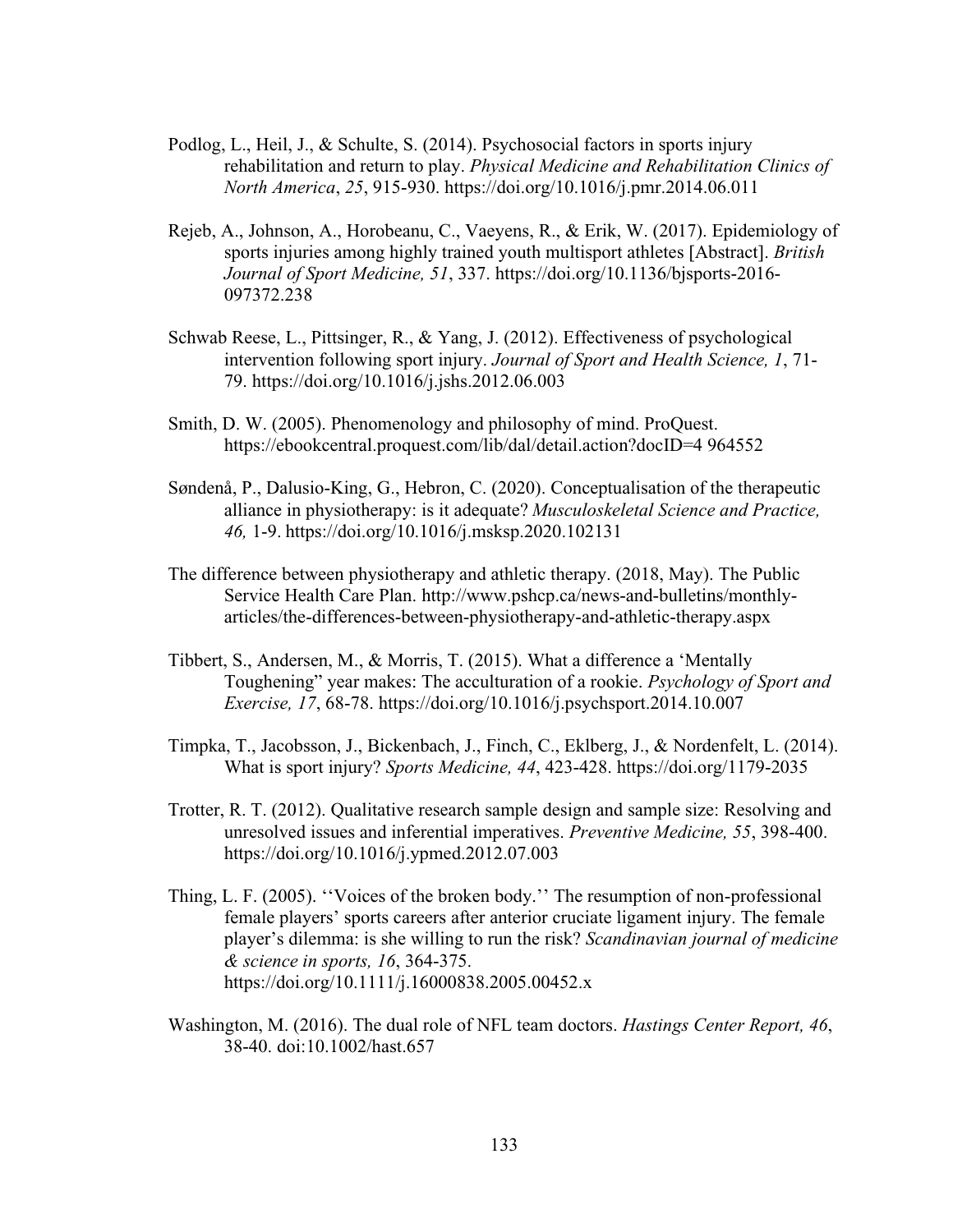- Podlog, L., Heil, J., & Schulte, S. (2014). Psychosocial factors in sports injury rehabilitation and return to play. *Physical Medicine and Rehabilitation Clinics of North America*, *25*, 915-930.<https://doi.org/10.1016/j.pmr.2014.06.011>
- Rejeb, A., Johnson, A., Horobeanu, C., Vaeyens, R., & Erik, W. (2017). Epidemiology of sports injuries among highly trained youth multisport athletes [Abstract]. *British Journal of Sport Medicine, 51*, 337. [https://doi.org/10.1136/bjsports-2016-](https://doi.org/10.1136/bjsports-2016-097372.238) [097372.238](https://doi.org/10.1136/bjsports-2016-097372.238)
- Schwab Reese, L., Pittsinger, R., & Yang, J. (2012). Effectiveness of psychological intervention following sport injury. *Journal of Sport and Health Science, 1*, 71- 79.<https://doi.org/10.1016/j.jshs.2012.06.003>
- Smith, D. W. (2005). Phenomenology and philosophy of mind. ProQuest. https://ebookcentral.proquest.com/lib/dal/detail.action?docID=4 964552
- Søndenå, P., Dalusio-King, G., Hebron, C. (2020). Conceptualisation of the therapeutic alliance in physiotherapy: is it adequate? *Musculoskeletal Science and Practice, 46,* 1-9. https://doi.org/10.1016/j.msksp.2020.102131
- The difference between physiotherapy and athletic therapy. (2018, May). The Public Service Health Care Plan. [http://www.pshcp.ca/news-and-bulletins/monthly](http://www.pshcp.ca/news-and-bulletins/monthly-articles/the-differences-between-physiotherapy-and-athletic-therapy.aspx)[articles/the-differences-between-physiotherapy-and-athletic-therapy.aspx](http://www.pshcp.ca/news-and-bulletins/monthly-articles/the-differences-between-physiotherapy-and-athletic-therapy.aspx)
- Tibbert, S., Andersen, M., & Morris, T. (2015). What a difference a 'Mentally Toughening" year makes: The acculturation of a rookie. *Psychology of Sport and Exercise, 17*, 68-78.<https://doi.org/10.1016/j.psychsport.2014.10.007>
- Timpka, T., Jacobsson, J., Bickenbach, J., Finch, C., Eklberg, J., & Nordenfelt, L. (2014). What is sport injury? *Sports Medicine, 44*, 423-428.<https://doi.org/1179-2035>
- Trotter, R. T. (2012). Qualitative research sample design and sample size: Resolving and unresolved issues and inferential imperatives. *Preventive Medicine, 55*, 398-400. <https://doi.org/10.1016/j.ypmed.2012.07.003>
- Thing, L. F. (2005). ''Voices of the broken body.'' The resumption of non-professional female players' sports careers after anterior cruciate ligament injury. The female player's dilemma: is she willing to run the risk? *Scandinavian journal of medicine & science in sports, 16*, 364-375. <https://doi.org/10.1111/j.16000838.2005.00452.x>
- Washington, M. (2016). The dual role of NFL team doctors. *Hastings Center Report, 46*, 38-40. doi:10.1002/hast.657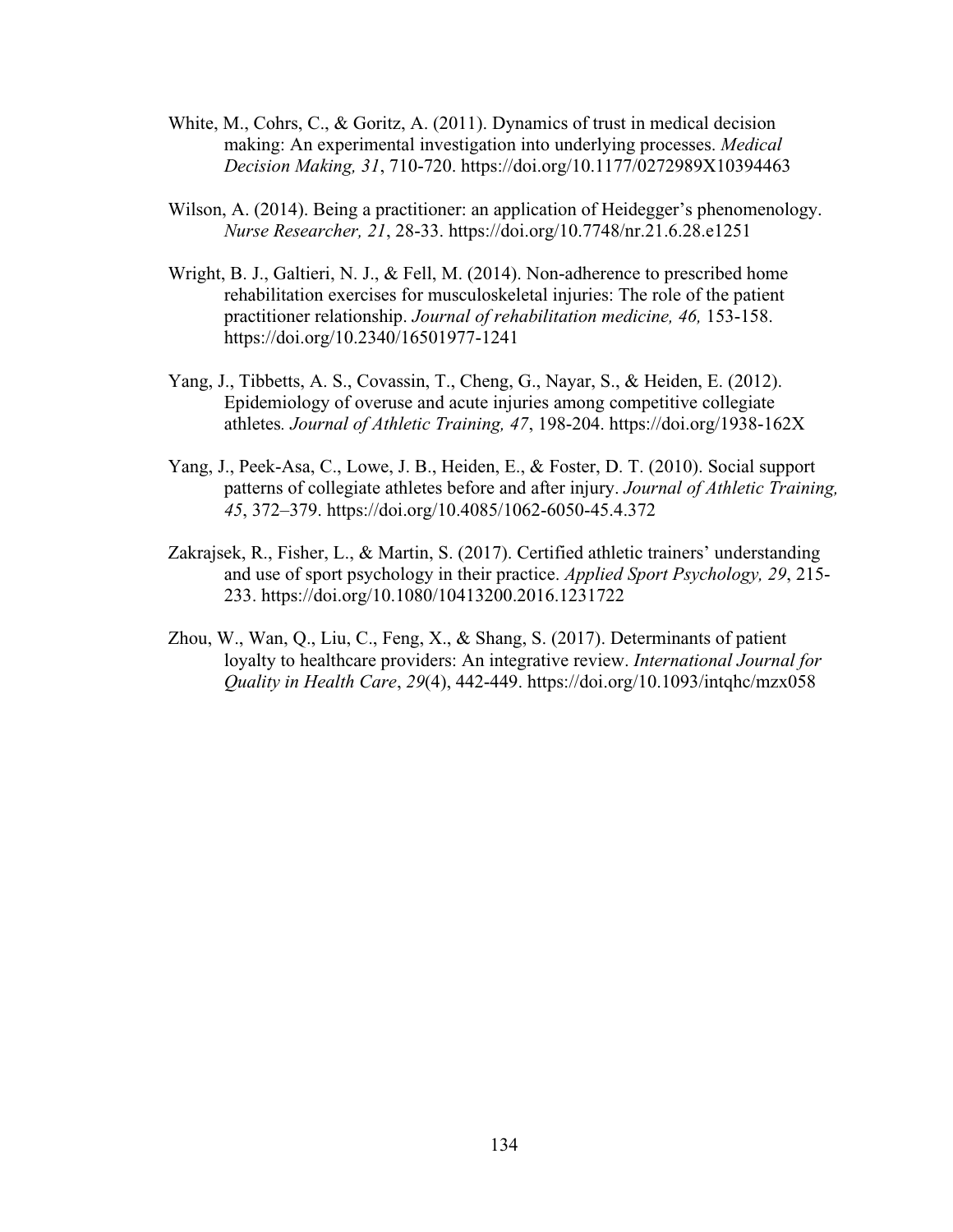- White, M., Cohrs, C., & Goritz, A. (2011). Dynamics of trust in medical decision making: An experimental investigation into underlying processes. *Medical Decision Making, 31*, 710-720.<https://doi.org/10.1177/0272989X10394463>
- Wilson, A. (2014). Being a practitioner: an application of Heidegger's phenomenology. *Nurse Researcher, 21*, 28-33. https://doi.org/10.7748/nr.21.6.28.e1251
- Wright, B. J., Galtieri, N. J., & Fell, M. (2014). Non-adherence to prescribed home rehabilitation exercises for musculoskeletal injuries: The role of the patient practitioner relationship. *Journal of rehabilitation medicine, 46,* 153-158. <https://doi.org/10.2340/16501977-1241>
- Yang, J., Tibbetts, A. S., Covassin, T., Cheng, G., Nayar, S., & Heiden, E. (2012). Epidemiology of overuse and acute injuries among competitive collegiate athletes*. Journal of Athletic Training, 47*, 198-204.<https://doi.org/1938-162X>
- Yang, J., Peek-Asa, C., Lowe, J. B., Heiden, E., & Foster, D. T. (2010). Social support patterns of collegiate athletes before and after injury. *Journal of Athletic Training, 45*, 372–379.<https://doi.org/10.4085/1062-6050-45.4.372>
- Zakrajsek, R., Fisher, L., & Martin, S. (2017). Certified athletic trainers' understanding and use of sport psychology in their practice. *Applied Sport Psychology, 29*, 215- 233.<https://doi.org/10.1080/10413200.2016.1231722>
- Zhou, W., Wan, Q., Liu, C., Feng, X., & Shang, S. (2017). Determinants of patient loyalty to healthcare providers: An integrative review. *International Journal for Quality in Health Care*, *29*(4), 442-449. https://doi.org/10.1093/intqhc/mzx058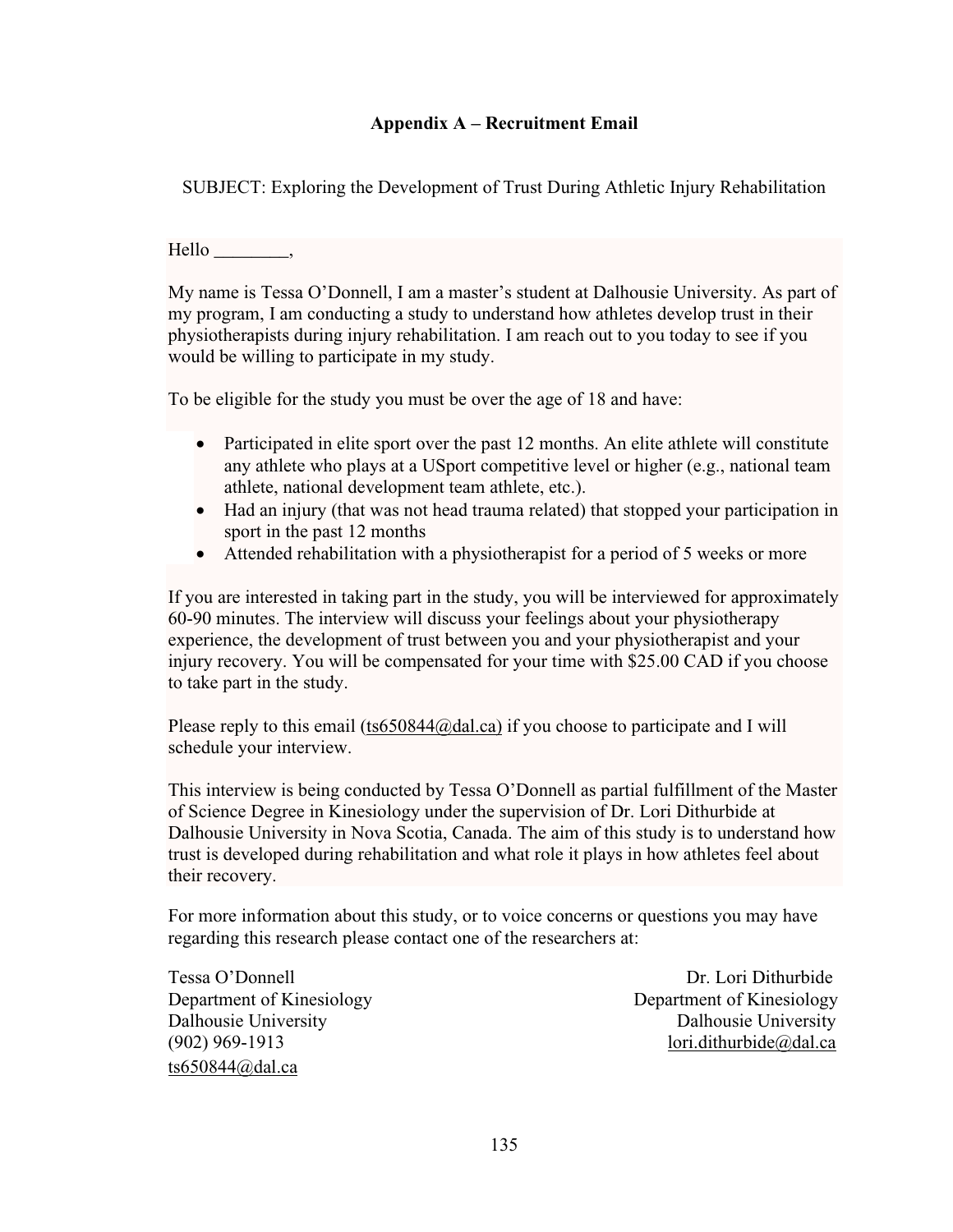# **Appendix A – Recruitment Email**

SUBJECT: Exploring the Development of Trust During Athletic Injury Rehabilitation

Hello \_\_\_\_\_\_\_\_,

My name is Tessa O'Donnell, I am a master's student at Dalhousie University. As part of my program, I am conducting a study to understand how athletes develop trust in their physiotherapists during injury rehabilitation. I am reach out to you today to see if you would be willing to participate in my study.

To be eligible for the study you must be over the age of 18 and have:

- Participated in elite sport over the past 12 months. An elite athlete will constitute any athlete who plays at a USport competitive level or higher (e.g., national team athlete, national development team athlete, etc.).
- Had an injury (that was not head trauma related) that stopped your participation in sport in the past 12 months
- Attended rehabilitation with a physiotherapist for a period of 5 weeks or more

If you are interested in taking part in the study, you will be interviewed for approximately 60-90 minutes. The interview will discuss your feelings about your physiotherapy experience, the development of trust between you and your physiotherapist and your injury recovery. You will be compensated for your time with \$25.00 CAD if you choose to take part in the study.

Please reply to this email [\(ts650844@dal.ca\)](mailto:ts650844@dal.ca) if you choose to participate and I will schedule your interview.

This interview is being conducted by Tessa O'Donnell as partial fulfillment of the Master of Science Degree in Kinesiology under the supervision of Dr. Lori Dithurbide at Dalhousie University in Nova Scotia, Canada. The aim of this study is to understand how trust is developed during rehabilitation and what role it plays in how athletes feel about their recovery.

For more information about this study, or to voice concerns or questions you may have regarding this research please contact one of the researchers at:

Tessa O'Donnell Dr. Lori Dithurbide Department of Kinesiology Department of Kinesiology Dalhousie University Dalhousie University (902) 969-1913 [lori.dithurbide@dal.ca](mailto:lori.dithurbide@dal.ca) ts $650844$ @dal.ca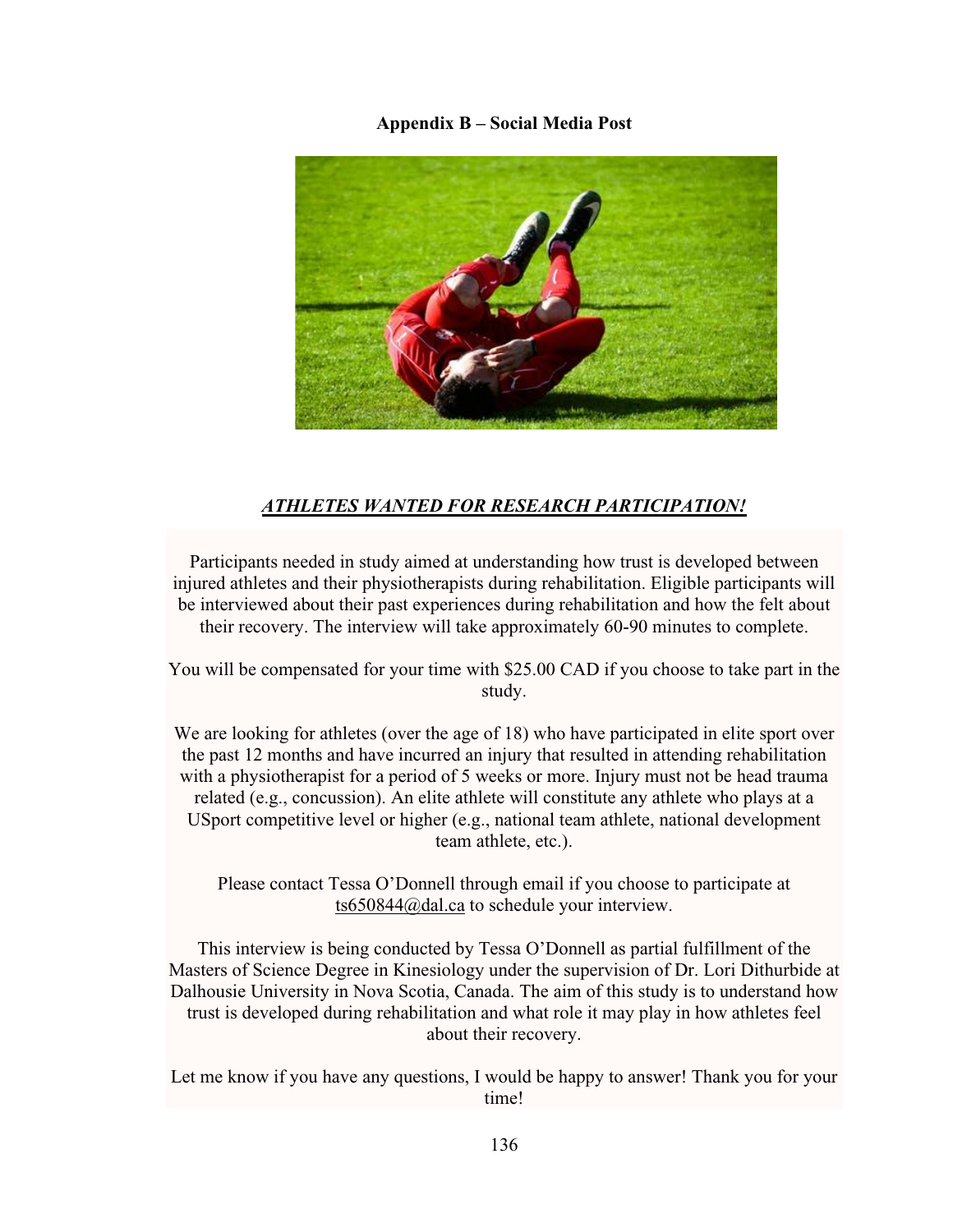#### **Appendix B – Social Media Post**



# *ATHLETES WANTED FOR RESEARCH PARTICIPATION!*

Participants needed in study aimed at understanding how trust is developed between injured athletes and their physiotherapists during rehabilitation. Eligible participants will be interviewed about their past experiences during rehabilitation and how the felt about their recovery. The interview will take approximately 60-90 minutes to complete.

You will be compensated for your time with \$25.00 CAD if you choose to take part in the study.

We are looking for athletes (over the age of 18) who have participated in elite sport over the past 12 months and have incurred an injury that resulted in attending rehabilitation with a physiotherapist for a period of 5 weeks or more. Injury must not be head trauma related (e.g., concussion). An elite athlete will constitute any athlete who plays at a USport competitive level or higher (e.g., national team athlete, national development team athlete, etc.).

Please contact Tessa O'Donnell through email if you choose to participate at [ts650844@dal.ca](mailto:ts650844@dal.ca) to schedule your interview.

This interview is being conducted by Tessa O'Donnell as partial fulfillment of the Masters of Science Degree in Kinesiology under the supervision of Dr. Lori Dithurbide at Dalhousie University in Nova Scotia, Canada. The aim of this study is to understand how trust is developed during rehabilitation and what role it may play in how athletes feel about their recovery.

Let me know if you have any questions, I would be happy to answer! Thank you for your time!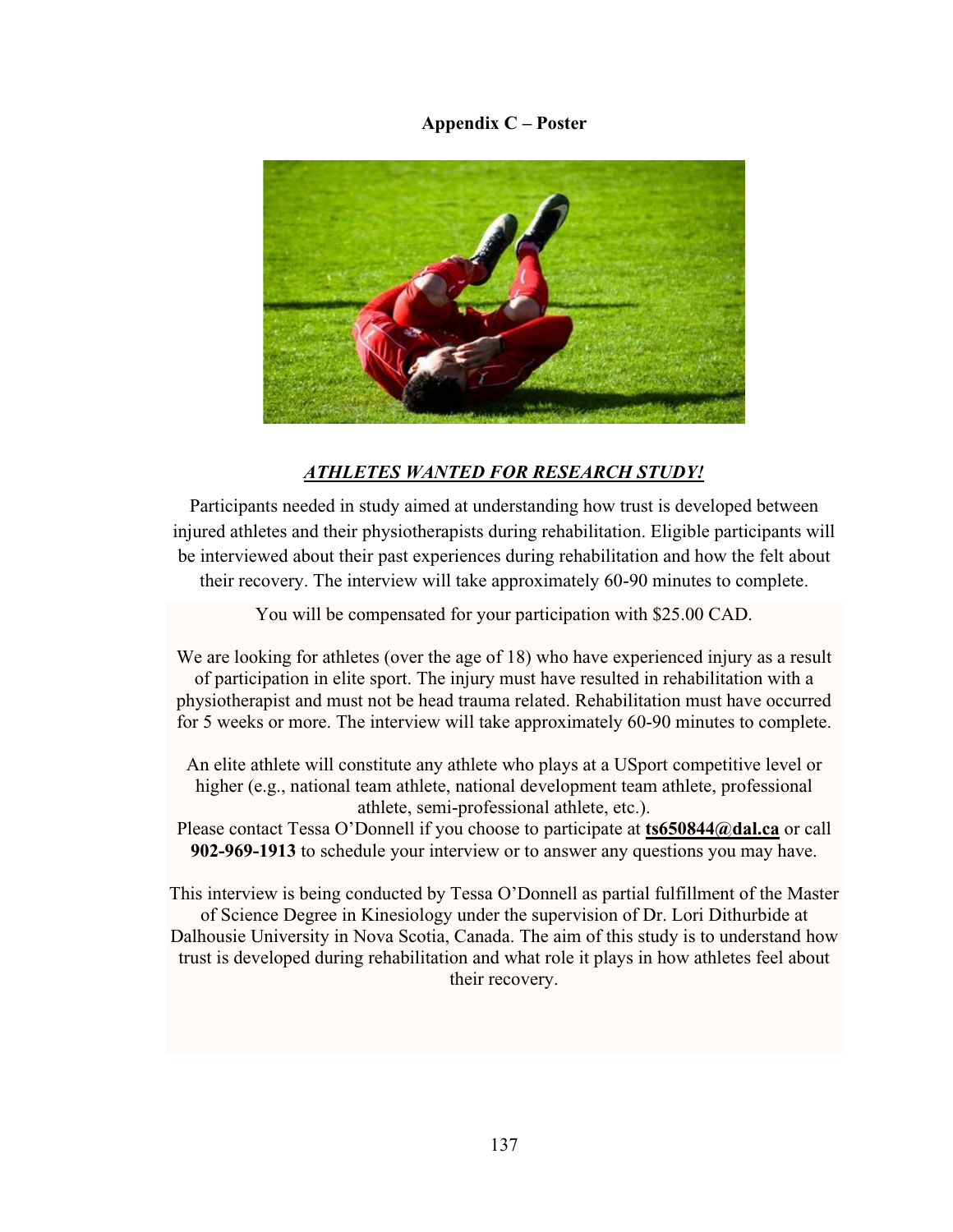## **Appendix C – Poster**



# *ATHLETES WANTED FOR RESEARCH STUDY!*

Participants needed in study aimed at understanding how trust is developed between injured athletes and their physiotherapists during rehabilitation. Eligible participants will be interviewed about their past experiences during rehabilitation and how the felt about their recovery. The interview will take approximately 60-90 minutes to complete.

You will be compensated for your participation with \$25.00 CAD.

We are looking for athletes (over the age of 18) who have experienced injury as a result of participation in elite sport. The injury must have resulted in rehabilitation with a physiotherapist and must not be head trauma related. Rehabilitation must have occurred for 5 weeks or more. The interview will take approximately 60-90 minutes to complete.

An elite athlete will constitute any athlete who plays at a USport competitive level or higher (e.g., national team athlete, national development team athlete, professional athlete, semi-professional athlete, etc.).

Please contact Tessa O'Donnell if you choose to participate at **[ts650844@dal.ca](mailto:ts650844@dal.ca)** or call **902-969-1913** to schedule your interview or to answer any questions you may have.

This interview is being conducted by Tessa O'Donnell as partial fulfillment of the Master of Science Degree in Kinesiology under the supervision of Dr. Lori Dithurbide at Dalhousie University in Nova Scotia, Canada. The aim of this study is to understand how trust is developed during rehabilitation and what role it plays in how athletes feel about their recovery.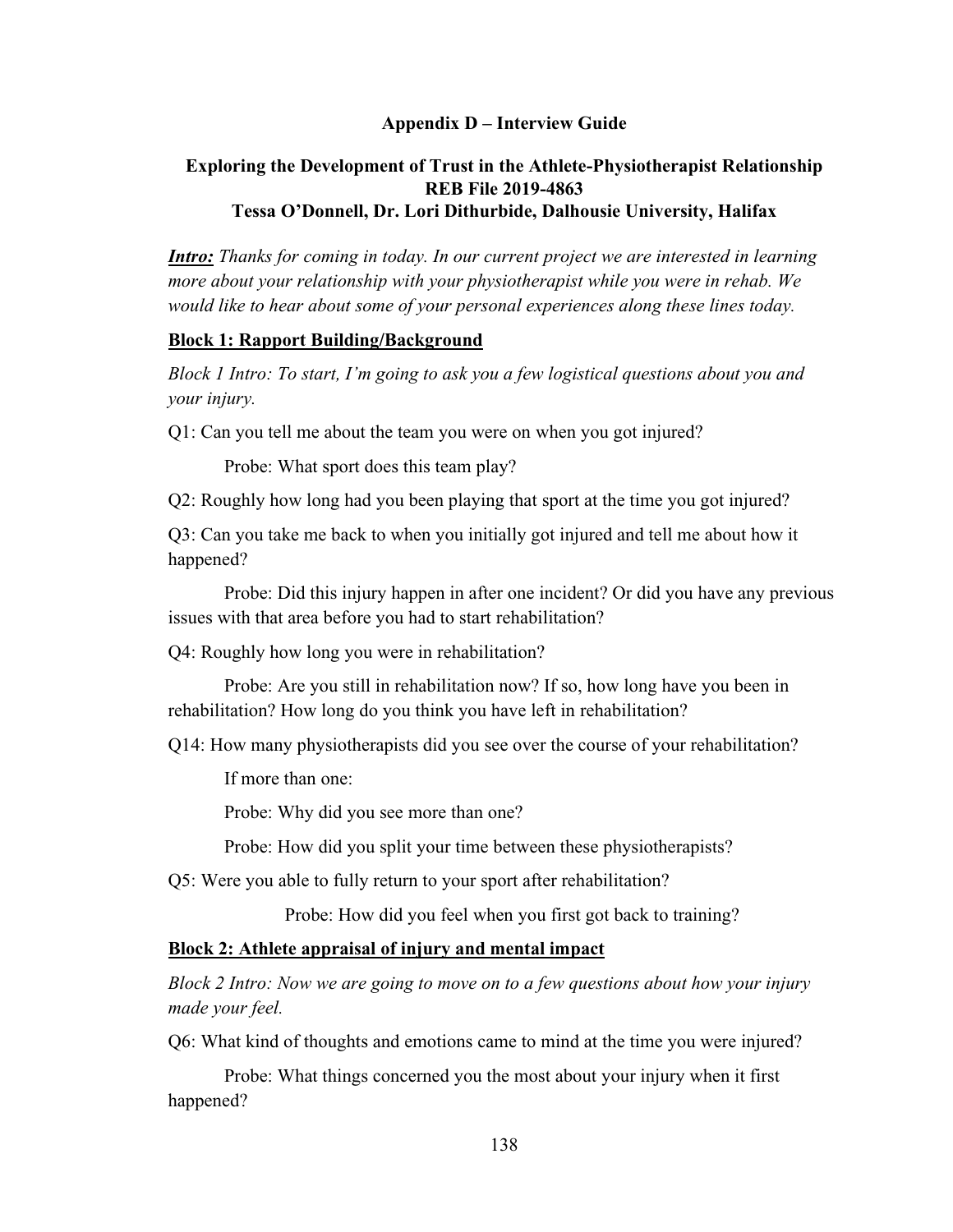## **Appendix D – Interview Guide**

# **Exploring the Development of Trust in the Athlete-Physiotherapist Relationship REB File 2019-4863 Tessa O'Donnell, Dr. Lori Dithurbide, Dalhousie University, Halifax**

*Intro: Thanks for coming in today. In our current project we are interested in learning more about your relationship with your physiotherapist while you were in rehab. We would like to hear about some of your personal experiences along these lines today.* 

### **Block 1: Rapport Building/Background**

*Block 1 Intro: To start, I'm going to ask you a few logistical questions about you and your injury.*

Q1: Can you tell me about the team you were on when you got injured?

Probe: What sport does this team play?

Q2: Roughly how long had you been playing that sport at the time you got injured?

Q3: Can you take me back to when you initially got injured and tell me about how it happened?

Probe: Did this injury happen in after one incident? Or did you have any previous issues with that area before you had to start rehabilitation?

Q4: Roughly how long you were in rehabilitation?

Probe: Are you still in rehabilitation now? If so, how long have you been in rehabilitation? How long do you think you have left in rehabilitation?

Q14: How many physiotherapists did you see over the course of your rehabilitation?

If more than one:

Probe: Why did you see more than one?

Probe: How did you split your time between these physiotherapists?

Q5: Were you able to fully return to your sport after rehabilitation?

Probe: How did you feel when you first got back to training?

### **Block 2: Athlete appraisal of injury and mental impact**

*Block 2 Intro: Now we are going to move on to a few questions about how your injury made your feel.*

Q6: What kind of thoughts and emotions came to mind at the time you were injured?

Probe: What things concerned you the most about your injury when it first happened?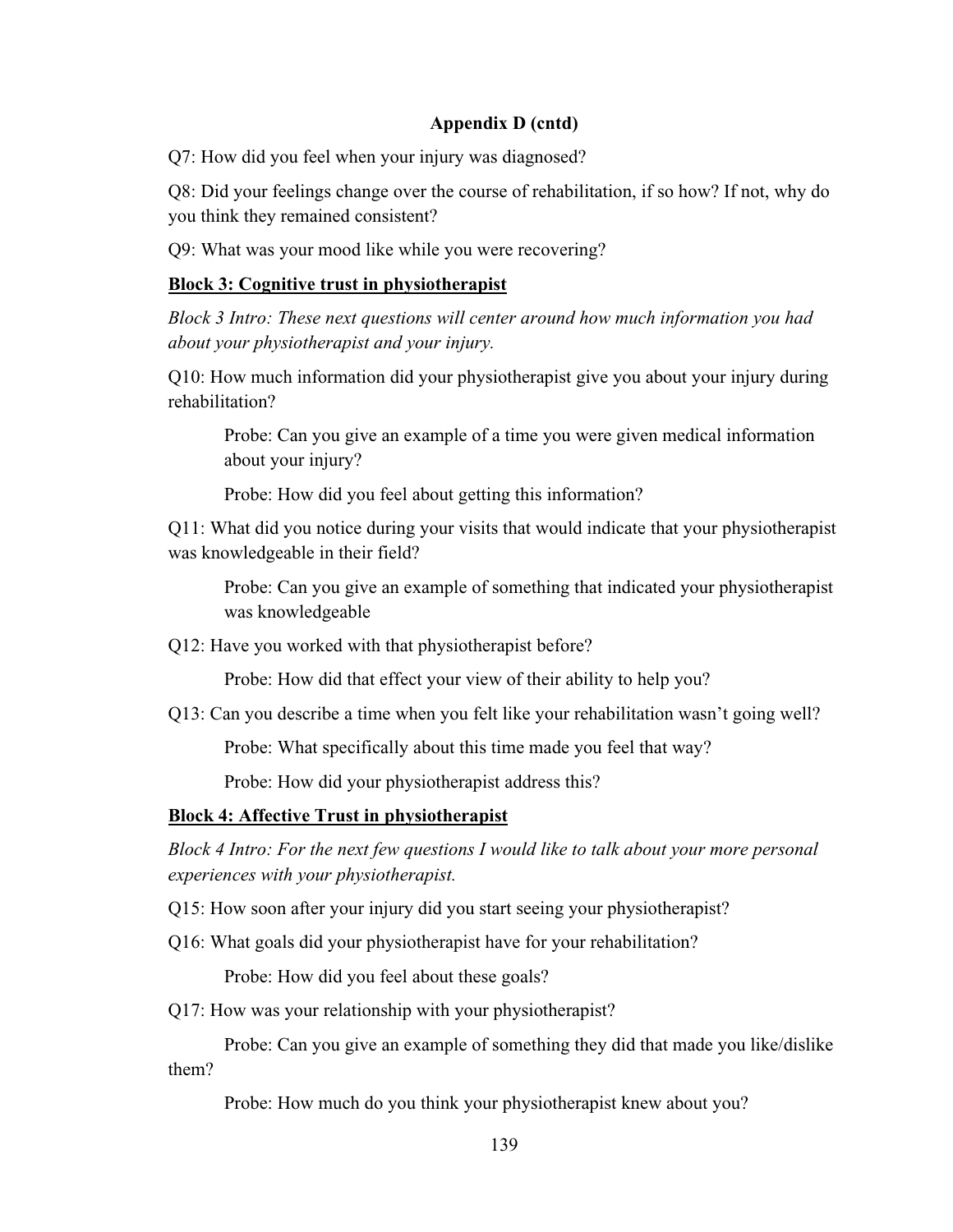Q7: How did you feel when your injury was diagnosed?

Q8: Did your feelings change over the course of rehabilitation, if so how? If not, why do you think they remained consistent?

Q9: What was your mood like while you were recovering?

## **Block 3: Cognitive trust in physiotherapist**

*Block 3 Intro: These next questions will center around how much information you had about your physiotherapist and your injury.*

Q10: How much information did your physiotherapist give you about your injury during rehabilitation?

Probe: Can you give an example of a time you were given medical information about your injury?

Probe: How did you feel about getting this information?

Q11: What did you notice during your visits that would indicate that your physiotherapist was knowledgeable in their field?

Probe: Can you give an example of something that indicated your physiotherapist was knowledgeable

Q12: Have you worked with that physiotherapist before?

Probe: How did that effect your view of their ability to help you?

Q13: Can you describe a time when you felt like your rehabilitation wasn't going well?

Probe: What specifically about this time made you feel that way?

Probe: How did your physiotherapist address this?

# **Block 4: Affective Trust in physiotherapist**

*Block 4 Intro: For the next few questions I would like to talk about your more personal experiences with your physiotherapist.*

Q15: How soon after your injury did you start seeing your physiotherapist?

Q16: What goals did your physiotherapist have for your rehabilitation?

Probe: How did you feel about these goals?

Q17: How was your relationship with your physiotherapist?

Probe: Can you give an example of something they did that made you like/dislike them?

Probe: How much do you think your physiotherapist knew about you?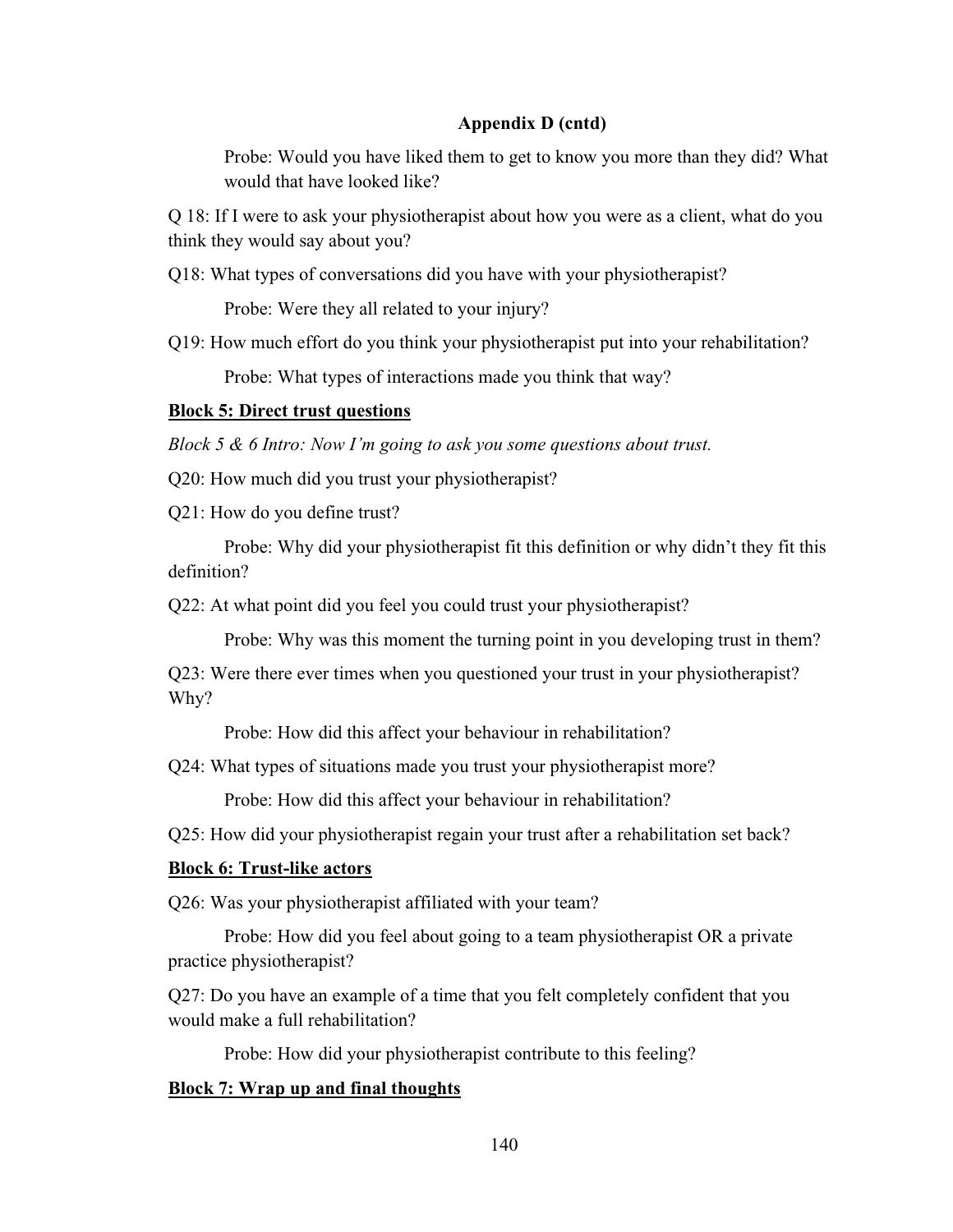Probe: Would you have liked them to get to know you more than they did? What would that have looked like?

Q 18: If I were to ask your physiotherapist about how you were as a client, what do you think they would say about you?

Q18: What types of conversations did you have with your physiotherapist?

Probe: Were they all related to your injury?

Q19: How much effort do you think your physiotherapist put into your rehabilitation?

Probe: What types of interactions made you think that way?

### **Block 5: Direct trust questions**

*Block 5 & 6 Intro: Now I'm going to ask you some questions about trust.*

Q20: How much did you trust your physiotherapist?

Q21: How do you define trust?

Probe: Why did your physiotherapist fit this definition or why didn't they fit this definition?

Q22: At what point did you feel you could trust your physiotherapist?

Probe: Why was this moment the turning point in you developing trust in them?

Q23: Were there ever times when you questioned your trust in your physiotherapist? Why?

Probe: How did this affect your behaviour in rehabilitation?

Q24: What types of situations made you trust your physiotherapist more?

Probe: How did this affect your behaviour in rehabilitation?

Q25: How did your physiotherapist regain your trust after a rehabilitation set back?

### **Block 6: Trust-like actors**

Q26: Was your physiotherapist affiliated with your team?

Probe: How did you feel about going to a team physiotherapist OR a private practice physiotherapist?

Q27: Do you have an example of a time that you felt completely confident that you would make a full rehabilitation?

Probe: How did your physiotherapist contribute to this feeling?

### **Block 7: Wrap up and final thoughts**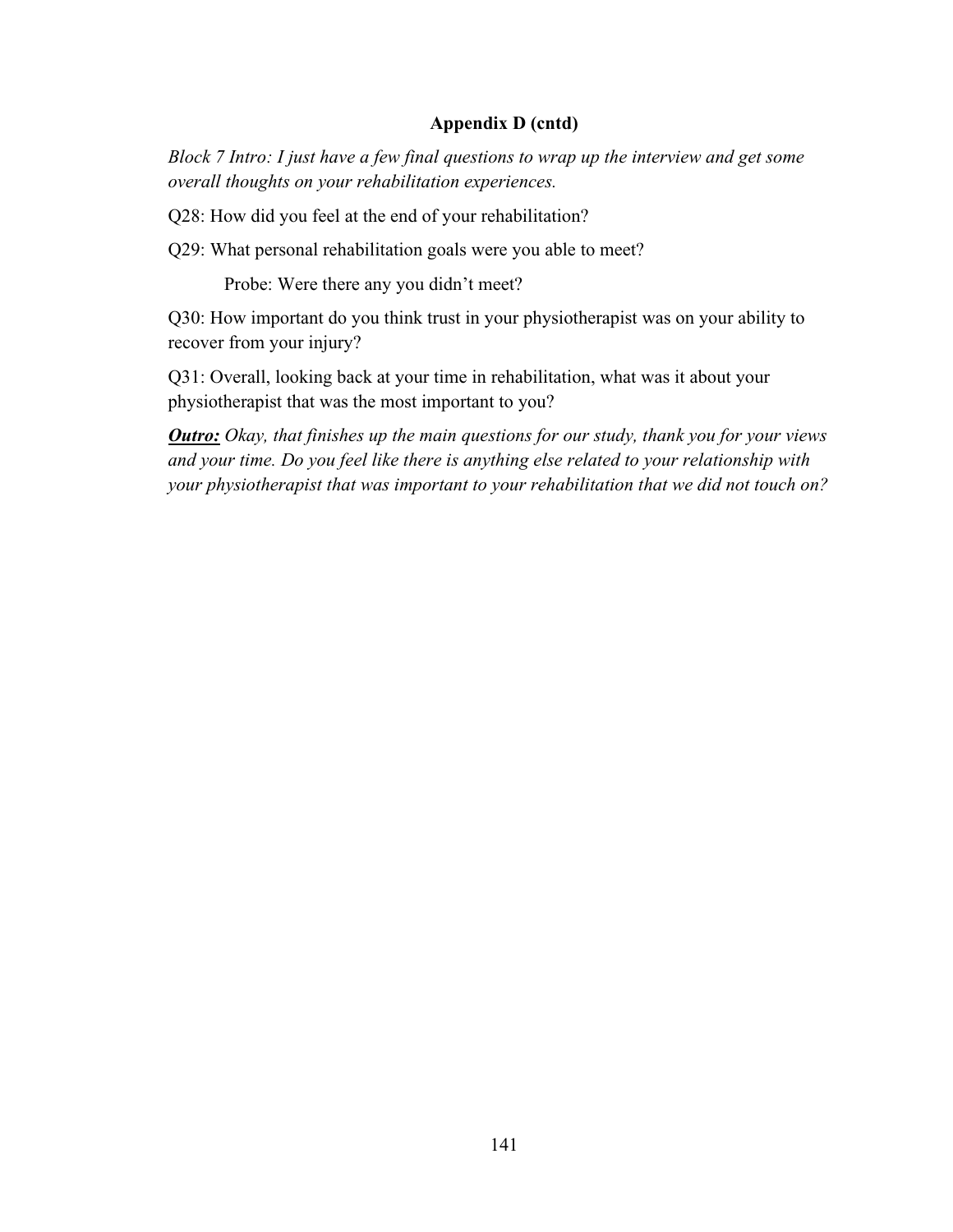*Block 7 Intro: I just have a few final questions to wrap up the interview and get some overall thoughts on your rehabilitation experiences.*

Q28: How did you feel at the end of your rehabilitation?

Q29: What personal rehabilitation goals were you able to meet?

Probe: Were there any you didn't meet?

Q30: How important do you think trust in your physiotherapist was on your ability to recover from your injury?

Q31: Overall, looking back at your time in rehabilitation, what was it about your physiotherapist that was the most important to you?

*Outro: Okay, that finishes up the main questions for our study, thank you for your views and your time. Do you feel like there is anything else related to your relationship with your physiotherapist that was important to your rehabilitation that we did not touch on?*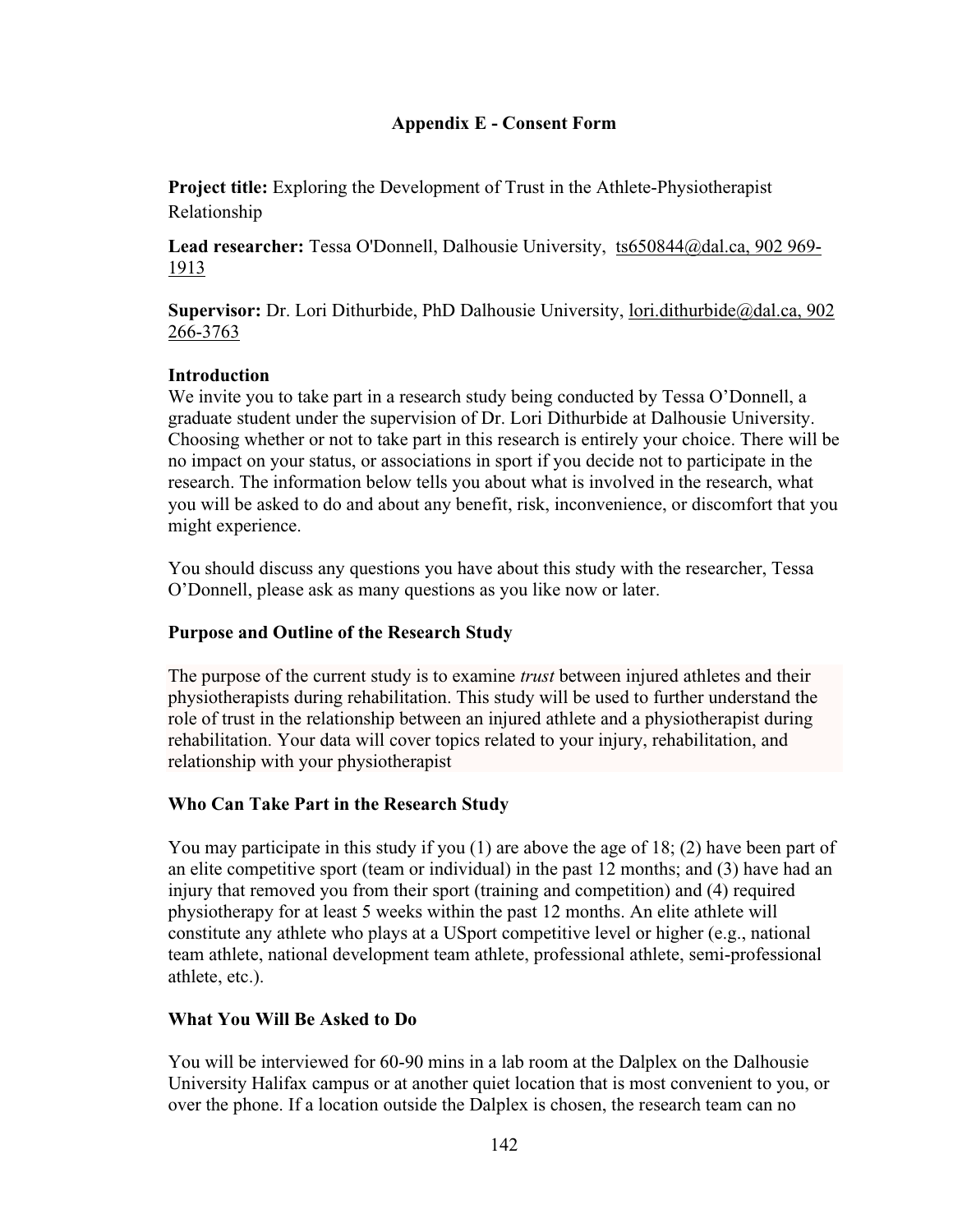# **Appendix E - Consent Form**

**Project title:** Exploring the Development of Trust in the Athlete-Physiotherapist Relationship

**Lead researcher:** Tessa O'Donnell, Dalhousie University, [ts650844@dal.ca,](mailto:ts650844@dal.ca) 902 969- 1913

**Supervisor:** Dr. Lori Dithurbide, PhD Dalhousie University, [lori.dithurbide@dal.ca,](mailto:lori.dithurbide@dal.ca) 902 266-3763

# **Introduction**

We invite you to take part in a research study being conducted by Tessa O'Donnell, a graduate student under the supervision of Dr. Lori Dithurbide at Dalhousie University. Choosing whether or not to take part in this research is entirely your choice. There will be no impact on your status, or associations in sport if you decide not to participate in the research. The information below tells you about what is involved in the research, what you will be asked to do and about any benefit, risk, inconvenience, or discomfort that you might experience.

You should discuss any questions you have about this study with the researcher, Tessa O'Donnell, please ask as many questions as you like now or later.

# **Purpose and Outline of the Research Study**

The purpose of the current study is to examine *trust* between injured athletes and their physiotherapists during rehabilitation. This study will be used to further understand the role of trust in the relationship between an injured athlete and a physiotherapist during rehabilitation. Your data will cover topics related to your injury, rehabilitation, and relationship with your physiotherapist

# **Who Can Take Part in the Research Study**

You may participate in this study if you (1) are above the age of 18; (2) have been part of an elite competitive sport (team or individual) in the past 12 months; and (3) have had an injury that removed you from their sport (training and competition) and (4) required physiotherapy for at least 5 weeks within the past 12 months. An elite athlete will constitute any athlete who plays at a USport competitive level or higher (e.g., national team athlete, national development team athlete, professional athlete, semi-professional athlete, etc.).

## **What You Will Be Asked to Do**

You will be interviewed for 60-90 mins in a lab room at the Dalplex on the Dalhousie University Halifax campus or at another quiet location that is most convenient to you, or over the phone. If a location outside the Dalplex is chosen, the research team can no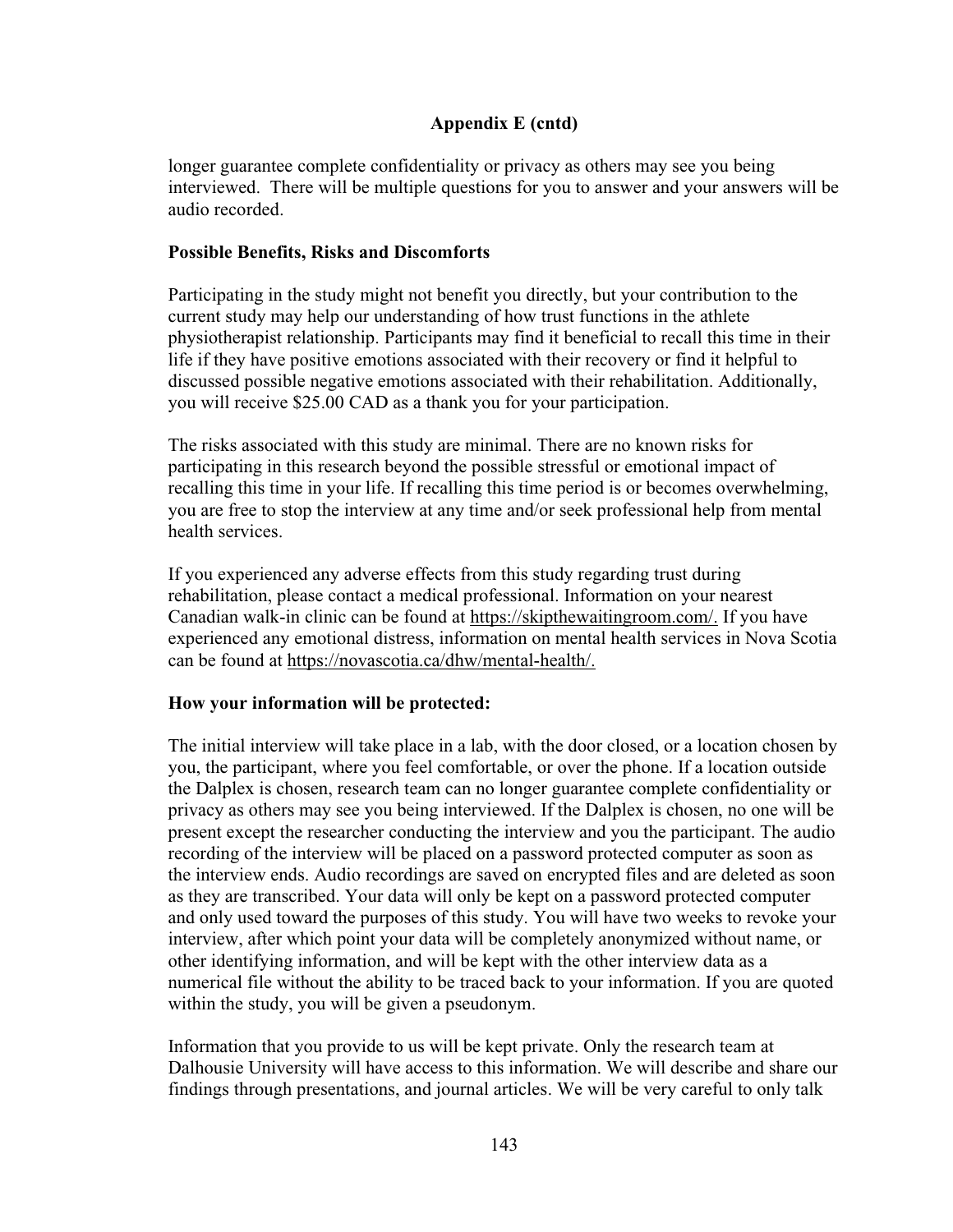longer guarantee complete confidentiality or privacy as others may see you being interviewed. There will be multiple questions for you to answer and your answers will be audio recorded.

## **Possible Benefits, Risks and Discomforts**

Participating in the study might not benefit you directly, but your contribution to the current study may help our understanding of how trust functions in the athlete physiotherapist relationship. Participants may find it beneficial to recall this time in their life if they have positive emotions associated with their recovery or find it helpful to discussed possible negative emotions associated with their rehabilitation. Additionally, you will receive \$25.00 CAD as a thank you for your participation.

The risks associated with this study are minimal. There are no known risks for participating in this research beyond the possible stressful or emotional impact of recalling this time in your life. If recalling this time period is or becomes overwhelming, you are free to stop the interview at any time and/or seek professional help from mental health services.

If you experienced any adverse effects from this study regarding trust during rehabilitation, please contact a medical professional. Information on your nearest Canadian walk-in clinic can be found at https://skipthewaitingroom.com/. If you have experienced any emotional distress, information on mental health services in Nova Scotia can be found at https://novascotia.ca/dhw/mental-health/.

## **How your information will be protected:**

The initial interview will take place in a lab, with the door closed, or a location chosen by you, the participant, where you feel comfortable, or over the phone. If a location outside the Dalplex is chosen, research team can no longer guarantee complete confidentiality or privacy as others may see you being interviewed. If the Dalplex is chosen, no one will be present except the researcher conducting the interview and you the participant. The audio recording of the interview will be placed on a password protected computer as soon as the interview ends. Audio recordings are saved on encrypted files and are deleted as soon as they are transcribed. Your data will only be kept on a password protected computer and only used toward the purposes of this study. You will have two weeks to revoke your interview, after which point your data will be completely anonymized without name, or other identifying information, and will be kept with the other interview data as a numerical file without the ability to be traced back to your information. If you are quoted within the study, you will be given a pseudonym.

Information that you provide to us will be kept private. Only the research team at Dalhousie University will have access to this information. We will describe and share our findings through presentations, and journal articles. We will be very careful to only talk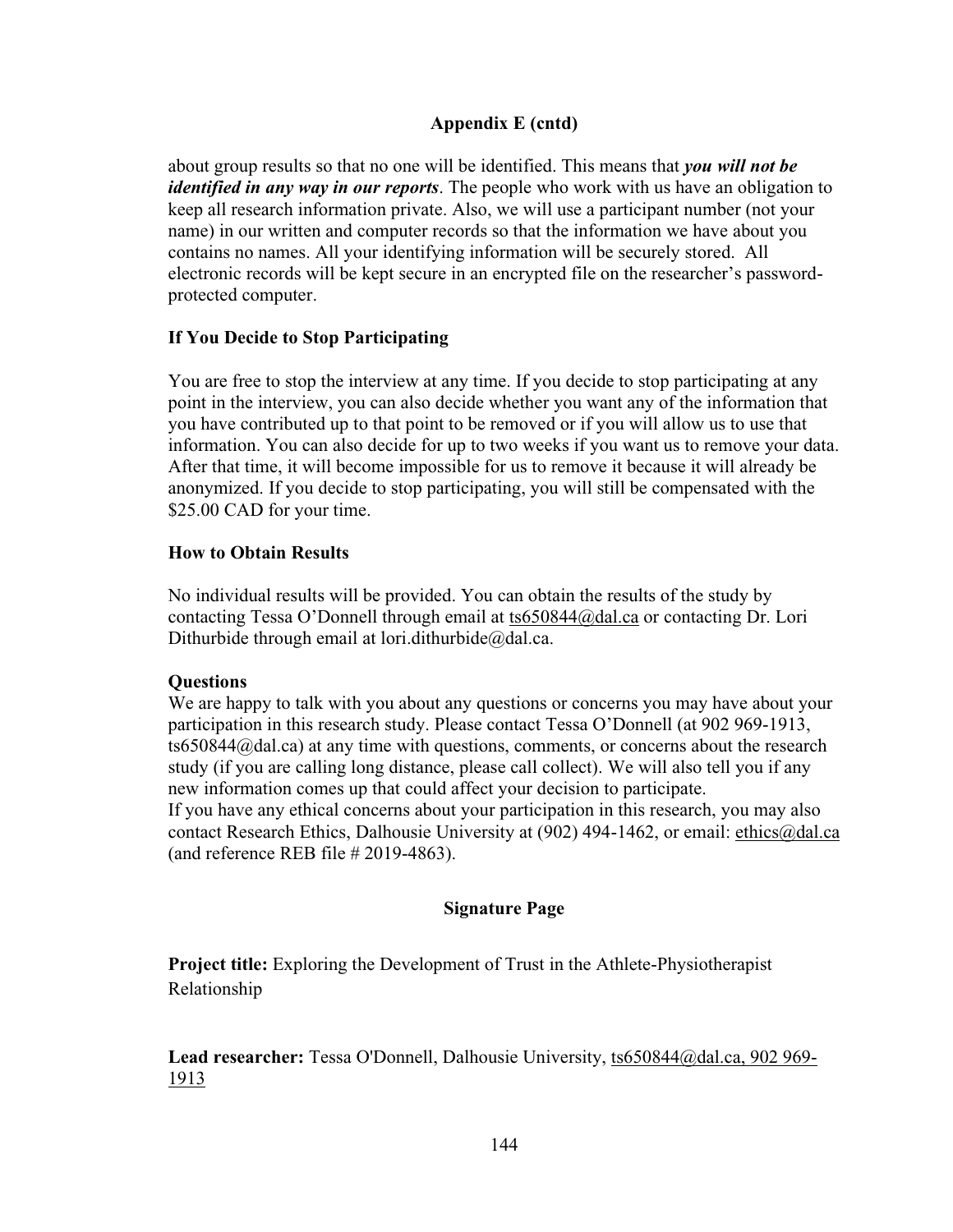about group results so that no one will be identified. This means that *you will not be identified in any way in our reports*. The people who work with us have an obligation to keep all research information private. Also, we will use a participant number (not your name) in our written and computer records so that the information we have about you contains no names. All your identifying information will be securely stored. All electronic records will be kept secure in an encrypted file on the researcher's passwordprotected computer.

# **If You Decide to Stop Participating**

You are free to stop the interview at any time. If you decide to stop participating at any point in the interview, you can also decide whether you want any of the information that you have contributed up to that point to be removed or if you will allow us to use that information. You can also decide for up to two weeks if you want us to remove your data. After that time, it will become impossible for us to remove it because it will already be anonymized. If you decide to stop participating, you will still be compensated with the \$25.00 CAD for your time.

# **How to Obtain Results**

No individual results will be provided. You can obtain the results of the study by contacting Tessa O'Donnell through email at [ts650844@dal.ca](mailto:ts650844@dal.ca) or contacting Dr. Lori Dithurbide through email at lori.dithurbide $@$ dal.ca.

## **Questions**

We are happy to talk with you about any questions or concerns you may have about your participation in this research study. Please contact Tessa O'Donnell (at 902 969-1913, ts650844@dal.ca) at any time with questions, comments, or concerns about the research study (if you are calling long distance, please call collect). We will also tell you if any new information comes up that could affect your decision to participate. If you have any ethical concerns about your participation in this research, you may also contact Research Ethics, Dalhousie University at (902) 494-1462, or email: [ethics@dal.ca](mailto:ethics@dal.ca) (and reference REB file # 2019-4863).

## **Signature Page**

**Project title:** Exploring the Development of Trust in the Athlete-Physiotherapist Relationship

**Lead researcher:** Tessa O'Donnell, Dalhousie University, [ts650844@dal.ca,](mailto:ts650844@dal.ca) 902 969- 1913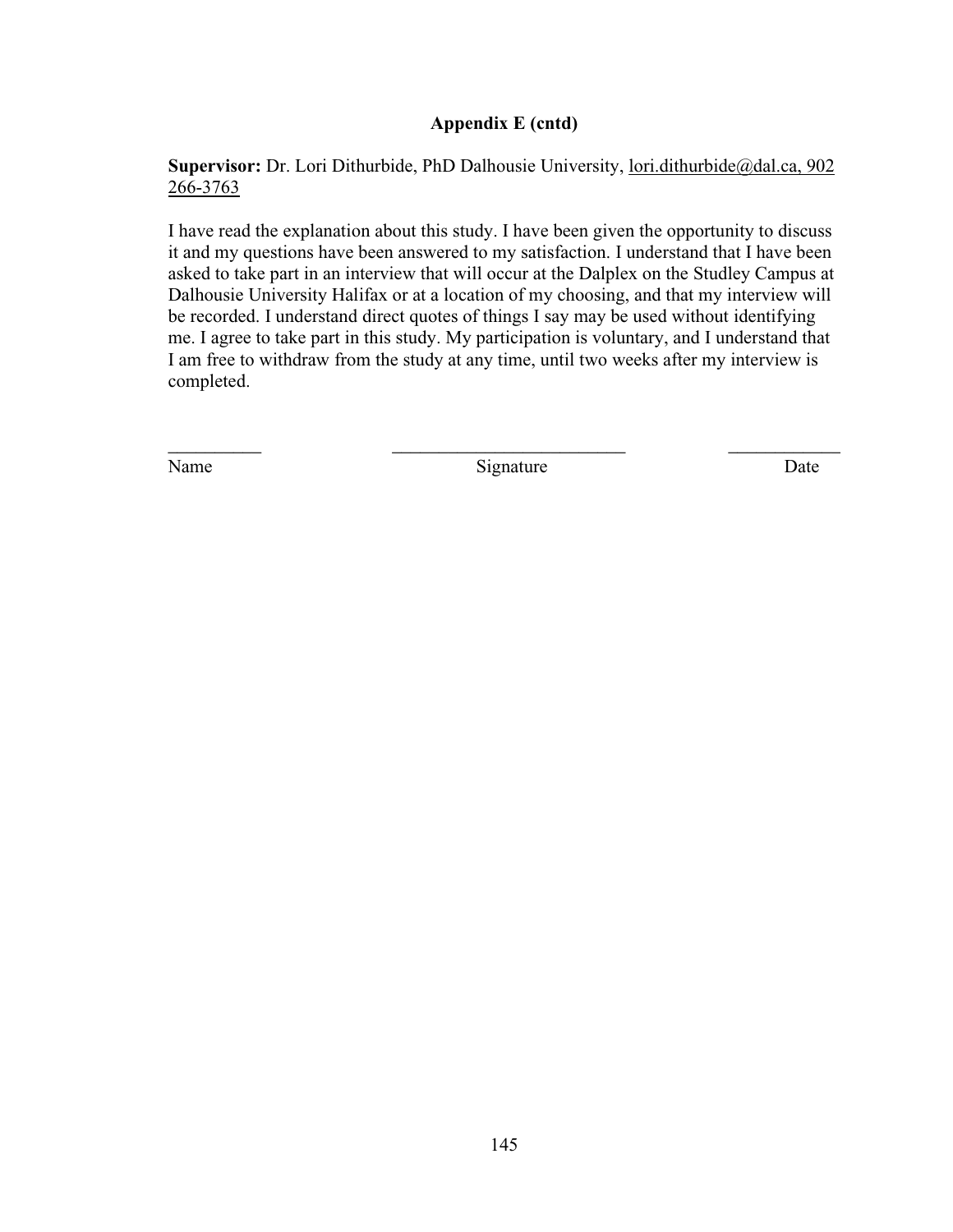Supervisor: Dr. Lori Dithurbide, PhD Dalhousie University, [lori.dithurbide@dal.ca,](mailto:lori.dithurbide@dal.ca) 902 266-3763

I have read the explanation about this study. I have been given the opportunity to discuss it and my questions have been answered to my satisfaction. I understand that I have been asked to take part in an interview that will occur at the Dalplex on the Studley Campus at Dalhousie University Halifax or at a location of my choosing, and that my interview will be recorded. I understand direct quotes of things I say may be used without identifying me. I agree to take part in this study. My participation is voluntary, and I understand that I am free to withdraw from the study at any time, until two weeks after my interview is completed.

Name Date Signature Date

 $\overline{\phantom{a}}$  , and the contract of the contract of the contract of the contract of the contract of the contract of the contract of the contract of the contract of the contract of the contract of the contract of the contrac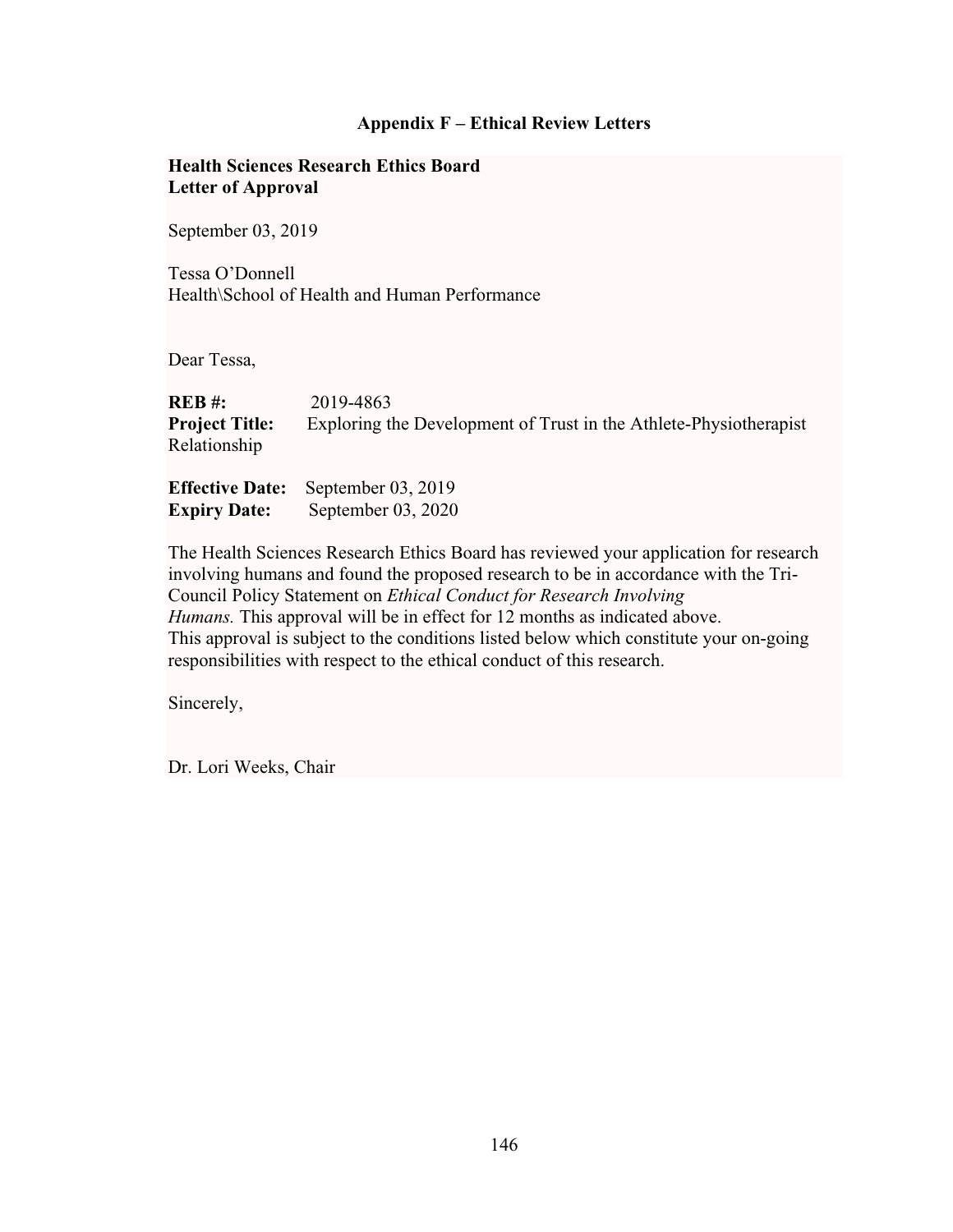## **Appendix F – Ethical Review Letters**

## **Health Sciences Research Ethics Board Letter of Approval**

September 03, 2019

Tessa O'Donnell Health\School of Health and Human Performance

Dear Tessa,

| REB #:                | 2019-4863                                                         |
|-----------------------|-------------------------------------------------------------------|
| <b>Project Title:</b> | Exploring the Development of Trust in the Athlete-Physiotherapist |
| Relationship          |                                                                   |
|                       |                                                                   |

**Effective Date:** September 03, 2019 **Expiry Date:** September 03, 2020

The Health Sciences Research Ethics Board has reviewed your application for research involving humans and found the proposed research to be in accordance with the Tri-Council Policy Statement on *Ethical Conduct for Research Involving Humans.* This approval will be in effect for 12 months as indicated above. This approval is subject to the conditions listed below which constitute your on-going responsibilities with respect to the ethical conduct of this research.

Sincerely,

Dr. Lori Weeks, Chair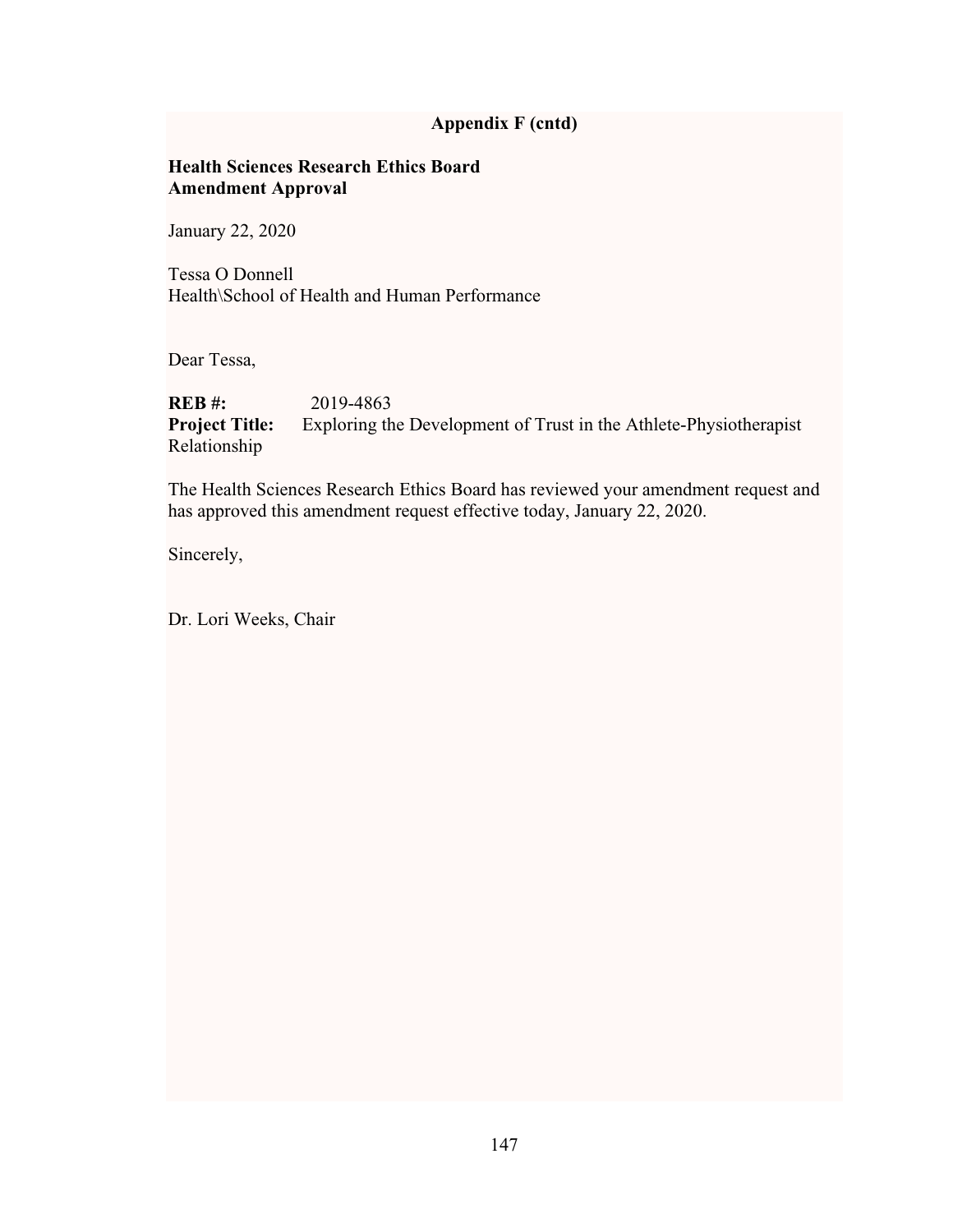## **Health Sciences Research Ethics Board Amendment Approval**

January 22, 2020

Tessa O Donnell Health\School of Health and Human Performance

Dear Tessa,

**REB #:** 2019-4863 **Project Title:** Exploring the Development of Trust in the Athlete-Physiotherapist Relationship

The Health Sciences Research Ethics Board has reviewed your amendment request and has approved this amendment request effective today, January 22, 2020.

Sincerely,

Dr. Lori Weeks, Chair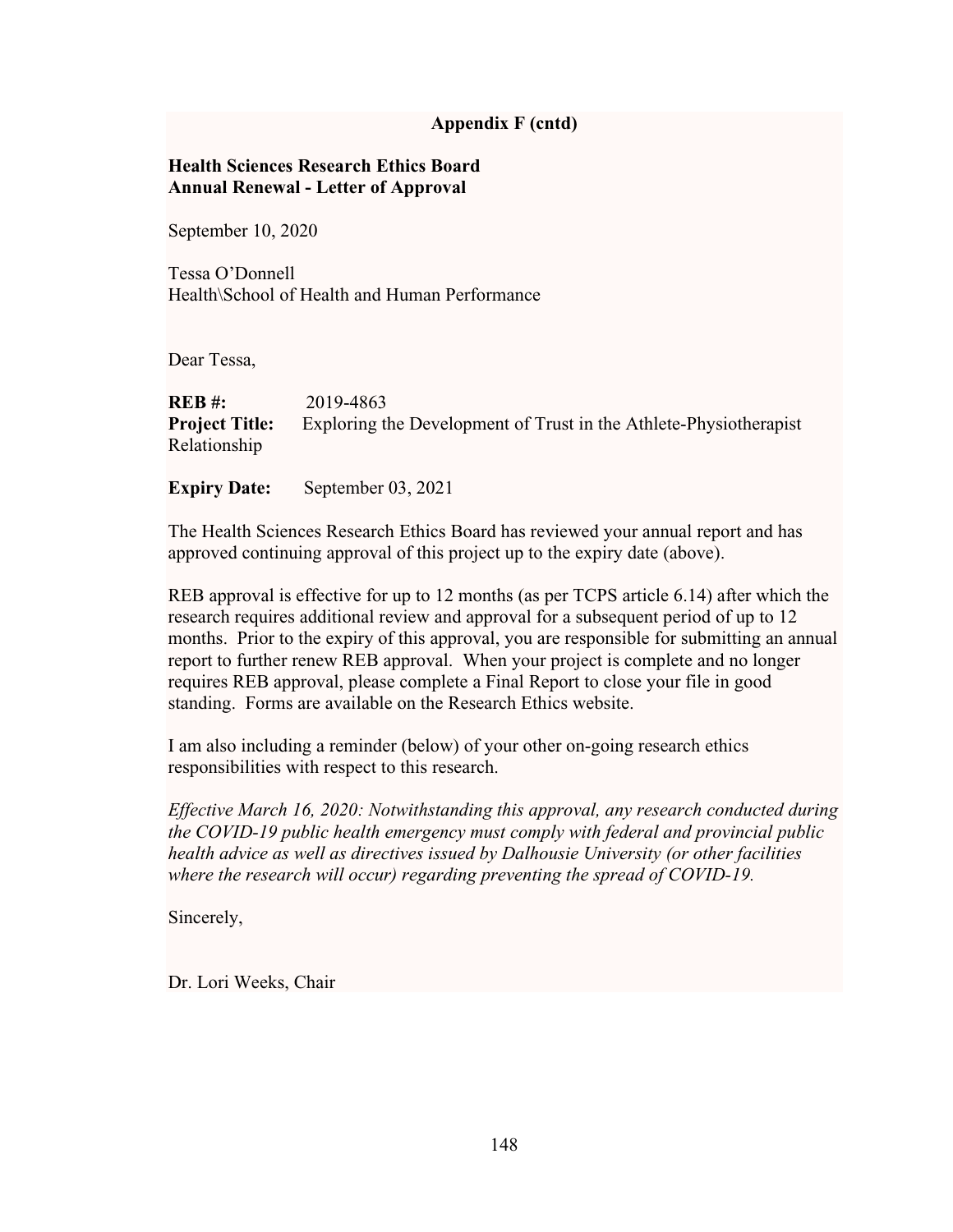## **Health Sciences Research Ethics Board Annual Renewal - Letter of Approval**

September 10, 2020

Tessa O'Donnell Health\School of Health and Human Performance

Dear Tessa,

| REB #:                | 2019-4863                                                         |
|-----------------------|-------------------------------------------------------------------|
| <b>Project Title:</b> | Exploring the Development of Trust in the Athlete-Physiotherapist |
| Relationship          |                                                                   |

**Expiry Date:** September 03, 2021

The Health Sciences Research Ethics Board has reviewed your annual report and has approved continuing approval of this project up to the expiry date (above).

REB approval is effective for up to 12 months (as per TCPS article 6.14) after which the research requires additional review and approval for a subsequent period of up to 12 months. Prior to the expiry of this approval, you are responsible for submitting an annual report to further renew REB approval. When your project is complete and no longer requires REB approval, please complete a Final Report to close your file in good standing. Forms are available on the Research Ethics website.

I am also including a reminder (below) of your other on-going research ethics responsibilities with respect to this research.

*Effective March 16, 2020: Notwithstanding this approval, any research conducted during the COVID-19 public health emergency must comply with federal and provincial public health advice as well as directives issued by Dalhousie University (or other facilities where the research will occur) regarding preventing the spread of COVID-19.*

Sincerely,

Dr. Lori Weeks, Chair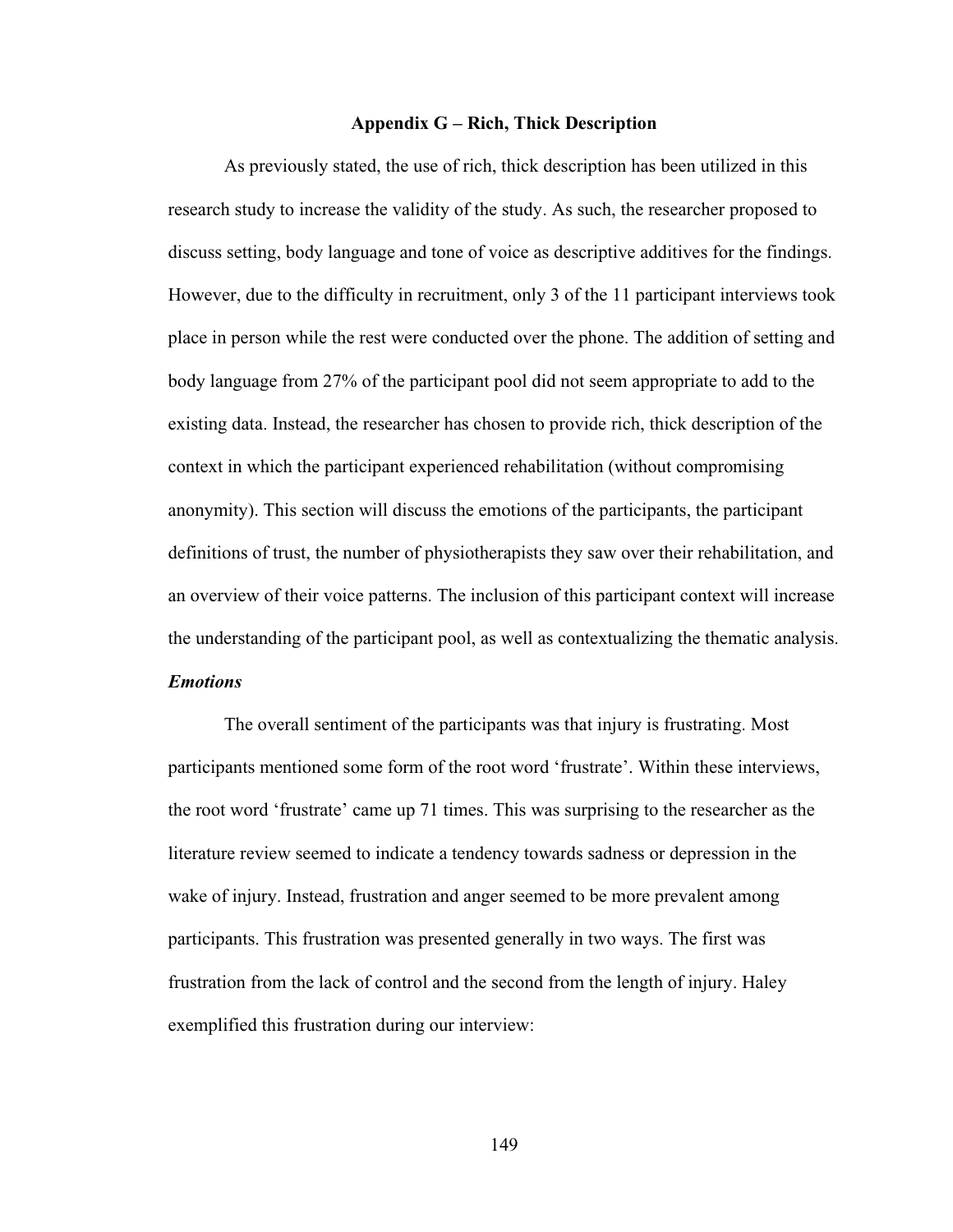#### **Appendix G – Rich, Thick Description**

As previously stated, the use of rich, thick description has been utilized in this research study to increase the validity of the study. As such, the researcher proposed to discuss setting, body language and tone of voice as descriptive additives for the findings. However, due to the difficulty in recruitment, only 3 of the 11 participant interviews took place in person while the rest were conducted over the phone. The addition of setting and body language from 27% of the participant pool did not seem appropriate to add to the existing data. Instead, the researcher has chosen to provide rich, thick description of the context in which the participant experienced rehabilitation (without compromising anonymity). This section will discuss the emotions of the participants, the participant definitions of trust, the number of physiotherapists they saw over their rehabilitation, and an overview of their voice patterns. The inclusion of this participant context will increase the understanding of the participant pool, as well as contextualizing the thematic analysis. *Emotions*

The overall sentiment of the participants was that injury is frustrating. Most participants mentioned some form of the root word 'frustrate'. Within these interviews, the root word 'frustrate' came up 71 times. This was surprising to the researcher as the literature review seemed to indicate a tendency towards sadness or depression in the wake of injury. Instead, frustration and anger seemed to be more prevalent among participants. This frustration was presented generally in two ways. The first was frustration from the lack of control and the second from the length of injury. Haley exemplified this frustration during our interview: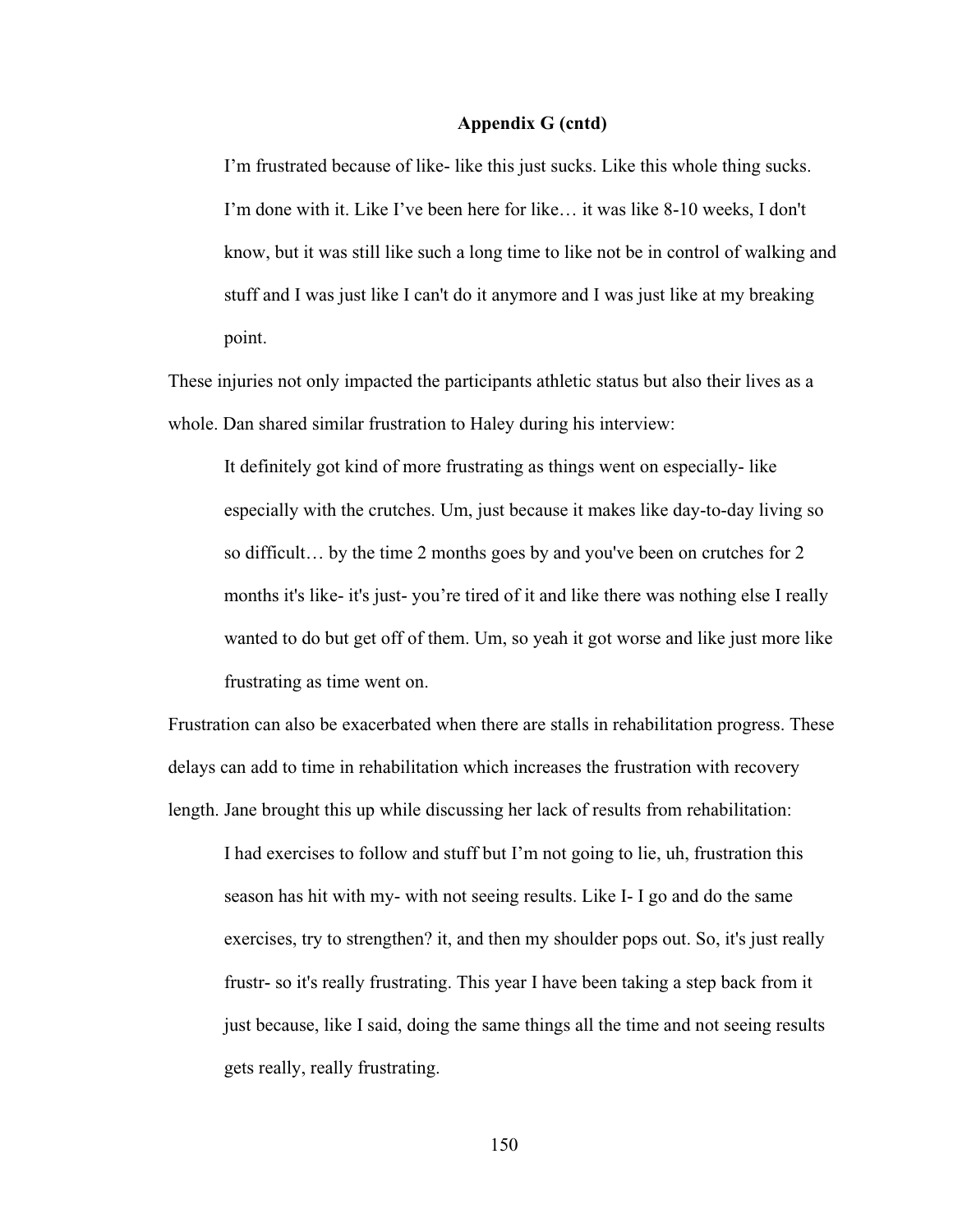I'm frustrated because of like- like this just sucks. Like this whole thing sucks. I'm done with it. Like I've been here for like… it was like 8-10 weeks, I don't know, but it was still like such a long time to like not be in control of walking and stuff and I was just like I can't do it anymore and I was just like at my breaking point.

These injuries not only impacted the participants athletic status but also their lives as a whole. Dan shared similar frustration to Haley during his interview:

It definitely got kind of more frustrating as things went on especially- like especially with the crutches. Um, just because it makes like day-to-day living so so difficult… by the time 2 months goes by and you've been on crutches for 2 months it's like- it's just- you're tired of it and like there was nothing else I really wanted to do but get off of them. Um, so yeah it got worse and like just more like frustrating as time went on.

Frustration can also be exacerbated when there are stalls in rehabilitation progress. These delays can add to time in rehabilitation which increases the frustration with recovery length. Jane brought this up while discussing her lack of results from rehabilitation:

I had exercises to follow and stuff but I'm not going to lie, uh, frustration this season has hit with my- with not seeing results. Like I- I go and do the same exercises, try to strengthen? it, and then my shoulder pops out. So, it's just really frustr- so it's really frustrating. This year I have been taking a step back from it just because, like I said, doing the same things all the time and not seeing results gets really, really frustrating.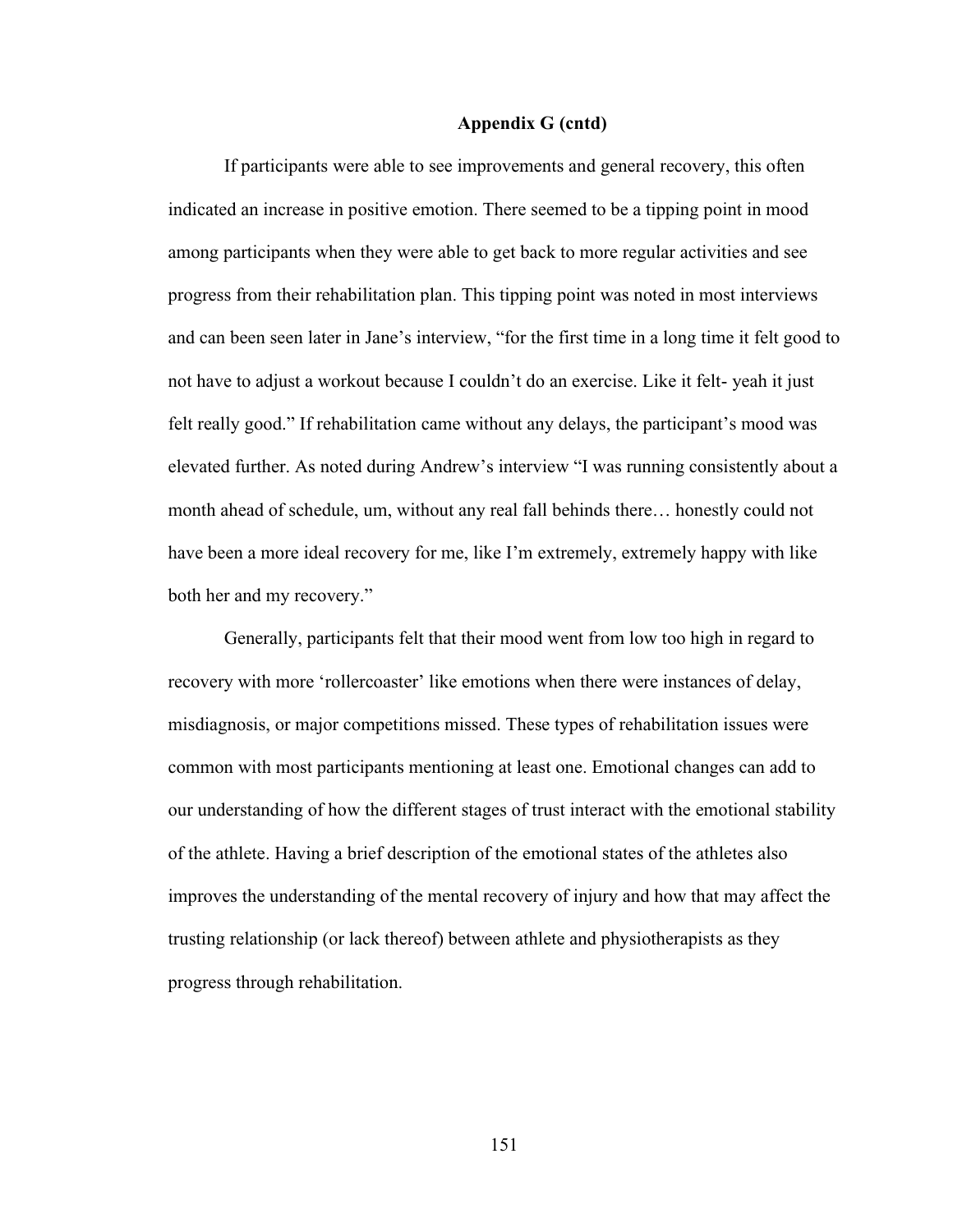If participants were able to see improvements and general recovery, this often indicated an increase in positive emotion. There seemed to be a tipping point in mood among participants when they were able to get back to more regular activities and see progress from their rehabilitation plan. This tipping point was noted in most interviews and can been seen later in Jane's interview, "for the first time in a long time it felt good to not have to adjust a workout because I couldn't do an exercise. Like it felt- yeah it just felt really good." If rehabilitation came without any delays, the participant's mood was elevated further. As noted during Andrew's interview "I was running consistently about a month ahead of schedule, um, without any real fall behinds there… honestly could not have been a more ideal recovery for me, like I'm extremely, extremely happy with like both her and my recovery."

Generally, participants felt that their mood went from low too high in regard to recovery with more 'rollercoaster' like emotions when there were instances of delay, misdiagnosis, or major competitions missed. These types of rehabilitation issues were common with most participants mentioning at least one. Emotional changes can add to our understanding of how the different stages of trust interact with the emotional stability of the athlete. Having a brief description of the emotional states of the athletes also improves the understanding of the mental recovery of injury and how that may affect the trusting relationship (or lack thereof) between athlete and physiotherapists as they progress through rehabilitation.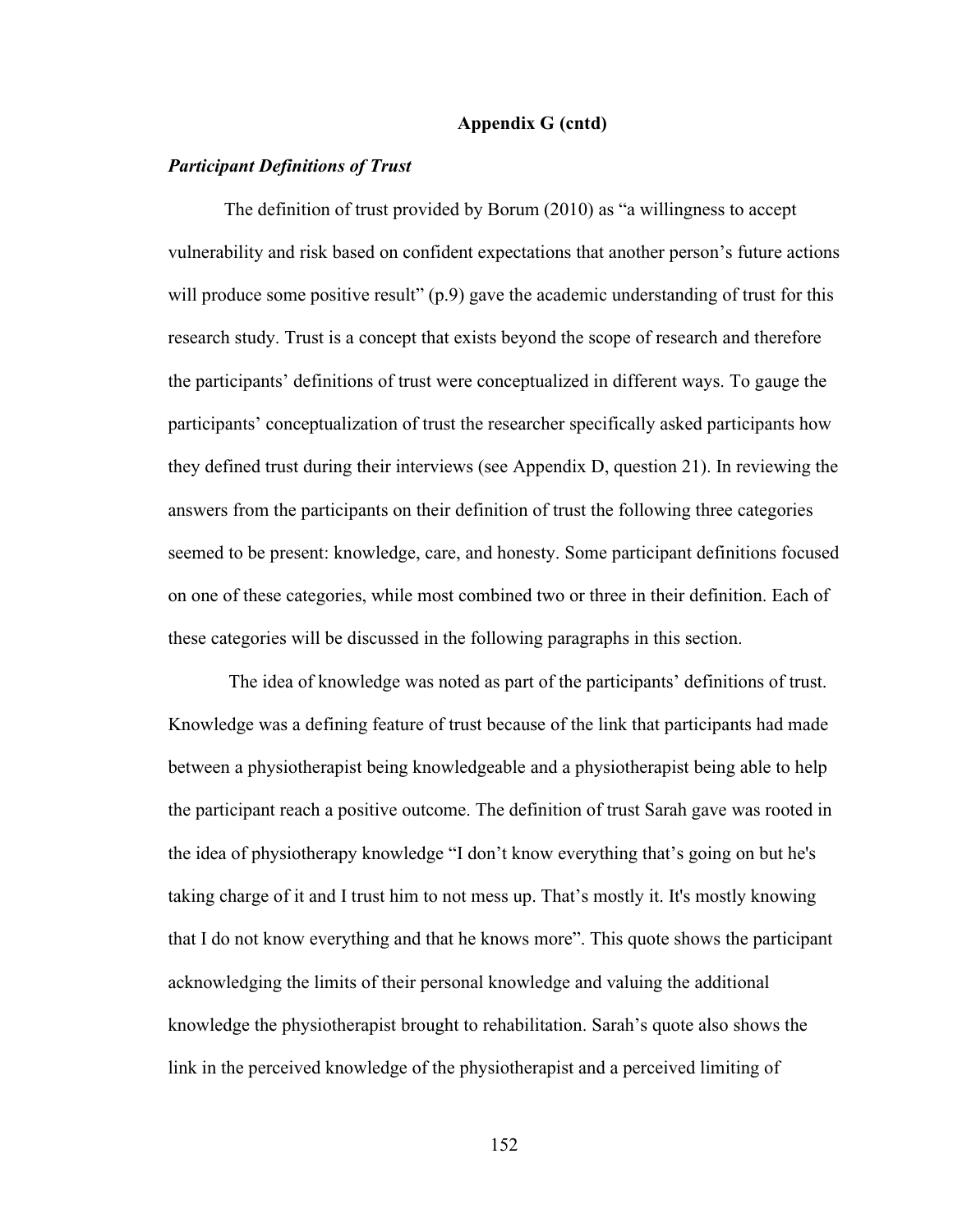### *Participant Definitions of Trust*

The definition of trust provided by Borum (2010) as "a willingness to accept vulnerability and risk based on confident expectations that another person's future actions will produce some positive result" (p.9) gave the academic understanding of trust for this research study. Trust is a concept that exists beyond the scope of research and therefore the participants' definitions of trust were conceptualized in different ways. To gauge the participants' conceptualization of trust the researcher specifically asked participants how they defined trust during their interviews (see Appendix D, question 21). In reviewing the answers from the participants on their definition of trust the following three categories seemed to be present: knowledge, care, and honesty. Some participant definitions focused on one of these categories, while most combined two or three in their definition. Each of these categories will be discussed in the following paragraphs in this section.

The idea of knowledge was noted as part of the participants' definitions of trust. Knowledge was a defining feature of trust because of the link that participants had made between a physiotherapist being knowledgeable and a physiotherapist being able to help the participant reach a positive outcome. The definition of trust Sarah gave was rooted in the idea of physiotherapy knowledge "I don't know everything that's going on but he's taking charge of it and I trust him to not mess up. That's mostly it. It's mostly knowing that I do not know everything and that he knows more". This quote shows the participant acknowledging the limits of their personal knowledge and valuing the additional knowledge the physiotherapist brought to rehabilitation. Sarah's quote also shows the link in the perceived knowledge of the physiotherapist and a perceived limiting of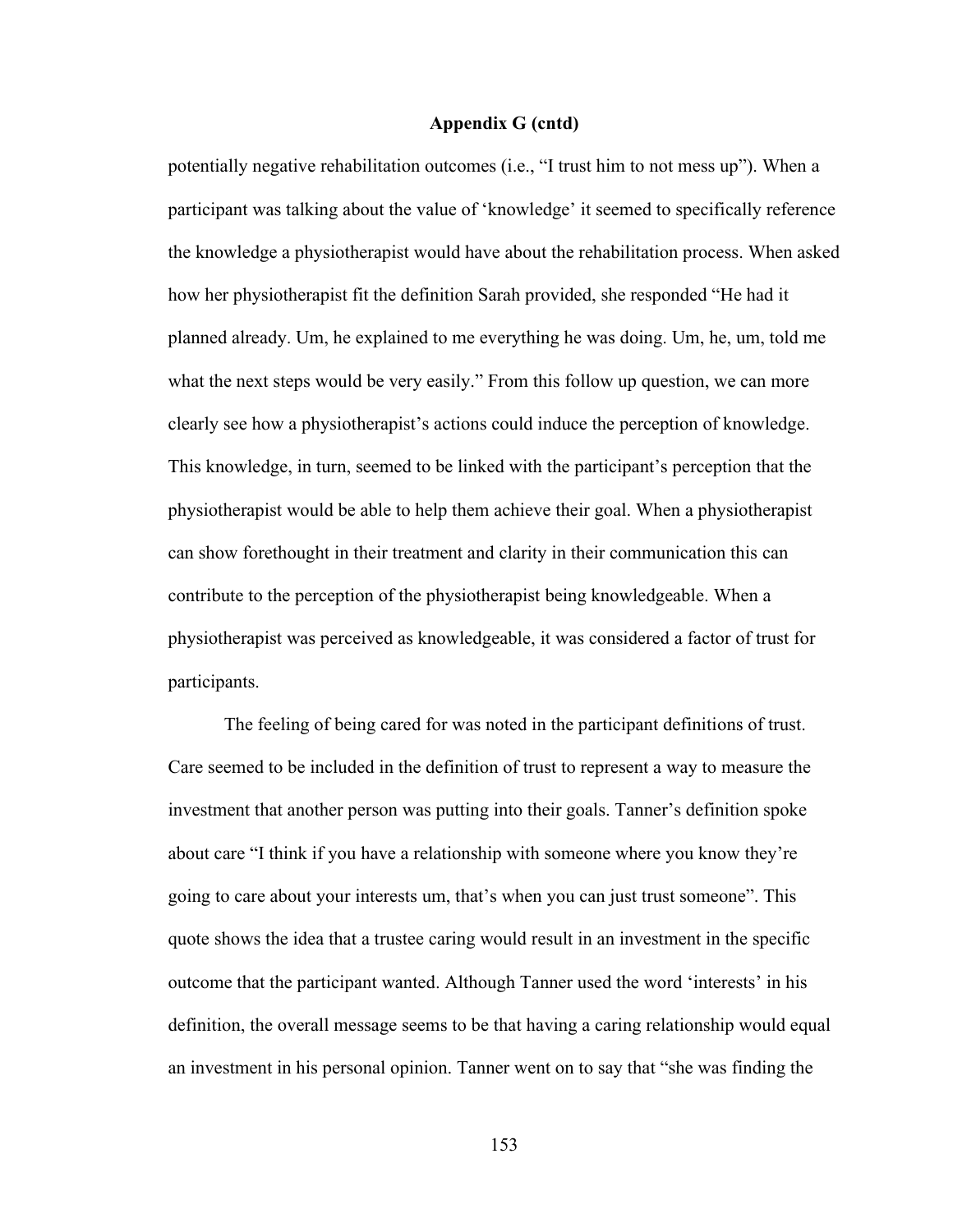potentially negative rehabilitation outcomes (i.e., "I trust him to not mess up"). When a participant was talking about the value of 'knowledge' it seemed to specifically reference the knowledge a physiotherapist would have about the rehabilitation process. When asked how her physiotherapist fit the definition Sarah provided, she responded "He had it planned already. Um, he explained to me everything he was doing. Um, he, um, told me what the next steps would be very easily." From this follow up question, we can more clearly see how a physiotherapist's actions could induce the perception of knowledge. This knowledge, in turn, seemed to be linked with the participant's perception that the physiotherapist would be able to help them achieve their goal. When a physiotherapist can show forethought in their treatment and clarity in their communication this can contribute to the perception of the physiotherapist being knowledgeable. When a physiotherapist was perceived as knowledgeable, it was considered a factor of trust for participants.

The feeling of being cared for was noted in the participant definitions of trust. Care seemed to be included in the definition of trust to represent a way to measure the investment that another person was putting into their goals. Tanner's definition spoke about care "I think if you have a relationship with someone where you know they're going to care about your interests um, that's when you can just trust someone". This quote shows the idea that a trustee caring would result in an investment in the specific outcome that the participant wanted. Although Tanner used the word 'interests' in his definition, the overall message seems to be that having a caring relationship would equal an investment in his personal opinion. Tanner went on to say that "she was finding the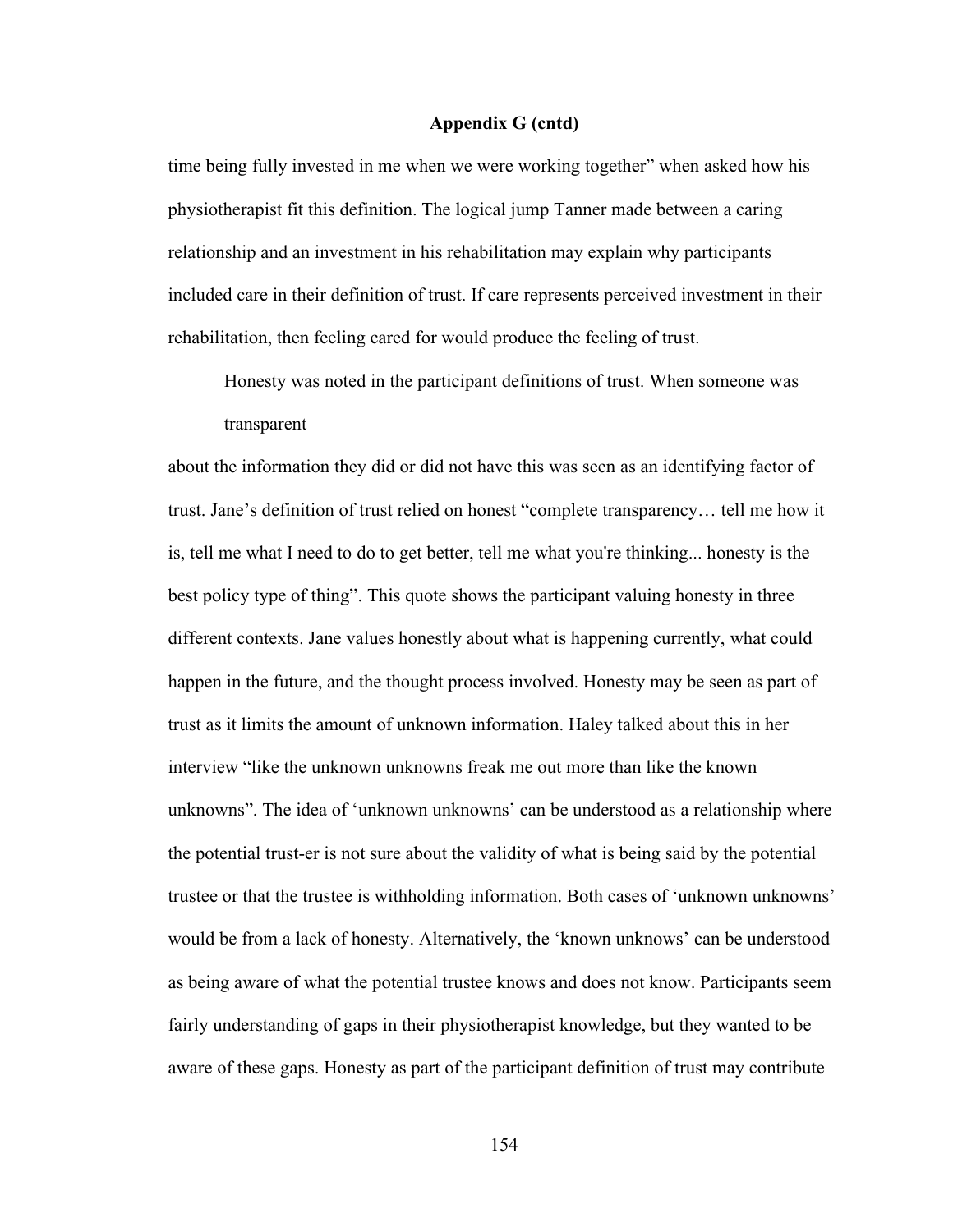time being fully invested in me when we were working together" when asked how his physiotherapist fit this definition. The logical jump Tanner made between a caring relationship and an investment in his rehabilitation may explain why participants included care in their definition of trust. If care represents perceived investment in their rehabilitation, then feeling cared for would produce the feeling of trust.

Honesty was noted in the participant definitions of trust. When someone was transparent

about the information they did or did not have this was seen as an identifying factor of trust. Jane's definition of trust relied on honest "complete transparency… tell me how it is, tell me what I need to do to get better, tell me what you're thinking... honesty is the best policy type of thing". This quote shows the participant valuing honesty in three different contexts. Jane values honestly about what is happening currently, what could happen in the future, and the thought process involved. Honesty may be seen as part of trust as it limits the amount of unknown information. Haley talked about this in her interview "like the unknown unknowns freak me out more than like the known unknowns". The idea of 'unknown unknowns' can be understood as a relationship where the potential trust-er is not sure about the validity of what is being said by the potential trustee or that the trustee is withholding information. Both cases of 'unknown unknowns' would be from a lack of honesty. Alternatively, the 'known unknows' can be understood as being aware of what the potential trustee knows and does not know. Participants seem fairly understanding of gaps in their physiotherapist knowledge, but they wanted to be aware of these gaps. Honesty as part of the participant definition of trust may contribute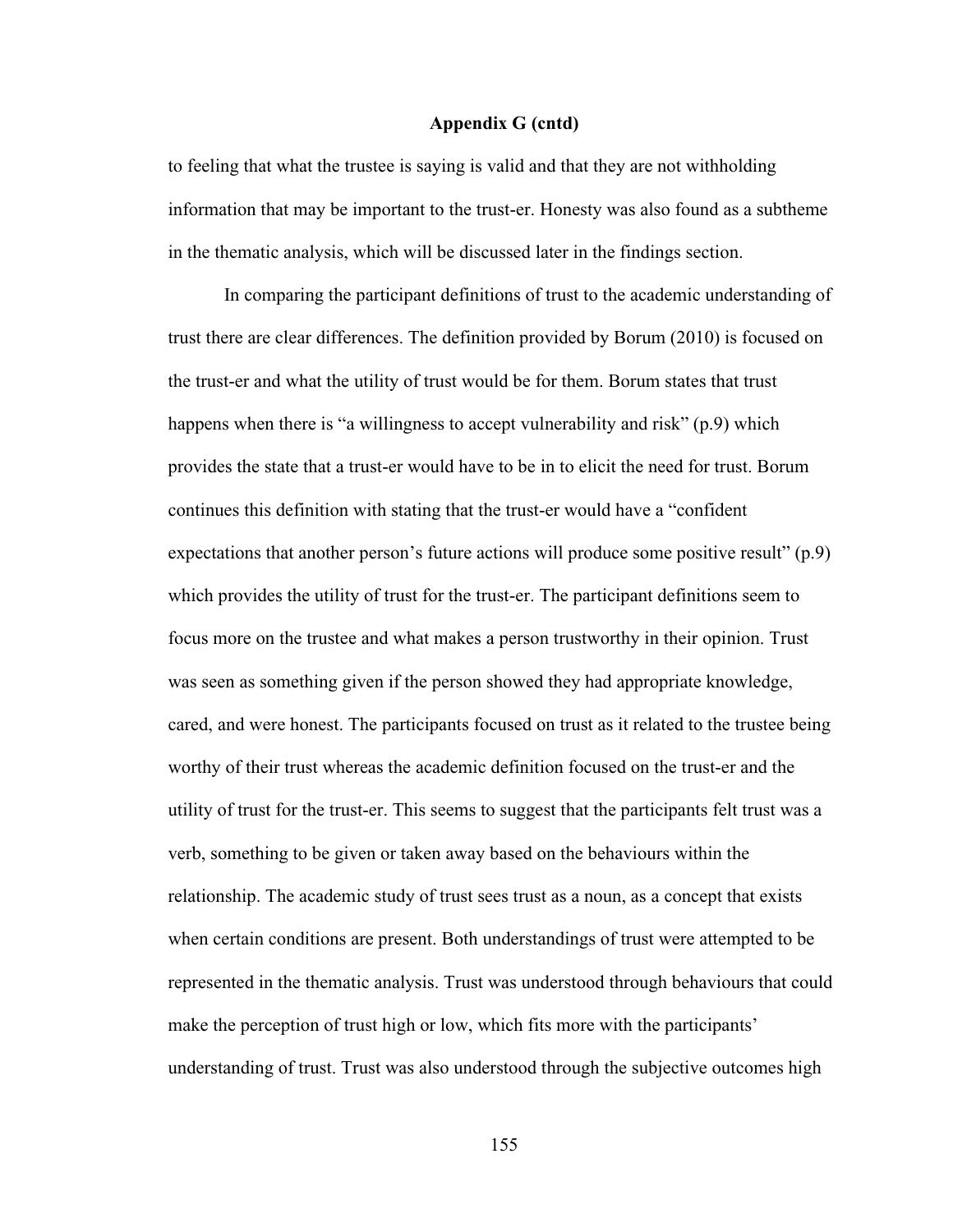to feeling that what the trustee is saying is valid and that they are not withholding information that may be important to the trust-er. Honesty was also found as a subtheme in the thematic analysis, which will be discussed later in the findings section.

In comparing the participant definitions of trust to the academic understanding of trust there are clear differences. The definition provided by Borum (2010) is focused on the trust-er and what the utility of trust would be for them. Borum states that trust happens when there is "a willingness to accept vulnerability and risk" (p.9) which provides the state that a trust-er would have to be in to elicit the need for trust. Borum continues this definition with stating that the trust-er would have a "confident expectations that another person's future actions will produce some positive result"  $(p.9)$ which provides the utility of trust for the trust-er. The participant definitions seem to focus more on the trustee and what makes a person trustworthy in their opinion. Trust was seen as something given if the person showed they had appropriate knowledge, cared, and were honest. The participants focused on trust as it related to the trustee being worthy of their trust whereas the academic definition focused on the trust-er and the utility of trust for the trust-er. This seems to suggest that the participants felt trust was a verb, something to be given or taken away based on the behaviours within the relationship. The academic study of trust sees trust as a noun, as a concept that exists when certain conditions are present. Both understandings of trust were attempted to be represented in the thematic analysis. Trust was understood through behaviours that could make the perception of trust high or low, which fits more with the participants' understanding of trust. Trust was also understood through the subjective outcomes high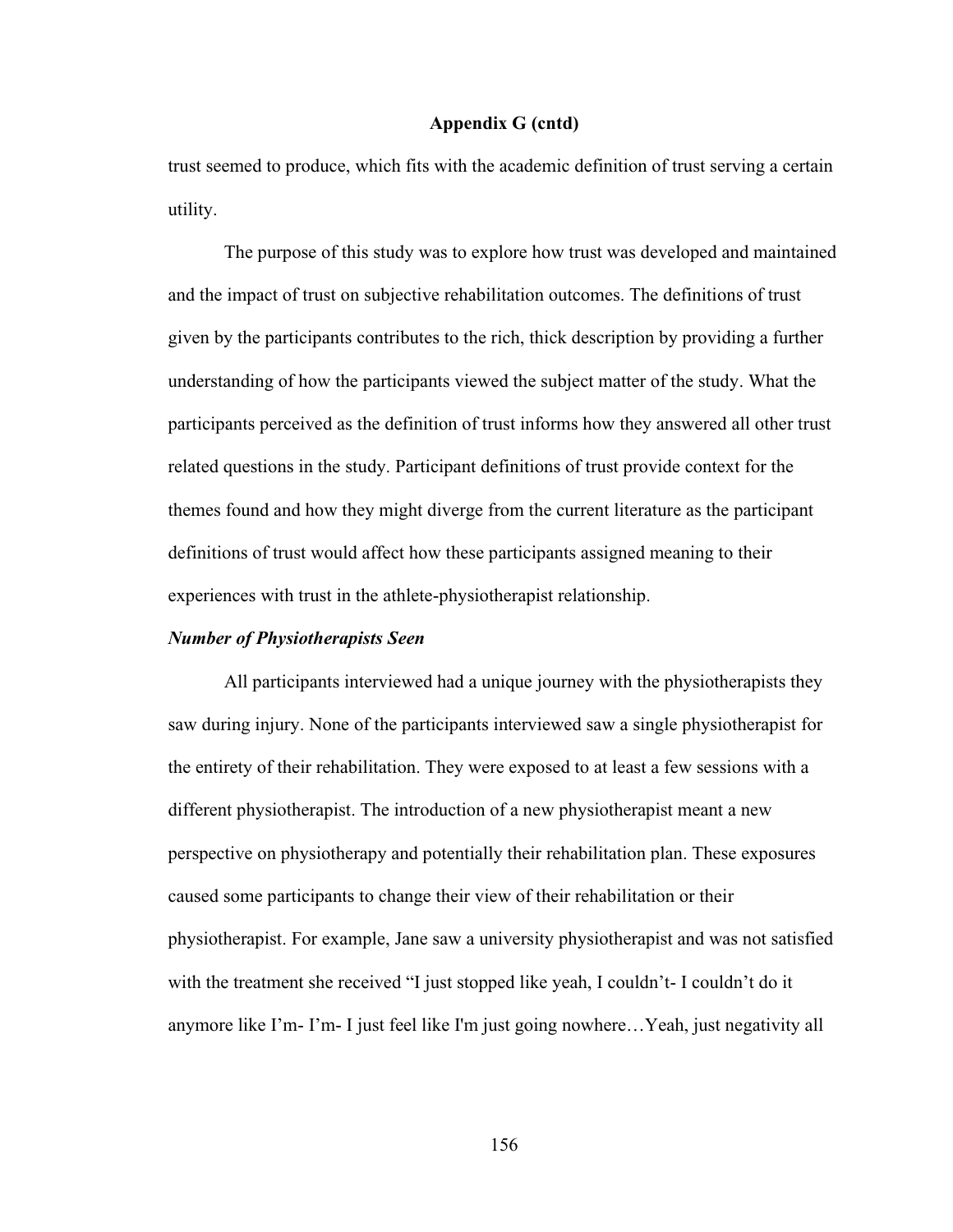trust seemed to produce, which fits with the academic definition of trust serving a certain utility.

The purpose of this study was to explore how trust was developed and maintained and the impact of trust on subjective rehabilitation outcomes. The definitions of trust given by the participants contributes to the rich, thick description by providing a further understanding of how the participants viewed the subject matter of the study. What the participants perceived as the definition of trust informs how they answered all other trust related questions in the study. Participant definitions of trust provide context for the themes found and how they might diverge from the current literature as the participant definitions of trust would affect how these participants assigned meaning to their experiences with trust in the athlete-physiotherapist relationship.

### *Number of Physiotherapists Seen*

All participants interviewed had a unique journey with the physiotherapists they saw during injury. None of the participants interviewed saw a single physiotherapist for the entirety of their rehabilitation. They were exposed to at least a few sessions with a different physiotherapist. The introduction of a new physiotherapist meant a new perspective on physiotherapy and potentially their rehabilitation plan. These exposures caused some participants to change their view of their rehabilitation or their physiotherapist. For example, Jane saw a university physiotherapist and was not satisfied with the treatment she received "I just stopped like yeah, I couldn't- I couldn't do it anymore like I'm- I'm- I just feel like I'm just going nowhere…Yeah, just negativity all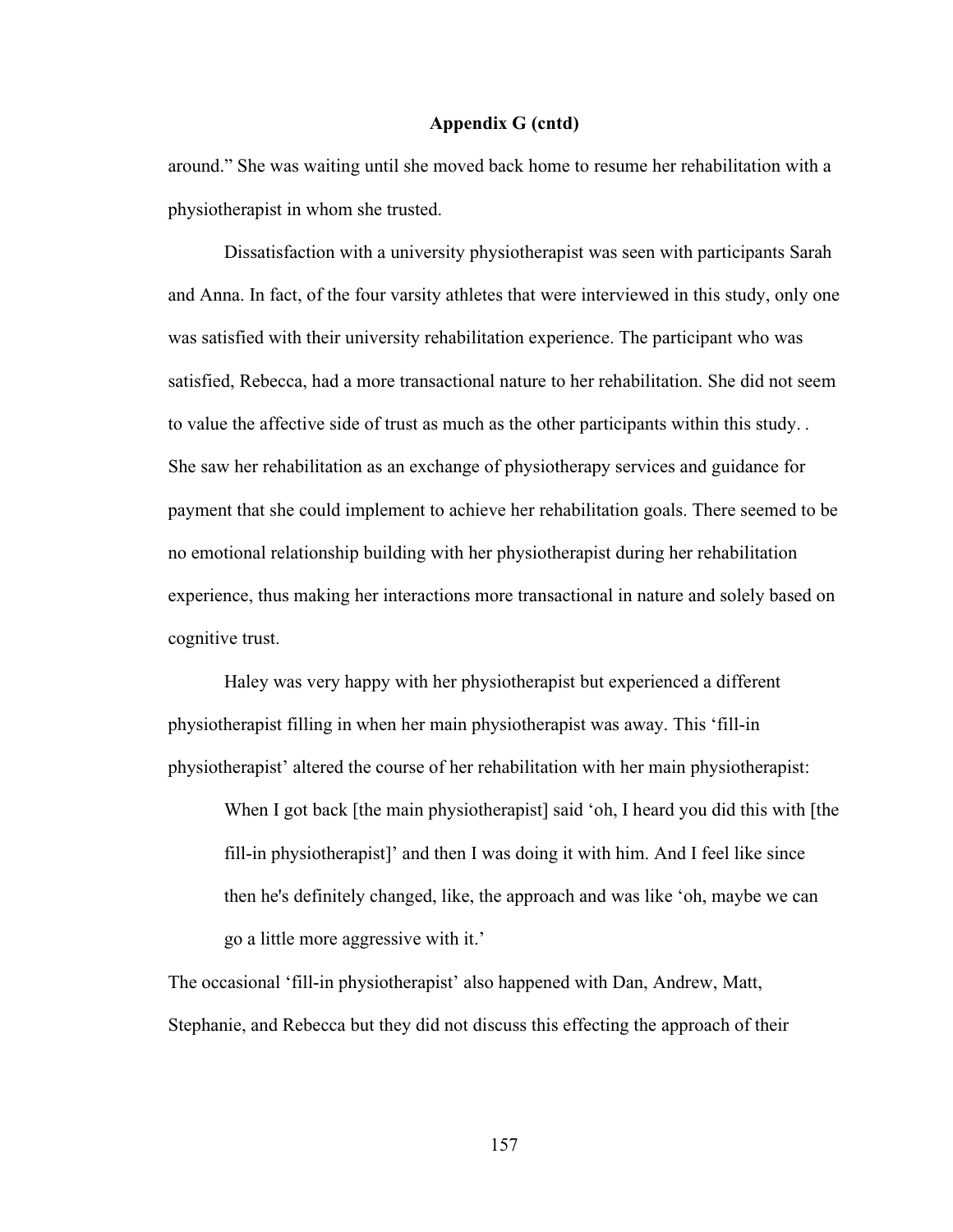around." She was waiting until she moved back home to resume her rehabilitation with a physiotherapist in whom she trusted.

Dissatisfaction with a university physiotherapist was seen with participants Sarah and Anna. In fact, of the four varsity athletes that were interviewed in this study, only one was satisfied with their university rehabilitation experience. The participant who was satisfied, Rebecca, had a more transactional nature to her rehabilitation. She did not seem to value the affective side of trust as much as the other participants within this study. . She saw her rehabilitation as an exchange of physiotherapy services and guidance for payment that she could implement to achieve her rehabilitation goals. There seemed to be no emotional relationship building with her physiotherapist during her rehabilitation experience, thus making her interactions more transactional in nature and solely based on cognitive trust.

Haley was very happy with her physiotherapist but experienced a different physiotherapist filling in when her main physiotherapist was away. This 'fill-in physiotherapist' altered the course of her rehabilitation with her main physiotherapist:

When I got back [the main physiotherapist] said 'oh, I heard you did this with [the fill-in physiotherapist]' and then I was doing it with him. And I feel like since then he's definitely changed, like, the approach and was like 'oh, maybe we can go a little more aggressive with it.'

The occasional 'fill-in physiotherapist' also happened with Dan, Andrew, Matt, Stephanie, and Rebecca but they did not discuss this effecting the approach of their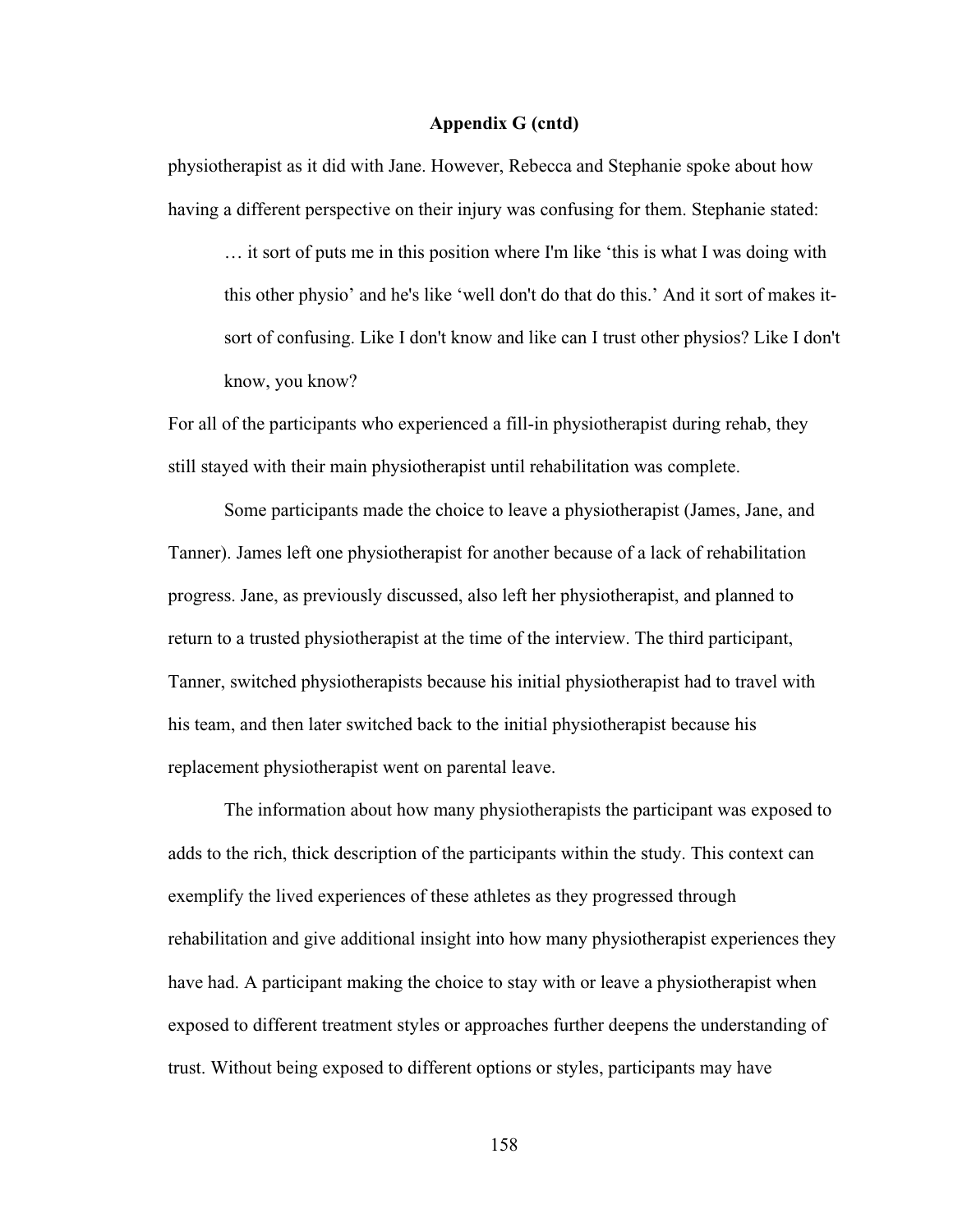physiotherapist as it did with Jane. However, Rebecca and Stephanie spoke about how having a different perspective on their injury was confusing for them. Stephanie stated:

… it sort of puts me in this position where I'm like 'this is what I was doing with this other physio' and he's like 'well don't do that do this.' And it sort of makes itsort of confusing. Like I don't know and like can I trust other physios? Like I don't know, you know?

For all of the participants who experienced a fill-in physiotherapist during rehab, they still stayed with their main physiotherapist until rehabilitation was complete.

Some participants made the choice to leave a physiotherapist (James, Jane, and Tanner). James left one physiotherapist for another because of a lack of rehabilitation progress. Jane, as previously discussed, also left her physiotherapist, and planned to return to a trusted physiotherapist at the time of the interview. The third participant, Tanner, switched physiotherapists because his initial physiotherapist had to travel with his team, and then later switched back to the initial physiotherapist because his replacement physiotherapist went on parental leave.

The information about how many physiotherapists the participant was exposed to adds to the rich, thick description of the participants within the study. This context can exemplify the lived experiences of these athletes as they progressed through rehabilitation and give additional insight into how many physiotherapist experiences they have had. A participant making the choice to stay with or leave a physiotherapist when exposed to different treatment styles or approaches further deepens the understanding of trust. Without being exposed to different options or styles, participants may have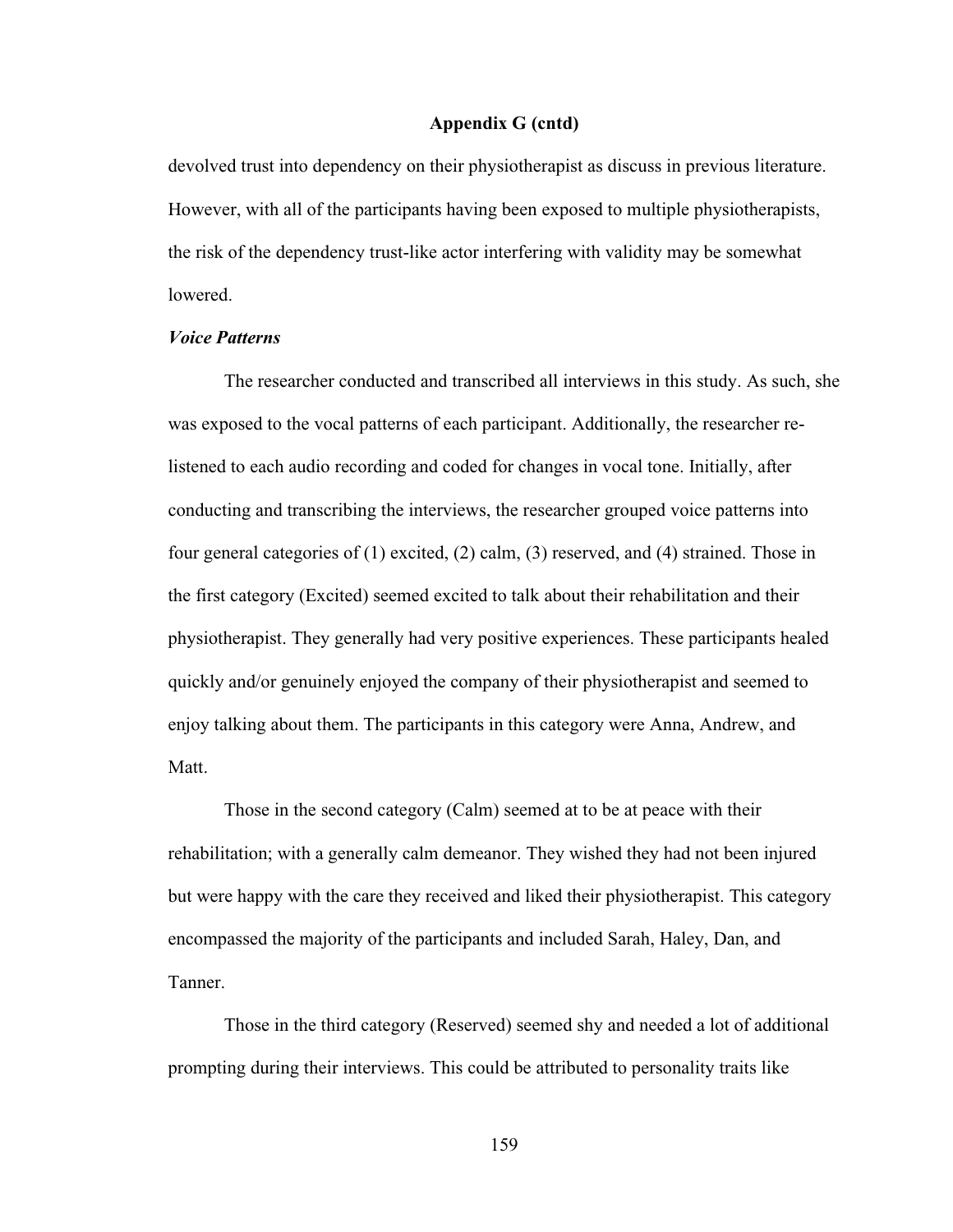devolved trust into dependency on their physiotherapist as discuss in previous literature. However, with all of the participants having been exposed to multiple physiotherapists, the risk of the dependency trust-like actor interfering with validity may be somewhat lowered.

### *Voice Patterns*

The researcher conducted and transcribed all interviews in this study. As such, she was exposed to the vocal patterns of each participant. Additionally, the researcher relistened to each audio recording and coded for changes in vocal tone. Initially, after conducting and transcribing the interviews, the researcher grouped voice patterns into four general categories of (1) excited, (2) calm, (3) reserved, and (4) strained. Those in the first category (Excited) seemed excited to talk about their rehabilitation and their physiotherapist. They generally had very positive experiences. These participants healed quickly and/or genuinely enjoyed the company of their physiotherapist and seemed to enjoy talking about them. The participants in this category were Anna, Andrew, and Matt.

Those in the second category (Calm) seemed at to be at peace with their rehabilitation; with a generally calm demeanor. They wished they had not been injured but were happy with the care they received and liked their physiotherapist. This category encompassed the majority of the participants and included Sarah, Haley, Dan, and Tanner.

Those in the third category (Reserved) seemed shy and needed a lot of additional prompting during their interviews. This could be attributed to personality traits like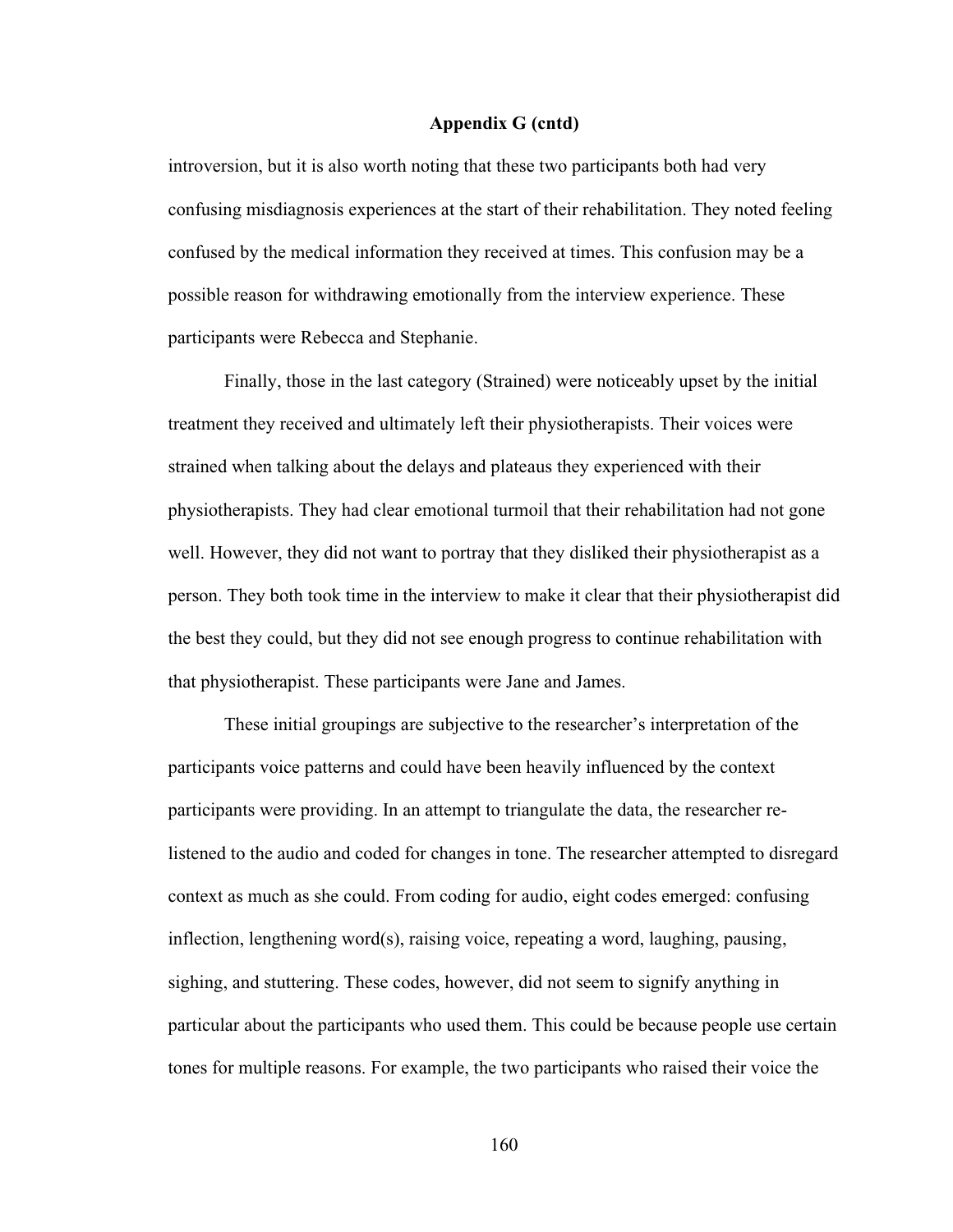introversion, but it is also worth noting that these two participants both had very confusing misdiagnosis experiences at the start of their rehabilitation. They noted feeling confused by the medical information they received at times. This confusion may be a possible reason for withdrawing emotionally from the interview experience. These participants were Rebecca and Stephanie.

Finally, those in the last category (Strained) were noticeably upset by the initial treatment they received and ultimately left their physiotherapists. Their voices were strained when talking about the delays and plateaus they experienced with their physiotherapists. They had clear emotional turmoil that their rehabilitation had not gone well. However, they did not want to portray that they disliked their physiotherapist as a person. They both took time in the interview to make it clear that their physiotherapist did the best they could, but they did not see enough progress to continue rehabilitation with that physiotherapist. These participants were Jane and James.

These initial groupings are subjective to the researcher's interpretation of the participants voice patterns and could have been heavily influenced by the context participants were providing. In an attempt to triangulate the data, the researcher relistened to the audio and coded for changes in tone. The researcher attempted to disregard context as much as she could. From coding for audio, eight codes emerged: confusing inflection, lengthening word(s), raising voice, repeating a word, laughing, pausing, sighing, and stuttering. These codes, however, did not seem to signify anything in particular about the participants who used them. This could be because people use certain tones for multiple reasons. For example, the two participants who raised their voice the